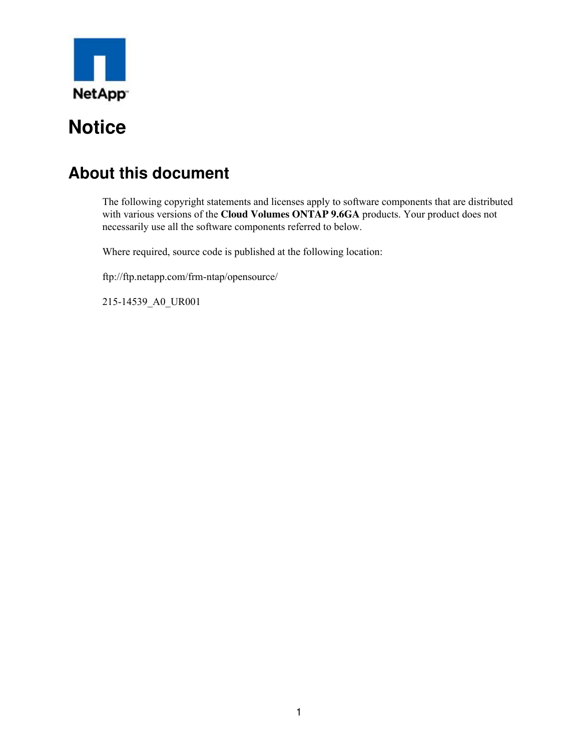

# **About this document**

The following copyright statements and licenses apply to software components that are distributed with various versions of the **Cloud Volumes ONTAP 9.6GA** products. Your product does not necessarily use all the software components referred to below.

Where required, source code is published at the following location:

ftp://ftp.netapp.com/frm-ntap/opensource/

215-14539\_A0\_UR001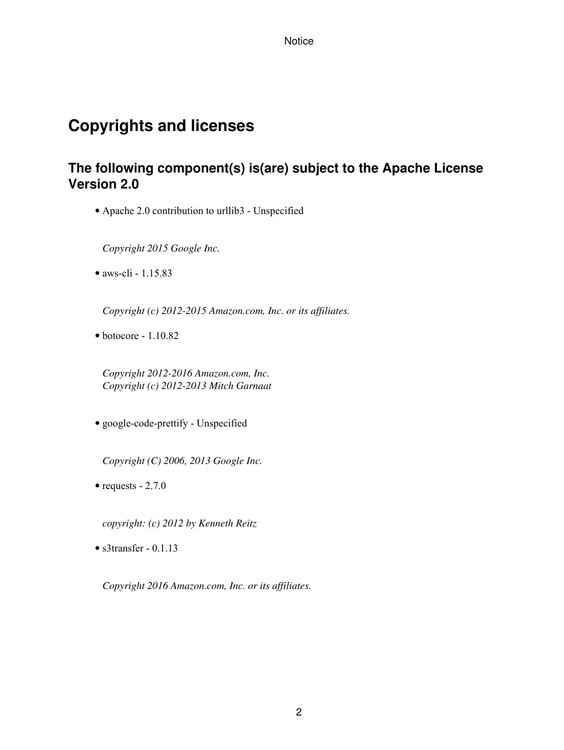# **Copyrights and licenses**

## **The following component(s) is(are) subject to the Apache License Version 2.0**

• Apache 2.0 contribution to urllib3 - Unspecified

*Copyright 2015 Google Inc.*

• aws-cli - 1.15.83

*Copyright (c) 2012-2015 Amazon.com, Inc. or its affiliates.*

 $\bullet$  botocore - 1.10.82

*Copyright 2012-2016 Amazon.com, Inc. Copyright (c) 2012-2013 Mitch Garnaat*

• google-code-prettify - Unspecified

*Copyright (C) 2006, 2013 Google Inc.*

• requests  $-2.7.0$ 

*copyright: (c) 2012 by Kenneth Reitz*

• s3transfer - 0.1.13

*Copyright 2016 Amazon.com, Inc. or its affiliates.*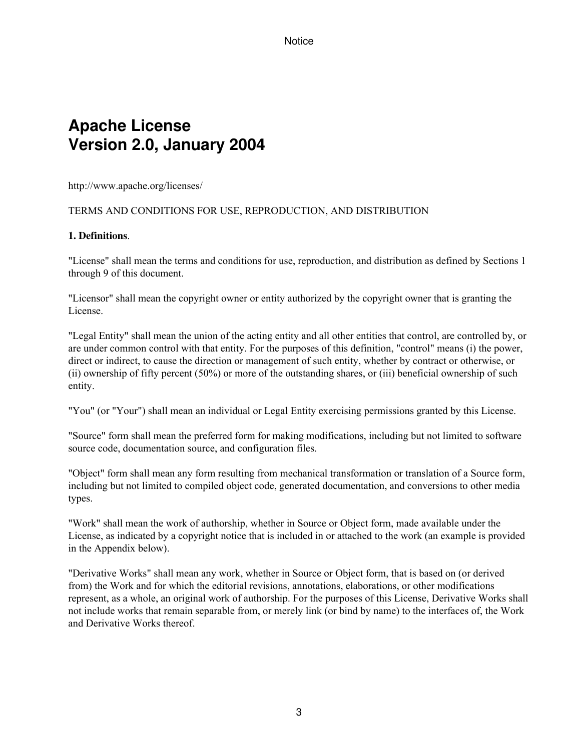# **Apache License Version 2.0, January 2004**

http://www.apache.org/licenses/

#### TERMS AND CONDITIONS FOR USE, REPRODUCTION, AND DISTRIBUTION

#### **1. Definitions**.

"License" shall mean the terms and conditions for use, reproduction, and distribution as defined by Sections 1 through 9 of this document.

"Licensor" shall mean the copyright owner or entity authorized by the copyright owner that is granting the License.

"Legal Entity" shall mean the union of the acting entity and all other entities that control, are controlled by, or are under common control with that entity. For the purposes of this definition, "control" means (i) the power, direct or indirect, to cause the direction or management of such entity, whether by contract or otherwise, or (ii) ownership of fifty percent (50%) or more of the outstanding shares, or (iii) beneficial ownership of such entity.

"You" (or "Your") shall mean an individual or Legal Entity exercising permissions granted by this License.

"Source" form shall mean the preferred form for making modifications, including but not limited to software source code, documentation source, and configuration files.

"Object" form shall mean any form resulting from mechanical transformation or translation of a Source form, including but not limited to compiled object code, generated documentation, and conversions to other media types.

"Work" shall mean the work of authorship, whether in Source or Object form, made available under the License, as indicated by a copyright notice that is included in or attached to the work (an example is provided in the Appendix below).

"Derivative Works" shall mean any work, whether in Source or Object form, that is based on (or derived from) the Work and for which the editorial revisions, annotations, elaborations, or other modifications represent, as a whole, an original work of authorship. For the purposes of this License, Derivative Works shall not include works that remain separable from, or merely link (or bind by name) to the interfaces of, the Work and Derivative Works thereof.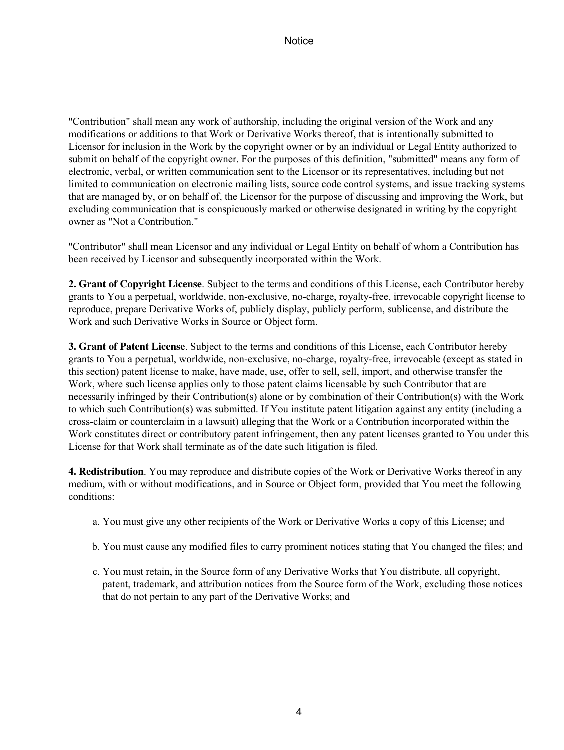"Contribution" shall mean any work of authorship, including the original version of the Work and any modifications or additions to that Work or Derivative Works thereof, that is intentionally submitted to Licensor for inclusion in the Work by the copyright owner or by an individual or Legal Entity authorized to submit on behalf of the copyright owner. For the purposes of this definition, "submitted" means any form of electronic, verbal, or written communication sent to the Licensor or its representatives, including but not limited to communication on electronic mailing lists, source code control systems, and issue tracking systems that are managed by, or on behalf of, the Licensor for the purpose of discussing and improving the Work, but excluding communication that is conspicuously marked or otherwise designated in writing by the copyright owner as "Not a Contribution."

"Contributor" shall mean Licensor and any individual or Legal Entity on behalf of whom a Contribution has been received by Licensor and subsequently incorporated within the Work.

**2. Grant of Copyright License**. Subject to the terms and conditions of this License, each Contributor hereby grants to You a perpetual, worldwide, non-exclusive, no-charge, royalty-free, irrevocable copyright license to reproduce, prepare Derivative Works of, publicly display, publicly perform, sublicense, and distribute the Work and such Derivative Works in Source or Object form.

**3. Grant of Patent License**. Subject to the terms and conditions of this License, each Contributor hereby grants to You a perpetual, worldwide, non-exclusive, no-charge, royalty-free, irrevocable (except as stated in this section) patent license to make, have made, use, offer to sell, sell, import, and otherwise transfer the Work, where such license applies only to those patent claims licensable by such Contributor that are necessarily infringed by their Contribution(s) alone or by combination of their Contribution(s) with the Work to which such Contribution(s) was submitted. If You institute patent litigation against any entity (including a cross-claim or counterclaim in a lawsuit) alleging that the Work or a Contribution incorporated within the Work constitutes direct or contributory patent infringement, then any patent licenses granted to You under this License for that Work shall terminate as of the date such litigation is filed.

**4. Redistribution**. You may reproduce and distribute copies of the Work or Derivative Works thereof in any medium, with or without modifications, and in Source or Object form, provided that You meet the following conditions:

- a. You must give any other recipients of the Work or Derivative Works a copy of this License; and
- b. You must cause any modified files to carry prominent notices stating that You changed the files; and
- c. You must retain, in the Source form of any Derivative Works that You distribute, all copyright, patent, trademark, and attribution notices from the Source form of the Work, excluding those notices that do not pertain to any part of the Derivative Works; and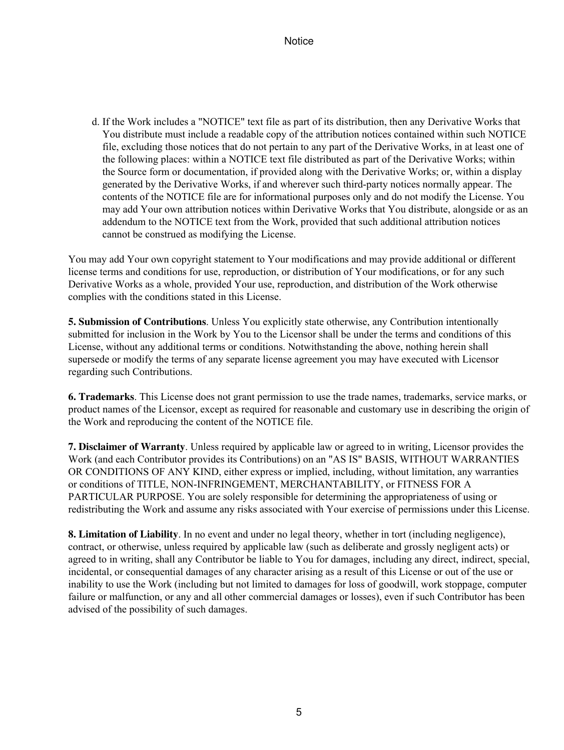d. If the Work includes a "NOTICE" text file as part of its distribution, then any Derivative Works that You distribute must include a readable copy of the attribution notices contained within such NOTICE file, excluding those notices that do not pertain to any part of the Derivative Works, in at least one of the following places: within a NOTICE text file distributed as part of the Derivative Works; within the Source form or documentation, if provided along with the Derivative Works; or, within a display generated by the Derivative Works, if and wherever such third-party notices normally appear. The contents of the NOTICE file are for informational purposes only and do not modify the License. You may add Your own attribution notices within Derivative Works that You distribute, alongside or as an addendum to the NOTICE text from the Work, provided that such additional attribution notices cannot be construed as modifying the License.

You may add Your own copyright statement to Your modifications and may provide additional or different license terms and conditions for use, reproduction, or distribution of Your modifications, or for any such Derivative Works as a whole, provided Your use, reproduction, and distribution of the Work otherwise complies with the conditions stated in this License.

**5. Submission of Contributions**. Unless You explicitly state otherwise, any Contribution intentionally submitted for inclusion in the Work by You to the Licensor shall be under the terms and conditions of this License, without any additional terms or conditions. Notwithstanding the above, nothing herein shall supersede or modify the terms of any separate license agreement you may have executed with Licensor regarding such Contributions.

**6. Trademarks**. This License does not grant permission to use the trade names, trademarks, service marks, or product names of the Licensor, except as required for reasonable and customary use in describing the origin of the Work and reproducing the content of the NOTICE file.

**7. Disclaimer of Warranty**. Unless required by applicable law or agreed to in writing, Licensor provides the Work (and each Contributor provides its Contributions) on an "AS IS" BASIS, WITHOUT WARRANTIES OR CONDITIONS OF ANY KIND, either express or implied, including, without limitation, any warranties or conditions of TITLE, NON-INFRINGEMENT, MERCHANTABILITY, or FITNESS FOR A PARTICULAR PURPOSE. You are solely responsible for determining the appropriateness of using or redistributing the Work and assume any risks associated with Your exercise of permissions under this License.

**8. Limitation of Liability**. In no event and under no legal theory, whether in tort (including negligence), contract, or otherwise, unless required by applicable law (such as deliberate and grossly negligent acts) or agreed to in writing, shall any Contributor be liable to You for damages, including any direct, indirect, special, incidental, or consequential damages of any character arising as a result of this License or out of the use or inability to use the Work (including but not limited to damages for loss of goodwill, work stoppage, computer failure or malfunction, or any and all other commercial damages or losses), even if such Contributor has been advised of the possibility of such damages.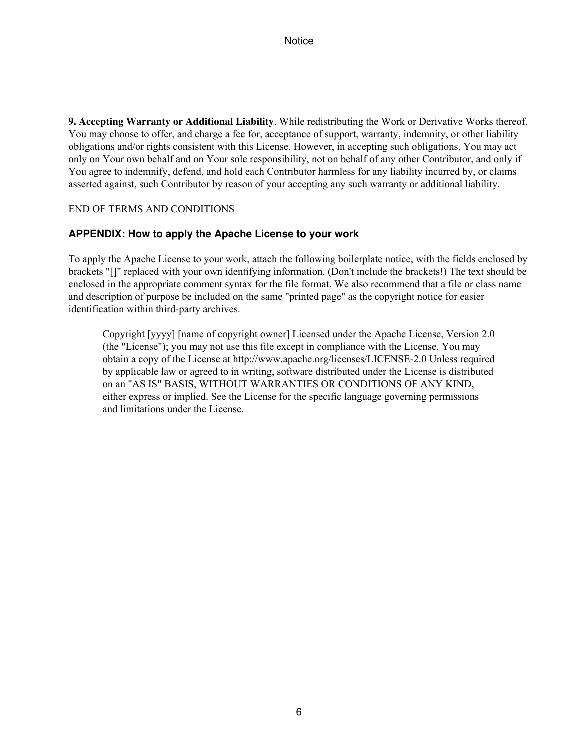**9. Accepting Warranty or Additional Liability**. While redistributing the Work or Derivative Works thereof, You may choose to offer, and charge a fee for, acceptance of support, warranty, indemnity, or other liability obligations and/or rights consistent with this License. However, in accepting such obligations, You may act only on Your own behalf and on Your sole responsibility, not on behalf of any other Contributor, and only if You agree to indemnify, defend, and hold each Contributor harmless for any liability incurred by, or claims asserted against, such Contributor by reason of your accepting any such warranty or additional liability.

#### END OF TERMS AND CONDITIONS

#### **APPENDIX: How to apply the Apache License to your work**

To apply the Apache License to your work, attach the following boilerplate notice, with the fields enclosed by brackets "[]" replaced with your own identifying information. (Don't include the brackets!) The text should be enclosed in the appropriate comment syntax for the file format. We also recommend that a file or class name and description of purpose be included on the same "printed page" as the copyright notice for easier identification within third-party archives.

Copyright [yyyy] [name of copyright owner] Licensed under the Apache License, Version 2.0 (the "License"); you may not use this file except in compliance with the License. You may obtain a copy of the License at http://www.apache.org/licenses/LICENSE-2.0 Unless required by applicable law or agreed to in writing, software distributed under the License is distributed on an "AS IS" BASIS, WITHOUT WARRANTIES OR CONDITIONS OF ANY KIND, either express or implied. See the License for the specific language governing permissions and limitations under the License.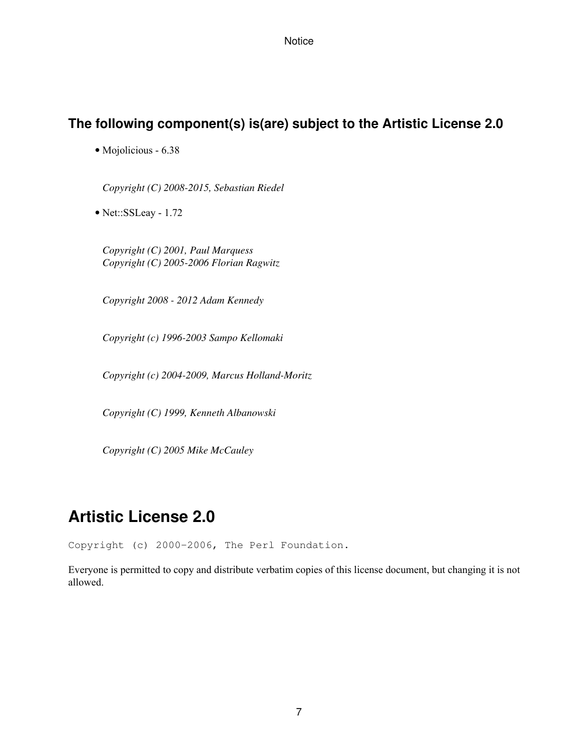## **The following component(s) is(are) subject to the Artistic License 2.0**

• Mojolicious - 6.38

*Copyright (C) 2008-2015, Sebastian Riedel*

• Net::SSLeay - 1.72

*Copyright (C) 2001, Paul Marquess Copyright (C) 2005-2006 Florian Ragwitz*

*Copyright 2008 - 2012 Adam Kennedy*

*Copyright (c) 1996-2003 Sampo Kellomaki*

*Copyright (c) 2004-2009, Marcus Holland-Moritz*

*Copyright (C) 1999, Kenneth Albanowski*

*Copyright (C) 2005 Mike McCauley*

# **Artistic License 2.0**

Copyright (c) 2000-2006, The Perl Foundation.

Everyone is permitted to copy and distribute verbatim copies of this license document, but changing it is not allowed.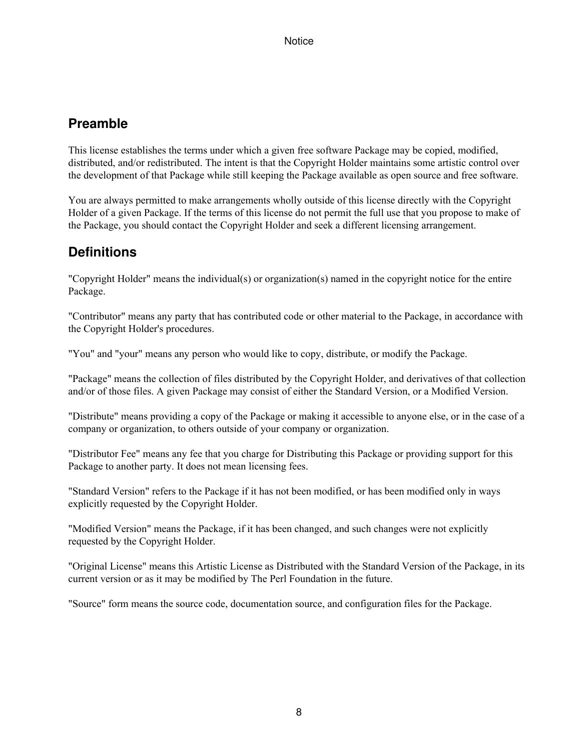## **Preamble**

This license establishes the terms under which a given free software Package may be copied, modified, distributed, and/or redistributed. The intent is that the Copyright Holder maintains some artistic control over the development of that Package while still keeping the Package available as open source and free software.

You are always permitted to make arrangements wholly outside of this license directly with the Copyright Holder of a given Package. If the terms of this license do not permit the full use that you propose to make of the Package, you should contact the Copyright Holder and seek a different licensing arrangement.

## **Definitions**

"Copyright Holder" means the individual(s) or organization(s) named in the copyright notice for the entire Package.

"Contributor" means any party that has contributed code or other material to the Package, in accordance with the Copyright Holder's procedures.

"You" and "your" means any person who would like to copy, distribute, or modify the Package.

"Package" means the collection of files distributed by the Copyright Holder, and derivatives of that collection and/or of those files. A given Package may consist of either the Standard Version, or a Modified Version.

"Distribute" means providing a copy of the Package or making it accessible to anyone else, or in the case of a company or organization, to others outside of your company or organization.

"Distributor Fee" means any fee that you charge for Distributing this Package or providing support for this Package to another party. It does not mean licensing fees.

"Standard Version" refers to the Package if it has not been modified, or has been modified only in ways explicitly requested by the Copyright Holder.

"Modified Version" means the Package, if it has been changed, and such changes were not explicitly requested by the Copyright Holder.

"Original License" means this Artistic License as Distributed with the Standard Version of the Package, in its current version or as it may be modified by The Perl Foundation in the future.

"Source" form means the source code, documentation source, and configuration files for the Package.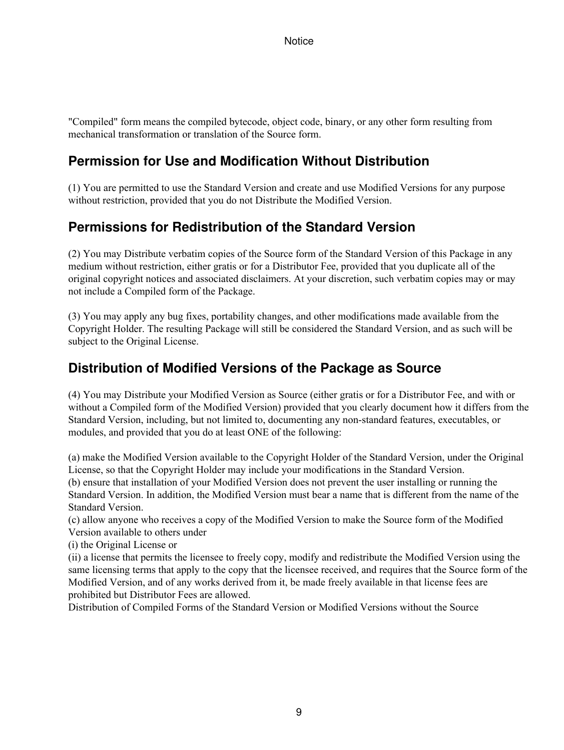"Compiled" form means the compiled bytecode, object code, binary, or any other form resulting from mechanical transformation or translation of the Source form.

## **Permission for Use and Modification Without Distribution**

(1) You are permitted to use the Standard Version and create and use Modified Versions for any purpose without restriction, provided that you do not Distribute the Modified Version.

## **Permissions for Redistribution of the Standard Version**

(2) You may Distribute verbatim copies of the Source form of the Standard Version of this Package in any medium without restriction, either gratis or for a Distributor Fee, provided that you duplicate all of the original copyright notices and associated disclaimers. At your discretion, such verbatim copies may or may not include a Compiled form of the Package.

(3) You may apply any bug fixes, portability changes, and other modifications made available from the Copyright Holder. The resulting Package will still be considered the Standard Version, and as such will be subject to the Original License.

## **Distribution of Modified Versions of the Package as Source**

(4) You may Distribute your Modified Version as Source (either gratis or for a Distributor Fee, and with or without a Compiled form of the Modified Version) provided that you clearly document how it differs from the Standard Version, including, but not limited to, documenting any non-standard features, executables, or modules, and provided that you do at least ONE of the following:

(a) make the Modified Version available to the Copyright Holder of the Standard Version, under the Original License, so that the Copyright Holder may include your modifications in the Standard Version. (b) ensure that installation of your Modified Version does not prevent the user installing or running the Standard Version. In addition, the Modified Version must bear a name that is different from the name of the Standard Version.

(c) allow anyone who receives a copy of the Modified Version to make the Source form of the Modified Version available to others under

(i) the Original License or

(ii) a license that permits the licensee to freely copy, modify and redistribute the Modified Version using the same licensing terms that apply to the copy that the licensee received, and requires that the Source form of the Modified Version, and of any works derived from it, be made freely available in that license fees are prohibited but Distributor Fees are allowed.

Distribution of Compiled Forms of the Standard Version or Modified Versions without the Source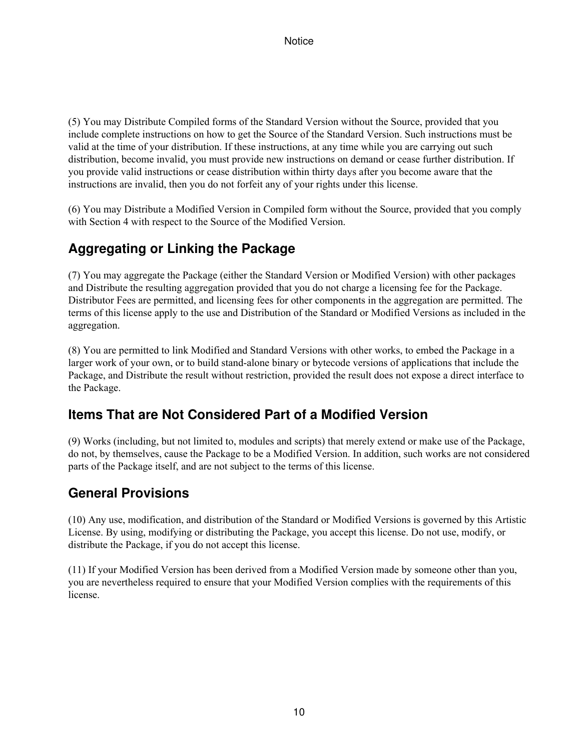(5) You may Distribute Compiled forms of the Standard Version without the Source, provided that you include complete instructions on how to get the Source of the Standard Version. Such instructions must be valid at the time of your distribution. If these instructions, at any time while you are carrying out such distribution, become invalid, you must provide new instructions on demand or cease further distribution. If you provide valid instructions or cease distribution within thirty days after you become aware that the instructions are invalid, then you do not forfeit any of your rights under this license.

(6) You may Distribute a Modified Version in Compiled form without the Source, provided that you comply with Section 4 with respect to the Source of the Modified Version.

## **Aggregating or Linking the Package**

(7) You may aggregate the Package (either the Standard Version or Modified Version) with other packages and Distribute the resulting aggregation provided that you do not charge a licensing fee for the Package. Distributor Fees are permitted, and licensing fees for other components in the aggregation are permitted. The terms of this license apply to the use and Distribution of the Standard or Modified Versions as included in the aggregation.

(8) You are permitted to link Modified and Standard Versions with other works, to embed the Package in a larger work of your own, or to build stand-alone binary or bytecode versions of applications that include the Package, and Distribute the result without restriction, provided the result does not expose a direct interface to the Package.

## **Items That are Not Considered Part of a Modified Version**

(9) Works (including, but not limited to, modules and scripts) that merely extend or make use of the Package, do not, by themselves, cause the Package to be a Modified Version. In addition, such works are not considered parts of the Package itself, and are not subject to the terms of this license.

## **General Provisions**

(10) Any use, modification, and distribution of the Standard or Modified Versions is governed by this Artistic License. By using, modifying or distributing the Package, you accept this license. Do not use, modify, or distribute the Package, if you do not accept this license.

(11) If your Modified Version has been derived from a Modified Version made by someone other than you, you are nevertheless required to ensure that your Modified Version complies with the requirements of this license.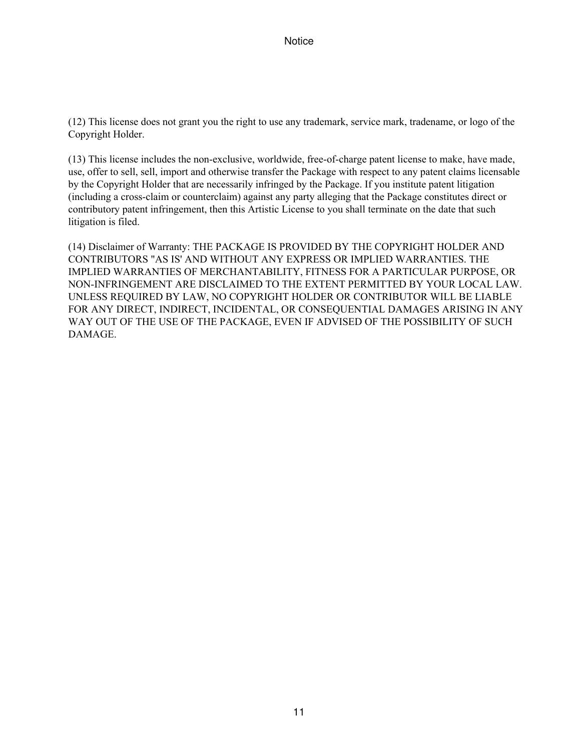(12) This license does not grant you the right to use any trademark, service mark, tradename, or logo of the Copyright Holder.

(13) This license includes the non-exclusive, worldwide, free-of-charge patent license to make, have made, use, offer to sell, sell, import and otherwise transfer the Package with respect to any patent claims licensable by the Copyright Holder that are necessarily infringed by the Package. If you institute patent litigation (including a cross-claim or counterclaim) against any party alleging that the Package constitutes direct or contributory patent infringement, then this Artistic License to you shall terminate on the date that such litigation is filed.

(14) Disclaimer of Warranty: THE PACKAGE IS PROVIDED BY THE COPYRIGHT HOLDER AND CONTRIBUTORS "AS IS' AND WITHOUT ANY EXPRESS OR IMPLIED WARRANTIES. THE IMPLIED WARRANTIES OF MERCHANTABILITY, FITNESS FOR A PARTICULAR PURPOSE, OR NON-INFRINGEMENT ARE DISCLAIMED TO THE EXTENT PERMITTED BY YOUR LOCAL LAW. UNLESS REQUIRED BY LAW, NO COPYRIGHT HOLDER OR CONTRIBUTOR WILL BE LIABLE FOR ANY DIRECT, INDIRECT, INCIDENTAL, OR CONSEQUENTIAL DAMAGES ARISING IN ANY WAY OUT OF THE USE OF THE PACKAGE, EVEN IF ADVISED OF THE POSSIBILITY OF SUCH DAMAGE.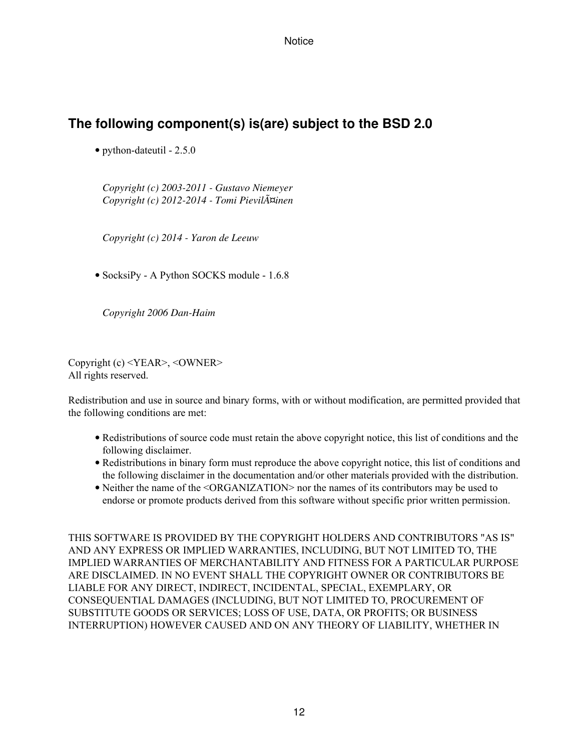## **The following component(s) is(are) subject to the BSD 2.0**

• python-dateutil - 2.5.0

*Copyright (c) 2003-2011 - Gustavo Niemeyer Copyright (c) 2012-2014 - Tomi Pieviläinen*

*Copyright (c) 2014 - Yaron de Leeuw*

• SocksiPy - A Python SOCKS module - 1.6.8

*Copyright 2006 Dan-Haim*

Copyright (c) <YEAR>, <OWNER> All rights reserved.

Redistribution and use in source and binary forms, with or without modification, are permitted provided that the following conditions are met:

- Redistributions of source code must retain the above copyright notice, this list of conditions and the following disclaimer.
- Redistributions in binary form must reproduce the above copyright notice, this list of conditions and the following disclaimer in the documentation and/or other materials provided with the distribution.
- Neither the name of the <ORGANIZATION> nor the names of its contributors may be used to endorse or promote products derived from this software without specific prior written permission.

THIS SOFTWARE IS PROVIDED BY THE COPYRIGHT HOLDERS AND CONTRIBUTORS "AS IS" AND ANY EXPRESS OR IMPLIED WARRANTIES, INCLUDING, BUT NOT LIMITED TO, THE IMPLIED WARRANTIES OF MERCHANTABILITY AND FITNESS FOR A PARTICULAR PURPOSE ARE DISCLAIMED. IN NO EVENT SHALL THE COPYRIGHT OWNER OR CONTRIBUTORS BE LIABLE FOR ANY DIRECT, INDIRECT, INCIDENTAL, SPECIAL, EXEMPLARY, OR CONSEQUENTIAL DAMAGES (INCLUDING, BUT NOT LIMITED TO, PROCUREMENT OF SUBSTITUTE GOODS OR SERVICES; LOSS OF USE, DATA, OR PROFITS; OR BUSINESS INTERRUPTION) HOWEVER CAUSED AND ON ANY THEORY OF LIABILITY, WHETHER IN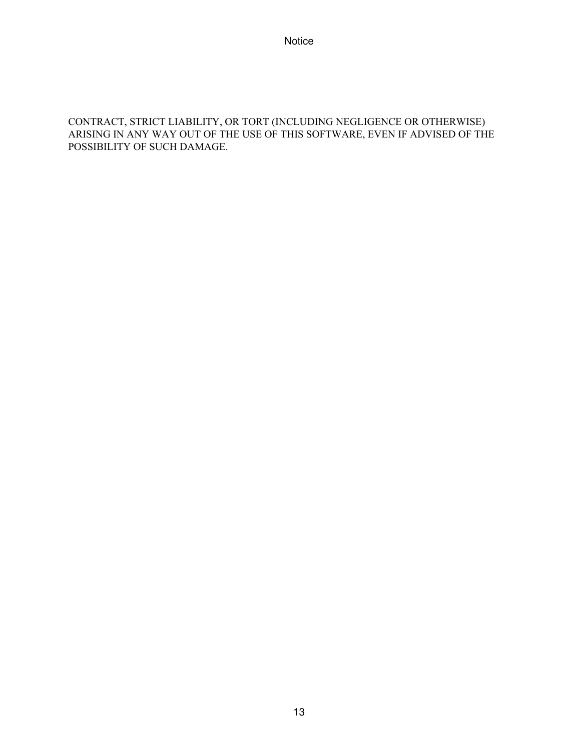#### CONTRACT, STRICT LIABILITY, OR TORT (INCLUDING NEGLIGENCE OR OTHERWISE) ARISING IN ANY WAY OUT OF THE USE OF THIS SOFTWARE, EVEN IF ADVISED OF THE POSSIBILITY OF SUCH DAMAGE.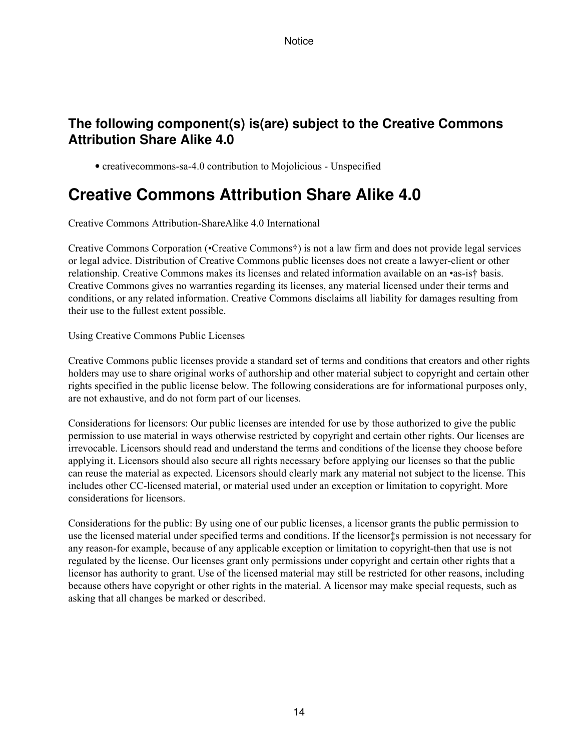## **The following component(s) is(are) subject to the Creative Commons Attribution Share Alike 4.0**

• creativecommons-sa-4.0 contribution to Mojolicious - Unspecified

# **Creative Commons Attribution Share Alike 4.0**

Creative Commons Attribution-ShareAlike 4.0 International

Creative Commons Corporation (•Creative Commons†) is not a law firm and does not provide legal services or legal advice. Distribution of Creative Commons public licenses does not create a lawyer-client or other relationship. Creative Commons makes its licenses and related information available on an •as-is† basis. Creative Commons gives no warranties regarding its licenses, any material licensed under their terms and conditions, or any related information. Creative Commons disclaims all liability for damages resulting from their use to the fullest extent possible.

Using Creative Commons Public Licenses

Creative Commons public licenses provide a standard set of terms and conditions that creators and other rights holders may use to share original works of authorship and other material subject to copyright and certain other rights specified in the public license below. The following considerations are for informational purposes only, are not exhaustive, and do not form part of our licenses.

Considerations for licensors: Our public licenses are intended for use by those authorized to give the public permission to use material in ways otherwise restricted by copyright and certain other rights. Our licenses are irrevocable. Licensors should read and understand the terms and conditions of the license they choose before applying it. Licensors should also secure all rights necessary before applying our licenses so that the public can reuse the material as expected. Licensors should clearly mark any material not subject to the license. This includes other CC-licensed material, or material used under an exception or limitation to copyright. More considerations for licensors.

Considerations for the public: By using one of our public licenses, a licensor grants the public permission to use the licensed material under specified terms and conditions. If the licensor‡s permission is not necessary for any reason-for example, because of any applicable exception or limitation to copyright-then that use is not regulated by the license. Our licenses grant only permissions under copyright and certain other rights that a licensor has authority to grant. Use of the licensed material may still be restricted for other reasons, including because others have copyright or other rights in the material. A licensor may make special requests, such as asking that all changes be marked or described.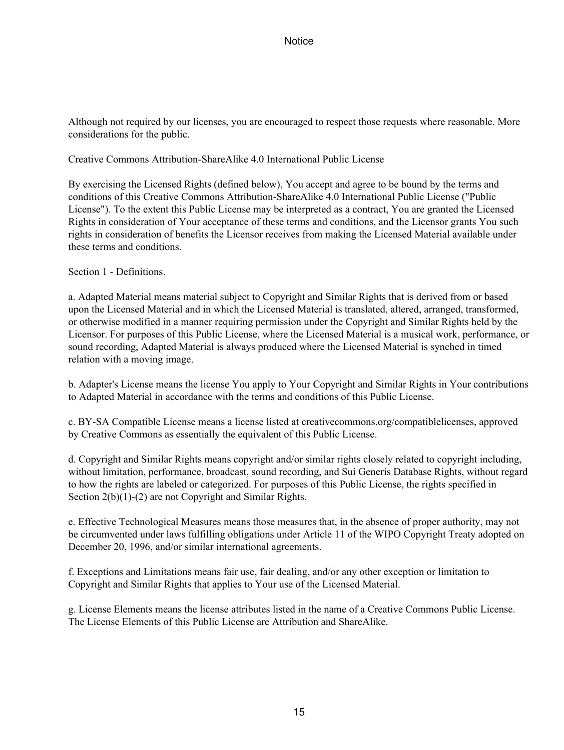Although not required by our licenses, you are encouraged to respect those requests where reasonable. More considerations for the public.

Creative Commons Attribution-ShareAlike 4.0 International Public License

By exercising the Licensed Rights (defined below), You accept and agree to be bound by the terms and conditions of this Creative Commons Attribution-ShareAlike 4.0 International Public License ("Public License"). To the extent this Public License may be interpreted as a contract, You are granted the Licensed Rights in consideration of Your acceptance of these terms and conditions, and the Licensor grants You such rights in consideration of benefits the Licensor receives from making the Licensed Material available under these terms and conditions.

Section 1 - Definitions.

a. Adapted Material means material subject to Copyright and Similar Rights that is derived from or based upon the Licensed Material and in which the Licensed Material is translated, altered, arranged, transformed, or otherwise modified in a manner requiring permission under the Copyright and Similar Rights held by the Licensor. For purposes of this Public License, where the Licensed Material is a musical work, performance, or sound recording, Adapted Material is always produced where the Licensed Material is synched in timed relation with a moving image.

b. Adapter's License means the license You apply to Your Copyright and Similar Rights in Your contributions to Adapted Material in accordance with the terms and conditions of this Public License.

c. BY-SA Compatible License means a license listed at creativecommons.org/compatiblelicenses, approved by Creative Commons as essentially the equivalent of this Public License.

d. Copyright and Similar Rights means copyright and/or similar rights closely related to copyright including, without limitation, performance, broadcast, sound recording, and Sui Generis Database Rights, without regard to how the rights are labeled or categorized. For purposes of this Public License, the rights specified in Section 2(b)(1)-(2) are not Copyright and Similar Rights.

e. Effective Technological Measures means those measures that, in the absence of proper authority, may not be circumvented under laws fulfilling obligations under Article 11 of the WIPO Copyright Treaty adopted on December 20, 1996, and/or similar international agreements.

f. Exceptions and Limitations means fair use, fair dealing, and/or any other exception or limitation to Copyright and Similar Rights that applies to Your use of the Licensed Material.

g. License Elements means the license attributes listed in the name of a Creative Commons Public License. The License Elements of this Public License are Attribution and ShareAlike.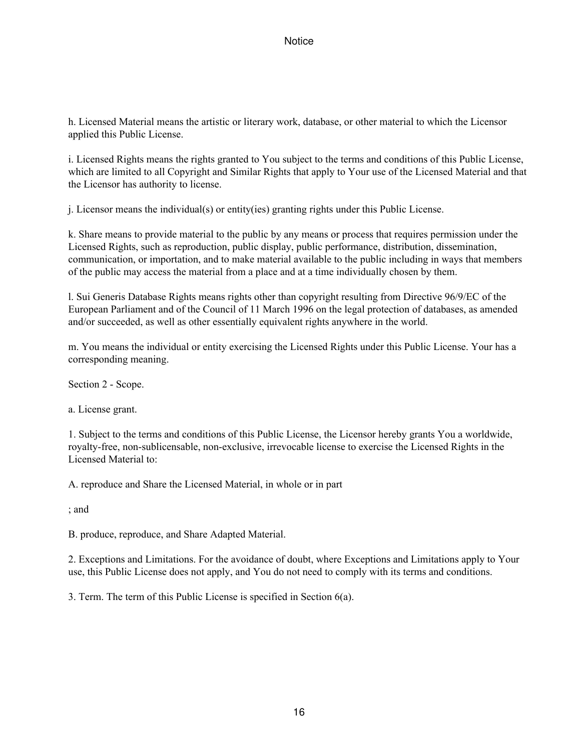h. Licensed Material means the artistic or literary work, database, or other material to which the Licensor applied this Public License.

i. Licensed Rights means the rights granted to You subject to the terms and conditions of this Public License, which are limited to all Copyright and Similar Rights that apply to Your use of the Licensed Material and that the Licensor has authority to license.

j. Licensor means the individual(s) or entity(ies) granting rights under this Public License.

k. Share means to provide material to the public by any means or process that requires permission under the Licensed Rights, such as reproduction, public display, public performance, distribution, dissemination, communication, or importation, and to make material available to the public including in ways that members of the public may access the material from a place and at a time individually chosen by them.

l. Sui Generis Database Rights means rights other than copyright resulting from Directive 96/9/EC of the European Parliament and of the Council of 11 March 1996 on the legal protection of databases, as amended and/or succeeded, as well as other essentially equivalent rights anywhere in the world.

m. You means the individual or entity exercising the Licensed Rights under this Public License. Your has a corresponding meaning.

Section 2 - Scope.

a. License grant.

1. Subject to the terms and conditions of this Public License, the Licensor hereby grants You a worldwide, royalty-free, non-sublicensable, non-exclusive, irrevocable license to exercise the Licensed Rights in the Licensed Material to:

A. reproduce and Share the Licensed Material, in whole or in part

; and

B. produce, reproduce, and Share Adapted Material.

2. Exceptions and Limitations. For the avoidance of doubt, where Exceptions and Limitations apply to Your use, this Public License does not apply, and You do not need to comply with its terms and conditions.

3. Term. The term of this Public License is specified in Section 6(a).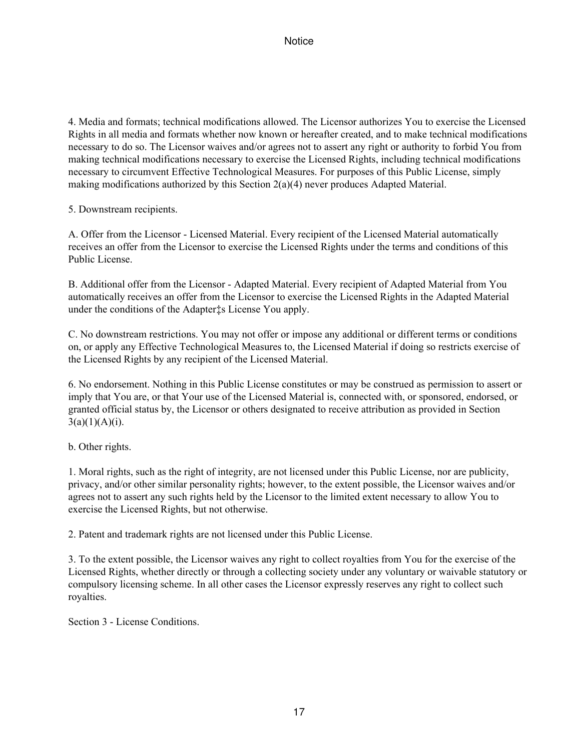4. Media and formats; technical modifications allowed. The Licensor authorizes You to exercise the Licensed Rights in all media and formats whether now known or hereafter created, and to make technical modifications necessary to do so. The Licensor waives and/or agrees not to assert any right or authority to forbid You from making technical modifications necessary to exercise the Licensed Rights, including technical modifications necessary to circumvent Effective Technological Measures. For purposes of this Public License, simply making modifications authorized by this Section 2(a)(4) never produces Adapted Material.

5. Downstream recipients.

A. Offer from the Licensor - Licensed Material. Every recipient of the Licensed Material automatically receives an offer from the Licensor to exercise the Licensed Rights under the terms and conditions of this Public License.

B. Additional offer from the Licensor - Adapted Material. Every recipient of Adapted Material from You automatically receives an offer from the Licensor to exercise the Licensed Rights in the Adapted Material under the conditions of the Adapter‡s License You apply.

C. No downstream restrictions. You may not offer or impose any additional or different terms or conditions on, or apply any Effective Technological Measures to, the Licensed Material if doing so restricts exercise of the Licensed Rights by any recipient of the Licensed Material.

6. No endorsement. Nothing in this Public License constitutes or may be construed as permission to assert or imply that You are, or that Your use of the Licensed Material is, connected with, or sponsored, endorsed, or granted official status by, the Licensor or others designated to receive attribution as provided in Section  $3(a)(1)(A)(i)$ .

b. Other rights.

1. Moral rights, such as the right of integrity, are not licensed under this Public License, nor are publicity, privacy, and/or other similar personality rights; however, to the extent possible, the Licensor waives and/or agrees not to assert any such rights held by the Licensor to the limited extent necessary to allow You to exercise the Licensed Rights, but not otherwise.

2. Patent and trademark rights are not licensed under this Public License.

3. To the extent possible, the Licensor waives any right to collect royalties from You for the exercise of the Licensed Rights, whether directly or through a collecting society under any voluntary or waivable statutory or compulsory licensing scheme. In all other cases the Licensor expressly reserves any right to collect such royalties.

Section 3 - License Conditions.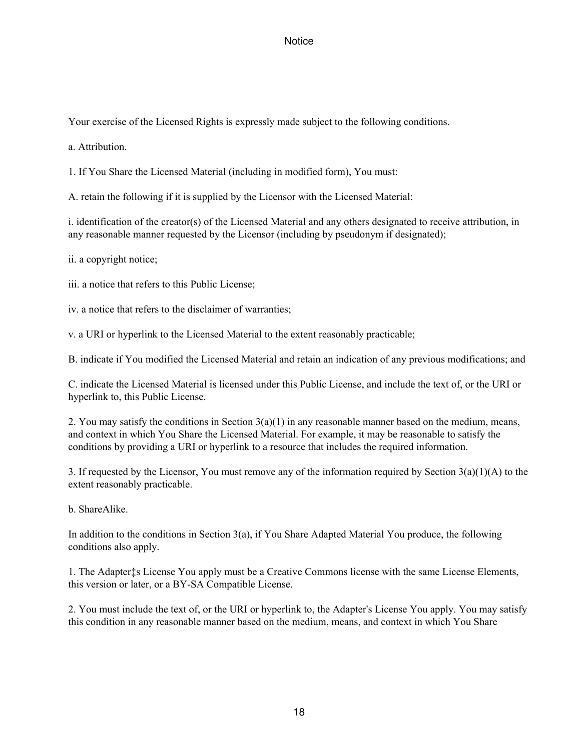Your exercise of the Licensed Rights is expressly made subject to the following conditions.

a. Attribution.

1. If You Share the Licensed Material (including in modified form), You must:

A. retain the following if it is supplied by the Licensor with the Licensed Material:

i. identification of the creator(s) of the Licensed Material and any others designated to receive attribution, in any reasonable manner requested by the Licensor (including by pseudonym if designated);

ii. a copyright notice;

iii. a notice that refers to this Public License;

iv. a notice that refers to the disclaimer of warranties;

v. a URI or hyperlink to the Licensed Material to the extent reasonably practicable;

B. indicate if You modified the Licensed Material and retain an indication of any previous modifications; and

C. indicate the Licensed Material is licensed under this Public License, and include the text of, or the URI or hyperlink to, this Public License.

2. You may satisfy the conditions in Section  $3(a)(1)$  in any reasonable manner based on the medium, means, and context in which You Share the Licensed Material. For example, it may be reasonable to satisfy the conditions by providing a URI or hyperlink to a resource that includes the required information.

3. If requested by the Licensor, You must remove any of the information required by Section 3(a)(1)(A) to the extent reasonably practicable.

b. ShareAlike.

In addition to the conditions in Section 3(a), if You Share Adapted Material You produce, the following conditions also apply.

1. The Adapter‡s License You apply must be a Creative Commons license with the same License Elements, this version or later, or a BY-SA Compatible License.

2. You must include the text of, or the URI or hyperlink to, the Adapter's License You apply. You may satisfy this condition in any reasonable manner based on the medium, means, and context in which You Share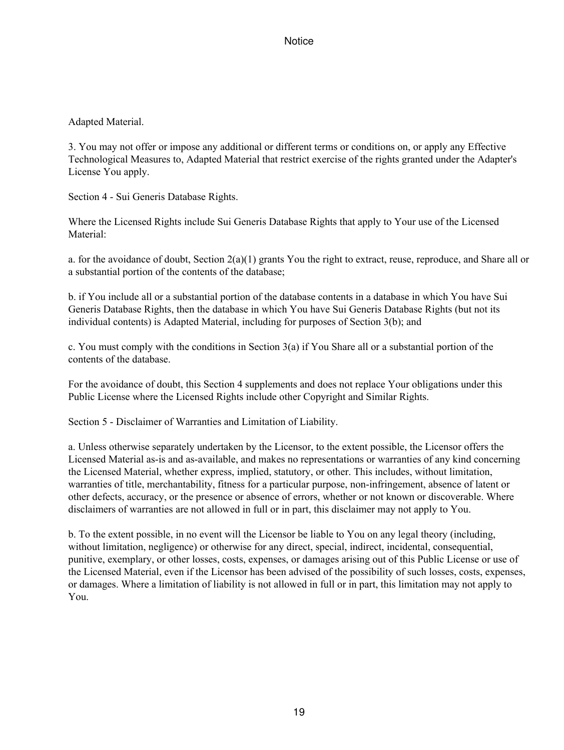#### Adapted Material.

3. You may not offer or impose any additional or different terms or conditions on, or apply any Effective Technological Measures to, Adapted Material that restrict exercise of the rights granted under the Adapter's License You apply.

Section 4 - Sui Generis Database Rights.

Where the Licensed Rights include Sui Generis Database Rights that apply to Your use of the Licensed Material:

a. for the avoidance of doubt, Section 2(a)(1) grants You the right to extract, reuse, reproduce, and Share all or a substantial portion of the contents of the database;

b. if You include all or a substantial portion of the database contents in a database in which You have Sui Generis Database Rights, then the database in which You have Sui Generis Database Rights (but not its individual contents) is Adapted Material, including for purposes of Section 3(b); and

c. You must comply with the conditions in Section 3(a) if You Share all or a substantial portion of the contents of the database.

For the avoidance of doubt, this Section 4 supplements and does not replace Your obligations under this Public License where the Licensed Rights include other Copyright and Similar Rights.

Section 5 - Disclaimer of Warranties and Limitation of Liability.

a. Unless otherwise separately undertaken by the Licensor, to the extent possible, the Licensor offers the Licensed Material as-is and as-available, and makes no representations or warranties of any kind concerning the Licensed Material, whether express, implied, statutory, or other. This includes, without limitation, warranties of title, merchantability, fitness for a particular purpose, non-infringement, absence of latent or other defects, accuracy, or the presence or absence of errors, whether or not known or discoverable. Where disclaimers of warranties are not allowed in full or in part, this disclaimer may not apply to You.

b. To the extent possible, in no event will the Licensor be liable to You on any legal theory (including, without limitation, negligence) or otherwise for any direct, special, indirect, incidental, consequential, punitive, exemplary, or other losses, costs, expenses, or damages arising out of this Public License or use of the Licensed Material, even if the Licensor has been advised of the possibility of such losses, costs, expenses, or damages. Where a limitation of liability is not allowed in full or in part, this limitation may not apply to You.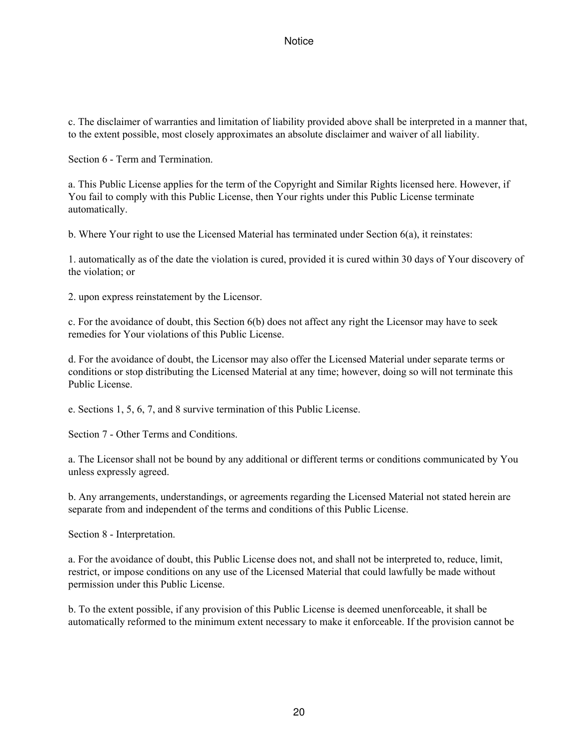c. The disclaimer of warranties and limitation of liability provided above shall be interpreted in a manner that, to the extent possible, most closely approximates an absolute disclaimer and waiver of all liability.

Section 6 - Term and Termination.

a. This Public License applies for the term of the Copyright and Similar Rights licensed here. However, if You fail to comply with this Public License, then Your rights under this Public License terminate automatically.

b. Where Your right to use the Licensed Material has terminated under Section 6(a), it reinstates:

1. automatically as of the date the violation is cured, provided it is cured within 30 days of Your discovery of the violation; or

2. upon express reinstatement by the Licensor.

c. For the avoidance of doubt, this Section 6(b) does not affect any right the Licensor may have to seek remedies for Your violations of this Public License.

d. For the avoidance of doubt, the Licensor may also offer the Licensed Material under separate terms or conditions or stop distributing the Licensed Material at any time; however, doing so will not terminate this Public License.

e. Sections 1, 5, 6, 7, and 8 survive termination of this Public License.

Section 7 - Other Terms and Conditions.

a. The Licensor shall not be bound by any additional or different terms or conditions communicated by You unless expressly agreed.

b. Any arrangements, understandings, or agreements regarding the Licensed Material not stated herein are separate from and independent of the terms and conditions of this Public License.

Section 8 - Interpretation.

a. For the avoidance of doubt, this Public License does not, and shall not be interpreted to, reduce, limit, restrict, or impose conditions on any use of the Licensed Material that could lawfully be made without permission under this Public License.

b. To the extent possible, if any provision of this Public License is deemed unenforceable, it shall be automatically reformed to the minimum extent necessary to make it enforceable. If the provision cannot be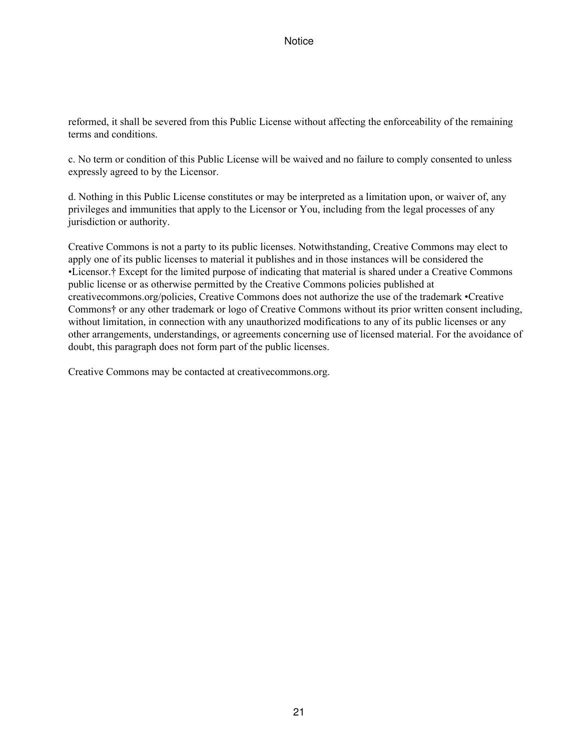reformed, it shall be severed from this Public License without affecting the enforceability of the remaining terms and conditions.

c. No term or condition of this Public License will be waived and no failure to comply consented to unless expressly agreed to by the Licensor.

d. Nothing in this Public License constitutes or may be interpreted as a limitation upon, or waiver of, any privileges and immunities that apply to the Licensor or You, including from the legal processes of any jurisdiction or authority.

Creative Commons is not a party to its public licenses. Notwithstanding, Creative Commons may elect to apply one of its public licenses to material it publishes and in those instances will be considered the •Licensor.† Except for the limited purpose of indicating that material is shared under a Creative Commons public license or as otherwise permitted by the Creative Commons policies published at creativecommons.org/policies, Creative Commons does not authorize the use of the trademark •Creative Commons† or any other trademark or logo of Creative Commons without its prior written consent including, without limitation, in connection with any unauthorized modifications to any of its public licenses or any other arrangements, understandings, or agreements concerning use of licensed material. For the avoidance of doubt, this paragraph does not form part of the public licenses.

Creative Commons may be contacted at creativecommons.org.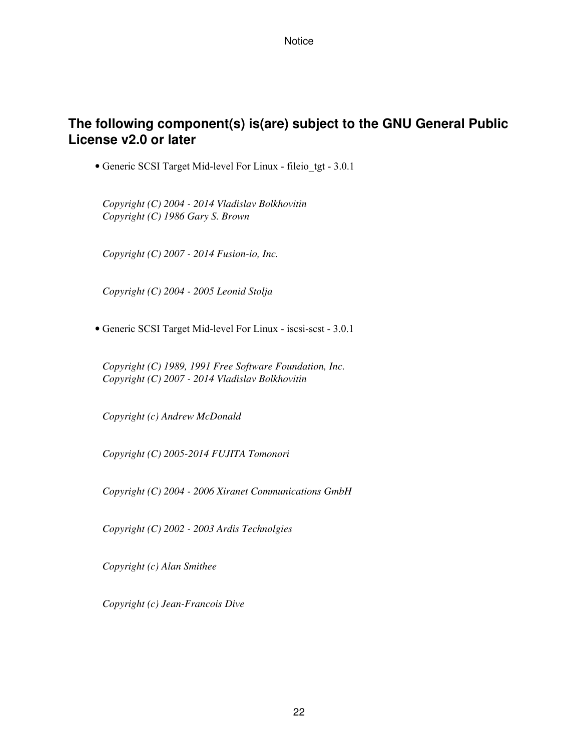## **The following component(s) is(are) subject to the GNU General Public License v2.0 or later**

• Generic SCSI Target Mid-level For Linux - fileio\_tgt - 3.0.1

*Copyright (C) 2004 - 2014 Vladislav Bolkhovitin Copyright (C) 1986 Gary S. Brown*

*Copyright (C) 2007 - 2014 Fusion-io, Inc.*

*Copyright (C) 2004 - 2005 Leonid Stolja*

• Generic SCSI Target Mid-level For Linux - iscsi-scst - 3.0.1

*Copyright (C) 1989, 1991 Free Software Foundation, Inc. Copyright (C) 2007 - 2014 Vladislav Bolkhovitin*

*Copyright (c) Andrew McDonald*

*Copyright (C) 2005-2014 FUJITA Tomonori*

*Copyright (C) 2004 - 2006 Xiranet Communications GmbH*

*Copyright (C) 2002 - 2003 Ardis Technolgies*

*Copyright (c) Alan Smithee*

*Copyright (c) Jean-Francois Dive*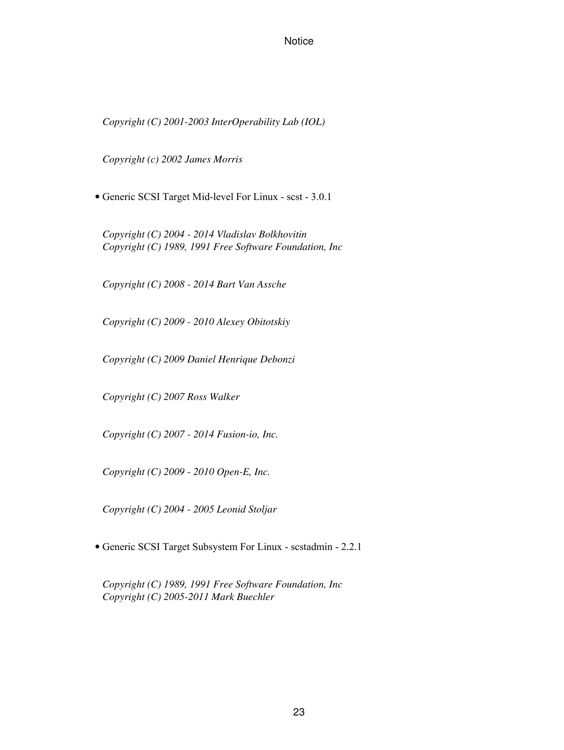*Copyright (C) 2001-2003 InterOperability Lab (IOL)*

*Copyright (c) 2002 James Morris*

• Generic SCSI Target Mid-level For Linux - scst - 3.0.1

*Copyright (C) 2004 - 2014 Vladislav Bolkhovitin Copyright (C) 1989, 1991 Free Software Foundation, Inc*

*Copyright (C) 2008 - 2014 Bart Van Assche*

*Copyright (C) 2009 - 2010 Alexey Obitotskiy*

*Copyright (C) 2009 Daniel Henrique Debonzi*

*Copyright (C) 2007 Ross Walker*

*Copyright (C) 2007 - 2014 Fusion-io, Inc.*

*Copyright (C) 2009 - 2010 Open-E, Inc.*

*Copyright (C) 2004 - 2005 Leonid Stoljar*

• Generic SCSI Target Subsystem For Linux - scstadmin - 2.2.1

*Copyright (C) 1989, 1991 Free Software Foundation, Inc Copyright (C) 2005-2011 Mark Buechler*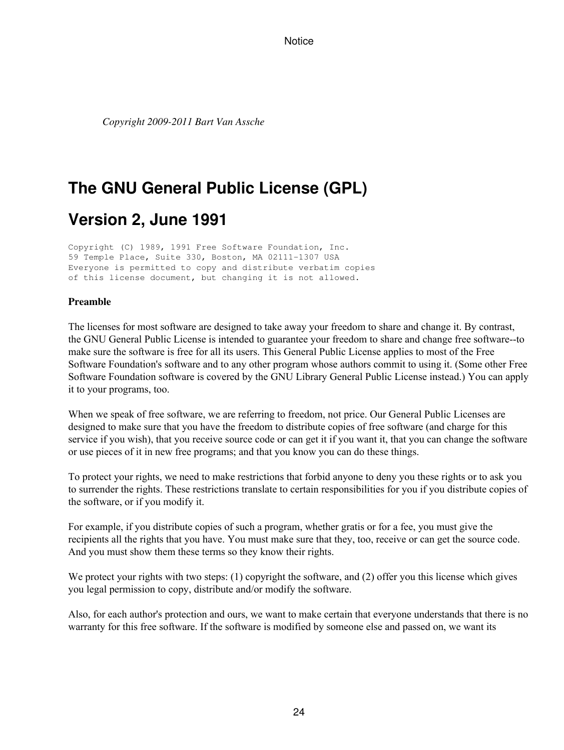*Copyright 2009-2011 Bart Van Assche*

# **The GNU General Public License (GPL)**

# **Version 2, June 1991**

Copyright (C) 1989, 1991 Free Software Foundation, Inc. 59 Temple Place, Suite 330, Boston, MA 02111-1307 USA Everyone is permitted to copy and distribute verbatim copies of this license document, but changing it is not allowed.

#### **Preamble**

The licenses for most software are designed to take away your freedom to share and change it. By contrast, the GNU General Public License is intended to guarantee your freedom to share and change free software--to make sure the software is free for all its users. This General Public License applies to most of the Free Software Foundation's software and to any other program whose authors commit to using it. (Some other Free Software Foundation software is covered by the GNU Library General Public License instead.) You can apply it to your programs, too.

When we speak of free software, we are referring to freedom, not price. Our General Public Licenses are designed to make sure that you have the freedom to distribute copies of free software (and charge for this service if you wish), that you receive source code or can get it if you want it, that you can change the software or use pieces of it in new free programs; and that you know you can do these things.

To protect your rights, we need to make restrictions that forbid anyone to deny you these rights or to ask you to surrender the rights. These restrictions translate to certain responsibilities for you if you distribute copies of the software, or if you modify it.

For example, if you distribute copies of such a program, whether gratis or for a fee, you must give the recipients all the rights that you have. You must make sure that they, too, receive or can get the source code. And you must show them these terms so they know their rights.

We protect your rights with two steps: (1) copyright the software, and (2) offer you this license which gives you legal permission to copy, distribute and/or modify the software.

Also, for each author's protection and ours, we want to make certain that everyone understands that there is no warranty for this free software. If the software is modified by someone else and passed on, we want its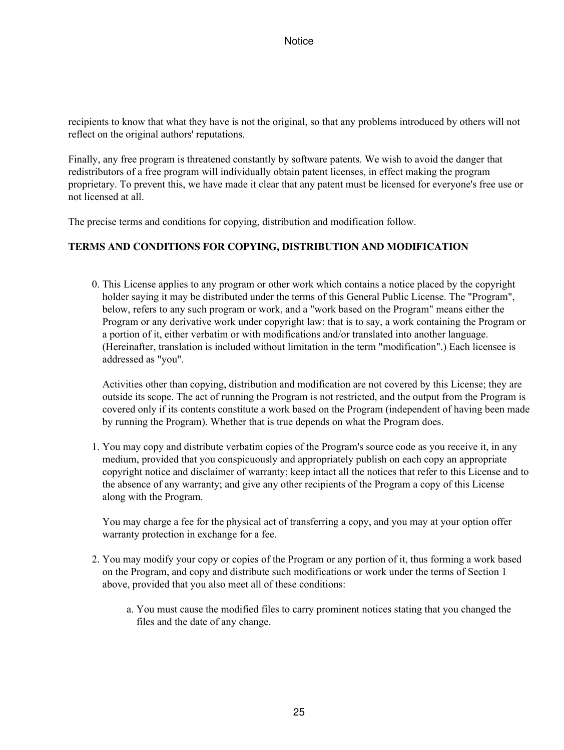recipients to know that what they have is not the original, so that any problems introduced by others will not reflect on the original authors' reputations.

Finally, any free program is threatened constantly by software patents. We wish to avoid the danger that redistributors of a free program will individually obtain patent licenses, in effect making the program proprietary. To prevent this, we have made it clear that any patent must be licensed for everyone's free use or not licensed at all.

The precise terms and conditions for copying, distribution and modification follow.

#### **TERMS AND CONDITIONS FOR COPYING, DISTRIBUTION AND MODIFICATION**

0. This License applies to any program or other work which contains a notice placed by the copyright holder saying it may be distributed under the terms of this General Public License. The "Program", below, refers to any such program or work, and a "work based on the Program" means either the Program or any derivative work under copyright law: that is to say, a work containing the Program or a portion of it, either verbatim or with modifications and/or translated into another language. (Hereinafter, translation is included without limitation in the term "modification".) Each licensee is addressed as "you".

Activities other than copying, distribution and modification are not covered by this License; they are outside its scope. The act of running the Program is not restricted, and the output from the Program is covered only if its contents constitute a work based on the Program (independent of having been made by running the Program). Whether that is true depends on what the Program does.

1. You may copy and distribute verbatim copies of the Program's source code as you receive it, in any medium, provided that you conspicuously and appropriately publish on each copy an appropriate copyright notice and disclaimer of warranty; keep intact all the notices that refer to this License and to the absence of any warranty; and give any other recipients of the Program a copy of this License along with the Program.

You may charge a fee for the physical act of transferring a copy, and you may at your option offer warranty protection in exchange for a fee.

- 2. You may modify your copy or copies of the Program or any portion of it, thus forming a work based on the Program, and copy and distribute such modifications or work under the terms of Section 1 above, provided that you also meet all of these conditions:
	- a. You must cause the modified files to carry prominent notices stating that you changed the files and the date of any change.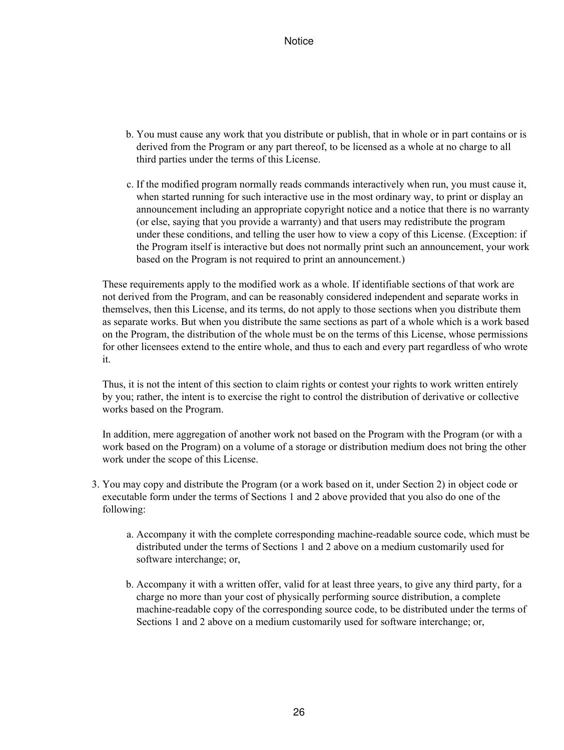- b. You must cause any work that you distribute or publish, that in whole or in part contains or is derived from the Program or any part thereof, to be licensed as a whole at no charge to all third parties under the terms of this License.
- c. If the modified program normally reads commands interactively when run, you must cause it, when started running for such interactive use in the most ordinary way, to print or display an announcement including an appropriate copyright notice and a notice that there is no warranty (or else, saying that you provide a warranty) and that users may redistribute the program under these conditions, and telling the user how to view a copy of this License. (Exception: if the Program itself is interactive but does not normally print such an announcement, your work based on the Program is not required to print an announcement.)

These requirements apply to the modified work as a whole. If identifiable sections of that work are not derived from the Program, and can be reasonably considered independent and separate works in themselves, then this License, and its terms, do not apply to those sections when you distribute them as separate works. But when you distribute the same sections as part of a whole which is a work based on the Program, the distribution of the whole must be on the terms of this License, whose permissions for other licensees extend to the entire whole, and thus to each and every part regardless of who wrote it.

Thus, it is not the intent of this section to claim rights or contest your rights to work written entirely by you; rather, the intent is to exercise the right to control the distribution of derivative or collective works based on the Program.

In addition, mere aggregation of another work not based on the Program with the Program (or with a work based on the Program) on a volume of a storage or distribution medium does not bring the other work under the scope of this License.

- 3. You may copy and distribute the Program (or a work based on it, under Section 2) in object code or executable form under the terms of Sections 1 and 2 above provided that you also do one of the following:
	- a. Accompany it with the complete corresponding machine-readable source code, which must be distributed under the terms of Sections 1 and 2 above on a medium customarily used for software interchange; or,
	- b. Accompany it with a written offer, valid for at least three years, to give any third party, for a charge no more than your cost of physically performing source distribution, a complete machine-readable copy of the corresponding source code, to be distributed under the terms of Sections 1 and 2 above on a medium customarily used for software interchange; or,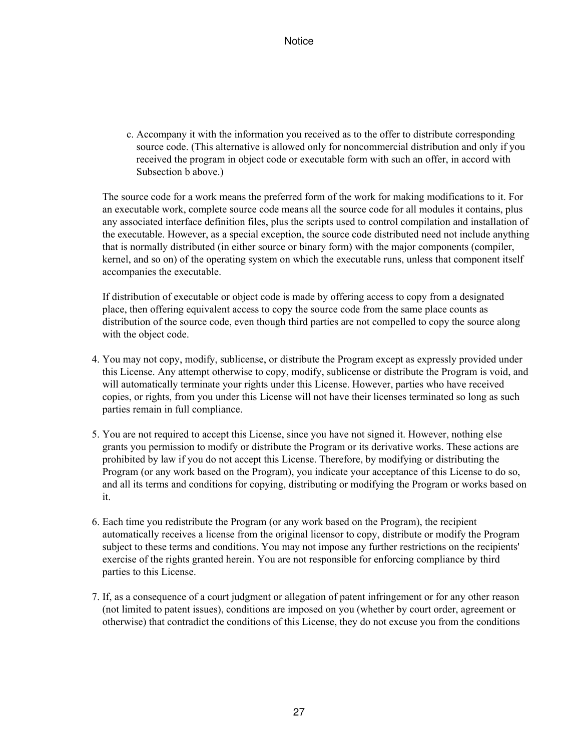c. Accompany it with the information you received as to the offer to distribute corresponding source code. (This alternative is allowed only for noncommercial distribution and only if you received the program in object code or executable form with such an offer, in accord with Subsection b above.)

The source code for a work means the preferred form of the work for making modifications to it. For an executable work, complete source code means all the source code for all modules it contains, plus any associated interface definition files, plus the scripts used to control compilation and installation of the executable. However, as a special exception, the source code distributed need not include anything that is normally distributed (in either source or binary form) with the major components (compiler, kernel, and so on) of the operating system on which the executable runs, unless that component itself accompanies the executable.

If distribution of executable or object code is made by offering access to copy from a designated place, then offering equivalent access to copy the source code from the same place counts as distribution of the source code, even though third parties are not compelled to copy the source along with the object code.

- 4. You may not copy, modify, sublicense, or distribute the Program except as expressly provided under this License. Any attempt otherwise to copy, modify, sublicense or distribute the Program is void, and will automatically terminate your rights under this License. However, parties who have received copies, or rights, from you under this License will not have their licenses terminated so long as such parties remain in full compliance.
- 5. You are not required to accept this License, since you have not signed it. However, nothing else grants you permission to modify or distribute the Program or its derivative works. These actions are prohibited by law if you do not accept this License. Therefore, by modifying or distributing the Program (or any work based on the Program), you indicate your acceptance of this License to do so, and all its terms and conditions for copying, distributing or modifying the Program or works based on it.
- 6. Each time you redistribute the Program (or any work based on the Program), the recipient automatically receives a license from the original licensor to copy, distribute or modify the Program subject to these terms and conditions. You may not impose any further restrictions on the recipients' exercise of the rights granted herein. You are not responsible for enforcing compliance by third parties to this License.
- If, as a consequence of a court judgment or allegation of patent infringement or for any other reason 7. (not limited to patent issues), conditions are imposed on you (whether by court order, agreement or otherwise) that contradict the conditions of this License, they do not excuse you from the conditions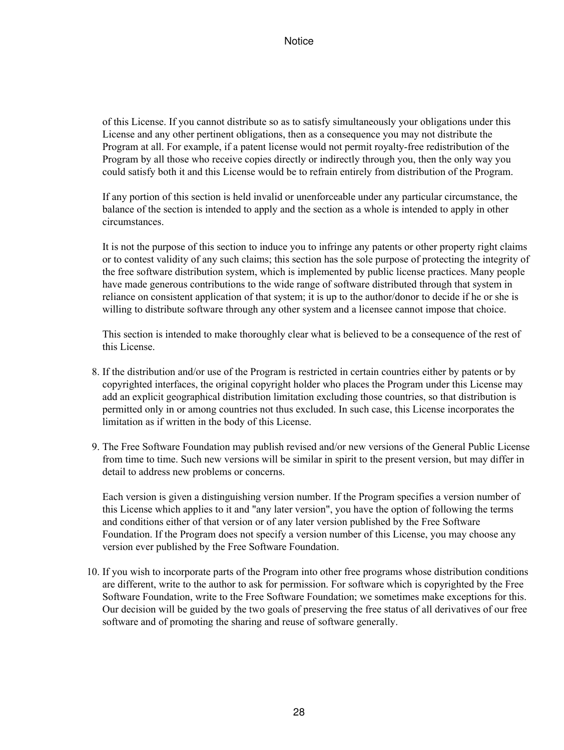of this License. If you cannot distribute so as to satisfy simultaneously your obligations under this License and any other pertinent obligations, then as a consequence you may not distribute the Program at all. For example, if a patent license would not permit royalty-free redistribution of the Program by all those who receive copies directly or indirectly through you, then the only way you could satisfy both it and this License would be to refrain entirely from distribution of the Program.

If any portion of this section is held invalid or unenforceable under any particular circumstance, the balance of the section is intended to apply and the section as a whole is intended to apply in other circumstances.

It is not the purpose of this section to induce you to infringe any patents or other property right claims or to contest validity of any such claims; this section has the sole purpose of protecting the integrity of the free software distribution system, which is implemented by public license practices. Many people have made generous contributions to the wide range of software distributed through that system in reliance on consistent application of that system; it is up to the author/donor to decide if he or she is willing to distribute software through any other system and a licensee cannot impose that choice.

This section is intended to make thoroughly clear what is believed to be a consequence of the rest of this License.

- 8. If the distribution and/or use of the Program is restricted in certain countries either by patents or by copyrighted interfaces, the original copyright holder who places the Program under this License may add an explicit geographical distribution limitation excluding those countries, so that distribution is permitted only in or among countries not thus excluded. In such case, this License incorporates the limitation as if written in the body of this License.
- 9. The Free Software Foundation may publish revised and/or new versions of the General Public License from time to time. Such new versions will be similar in spirit to the present version, but may differ in detail to address new problems or concerns.

Each version is given a distinguishing version number. If the Program specifies a version number of this License which applies to it and "any later version", you have the option of following the terms and conditions either of that version or of any later version published by the Free Software Foundation. If the Program does not specify a version number of this License, you may choose any version ever published by the Free Software Foundation.

10. If you wish to incorporate parts of the Program into other free programs whose distribution conditions are different, write to the author to ask for permission. For software which is copyrighted by the Free Software Foundation, write to the Free Software Foundation; we sometimes make exceptions for this. Our decision will be guided by the two goals of preserving the free status of all derivatives of our free software and of promoting the sharing and reuse of software generally.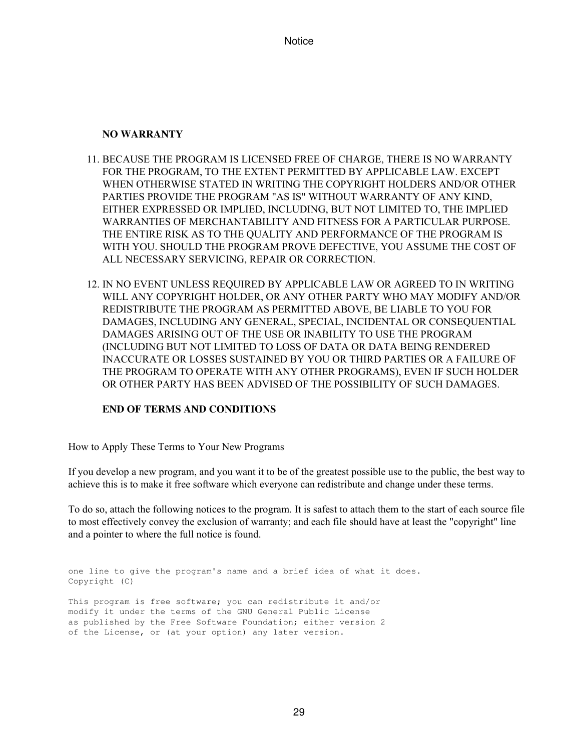#### **NO WARRANTY**

- 11. BECAUSE THE PROGRAM IS LICENSED FREE OF CHARGE, THERE IS NO WARRANTY FOR THE PROGRAM, TO THE EXTENT PERMITTED BY APPLICABLE LAW. EXCEPT WHEN OTHERWISE STATED IN WRITING THE COPYRIGHT HOLDERS AND/OR OTHER PARTIES PROVIDE THE PROGRAM "AS IS" WITHOUT WARRANTY OF ANY KIND, EITHER EXPRESSED OR IMPLIED, INCLUDING, BUT NOT LIMITED TO, THE IMPLIED WARRANTIES OF MERCHANTABILITY AND FITNESS FOR A PARTICULAR PURPOSE. THE ENTIRE RISK AS TO THE QUALITY AND PERFORMANCE OF THE PROGRAM IS WITH YOU. SHOULD THE PROGRAM PROVE DEFECTIVE, YOU ASSUME THE COST OF ALL NECESSARY SERVICING, REPAIR OR CORRECTION.
- 12. IN NO EVENT UNLESS REQUIRED BY APPLICABLE LAW OR AGREED TO IN WRITING WILL ANY COPYRIGHT HOLDER, OR ANY OTHER PARTY WHO MAY MODIFY AND/OR REDISTRIBUTE THE PROGRAM AS PERMITTED ABOVE, BE LIABLE TO YOU FOR DAMAGES, INCLUDING ANY GENERAL, SPECIAL, INCIDENTAL OR CONSEQUENTIAL DAMAGES ARISING OUT OF THE USE OR INABILITY TO USE THE PROGRAM (INCLUDING BUT NOT LIMITED TO LOSS OF DATA OR DATA BEING RENDERED INACCURATE OR LOSSES SUSTAINED BY YOU OR THIRD PARTIES OR A FAILURE OF THE PROGRAM TO OPERATE WITH ANY OTHER PROGRAMS), EVEN IF SUCH HOLDER OR OTHER PARTY HAS BEEN ADVISED OF THE POSSIBILITY OF SUCH DAMAGES.

#### **END OF TERMS AND CONDITIONS**

How to Apply These Terms to Your New Programs

If you develop a new program, and you want it to be of the greatest possible use to the public, the best way to achieve this is to make it free software which everyone can redistribute and change under these terms.

To do so, attach the following notices to the program. It is safest to attach them to the start of each source file to most effectively convey the exclusion of warranty; and each file should have at least the "copyright" line and a pointer to where the full notice is found.

```
one line to give the program's name and a brief idea of what it does.
Copyright (C)
This program is free software; you can redistribute it and/or
modify it under the terms of the GNU General Public License
as published by the Free Software Foundation; either version 2
of the License, or (at your option) any later version.
```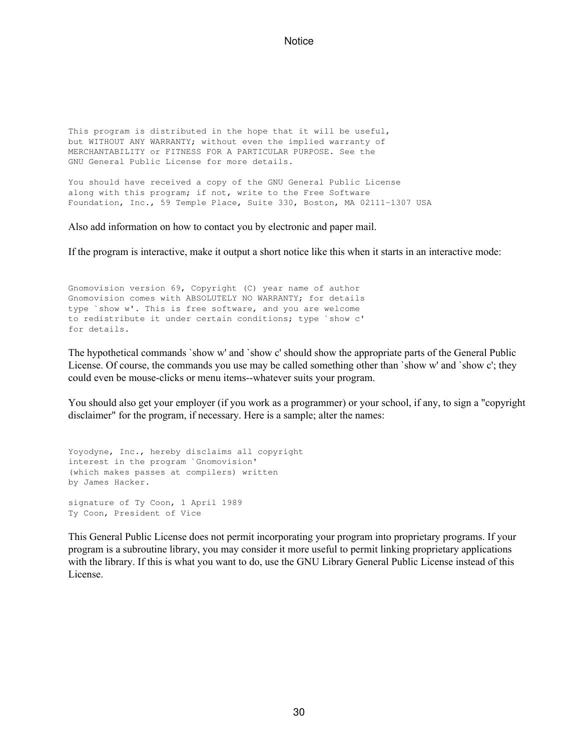This program is distributed in the hope that it will be useful, but WITHOUT ANY WARRANTY; without even the implied warranty of MERCHANTABILITY or FITNESS FOR A PARTICULAR PURPOSE. See the GNU General Public License for more details.

You should have received a copy of the GNU General Public License along with this program; if not, write to the Free Software Foundation, Inc., 59 Temple Place, Suite 330, Boston, MA 02111-1307 USA

Also add information on how to contact you by electronic and paper mail.

If the program is interactive, make it output a short notice like this when it starts in an interactive mode:

Gnomovision version 69, Copyright (C) year name of author Gnomovision comes with ABSOLUTELY NO WARRANTY; for details type `show w'. This is free software, and you are welcome to redistribute it under certain conditions; type `show c' for details.

The hypothetical commands `show w' and `show c' should show the appropriate parts of the General Public License. Of course, the commands you use may be called something other than `show w' and `show c'; they could even be mouse-clicks or menu items--whatever suits your program.

You should also get your employer (if you work as a programmer) or your school, if any, to sign a "copyright disclaimer" for the program, if necessary. Here is a sample; alter the names:

```
Yoyodyne, Inc., hereby disclaims all copyright
interest in the program `Gnomovision'
(which makes passes at compilers) written
by James Hacker.
signature of Ty Coon, 1 April 1989
Ty Coon, President of Vice
```
This General Public License does not permit incorporating your program into proprietary programs. If your program is a subroutine library, you may consider it more useful to permit linking proprietary applications with the library. If this is what you want to do, use the GNU Library General Public License instead of this License.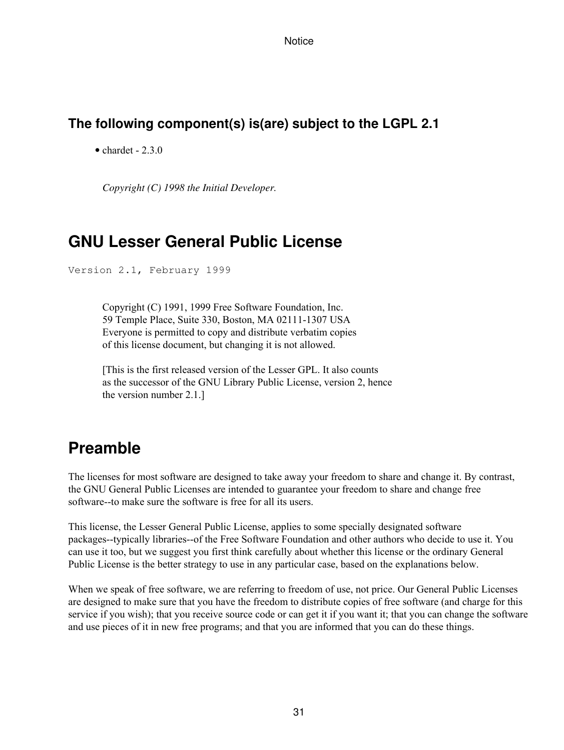### **The following component(s) is(are) subject to the LGPL 2.1**

 $\bullet$  chardet - 2.3.0

*Copyright (C) 1998 the Initial Developer.*

## **GNU Lesser General Public License**

Version 2.1, February 1999

Copyright (C) 1991, 1999 Free Software Foundation, Inc. 59 Temple Place, Suite 330, Boston, MA 02111-1307 USA Everyone is permitted to copy and distribute verbatim copies of this license document, but changing it is not allowed.

[This is the first released version of the Lesser GPL. It also counts as the successor of the GNU Library Public License, version 2, hence the version number 2.1.]

# **Preamble**

The licenses for most software are designed to take away your freedom to share and change it. By contrast, the GNU General Public Licenses are intended to guarantee your freedom to share and change free software--to make sure the software is free for all its users.

This license, the Lesser General Public License, applies to some specially designated software packages--typically libraries--of the Free Software Foundation and other authors who decide to use it. You can use it too, but we suggest you first think carefully about whether this license or the ordinary General Public License is the better strategy to use in any particular case, based on the explanations below.

When we speak of free software, we are referring to freedom of use, not price. Our General Public Licenses are designed to make sure that you have the freedom to distribute copies of free software (and charge for this service if you wish); that you receive source code or can get it if you want it; that you can change the software and use pieces of it in new free programs; and that you are informed that you can do these things.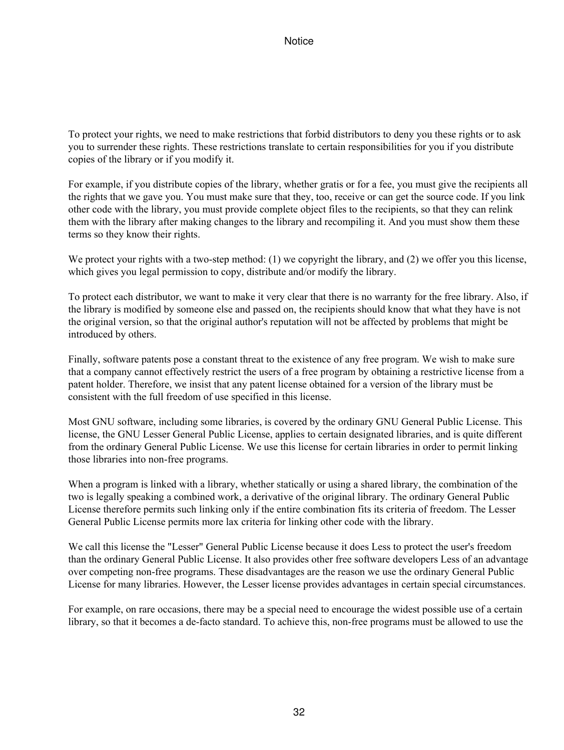To protect your rights, we need to make restrictions that forbid distributors to deny you these rights or to ask you to surrender these rights. These restrictions translate to certain responsibilities for you if you distribute copies of the library or if you modify it.

For example, if you distribute copies of the library, whether gratis or for a fee, you must give the recipients all the rights that we gave you. You must make sure that they, too, receive or can get the source code. If you link other code with the library, you must provide complete object files to the recipients, so that they can relink them with the library after making changes to the library and recompiling it. And you must show them these terms so they know their rights.

We protect your rights with a two-step method: (1) we copyright the library, and (2) we offer you this license, which gives you legal permission to copy, distribute and/or modify the library.

To protect each distributor, we want to make it very clear that there is no warranty for the free library. Also, if the library is modified by someone else and passed on, the recipients should know that what they have is not the original version, so that the original author's reputation will not be affected by problems that might be introduced by others.

Finally, software patents pose a constant threat to the existence of any free program. We wish to make sure that a company cannot effectively restrict the users of a free program by obtaining a restrictive license from a patent holder. Therefore, we insist that any patent license obtained for a version of the library must be consistent with the full freedom of use specified in this license.

Most GNU software, including some libraries, is covered by the ordinary GNU General Public License. This license, the GNU Lesser General Public License, applies to certain designated libraries, and is quite different from the ordinary General Public License. We use this license for certain libraries in order to permit linking those libraries into non-free programs.

When a program is linked with a library, whether statically or using a shared library, the combination of the two is legally speaking a combined work, a derivative of the original library. The ordinary General Public License therefore permits such linking only if the entire combination fits its criteria of freedom. The Lesser General Public License permits more lax criteria for linking other code with the library.

We call this license the "Lesser" General Public License because it does Less to protect the user's freedom than the ordinary General Public License. It also provides other free software developers Less of an advantage over competing non-free programs. These disadvantages are the reason we use the ordinary General Public License for many libraries. However, the Lesser license provides advantages in certain special circumstances.

For example, on rare occasions, there may be a special need to encourage the widest possible use of a certain library, so that it becomes a de-facto standard. To achieve this, non-free programs must be allowed to use the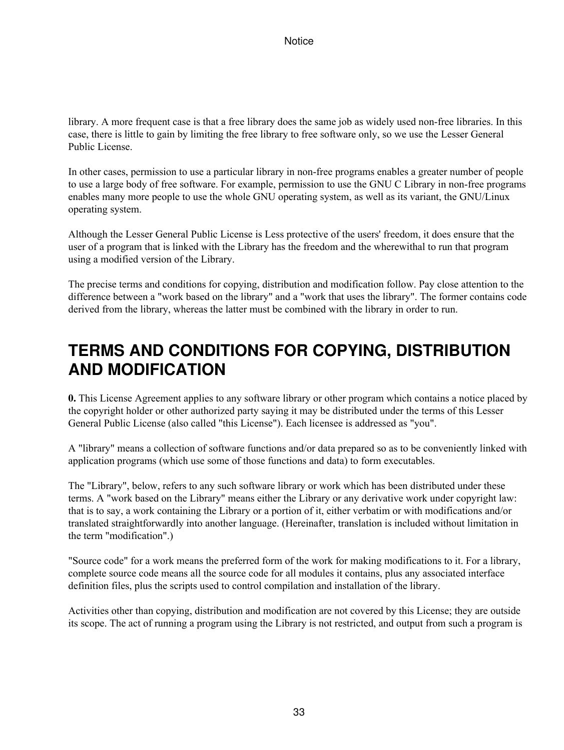library. A more frequent case is that a free library does the same job as widely used non-free libraries. In this case, there is little to gain by limiting the free library to free software only, so we use the Lesser General Public License.

In other cases, permission to use a particular library in non-free programs enables a greater number of people to use a large body of free software. For example, permission to use the GNU C Library in non-free programs enables many more people to use the whole GNU operating system, as well as its variant, the GNU/Linux operating system.

Although the Lesser General Public License is Less protective of the users' freedom, it does ensure that the user of a program that is linked with the Library has the freedom and the wherewithal to run that program using a modified version of the Library.

The precise terms and conditions for copying, distribution and modification follow. Pay close attention to the difference between a "work based on the library" and a "work that uses the library". The former contains code derived from the library, whereas the latter must be combined with the library in order to run.

# **TERMS AND CONDITIONS FOR COPYING, DISTRIBUTION AND MODIFICATION**

**0.** This License Agreement applies to any software library or other program which contains a notice placed by the copyright holder or other authorized party saying it may be distributed under the terms of this Lesser General Public License (also called "this License"). Each licensee is addressed as "you".

A "library" means a collection of software functions and/or data prepared so as to be conveniently linked with application programs (which use some of those functions and data) to form executables.

The "Library", below, refers to any such software library or work which has been distributed under these terms. A "work based on the Library" means either the Library or any derivative work under copyright law: that is to say, a work containing the Library or a portion of it, either verbatim or with modifications and/or translated straightforwardly into another language. (Hereinafter, translation is included without limitation in the term "modification".)

"Source code" for a work means the preferred form of the work for making modifications to it. For a library, complete source code means all the source code for all modules it contains, plus any associated interface definition files, plus the scripts used to control compilation and installation of the library.

Activities other than copying, distribution and modification are not covered by this License; they are outside its scope. The act of running a program using the Library is not restricted, and output from such a program is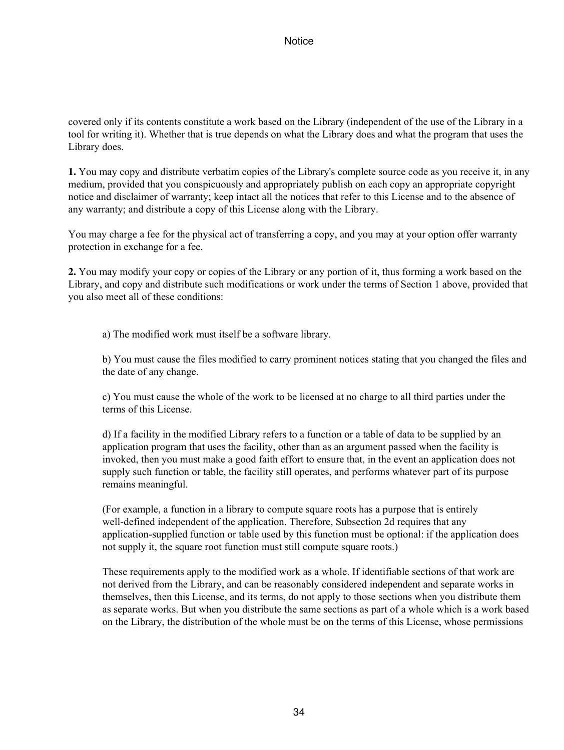covered only if its contents constitute a work based on the Library (independent of the use of the Library in a tool for writing it). Whether that is true depends on what the Library does and what the program that uses the Library does.

**1.** You may copy and distribute verbatim copies of the Library's complete source code as you receive it, in any medium, provided that you conspicuously and appropriately publish on each copy an appropriate copyright notice and disclaimer of warranty; keep intact all the notices that refer to this License and to the absence of any warranty; and distribute a copy of this License along with the Library.

You may charge a fee for the physical act of transferring a copy, and you may at your option offer warranty protection in exchange for a fee.

**2.** You may modify your copy or copies of the Library or any portion of it, thus forming a work based on the Library, and copy and distribute such modifications or work under the terms of Section 1 above, provided that you also meet all of these conditions:

a) The modified work must itself be a software library.

b) You must cause the files modified to carry prominent notices stating that you changed the files and the date of any change.

c) You must cause the whole of the work to be licensed at no charge to all third parties under the terms of this License.

d) If a facility in the modified Library refers to a function or a table of data to be supplied by an application program that uses the facility, other than as an argument passed when the facility is invoked, then you must make a good faith effort to ensure that, in the event an application does not supply such function or table, the facility still operates, and performs whatever part of its purpose remains meaningful.

(For example, a function in a library to compute square roots has a purpose that is entirely well-defined independent of the application. Therefore, Subsection 2d requires that any application-supplied function or table used by this function must be optional: if the application does not supply it, the square root function must still compute square roots.)

These requirements apply to the modified work as a whole. If identifiable sections of that work are not derived from the Library, and can be reasonably considered independent and separate works in themselves, then this License, and its terms, do not apply to those sections when you distribute them as separate works. But when you distribute the same sections as part of a whole which is a work based on the Library, the distribution of the whole must be on the terms of this License, whose permissions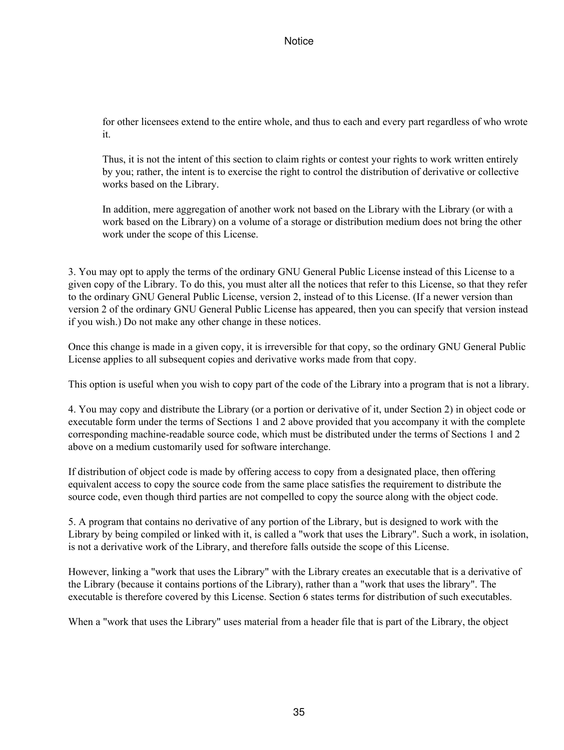for other licensees extend to the entire whole, and thus to each and every part regardless of who wrote it.

Thus, it is not the intent of this section to claim rights or contest your rights to work written entirely by you; rather, the intent is to exercise the right to control the distribution of derivative or collective works based on the Library.

In addition, mere aggregation of another work not based on the Library with the Library (or with a work based on the Library) on a volume of a storage or distribution medium does not bring the other work under the scope of this License.

3. You may opt to apply the terms of the ordinary GNU General Public License instead of this License to a given copy of the Library. To do this, you must alter all the notices that refer to this License, so that they refer to the ordinary GNU General Public License, version 2, instead of to this License. (If a newer version than version 2 of the ordinary GNU General Public License has appeared, then you can specify that version instead if you wish.) Do not make any other change in these notices.

Once this change is made in a given copy, it is irreversible for that copy, so the ordinary GNU General Public License applies to all subsequent copies and derivative works made from that copy.

This option is useful when you wish to copy part of the code of the Library into a program that is not a library.

4. You may copy and distribute the Library (or a portion or derivative of it, under Section 2) in object code or executable form under the terms of Sections 1 and 2 above provided that you accompany it with the complete corresponding machine-readable source code, which must be distributed under the terms of Sections 1 and 2 above on a medium customarily used for software interchange.

If distribution of object code is made by offering access to copy from a designated place, then offering equivalent access to copy the source code from the same place satisfies the requirement to distribute the source code, even though third parties are not compelled to copy the source along with the object code.

5. A program that contains no derivative of any portion of the Library, but is designed to work with the Library by being compiled or linked with it, is called a "work that uses the Library". Such a work, in isolation, is not a derivative work of the Library, and therefore falls outside the scope of this License.

However, linking a "work that uses the Library" with the Library creates an executable that is a derivative of the Library (because it contains portions of the Library), rather than a "work that uses the library". The executable is therefore covered by this License. Section 6 states terms for distribution of such executables.

When a "work that uses the Library" uses material from a header file that is part of the Library, the object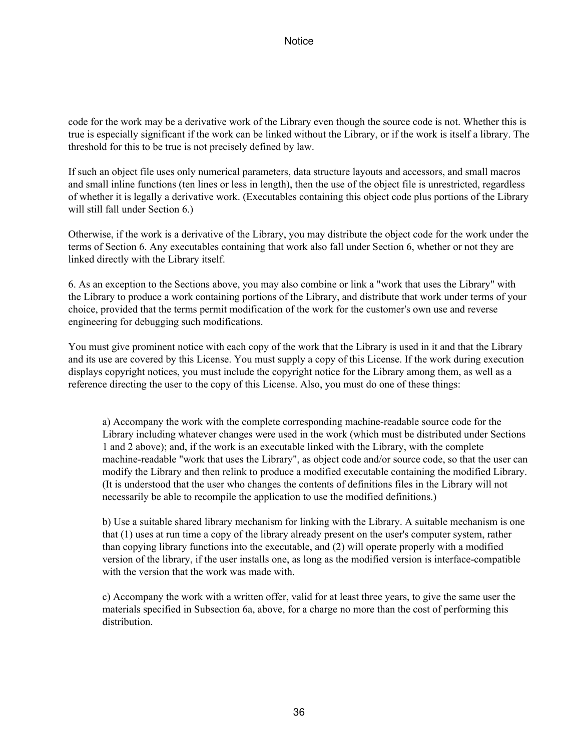code for the work may be a derivative work of the Library even though the source code is not. Whether this is true is especially significant if the work can be linked without the Library, or if the work is itself a library. The threshold for this to be true is not precisely defined by law.

If such an object file uses only numerical parameters, data structure layouts and accessors, and small macros and small inline functions (ten lines or less in length), then the use of the object file is unrestricted, regardless of whether it is legally a derivative work. (Executables containing this object code plus portions of the Library will still fall under Section 6.)

Otherwise, if the work is a derivative of the Library, you may distribute the object code for the work under the terms of Section 6. Any executables containing that work also fall under Section 6, whether or not they are linked directly with the Library itself.

6. As an exception to the Sections above, you may also combine or link a "work that uses the Library" with the Library to produce a work containing portions of the Library, and distribute that work under terms of your choice, provided that the terms permit modification of the work for the customer's own use and reverse engineering for debugging such modifications.

You must give prominent notice with each copy of the work that the Library is used in it and that the Library and its use are covered by this License. You must supply a copy of this License. If the work during execution displays copyright notices, you must include the copyright notice for the Library among them, as well as a reference directing the user to the copy of this License. Also, you must do one of these things:

a) Accompany the work with the complete corresponding machine-readable source code for the Library including whatever changes were used in the work (which must be distributed under Sections 1 and 2 above); and, if the work is an executable linked with the Library, with the complete machine-readable "work that uses the Library", as object code and/or source code, so that the user can modify the Library and then relink to produce a modified executable containing the modified Library. (It is understood that the user who changes the contents of definitions files in the Library will not necessarily be able to recompile the application to use the modified definitions.)

b) Use a suitable shared library mechanism for linking with the Library. A suitable mechanism is one that (1) uses at run time a copy of the library already present on the user's computer system, rather than copying library functions into the executable, and (2) will operate properly with a modified version of the library, if the user installs one, as long as the modified version is interface-compatible with the version that the work was made with.

c) Accompany the work with a written offer, valid for at least three years, to give the same user the materials specified in Subsection 6a, above, for a charge no more than the cost of performing this distribution.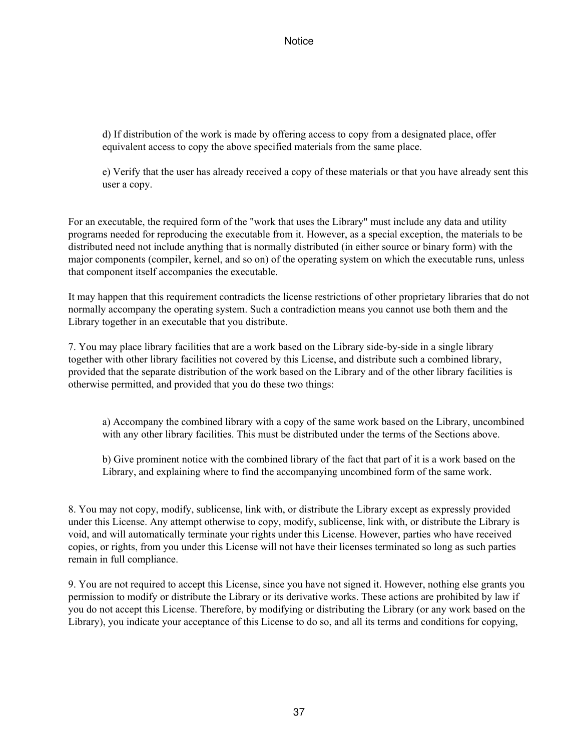d) If distribution of the work is made by offering access to copy from a designated place, offer equivalent access to copy the above specified materials from the same place.

e) Verify that the user has already received a copy of these materials or that you have already sent this user a copy.

For an executable, the required form of the "work that uses the Library" must include any data and utility programs needed for reproducing the executable from it. However, as a special exception, the materials to be distributed need not include anything that is normally distributed (in either source or binary form) with the major components (compiler, kernel, and so on) of the operating system on which the executable runs, unless that component itself accompanies the executable.

It may happen that this requirement contradicts the license restrictions of other proprietary libraries that do not normally accompany the operating system. Such a contradiction means you cannot use both them and the Library together in an executable that you distribute.

7. You may place library facilities that are a work based on the Library side-by-side in a single library together with other library facilities not covered by this License, and distribute such a combined library, provided that the separate distribution of the work based on the Library and of the other library facilities is otherwise permitted, and provided that you do these two things:

a) Accompany the combined library with a copy of the same work based on the Library, uncombined with any other library facilities. This must be distributed under the terms of the Sections above.

b) Give prominent notice with the combined library of the fact that part of it is a work based on the Library, and explaining where to find the accompanying uncombined form of the same work.

8. You may not copy, modify, sublicense, link with, or distribute the Library except as expressly provided under this License. Any attempt otherwise to copy, modify, sublicense, link with, or distribute the Library is void, and will automatically terminate your rights under this License. However, parties who have received copies, or rights, from you under this License will not have their licenses terminated so long as such parties remain in full compliance.

9. You are not required to accept this License, since you have not signed it. However, nothing else grants you permission to modify or distribute the Library or its derivative works. These actions are prohibited by law if you do not accept this License. Therefore, by modifying or distributing the Library (or any work based on the Library), you indicate your acceptance of this License to do so, and all its terms and conditions for copying,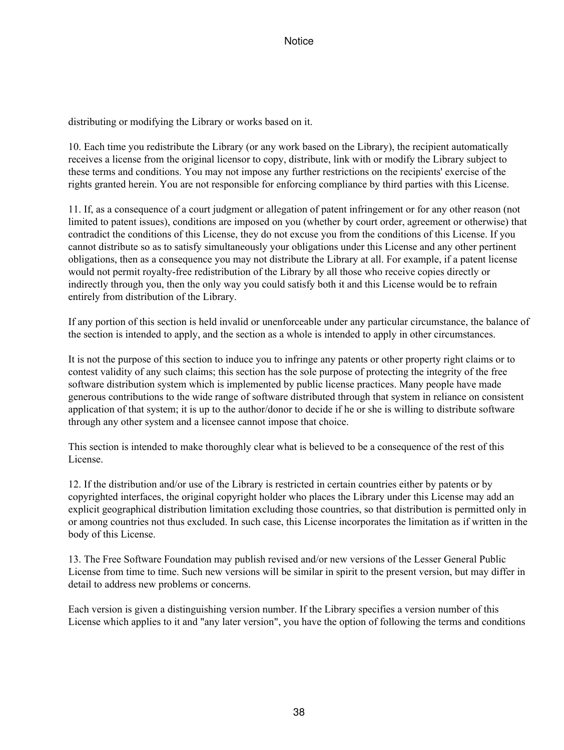distributing or modifying the Library or works based on it.

10. Each time you redistribute the Library (or any work based on the Library), the recipient automatically receives a license from the original licensor to copy, distribute, link with or modify the Library subject to these terms and conditions. You may not impose any further restrictions on the recipients' exercise of the rights granted herein. You are not responsible for enforcing compliance by third parties with this License.

11. If, as a consequence of a court judgment or allegation of patent infringement or for any other reason (not limited to patent issues), conditions are imposed on you (whether by court order, agreement or otherwise) that contradict the conditions of this License, they do not excuse you from the conditions of this License. If you cannot distribute so as to satisfy simultaneously your obligations under this License and any other pertinent obligations, then as a consequence you may not distribute the Library at all. For example, if a patent license would not permit royalty-free redistribution of the Library by all those who receive copies directly or indirectly through you, then the only way you could satisfy both it and this License would be to refrain entirely from distribution of the Library.

If any portion of this section is held invalid or unenforceable under any particular circumstance, the balance of the section is intended to apply, and the section as a whole is intended to apply in other circumstances.

It is not the purpose of this section to induce you to infringe any patents or other property right claims or to contest validity of any such claims; this section has the sole purpose of protecting the integrity of the free software distribution system which is implemented by public license practices. Many people have made generous contributions to the wide range of software distributed through that system in reliance on consistent application of that system; it is up to the author/donor to decide if he or she is willing to distribute software through any other system and a licensee cannot impose that choice.

This section is intended to make thoroughly clear what is believed to be a consequence of the rest of this License.

12. If the distribution and/or use of the Library is restricted in certain countries either by patents or by copyrighted interfaces, the original copyright holder who places the Library under this License may add an explicit geographical distribution limitation excluding those countries, so that distribution is permitted only in or among countries not thus excluded. In such case, this License incorporates the limitation as if written in the body of this License.

13. The Free Software Foundation may publish revised and/or new versions of the Lesser General Public License from time to time. Such new versions will be similar in spirit to the present version, but may differ in detail to address new problems or concerns.

Each version is given a distinguishing version number. If the Library specifies a version number of this License which applies to it and "any later version", you have the option of following the terms and conditions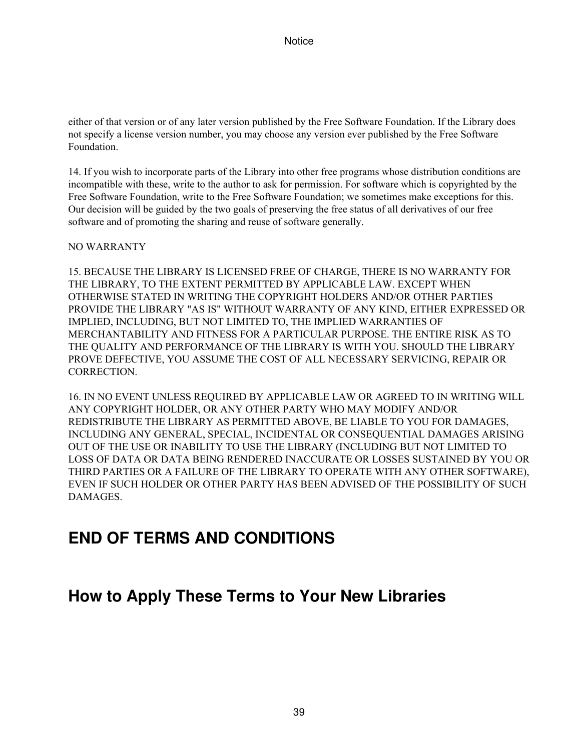either of that version or of any later version published by the Free Software Foundation. If the Library does not specify a license version number, you may choose any version ever published by the Free Software Foundation.

14. If you wish to incorporate parts of the Library into other free programs whose distribution conditions are incompatible with these, write to the author to ask for permission. For software which is copyrighted by the Free Software Foundation, write to the Free Software Foundation; we sometimes make exceptions for this. Our decision will be guided by the two goals of preserving the free status of all derivatives of our free software and of promoting the sharing and reuse of software generally.

NO WARRANTY

15. BECAUSE THE LIBRARY IS LICENSED FREE OF CHARGE, THERE IS NO WARRANTY FOR THE LIBRARY, TO THE EXTENT PERMITTED BY APPLICABLE LAW. EXCEPT WHEN OTHERWISE STATED IN WRITING THE COPYRIGHT HOLDERS AND/OR OTHER PARTIES PROVIDE THE LIBRARY "AS IS" WITHOUT WARRANTY OF ANY KIND, EITHER EXPRESSED OR IMPLIED, INCLUDING, BUT NOT LIMITED TO, THE IMPLIED WARRANTIES OF MERCHANTABILITY AND FITNESS FOR A PARTICULAR PURPOSE. THE ENTIRE RISK AS TO THE QUALITY AND PERFORMANCE OF THE LIBRARY IS WITH YOU. SHOULD THE LIBRARY PROVE DEFECTIVE, YOU ASSUME THE COST OF ALL NECESSARY SERVICING, REPAIR OR CORRECTION.

16. IN NO EVENT UNLESS REQUIRED BY APPLICABLE LAW OR AGREED TO IN WRITING WILL ANY COPYRIGHT HOLDER, OR ANY OTHER PARTY WHO MAY MODIFY AND/OR REDISTRIBUTE THE LIBRARY AS PERMITTED ABOVE, BE LIABLE TO YOU FOR DAMAGES, INCLUDING ANY GENERAL, SPECIAL, INCIDENTAL OR CONSEQUENTIAL DAMAGES ARISING OUT OF THE USE OR INABILITY TO USE THE LIBRARY (INCLUDING BUT NOT LIMITED TO LOSS OF DATA OR DATA BEING RENDERED INACCURATE OR LOSSES SUSTAINED BY YOU OR THIRD PARTIES OR A FAILURE OF THE LIBRARY TO OPERATE WITH ANY OTHER SOFTWARE), EVEN IF SUCH HOLDER OR OTHER PARTY HAS BEEN ADVISED OF THE POSSIBILITY OF SUCH DAMAGES.

# **END OF TERMS AND CONDITIONS**

# **How to Apply These Terms to Your New Libraries**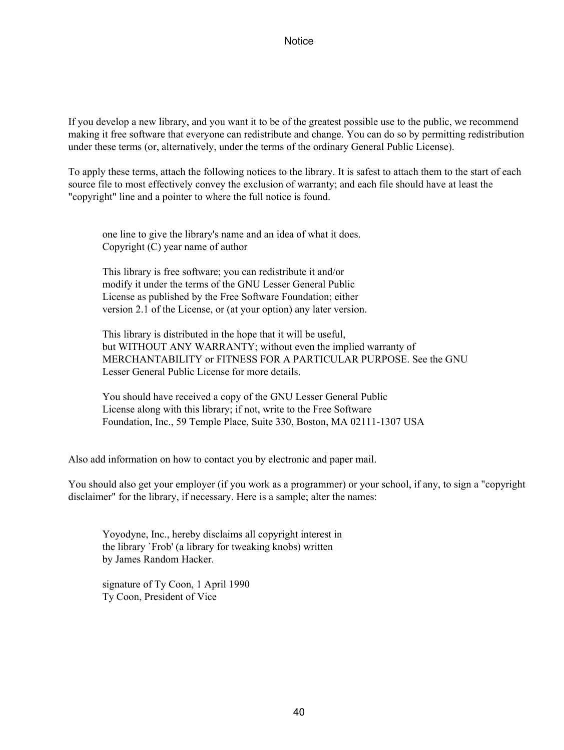If you develop a new library, and you want it to be of the greatest possible use to the public, we recommend making it free software that everyone can redistribute and change. You can do so by permitting redistribution under these terms (or, alternatively, under the terms of the ordinary General Public License).

To apply these terms, attach the following notices to the library. It is safest to attach them to the start of each source file to most effectively convey the exclusion of warranty; and each file should have at least the "copyright" line and a pointer to where the full notice is found.

one line to give the library's name and an idea of what it does. Copyright (C) year name of author

This library is free software; you can redistribute it and/or modify it under the terms of the GNU Lesser General Public License as published by the Free Software Foundation; either version 2.1 of the License, or (at your option) any later version.

This library is distributed in the hope that it will be useful, but WITHOUT ANY WARRANTY; without even the implied warranty of MERCHANTABILITY or FITNESS FOR A PARTICULAR PURPOSE. See the GNU Lesser General Public License for more details.

You should have received a copy of the GNU Lesser General Public License along with this library; if not, write to the Free Software Foundation, Inc., 59 Temple Place, Suite 330, Boston, MA 02111-1307 USA

Also add information on how to contact you by electronic and paper mail.

You should also get your employer (if you work as a programmer) or your school, if any, to sign a "copyright disclaimer" for the library, if necessary. Here is a sample; alter the names:

Yoyodyne, Inc., hereby disclaims all copyright interest in the library `Frob' (a library for tweaking knobs) written by James Random Hacker.

signature of Ty Coon, 1 April 1990 Ty Coon, President of Vice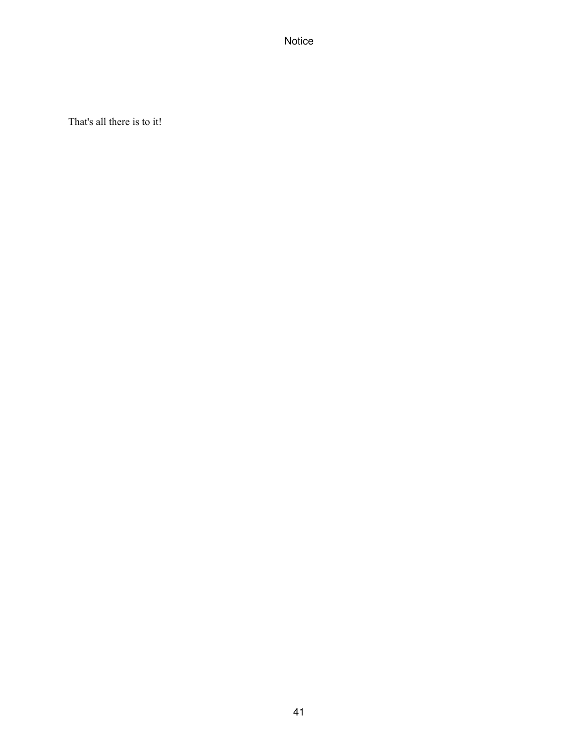That's all there is to it!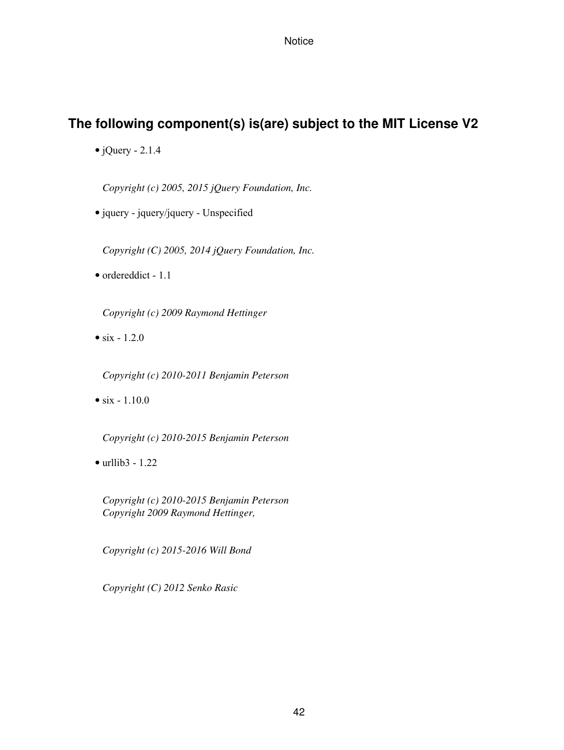## **The following component(s) is(are) subject to the MIT License V2**

 $\bullet$  jQuery - 2.1.4

*Copyright (c) 2005, 2015 jQuery Foundation, Inc.*

• jquery - jquery/jquery - Unspecified

*Copyright (C) 2005, 2014 jQuery Foundation, Inc.*

• ordereddict - 1.1

*Copyright (c) 2009 Raymond Hettinger*

•  $six - 1.2.0$ 

*Copyright (c) 2010-2011 Benjamin Peterson*

•  $six - 1.10.0$ 

*Copyright (c) 2010-2015 Benjamin Peterson*

• urllib3 - 1.22

*Copyright (c) 2010-2015 Benjamin Peterson Copyright 2009 Raymond Hettinger,*

*Copyright (c) 2015-2016 Will Bond*

*Copyright (C) 2012 Senko Rasic*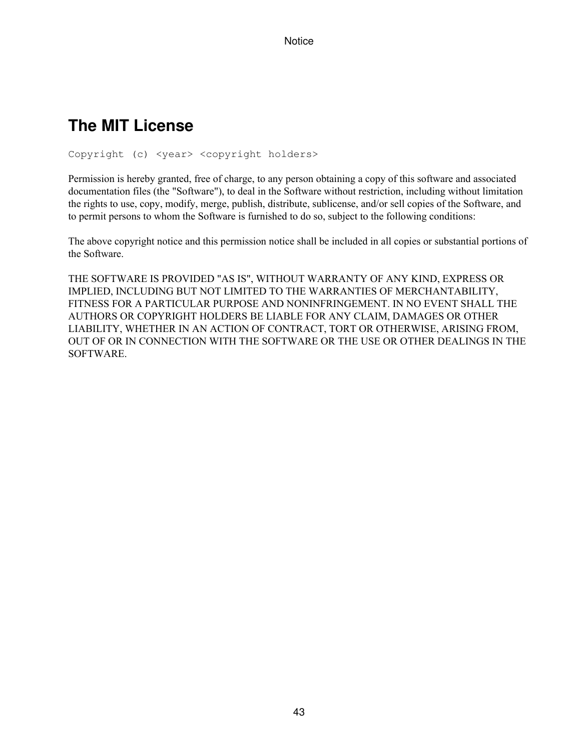# **The MIT License**

Copyright (c) <year> <copyright holders>

Permission is hereby granted, free of charge, to any person obtaining a copy of this software and associated documentation files (the "Software"), to deal in the Software without restriction, including without limitation the rights to use, copy, modify, merge, publish, distribute, sublicense, and/or sell copies of the Software, and to permit persons to whom the Software is furnished to do so, subject to the following conditions:

The above copyright notice and this permission notice shall be included in all copies or substantial portions of the Software.

THE SOFTWARE IS PROVIDED "AS IS", WITHOUT WARRANTY OF ANY KIND, EXPRESS OR IMPLIED, INCLUDING BUT NOT LIMITED TO THE WARRANTIES OF MERCHANTABILITY, FITNESS FOR A PARTICULAR PURPOSE AND NONINFRINGEMENT. IN NO EVENT SHALL THE AUTHORS OR COPYRIGHT HOLDERS BE LIABLE FOR ANY CLAIM, DAMAGES OR OTHER LIABILITY, WHETHER IN AN ACTION OF CONTRACT, TORT OR OTHERWISE, ARISING FROM, OUT OF OR IN CONNECTION WITH THE SOFTWARE OR THE USE OR OTHER DEALINGS IN THE SOFTWARE.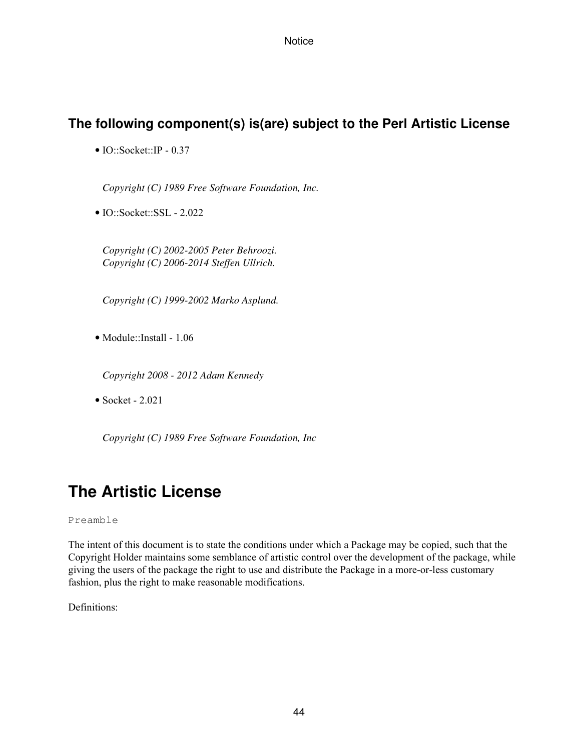## **The following component(s) is(are) subject to the Perl Artistic License**

• IO::Socket::IP - 0.37

*Copyright (C) 1989 Free Software Foundation, Inc.*

• IO::Socket::SSL - 2.022

*Copyright (C) 2002-2005 Peter Behroozi. Copyright (C) 2006-2014 Steffen Ullrich.*

*Copyright (C) 1999-2002 Marko Asplund.*

• Module::Install - 1.06

*Copyright 2008 - 2012 Adam Kennedy*

• Socket - 2.021

*Copyright (C) 1989 Free Software Foundation, Inc*

# **The Artistic License**

Preamble

The intent of this document is to state the conditions under which a Package may be copied, such that the Copyright Holder maintains some semblance of artistic control over the development of the package, while giving the users of the package the right to use and distribute the Package in a more-or-less customary fashion, plus the right to make reasonable modifications.

Definitions: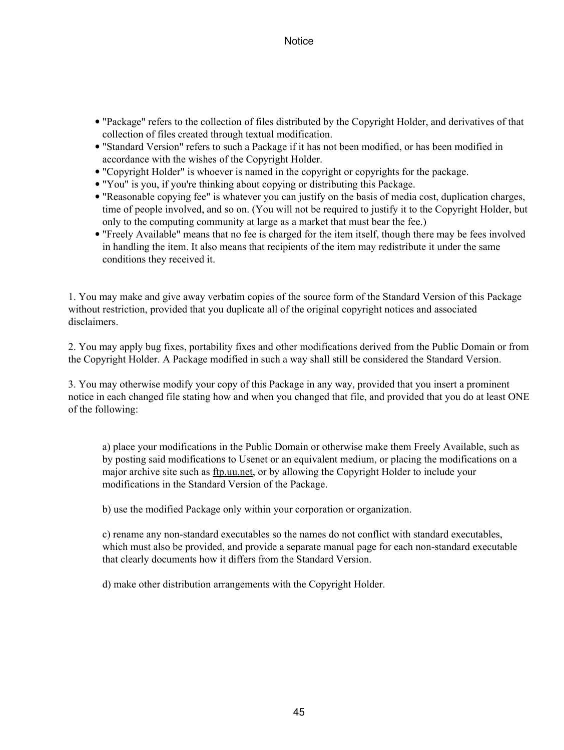- "Package" refers to the collection of files distributed by the Copyright Holder, and derivatives of that collection of files created through textual modification.
- "Standard Version" refers to such a Package if it has not been modified, or has been modified in accordance with the wishes of the Copyright Holder.
- "Copyright Holder" is whoever is named in the copyright or copyrights for the package.
- "You" is you, if you're thinking about copying or distributing this Package.
- "Reasonable copying fee" is whatever you can justify on the basis of media cost, duplication charges, time of people involved, and so on. (You will not be required to justify it to the Copyright Holder, but only to the computing community at large as a market that must bear the fee.)
- "Freely Available" means that no fee is charged for the item itself, though there may be fees involved in handling the item. It also means that recipients of the item may redistribute it under the same conditions they received it.

1. You may make and give away verbatim copies of the source form of the Standard Version of this Package without restriction, provided that you duplicate all of the original copyright notices and associated disclaimers.

2. You may apply bug fixes, portability fixes and other modifications derived from the Public Domain or from the Copyright Holder. A Package modified in such a way shall still be considered the Standard Version.

3. You may otherwise modify your copy of this Package in any way, provided that you insert a prominent notice in each changed file stating how and when you changed that file, and provided that you do at least ONE of the following:

a) place your modifications in the Public Domain or otherwise make them Freely Available, such as by posting said modifications to Usenet or an equivalent medium, or placing the modifications on a major archive site such as <u>ftp.uu.net</u>, or by allowing the Copyright Holder to include your modifications in the Standard Version of the Package.

b) use the modified Package only within your corporation or organization.

c) rename any non-standard executables so the names do not conflict with standard executables, which must also be provided, and provide a separate manual page for each non-standard executable that clearly documents how it differs from the Standard Version.

d) make other distribution arrangements with the Copyright Holder.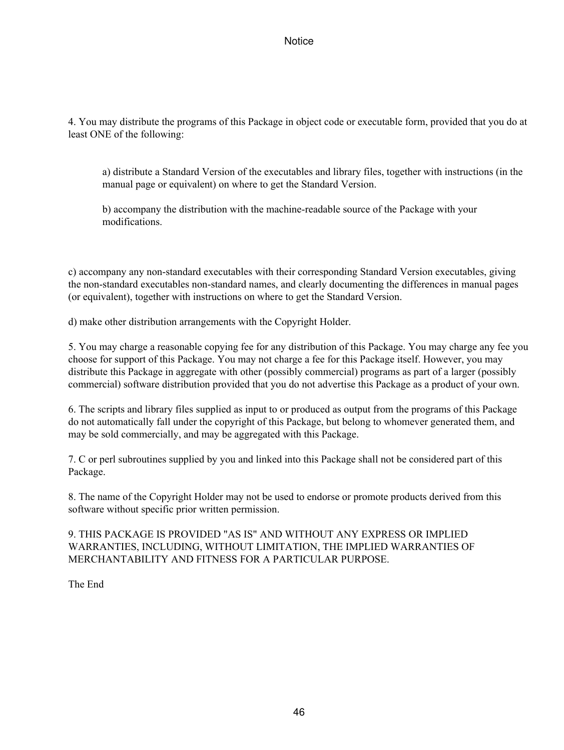4. You may distribute the programs of this Package in object code or executable form, provided that you do at least ONE of the following:

a) distribute a Standard Version of the executables and library files, together with instructions (in the manual page or equivalent) on where to get the Standard Version.

b) accompany the distribution with the machine-readable source of the Package with your modifications.

c) accompany any non-standard executables with their corresponding Standard Version executables, giving the non-standard executables non-standard names, and clearly documenting the differences in manual pages (or equivalent), together with instructions on where to get the Standard Version.

d) make other distribution arrangements with the Copyright Holder.

5. You may charge a reasonable copying fee for any distribution of this Package. You may charge any fee you choose for support of this Package. You may not charge a fee for this Package itself. However, you may distribute this Package in aggregate with other (possibly commercial) programs as part of a larger (possibly commercial) software distribution provided that you do not advertise this Package as a product of your own.

6. The scripts and library files supplied as input to or produced as output from the programs of this Package do not automatically fall under the copyright of this Package, but belong to whomever generated them, and may be sold commercially, and may be aggregated with this Package.

7. C or perl subroutines supplied by you and linked into this Package shall not be considered part of this Package.

8. The name of the Copyright Holder may not be used to endorse or promote products derived from this software without specific prior written permission.

9. THIS PACKAGE IS PROVIDED "AS IS" AND WITHOUT ANY EXPRESS OR IMPLIED WARRANTIES, INCLUDING, WITHOUT LIMITATION, THE IMPLIED WARRANTIES OF MERCHANTABILITY AND FITNESS FOR A PARTICULAR PURPOSE.

The End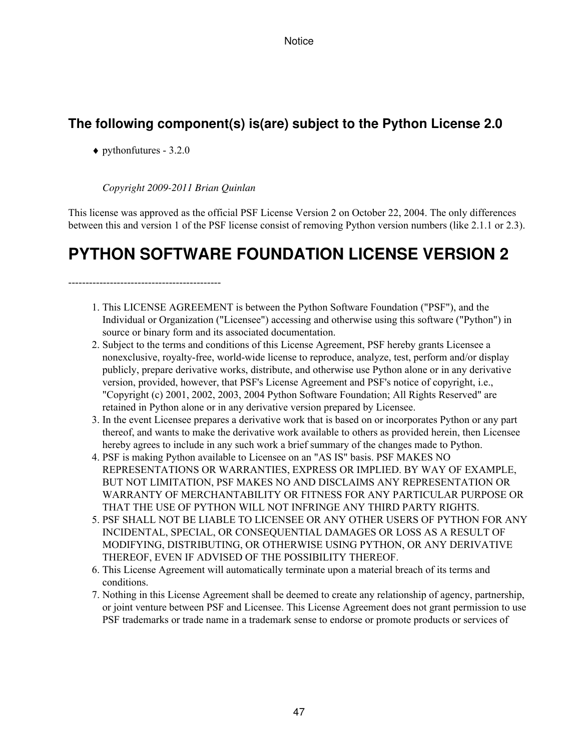## **The following component(s) is(are) subject to the Python License 2.0**

 $\blacklozenge$  pythonfutures - 3.2.0

### *Copyright 2009-2011 Brian Quinlan*

This license was approved as the official PSF License Version 2 on October 22, 2004. The only differences between this and version 1 of the PSF license consist of removing Python version numbers (like 2.1.1 or 2.3).

# **PYTHON SOFTWARE FOUNDATION LICENSE VERSION 2**

--------------------------------------------

- 1. This LICENSE AGREEMENT is between the Python Software Foundation ("PSF"), and the Individual or Organization ("Licensee") accessing and otherwise using this software ("Python") in source or binary form and its associated documentation.
- 2. Subject to the terms and conditions of this License Agreement, PSF hereby grants Licensee a nonexclusive, royalty-free, world-wide license to reproduce, analyze, test, perform and/or display publicly, prepare derivative works, distribute, and otherwise use Python alone or in any derivative version, provided, however, that PSF's License Agreement and PSF's notice of copyright, i.e., "Copyright (c) 2001, 2002, 2003, 2004 Python Software Foundation; All Rights Reserved" are retained in Python alone or in any derivative version prepared by Licensee.
- In the event Licensee prepares a derivative work that is based on or incorporates Python or any part 3. thereof, and wants to make the derivative work available to others as provided herein, then Licensee hereby agrees to include in any such work a brief summary of the changes made to Python.
- PSF is making Python available to Licensee on an "AS IS" basis. PSF MAKES NO 4. REPRESENTATIONS OR WARRANTIES, EXPRESS OR IMPLIED. BY WAY OF EXAMPLE, BUT NOT LIMITATION, PSF MAKES NO AND DISCLAIMS ANY REPRESENTATION OR WARRANTY OF MERCHANTABILITY OR FITNESS FOR ANY PARTICULAR PURPOSE OR THAT THE USE OF PYTHON WILL NOT INFRINGE ANY THIRD PARTY RIGHTS.
- 5. PSF SHALL NOT BE LIABLE TO LICENSEE OR ANY OTHER USERS OF PYTHON FOR ANY INCIDENTAL, SPECIAL, OR CONSEQUENTIAL DAMAGES OR LOSS AS A RESULT OF MODIFYING, DISTRIBUTING, OR OTHERWISE USING PYTHON, OR ANY DERIVATIVE THEREOF, EVEN IF ADVISED OF THE POSSIBILITY THEREOF.
- 6. This License Agreement will automatically terminate upon a material breach of its terms and conditions.
- 7. Nothing in this License Agreement shall be deemed to create any relationship of agency, partnership, or joint venture between PSF and Licensee. This License Agreement does not grant permission to use PSF trademarks or trade name in a trademark sense to endorse or promote products or services of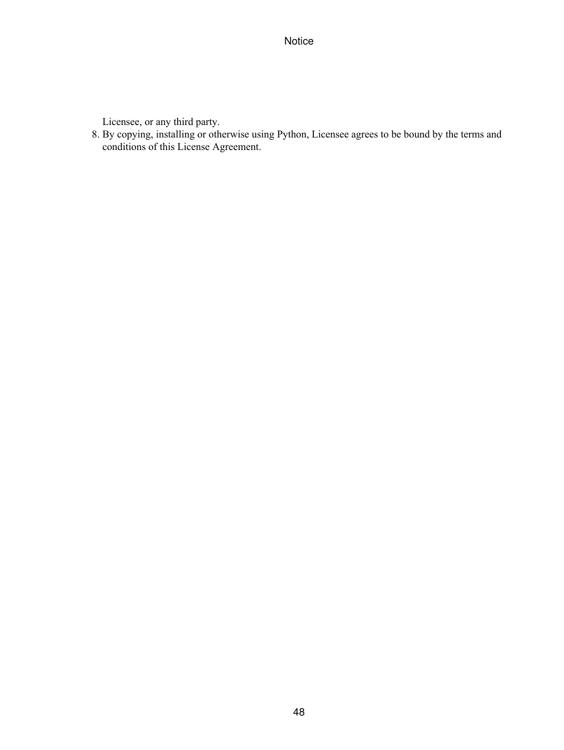Licensee, or any third party.

By copying, installing or otherwise using Python, Licensee agrees to be bound by the terms and 8. conditions of this License Agreement.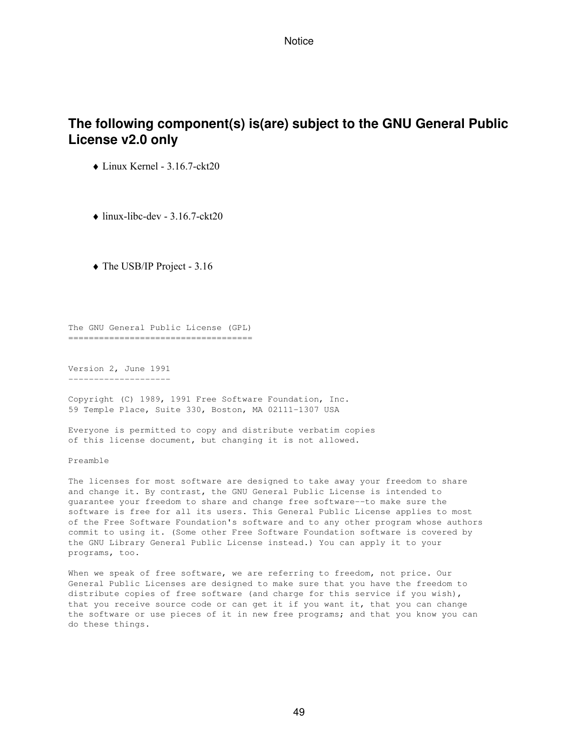## **The following component(s) is(are) subject to the GNU General Public License v2.0 only**

♦ Linux Kernel - 3.16.7-ckt20

 $\bullet$  linux-libc-dev - 3.16.7-ckt20

♦ The USB/IP Project - 3.16

The GNU General Public License (GPL) ====================================

Version 2, June 1991 --------------------

Copyright (C) 1989, 1991 Free Software Foundation, Inc. 59 Temple Place, Suite 330, Boston, MA 02111-1307 USA

Everyone is permitted to copy and distribute verbatim copies of this license document, but changing it is not allowed.

Preamble

The licenses for most software are designed to take away your freedom to share and change it. By contrast, the GNU General Public License is intended to guarantee your freedom to share and change free software--to make sure the software is free for all its users. This General Public License applies to most of the Free Software Foundation's software and to any other program whose authors commit to using it. (Some other Free Software Foundation software is covered by the GNU Library General Public License instead.) You can apply it to your programs, too.

When we speak of free software, we are referring to freedom, not price. Our General Public Licenses are designed to make sure that you have the freedom to distribute copies of free software (and charge for this service if you wish), that you receive source code or can get it if you want it, that you can change the software or use pieces of it in new free programs; and that you know you can do these things.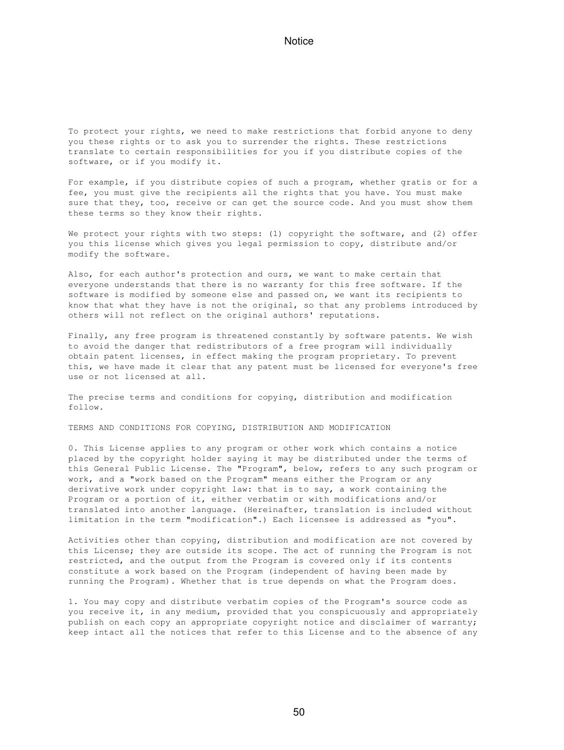To protect your rights, we need to make restrictions that forbid anyone to deny you these rights or to ask you to surrender the rights. These restrictions translate to certain responsibilities for you if you distribute copies of the software, or if you modify it.

For example, if you distribute copies of such a program, whether gratis or for a fee, you must give the recipients all the rights that you have. You must make sure that they, too, receive or can get the source code. And you must show them these terms so they know their rights.

We protect your rights with two steps: (1) copyright the software, and (2) offer you this license which gives you legal permission to copy, distribute and/or modify the software.

Also, for each author's protection and ours, we want to make certain that everyone understands that there is no warranty for this free software. If the software is modified by someone else and passed on, we want its recipients to know that what they have is not the original, so that any problems introduced by others will not reflect on the original authors' reputations.

Finally, any free program is threatened constantly by software patents. We wish to avoid the danger that redistributors of a free program will individually obtain patent licenses, in effect making the program proprietary. To prevent this, we have made it clear that any patent must be licensed for everyone's free use or not licensed at all.

The precise terms and conditions for copying, distribution and modification follow.

TERMS AND CONDITIONS FOR COPYING, DISTRIBUTION AND MODIFICATION

0. This License applies to any program or other work which contains a notice placed by the copyright holder saying it may be distributed under the terms of this General Public License. The "Program", below, refers to any such program or work, and a "work based on the Program" means either the Program or any derivative work under copyright law: that is to say, a work containing the Program or a portion of it, either verbatim or with modifications and/or translated into another language. (Hereinafter, translation is included without limitation in the term "modification".) Each licensee is addressed as "you".

Activities other than copying, distribution and modification are not covered by this License; they are outside its scope. The act of running the Program is not restricted, and the output from the Program is covered only if its contents constitute a work based on the Program (independent of having been made by running the Program). Whether that is true depends on what the Program does.

1. You may copy and distribute verbatim copies of the Program's source code as you receive it, in any medium, provided that you conspicuously and appropriately publish on each copy an appropriate copyright notice and disclaimer of warranty; keep intact all the notices that refer to this License and to the absence of any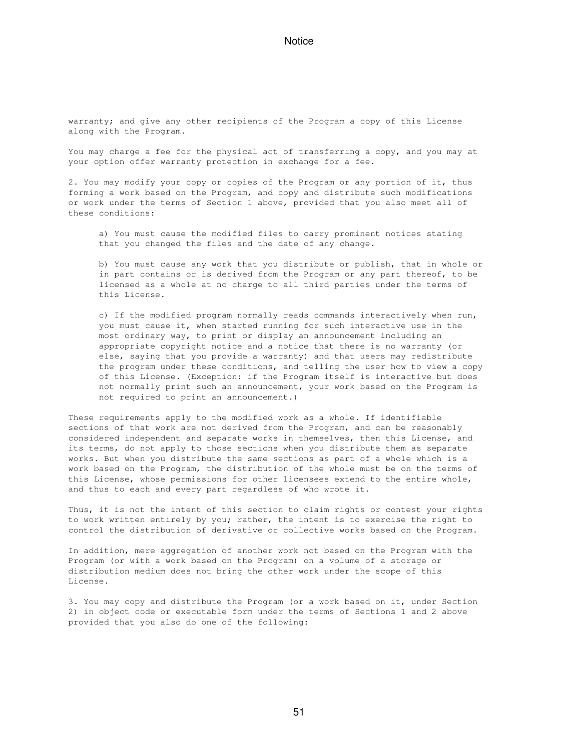warranty; and give any other recipients of the Program a copy of this License along with the Program.

You may charge a fee for the physical act of transferring a copy, and you may at your option offer warranty protection in exchange for a fee.

2. You may modify your copy or copies of the Program or any portion of it, thus forming a work based on the Program, and copy and distribute such modifications or work under the terms of Section 1 above, provided that you also meet all of these conditions:

 a) You must cause the modified files to carry prominent notices stating that you changed the files and the date of any change.

 b) You must cause any work that you distribute or publish, that in whole or in part contains or is derived from the Program or any part thereof, to be licensed as a whole at no charge to all third parties under the terms of this License.

 c) If the modified program normally reads commands interactively when run, you must cause it, when started running for such interactive use in the most ordinary way, to print or display an announcement including an appropriate copyright notice and a notice that there is no warranty (or else, saying that you provide a warranty) and that users may redistribute the program under these conditions, and telling the user how to view a copy of this License. (Exception: if the Program itself is interactive but does not normally print such an announcement, your work based on the Program is not required to print an announcement.)

These requirements apply to the modified work as a whole. If identifiable sections of that work are not derived from the Program, and can be reasonably considered independent and separate works in themselves, then this License, and its terms, do not apply to those sections when you distribute them as separate works. But when you distribute the same sections as part of a whole which is a work based on the Program, the distribution of the whole must be on the terms of this License, whose permissions for other licensees extend to the entire whole, and thus to each and every part regardless of who wrote it.

Thus, it is not the intent of this section to claim rights or contest your rights to work written entirely by you; rather, the intent is to exercise the right to control the distribution of derivative or collective works based on the Program.

In addition, mere aggregation of another work not based on the Program with the Program (or with a work based on the Program) on a volume of a storage or distribution medium does not bring the other work under the scope of this License.

3. You may copy and distribute the Program (or a work based on it, under Section 2) in object code or executable form under the terms of Sections 1 and 2 above provided that you also do one of the following: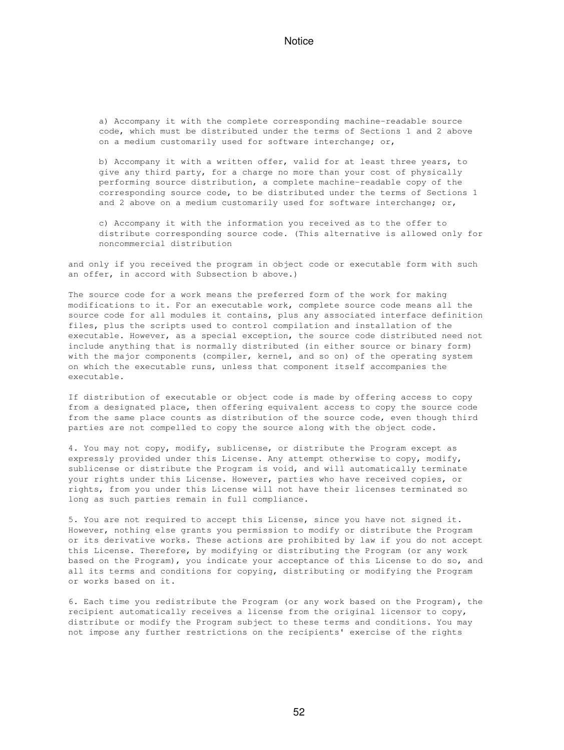a) Accompany it with the complete corresponding machine-readable source code, which must be distributed under the terms of Sections 1 and 2 above on a medium customarily used for software interchange; or,

 b) Accompany it with a written offer, valid for at least three years, to give any third party, for a charge no more than your cost of physically performing source distribution, a complete machine-readable copy of the corresponding source code, to be distributed under the terms of Sections 1 and 2 above on a medium customarily used for software interchange; or,

 c) Accompany it with the information you received as to the offer to distribute corresponding source code. (This alternative is allowed only for noncommercial distribution

and only if you received the program in object code or executable form with such an offer, in accord with Subsection b above.)

The source code for a work means the preferred form of the work for making modifications to it. For an executable work, complete source code means all the source code for all modules it contains, plus any associated interface definition files, plus the scripts used to control compilation and installation of the executable. However, as a special exception, the source code distributed need not include anything that is normally distributed (in either source or binary form) with the major components (compiler, kernel, and so on) of the operating system on which the executable runs, unless that component itself accompanies the executable.

If distribution of executable or object code is made by offering access to copy from a designated place, then offering equivalent access to copy the source code from the same place counts as distribution of the source code, even though third parties are not compelled to copy the source along with the object code.

4. You may not copy, modify, sublicense, or distribute the Program except as expressly provided under this License. Any attempt otherwise to copy, modify, sublicense or distribute the Program is void, and will automatically terminate your rights under this License. However, parties who have received copies, or rights, from you under this License will not have their licenses terminated so long as such parties remain in full compliance.

5. You are not required to accept this License, since you have not signed it. However, nothing else grants you permission to modify or distribute the Program or its derivative works. These actions are prohibited by law if you do not accept this License. Therefore, by modifying or distributing the Program (or any work based on the Program), you indicate your acceptance of this License to do so, and all its terms and conditions for copying, distributing or modifying the Program or works based on it.

6. Each time you redistribute the Program (or any work based on the Program), the recipient automatically receives a license from the original licensor to copy, distribute or modify the Program subject to these terms and conditions. You may not impose any further restrictions on the recipients' exercise of the rights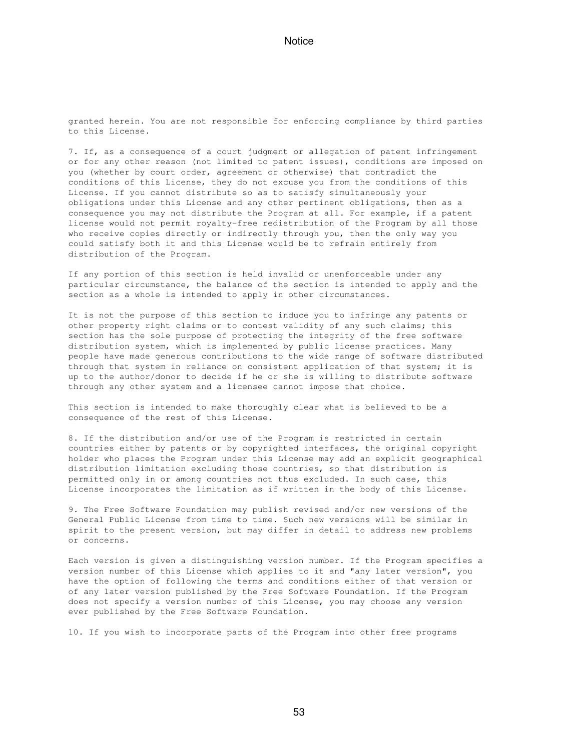granted herein. You are not responsible for enforcing compliance by third parties to this License.

7. If, as a consequence of a court judgment or allegation of patent infringement or for any other reason (not limited to patent issues), conditions are imposed on you (whether by court order, agreement or otherwise) that contradict the conditions of this License, they do not excuse you from the conditions of this License. If you cannot distribute so as to satisfy simultaneously your obligations under this License and any other pertinent obligations, then as a consequence you may not distribute the Program at all. For example, if a patent license would not permit royalty-free redistribution of the Program by all those who receive copies directly or indirectly through you, then the only way you could satisfy both it and this License would be to refrain entirely from distribution of the Program.

If any portion of this section is held invalid or unenforceable under any particular circumstance, the balance of the section is intended to apply and the section as a whole is intended to apply in other circumstances.

It is not the purpose of this section to induce you to infringe any patents or other property right claims or to contest validity of any such claims; this section has the sole purpose of protecting the integrity of the free software distribution system, which is implemented by public license practices. Many people have made generous contributions to the wide range of software distributed through that system in reliance on consistent application of that system; it is up to the author/donor to decide if he or she is willing to distribute software through any other system and a licensee cannot impose that choice.

This section is intended to make thoroughly clear what is believed to be a consequence of the rest of this License.

8. If the distribution and/or use of the Program is restricted in certain countries either by patents or by copyrighted interfaces, the original copyright holder who places the Program under this License may add an explicit geographical distribution limitation excluding those countries, so that distribution is permitted only in or among countries not thus excluded. In such case, this License incorporates the limitation as if written in the body of this License.

9. The Free Software Foundation may publish revised and/or new versions of the General Public License from time to time. Such new versions will be similar in spirit to the present version, but may differ in detail to address new problems or concerns.

Each version is given a distinguishing version number. If the Program specifies a version number of this License which applies to it and "any later version", you have the option of following the terms and conditions either of that version or of any later version published by the Free Software Foundation. If the Program does not specify a version number of this License, you may choose any version ever published by the Free Software Foundation.

10. If you wish to incorporate parts of the Program into other free programs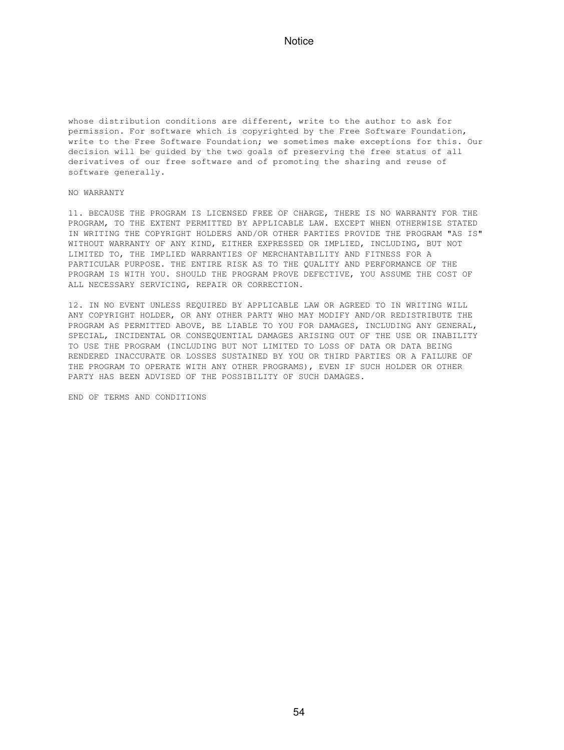whose distribution conditions are different, write to the author to ask for permission. For software which is copyrighted by the Free Software Foundation, write to the Free Software Foundation; we sometimes make exceptions for this. Our decision will be guided by the two goals of preserving the free status of all derivatives of our free software and of promoting the sharing and reuse of software generally.

#### NO WARRANTY

11. BECAUSE THE PROGRAM IS LICENSED FREE OF CHARGE, THERE IS NO WARRANTY FOR THE PROGRAM, TO THE EXTENT PERMITTED BY APPLICABLE LAW. EXCEPT WHEN OTHERWISE STATED IN WRITING THE COPYRIGHT HOLDERS AND/OR OTHER PARTIES PROVIDE THE PROGRAM "AS IS" WITHOUT WARRANTY OF ANY KIND, EITHER EXPRESSED OR IMPLIED, INCLUDING, BUT NOT LIMITED TO, THE IMPLIED WARRANTIES OF MERCHANTABILITY AND FITNESS FOR A PARTICULAR PURPOSE. THE ENTIRE RISK AS TO THE QUALITY AND PERFORMANCE OF THE PROGRAM IS WITH YOU. SHOULD THE PROGRAM PROVE DEFECTIVE, YOU ASSUME THE COST OF ALL NECESSARY SERVICING, REPAIR OR CORRECTION.

12. IN NO EVENT UNLESS REQUIRED BY APPLICABLE LAW OR AGREED TO IN WRITING WILL ANY COPYRIGHT HOLDER, OR ANY OTHER PARTY WHO MAY MODIFY AND/OR REDISTRIBUTE THE PROGRAM AS PERMITTED ABOVE, BE LIABLE TO YOU FOR DAMAGES, INCLUDING ANY GENERAL, SPECIAL, INCIDENTAL OR CONSEQUENTIAL DAMAGES ARISING OUT OF THE USE OR INABILITY TO USE THE PROGRAM (INCLUDING BUT NOT LIMITED TO LOSS OF DATA OR DATA BEING RENDERED INACCURATE OR LOSSES SUSTAINED BY YOU OR THIRD PARTIES OR A FAILURE OF THE PROGRAM TO OPERATE WITH ANY OTHER PROGRAMS), EVEN IF SUCH HOLDER OR OTHER PARTY HAS BEEN ADVISED OF THE POSSIBILITY OF SUCH DAMAGES.

END OF TERMS AND CONDITIONS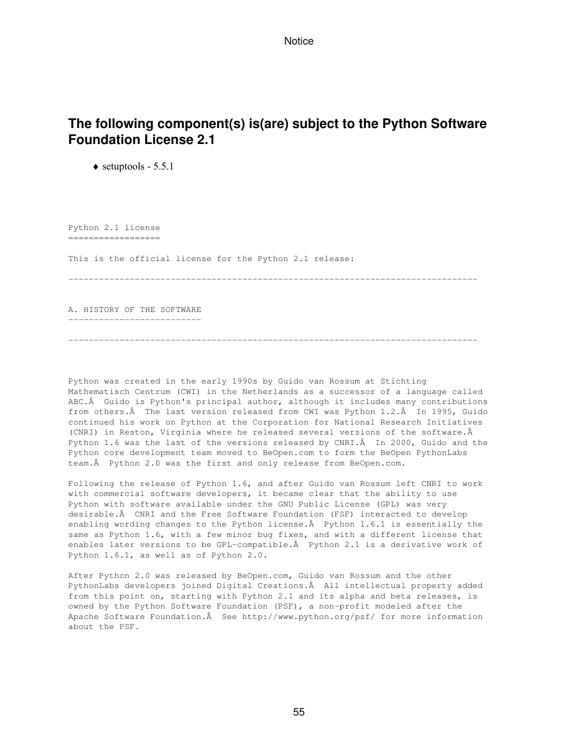## **The following component(s) is(are) subject to the Python Software Foundation License 2.1**

 $\triangleleft$  setuptools - 5.5.1

Python 2.1 license ================== This is the official license for the Python 2.1 release: --------------------------------------------------------------------------------

A. HISTORY OF THE SOFTWARE --------------------------

Python was created in the early 1990s by Guido van Rossum at Stichting Mathematisch Centrum (CWI) in the Netherlands as a successor of a language called ABC. Â Guido is Python's principal author, although it includes many contributions from others. A The last version released from CWI was Python 1.2. A In 1995, Guido continued his work on Python at the Corporation for National Research Initiatives (CNRI) in Reston, Virginia where he released several versions of the software. Python 1.6 was the last of the versions released by CNRI. In 2000, Guido and the Python core development team moved to BeOpen.com to form the BeOpen PythonLabs team. A Python 2.0 was the first and only release from BeOpen.com.

--------------------------------------------------------------------------------

Following the release of Python 1.6, and after Guido van Rossum left CNRI to work with commercial software developers, it became clear that the ability to use Python with software available under the GNU Public License (GPL) was very desirable. A CNRI and the Free Software Foundation (FSF) interacted to develop enabling wording changes to the Python license. $\hat{A}$  Python 1.6.1 is essentially the same as Python 1.6, with a few minor bug fixes, and with a different license that enables later versions to be GPL-compatible. A Python 2.1 is a derivative work of Python 1.6.1, as well as of Python 2.0.

After Python 2.0 was released by BeOpen.com, Guido van Rossum and the other PythonLabs developers joined Digital Creations. All intellectual property added from this point on, starting with Python 2.1 and its alpha and beta releases, is owned by the Python Software Foundation (PSF), a non-profit modeled after the Apache Software Foundation. A See http://www.python.org/psf/ for more information about the PSF.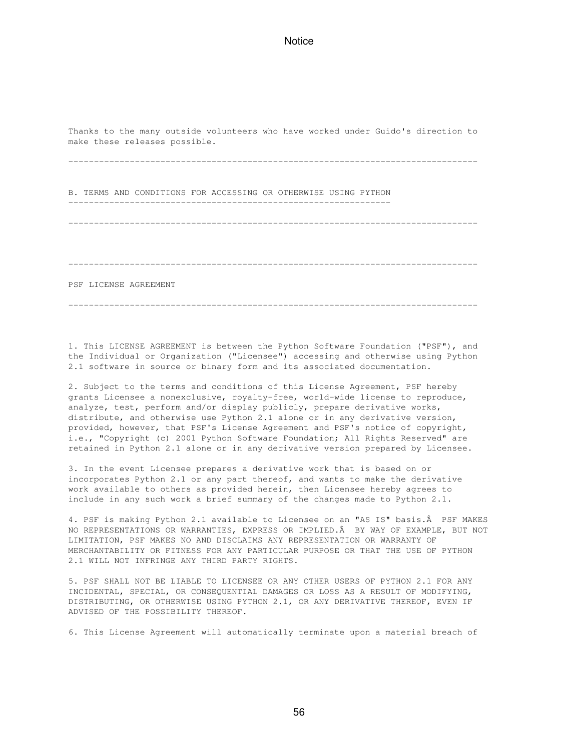Thanks to the many outside volunteers who have worked under Guido's direction to make these releases possible.

--------------------------------------------------------------------------------

B. TERMS AND CONDITIONS FOR ACCESSING OR OTHERWISE USING PYTHON ---------------------------------------------------------------

--------------------------------------------------------------------------------

--------------------------------------------------------------------------------

PSF LICENSE AGREEMENT

--------------------------------------------------------------------------------

1. This LICENSE AGREEMENT is between the Python Software Foundation ("PSF"), and the Individual or Organization ("Licensee") accessing and otherwise using Python 2.1 software in source or binary form and its associated documentation.

2. Subject to the terms and conditions of this License Agreement, PSF hereby grants Licensee a nonexclusive, royalty-free, world-wide license to reproduce, analyze, test, perform and/or display publicly, prepare derivative works, distribute, and otherwise use Python 2.1 alone or in any derivative version, provided, however, that PSF's License Agreement and PSF's notice of copyright, i.e., "Copyright (c) 2001 Python Software Foundation; All Rights Reserved" are retained in Python 2.1 alone or in any derivative version prepared by Licensee.

3. In the event Licensee prepares a derivative work that is based on or incorporates Python 2.1 or any part thereof, and wants to make the derivative work available to others as provided herein, then Licensee hereby agrees to include in any such work a brief summary of the changes made to Python 2.1.

4. PSF is making Python 2.1 available to Licensee on an "AS IS" basis. A PSF MAKES NO REPRESENTATIONS OR WARRANTIES, EXPRESS OR IMPLIED. BY WAY OF EXAMPLE, BUT NOT LIMITATION, PSF MAKES NO AND DISCLAIMS ANY REPRESENTATION OR WARRANTY OF MERCHANTABILITY OR FITNESS FOR ANY PARTICULAR PURPOSE OR THAT THE USE OF PYTHON 2.1 WILL NOT INFRINGE ANY THIRD PARTY RIGHTS.

5. PSF SHALL NOT BE LIABLE TO LICENSEE OR ANY OTHER USERS OF PYTHON 2.1 FOR ANY INCIDENTAL, SPECIAL, OR CONSEQUENTIAL DAMAGES OR LOSS AS A RESULT OF MODIFYING, DISTRIBUTING, OR OTHERWISE USING PYTHON 2.1, OR ANY DERIVATIVE THEREOF, EVEN IF ADVISED OF THE POSSIBILITY THEREOF.

6. This License Agreement will automatically terminate upon a material breach of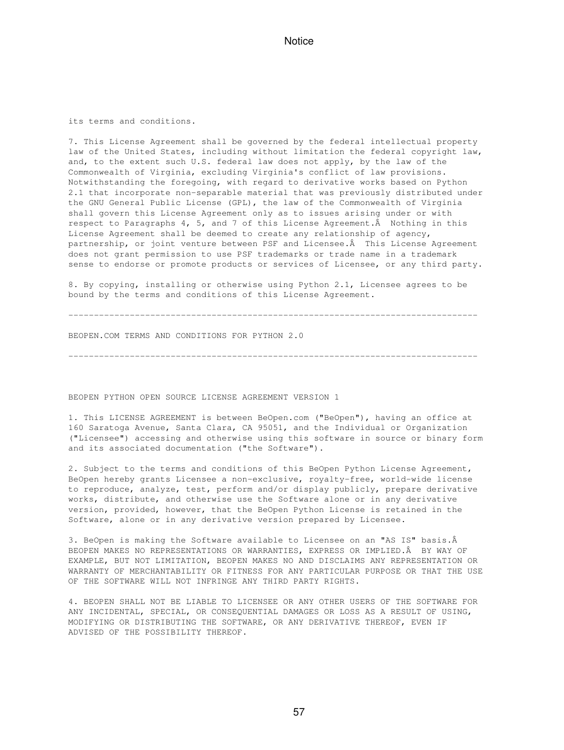its terms and conditions.

7. This License Agreement shall be governed by the federal intellectual property law of the United States, including without limitation the federal copyright law, and, to the extent such U.S. federal law does not apply, by the law of the Commonwealth of Virginia, excluding Virginia's conflict of law provisions. Notwithstanding the foregoing, with regard to derivative works based on Python 2.1 that incorporate non-separable material that was previously distributed under the GNU General Public License (GPL), the law of the Commonwealth of Virginia shall govern this License Agreement only as to issues arising under or with respect to Paragraphs 4, 5, and 7 of this License Agreement.  $\hat{A}$  Nothing in this License Agreement shall be deemed to create any relationship of agency, partnership, or joint venture between PSF and Licensee. A This License Agreement does not grant permission to use PSF trademarks or trade name in a trademark sense to endorse or promote products or services of Licensee, or any third party.

8. By copying, installing or otherwise using Python 2.1, Licensee agrees to be bound by the terms and conditions of this License Agreement.

--------------------------------------------------------------------------------

BEOPEN.COM TERMS AND CONDITIONS FOR PYTHON 2.0

--------------------------------------------------------------------------------

BEOPEN PYTHON OPEN SOURCE LICENSE AGREEMENT VERSION 1

1. This LICENSE AGREEMENT is between BeOpen.com ("BeOpen"), having an office at 160 Saratoga Avenue, Santa Clara, CA 95051, and the Individual or Organization ("Licensee") accessing and otherwise using this software in source or binary form and its associated documentation ("the Software").

2. Subject to the terms and conditions of this BeOpen Python License Agreement, BeOpen hereby grants Licensee a non-exclusive, royalty-free, world-wide license to reproduce, analyze, test, perform and/or display publicly, prepare derivative works, distribute, and otherwise use the Software alone or in any derivative version, provided, however, that the BeOpen Python License is retained in the Software, alone or in any derivative version prepared by Licensee.

3. BeOpen is making the Software available to Licensee on an "AS IS" basis. BEOPEN MAKES NO REPRESENTATIONS OR WARRANTIES, EXPRESS OR IMPLIED. A BY WAY OF EXAMPLE, BUT NOT LIMITATION, BEOPEN MAKES NO AND DISCLAIMS ANY REPRESENTATION OR WARRANTY OF MERCHANTABILITY OR FITNESS FOR ANY PARTICULAR PURPOSE OR THAT THE USE OF THE SOFTWARE WILL NOT INFRINGE ANY THIRD PARTY RIGHTS.

4. BEOPEN SHALL NOT BE LIABLE TO LICENSEE OR ANY OTHER USERS OF THE SOFTWARE FOR ANY INCIDENTAL, SPECIAL, OR CONSEQUENTIAL DAMAGES OR LOSS AS A RESULT OF USING, MODIFYING OR DISTRIBUTING THE SOFTWARE, OR ANY DERIVATIVE THEREOF, EVEN IF ADVISED OF THE POSSIBILITY THEREOF.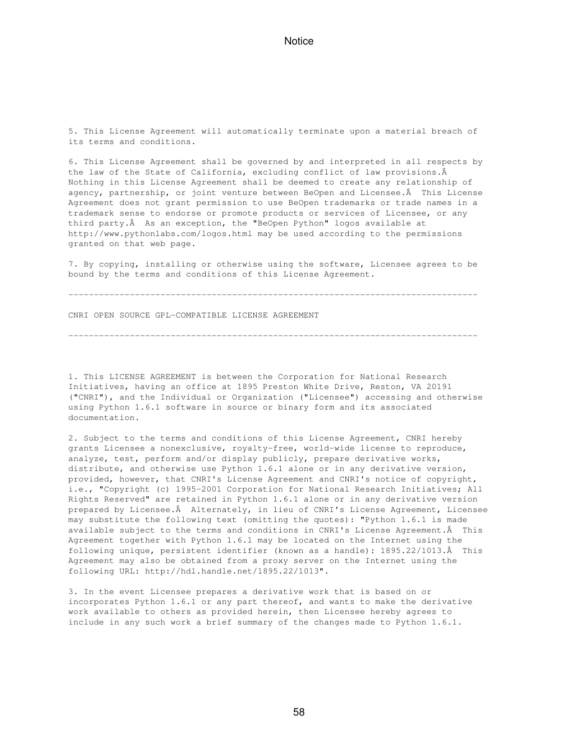5. This License Agreement will automatically terminate upon a material breach of its terms and conditions.

6. This License Agreement shall be governed by and interpreted in all respects by the law of the State of California, excluding conflict of law provisions.  $\hat{A}$ Nothing in this License Agreement shall be deemed to create any relationship of agency, partnership, or joint venture between BeOpen and Licensee. A This License Agreement does not grant permission to use BeOpen trademarks or trade names in a trademark sense to endorse or promote products or services of Licensee, or any third party. A As an exception, the "BeOpen Python" logos available at http://www.pythonlabs.com/logos.html may be used according to the permissions granted on that web page.

7. By copying, installing or otherwise using the software, Licensee agrees to be bound by the terms and conditions of this License Agreement.

--------------------------------------------------------------------------------

--------------------------------------------------------------------------------

CNRI OPEN SOURCE GPL-COMPATIBLE LICENSE AGREEMENT

1. This LICENSE AGREEMENT is between the Corporation for National Research Initiatives, having an office at 1895 Preston White Drive, Reston, VA 20191 ("CNRI"), and the Individual or Organization ("Licensee") accessing and otherwise using Python 1.6.1 software in source or binary form and its associated documentation.

2. Subject to the terms and conditions of this License Agreement, CNRI hereby grants Licensee a nonexclusive, royalty-free, world-wide license to reproduce, analyze, test, perform and/or display publicly, prepare derivative works, distribute, and otherwise use Python 1.6.1 alone or in any derivative version, provided, however, that CNRI's License Agreement and CNRI's notice of copyright, i.e., "Copyright (c) 1995-2001 Corporation for National Research Initiatives; All Rights Reserved" are retained in Python 1.6.1 alone or in any derivative version prepared by Licensee. Alternately, in lieu of CNRI's License Agreement, Licensee may substitute the following text (omitting the quotes): "Python 1.6.1 is made available subject to the terms and conditions in CNRI's License Agreement. A This Agreement together with Python 1.6.1 may be located on the Internet using the following unique, persistent identifier (known as a handle): 1895.22/1013. This Agreement may also be obtained from a proxy server on the Internet using the following URL: http://hdl.handle.net/1895.22/1013".

3. In the event Licensee prepares a derivative work that is based on or incorporates Python 1.6.1 or any part thereof, and wants to make the derivative work available to others as provided herein, then Licensee hereby agrees to include in any such work a brief summary of the changes made to Python 1.6.1.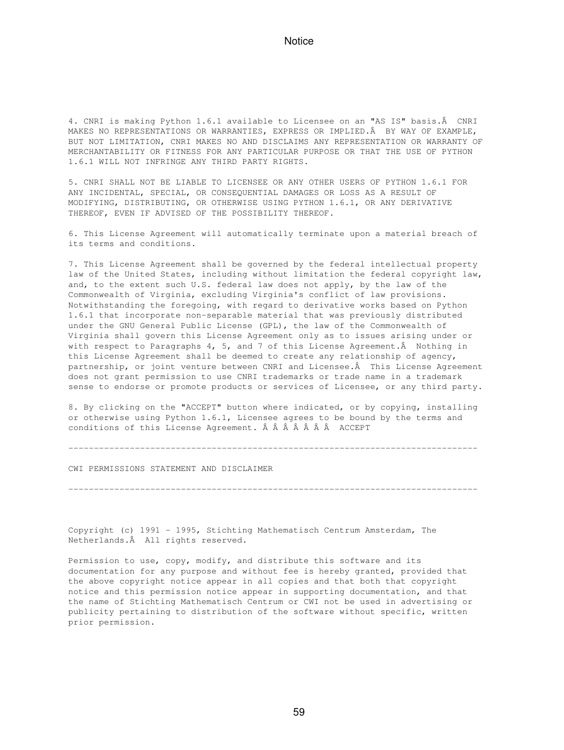4. CNRI is making Python 1.6.1 available to Licensee on an "AS IS" basis. Â CNRI MAKES NO REPRESENTATIONS OR WARRANTIES, EXPRESS OR IMPLIED. BY WAY OF EXAMPLE, BUT NOT LIMITATION, CNRI MAKES NO AND DISCLAIMS ANY REPRESENTATION OR WARRANTY OF MERCHANTABILITY OR FITNESS FOR ANY PARTICULAR PURPOSE OR THAT THE USE OF PYTHON 1.6.1 WILL NOT INFRINGE ANY THIRD PARTY RIGHTS.

5. CNRI SHALL NOT BE LIABLE TO LICENSEE OR ANY OTHER USERS OF PYTHON 1.6.1 FOR ANY INCIDENTAL, SPECIAL, OR CONSEQUENTIAL DAMAGES OR LOSS AS A RESULT OF MODIFYING, DISTRIBUTING, OR OTHERWISE USING PYTHON 1.6.1, OR ANY DERIVATIVE THEREOF, EVEN IF ADVISED OF THE POSSIBILITY THEREOF.

6. This License Agreement will automatically terminate upon a material breach of its terms and conditions.

7. This License Agreement shall be governed by the federal intellectual property law of the United States, including without limitation the federal copyright law, and, to the extent such U.S. federal law does not apply, by the law of the Commonwealth of Virginia, excluding Virginia's conflict of law provisions. Notwithstanding the foregoing, with regard to derivative works based on Python 1.6.1 that incorporate non-separable material that was previously distributed under the GNU General Public License (GPL), the law of the Commonwealth of Virginia shall govern this License Agreement only as to issues arising under or with respect to Paragraphs 4, 5, and 7 of this License Agreement.  $\hat{A}$  Nothing in this License Agreement shall be deemed to create any relationship of agency, partnership, or joint venture between CNRI and Licensee. $\hat{A}$  This License Agreement does not grant permission to use CNRI trademarks or trade name in a trademark sense to endorse or promote products or services of Licensee, or any third party.

8. By clicking on the "ACCEPT" button where indicated, or by copying, installing or otherwise using Python 1.6.1, Licensee agrees to be bound by the terms and conditions of this License Agreement. Â Â Â Â Â Â A ACCEPT

--------------------------------------------------------------------------------

--------------------------------------------------------------------------------

CWI PERMISSIONS STATEMENT AND DISCLAIMER

Copyright (c) 1991 - 1995, Stichting Mathematisch Centrum Amsterdam, The Netherlands. A All rights reserved.

Permission to use, copy, modify, and distribute this software and its documentation for any purpose and without fee is hereby granted, provided that the above copyright notice appear in all copies and that both that copyright notice and this permission notice appear in supporting documentation, and that the name of Stichting Mathematisch Centrum or CWI not be used in advertising or publicity pertaining to distribution of the software without specific, written prior permission.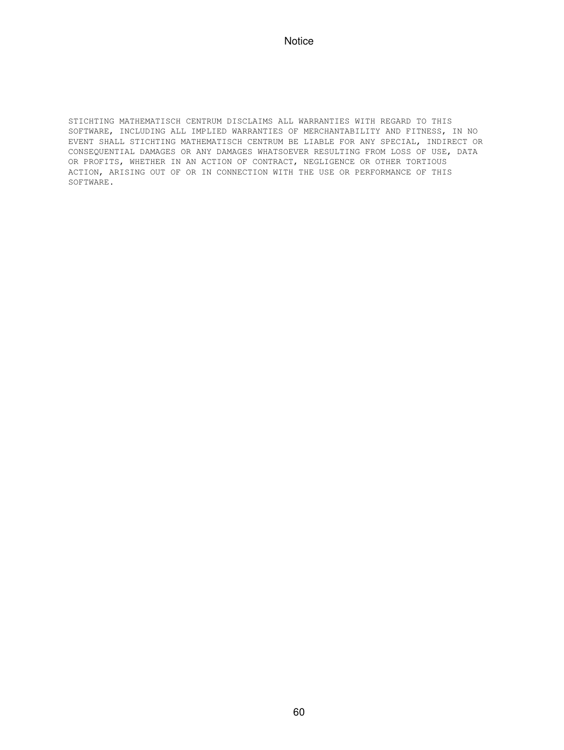STICHTING MATHEMATISCH CENTRUM DISCLAIMS ALL WARRANTIES WITH REGARD TO THIS SOFTWARE, INCLUDING ALL IMPLIED WARRANTIES OF MERCHANTABILITY AND FITNESS, IN NO EVENT SHALL STICHTING MATHEMATISCH CENTRUM BE LIABLE FOR ANY SPECIAL, INDIRECT OR CONSEQUENTIAL DAMAGES OR ANY DAMAGES WHATSOEVER RESULTING FROM LOSS OF USE, DATA OR PROFITS, WHETHER IN AN ACTION OF CONTRACT, NEGLIGENCE OR OTHER TORTIOUS ACTION, ARISING OUT OF OR IN CONNECTION WITH THE USE OR PERFORMANCE OF THIS SOFTWARE.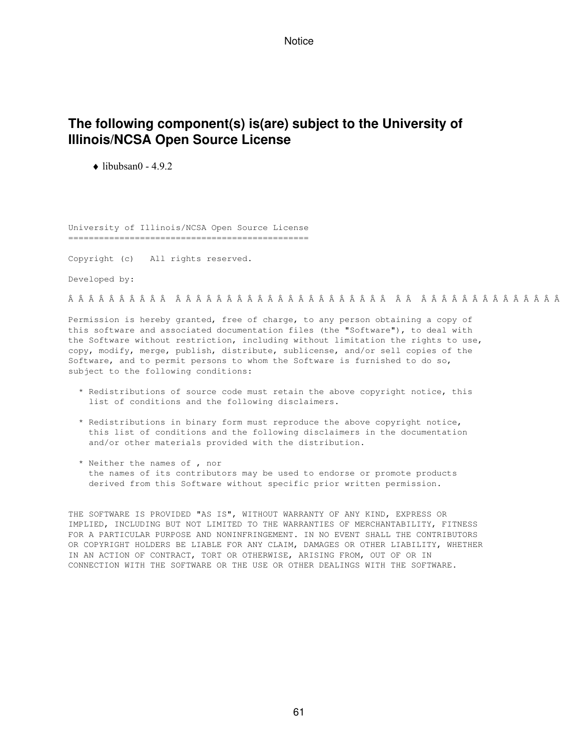## **The following component(s) is(are) subject to the University of Illinois/NCSA Open Source License**

 $\triangle$  libubsan0 - 4.9.2

University of Illinois/NCSA Open Source License ===============================================

Copyright (c) All rights reserved.

Developed by:

Permission is hereby granted, free of charge, to any person obtaining a copy of this software and associated documentation files (the "Software"), to deal with the Software without restriction, including without limitation the rights to use, copy, modify, merge, publish, distribute, sublicense, and/or sell copies of the Software, and to permit persons to whom the Software is furnished to do so, subject to the following conditions:

- \* Redistributions of source code must retain the above copyright notice, this list of conditions and the following disclaimers.
- \* Redistributions in binary form must reproduce the above copyright notice, this list of conditions and the following disclaimers in the documentation and/or other materials provided with the distribution.
- \* Neither the names of , nor the names of its contributors may be used to endorse or promote products derived from this Software without specific prior written permission.

THE SOFTWARE IS PROVIDED "AS IS", WITHOUT WARRANTY OF ANY KIND, EXPRESS OR IMPLIED, INCLUDING BUT NOT LIMITED TO THE WARRANTIES OF MERCHANTABILITY, FITNESS FOR A PARTICULAR PURPOSE AND NONINFRINGEMENT. IN NO EVENT SHALL THE CONTRIBUTORS OR COPYRIGHT HOLDERS BE LIABLE FOR ANY CLAIM, DAMAGES OR OTHER LIABILITY, WHETHER IN AN ACTION OF CONTRACT, TORT OR OTHERWISE, ARISING FROM, OUT OF OR IN CONNECTION WITH THE SOFTWARE OR THE USE OR OTHER DEALINGS WITH THE SOFTWARE.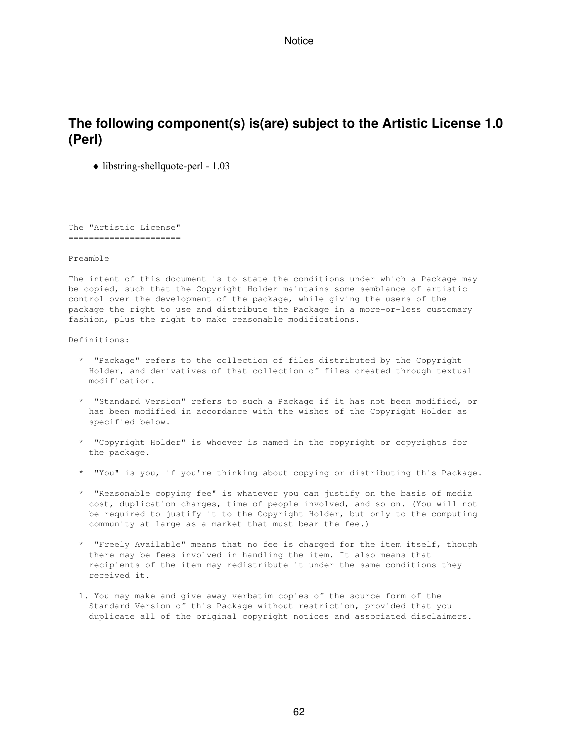## **The following component(s) is(are) subject to the Artistic License 1.0 (Perl)**

♦ libstring-shellquote-perl - 1.03

The "Artistic License" ======================

Preamble

The intent of this document is to state the conditions under which a Package may be copied, such that the Copyright Holder maintains some semblance of artistic control over the development of the package, while giving the users of the package the right to use and distribute the Package in a more-or-less customary fashion, plus the right to make reasonable modifications.

Definitions:

- \* "Package" refers to the collection of files distributed by the Copyright Holder, and derivatives of that collection of files created through textual modification.
- \* "Standard Version" refers to such a Package if it has not been modified, or has been modified in accordance with the wishes of the Copyright Holder as specified below.
- \* "Copyright Holder" is whoever is named in the copyright or copyrights for the package.
- \* "You" is you, if you're thinking about copying or distributing this Package.
- \* "Reasonable copying fee" is whatever you can justify on the basis of media cost, duplication charges, time of people involved, and so on. (You will not be required to justify it to the Copyright Holder, but only to the computing community at large as a market that must bear the fee.)
- \* "Freely Available" means that no fee is charged for the item itself, though there may be fees involved in handling the item. It also means that recipients of the item may redistribute it under the same conditions they received it.
- 1. You may make and give away verbatim copies of the source form of the Standard Version of this Package without restriction, provided that you duplicate all of the original copyright notices and associated disclaimers.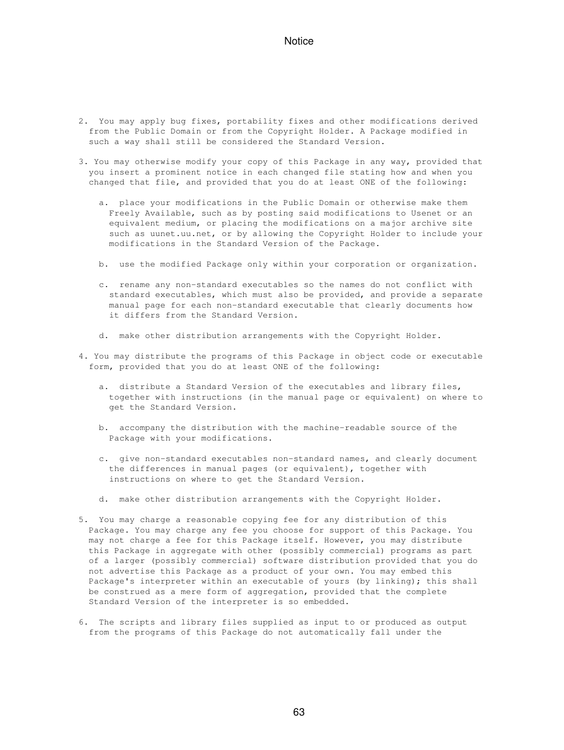- 2. You may apply bug fixes, portability fixes and other modifications derived from the Public Domain or from the Copyright Holder. A Package modified in such a way shall still be considered the Standard Version.
- 3. You may otherwise modify your copy of this Package in any way, provided that you insert a prominent notice in each changed file stating how and when you changed that file, and provided that you do at least ONE of the following:
	- a. place your modifications in the Public Domain or otherwise make them Freely Available, such as by posting said modifications to Usenet or an equivalent medium, or placing the modifications on a major archive site such as uunet.uu.net, or by allowing the Copyright Holder to include your modifications in the Standard Version of the Package.
	- b. use the modified Package only within your corporation or organization.
	- c. rename any non-standard executables so the names do not conflict with standard executables, which must also be provided, and provide a separate manual page for each non-standard executable that clearly documents how it differs from the Standard Version.
	- d. make other distribution arrangements with the Copyright Holder.
- 4. You may distribute the programs of this Package in object code or executable form, provided that you do at least ONE of the following:
	- a. distribute a Standard Version of the executables and library files, together with instructions (in the manual page or equivalent) on where to get the Standard Version.
	- b. accompany the distribution with the machine-readable source of the Package with your modifications.
	- c. give non-standard executables non-standard names, and clearly document the differences in manual pages (or equivalent), together with instructions on where to get the Standard Version.
	- d. make other distribution arrangements with the Copyright Holder.
- 5. You may charge a reasonable copying fee for any distribution of this Package. You may charge any fee you choose for support of this Package. You may not charge a fee for this Package itself. However, you may distribute this Package in aggregate with other (possibly commercial) programs as part of a larger (possibly commercial) software distribution provided that you do not advertise this Package as a product of your own. You may embed this Package's interpreter within an executable of yours (by linking); this shall be construed as a mere form of aggregation, provided that the complete Standard Version of the interpreter is so embedded.
- 6. The scripts and library files supplied as input to or produced as output from the programs of this Package do not automatically fall under the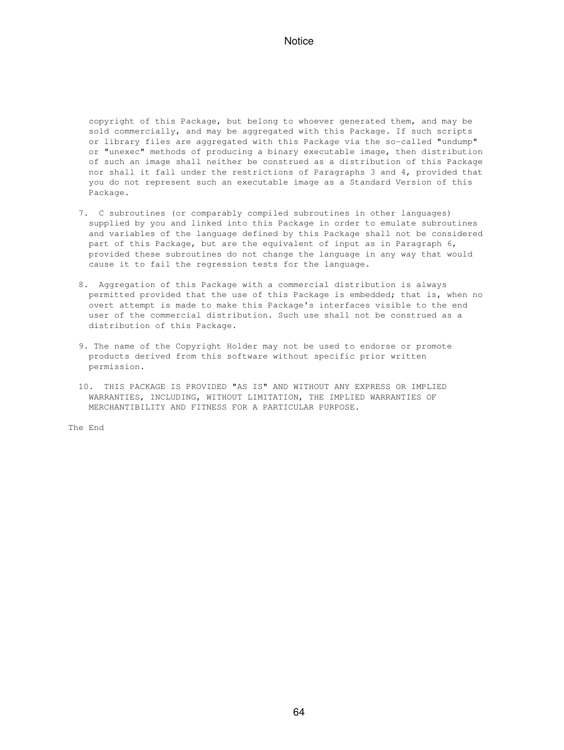copyright of this Package, but belong to whoever generated them, and may be sold commercially, and may be aggregated with this Package. If such scripts or library files are aggregated with this Package via the so-called "undump" or "unexec" methods of producing a binary executable image, then distribution of such an image shall neither be construed as a distribution of this Package nor shall it fall under the restrictions of Paragraphs 3 and 4, provided that you do not represent such an executable image as a Standard Version of this Package.

- 7. C subroutines (or comparably compiled subroutines in other languages) supplied by you and linked into this Package in order to emulate subroutines and variables of the language defined by this Package shall not be considered part of this Package, but are the equivalent of input as in Paragraph 6, provided these subroutines do not change the language in any way that would cause it to fail the regression tests for the language.
- 8. Aggregation of this Package with a commercial distribution is always permitted provided that the use of this Package is embedded; that is, when no overt attempt is made to make this Package's interfaces visible to the end user of the commercial distribution. Such use shall not be construed as a distribution of this Package.
- 9. The name of the Copyright Holder may not be used to endorse or promote products derived from this software without specific prior written permission.
- 10. THIS PACKAGE IS PROVIDED "AS IS" AND WITHOUT ANY EXPRESS OR IMPLIED WARRANTIES, INCLUDING, WITHOUT LIMITATION, THE IMPLIED WARRANTIES OF MERCHANTIBILITY AND FITNESS FOR A PARTICULAR PURPOSE.

The End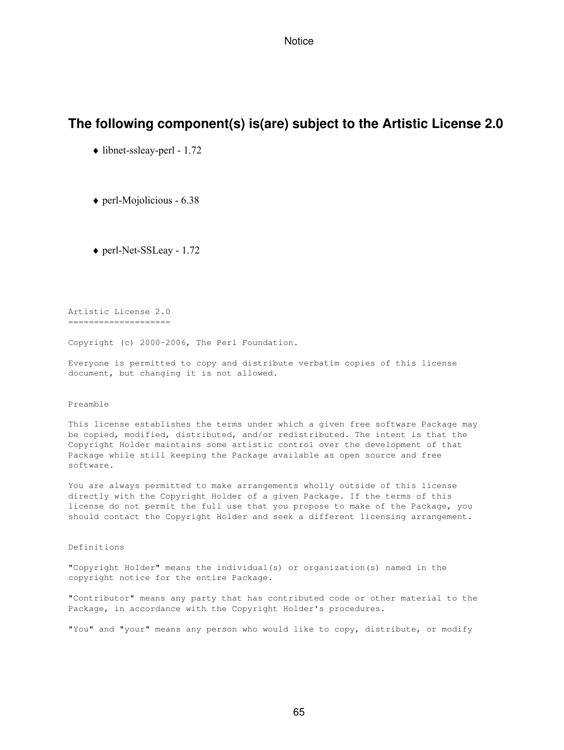### **The following component(s) is(are) subject to the Artistic License 2.0**

- ♦ libnet-ssleay-perl 1.72
- ♦ perl-Mojolicious 6.38
- ♦ perl-Net-SSLeay 1.72

Artistic License 2.0 =====================

Copyright (c) 2000-2006, The Perl Foundation.

Everyone is permitted to copy and distribute verbatim copies of this license document, but changing it is not allowed.

#### Preamble

This license establishes the terms under which a given free software Package may be copied, modified, distributed, and/or redistributed. The intent is that the Copyright Holder maintains some artistic control over the development of that Package while still keeping the Package available as open source and free software.

You are always permitted to make arrangements wholly outside of this license directly with the Copyright Holder of a given Package. If the terms of this license do not permit the full use that you propose to make of the Package, you should contact the Copyright Holder and seek a different licensing arrangement.

#### Definitions

"Copyright Holder" means the individual(s) or organization(s) named in the copyright notice for the entire Package.

"Contributor" means any party that has contributed code or other material to the Package, in accordance with the Copyright Holder's procedures.

"You" and "your" means any person who would like to copy, distribute, or modify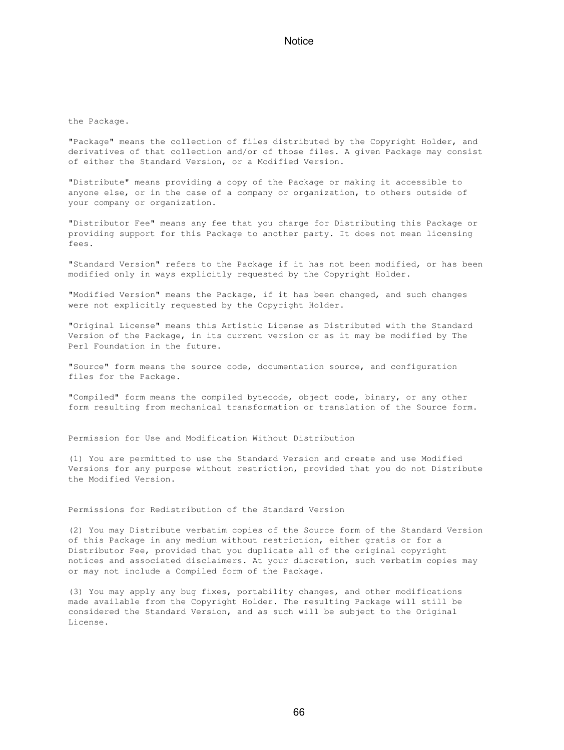#### the Package.

"Package" means the collection of files distributed by the Copyright Holder, and derivatives of that collection and/or of those files. A given Package may consist of either the Standard Version, or a Modified Version.

"Distribute" means providing a copy of the Package or making it accessible to anyone else, or in the case of a company or organization, to others outside of your company or organization.

"Distributor Fee" means any fee that you charge for Distributing this Package or providing support for this Package to another party. It does not mean licensing fees.

"Standard Version" refers to the Package if it has not been modified, or has been modified only in ways explicitly requested by the Copyright Holder.

"Modified Version" means the Package, if it has been changed, and such changes were not explicitly requested by the Copyright Holder.

"Original License" means this Artistic License as Distributed with the Standard Version of the Package, in its current version or as it may be modified by The Perl Foundation in the future.

"Source" form means the source code, documentation source, and configuration files for the Package.

"Compiled" form means the compiled bytecode, object code, binary, or any other form resulting from mechanical transformation or translation of the Source form.

Permission for Use and Modification Without Distribution

(1) You are permitted to use the Standard Version and create and use Modified Versions for any purpose without restriction, provided that you do not Distribute the Modified Version.

Permissions for Redistribution of the Standard Version

(2) You may Distribute verbatim copies of the Source form of the Standard Version of this Package in any medium without restriction, either gratis or for a Distributor Fee, provided that you duplicate all of the original copyright notices and associated disclaimers. At your discretion, such verbatim copies may or may not include a Compiled form of the Package.

(3) You may apply any bug fixes, portability changes, and other modifications made available from the Copyright Holder. The resulting Package will still be considered the Standard Version, and as such will be subject to the Original License.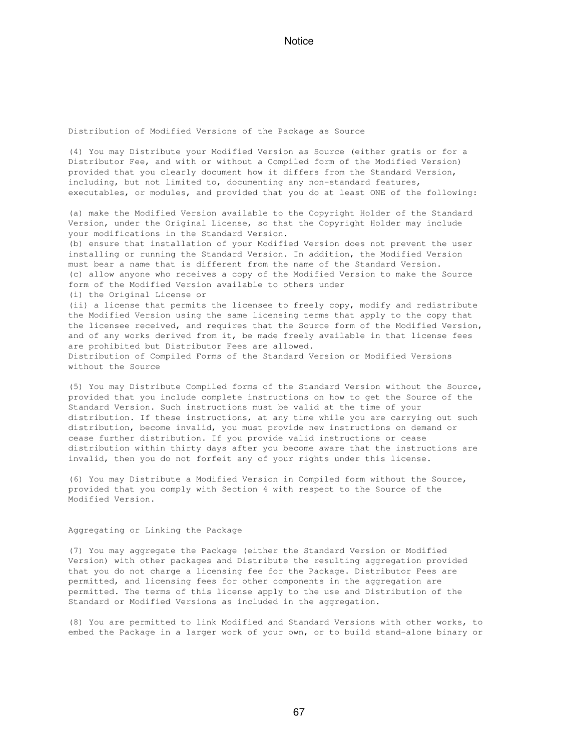Distribution of Modified Versions of the Package as Source

(4) You may Distribute your Modified Version as Source (either gratis or for a Distributor Fee, and with or without a Compiled form of the Modified Version) provided that you clearly document how it differs from the Standard Version, including, but not limited to, documenting any non-standard features, executables, or modules, and provided that you do at least ONE of the following:

(a) make the Modified Version available to the Copyright Holder of the Standard Version, under the Original License, so that the Copyright Holder may include your modifications in the Standard Version.

(b) ensure that installation of your Modified Version does not prevent the user installing or running the Standard Version. In addition, the Modified Version must bear a name that is different from the name of the Standard Version. (c) allow anyone who receives a copy of the Modified Version to make the Source form of the Modified Version available to others under (i) the Original License or (ii) a license that permits the licensee to freely copy, modify and redistribute the Modified Version using the same licensing terms that apply to the copy that the licensee received, and requires that the Source form of the Modified Version,

and of any works derived from it, be made freely available in that license fees are prohibited but Distributor Fees are allowed. Distribution of Compiled Forms of the Standard Version or Modified Versions

without the Source

(5) You may Distribute Compiled forms of the Standard Version without the Source, provided that you include complete instructions on how to get the Source of the Standard Version. Such instructions must be valid at the time of your distribution. If these instructions, at any time while you are carrying out such distribution, become invalid, you must provide new instructions on demand or cease further distribution. If you provide valid instructions or cease distribution within thirty days after you become aware that the instructions are invalid, then you do not forfeit any of your rights under this license.

(6) You may Distribute a Modified Version in Compiled form without the Source, provided that you comply with Section 4 with respect to the Source of the Modified Version.

#### Aggregating or Linking the Package

(7) You may aggregate the Package (either the Standard Version or Modified Version) with other packages and Distribute the resulting aggregation provided that you do not charge a licensing fee for the Package. Distributor Fees are permitted, and licensing fees for other components in the aggregation are permitted. The terms of this license apply to the use and Distribution of the Standard or Modified Versions as included in the aggregation.

(8) You are permitted to link Modified and Standard Versions with other works, to embed the Package in a larger work of your own, or to build stand-alone binary or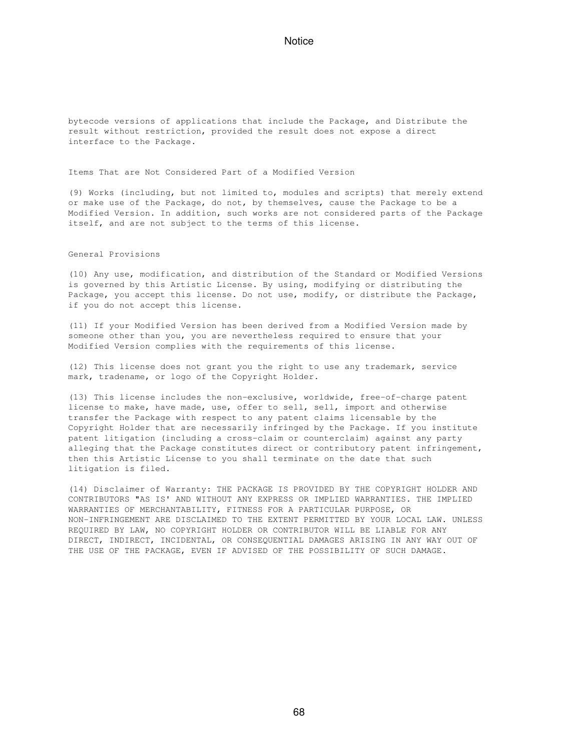bytecode versions of applications that include the Package, and Distribute the result without restriction, provided the result does not expose a direct interface to the Package.

Items That are Not Considered Part of a Modified Version

(9) Works (including, but not limited to, modules and scripts) that merely extend or make use of the Package, do not, by themselves, cause the Package to be a Modified Version. In addition, such works are not considered parts of the Package itself, and are not subject to the terms of this license.

General Provisions

(10) Any use, modification, and distribution of the Standard or Modified Versions is governed by this Artistic License. By using, modifying or distributing the Package, you accept this license. Do not use, modify, or distribute the Package, if you do not accept this license.

(11) If your Modified Version has been derived from a Modified Version made by someone other than you, you are nevertheless required to ensure that your Modified Version complies with the requirements of this license.

(12) This license does not grant you the right to use any trademark, service mark, tradename, or logo of the Copyright Holder.

(13) This license includes the non-exclusive, worldwide, free-of-charge patent license to make, have made, use, offer to sell, sell, import and otherwise transfer the Package with respect to any patent claims licensable by the Copyright Holder that are necessarily infringed by the Package. If you institute patent litigation (including a cross-claim or counterclaim) against any party alleging that the Package constitutes direct or contributory patent infringement, then this Artistic License to you shall terminate on the date that such litigation is filed.

(14) Disclaimer of Warranty: THE PACKAGE IS PROVIDED BY THE COPYRIGHT HOLDER AND CONTRIBUTORS "AS IS' AND WITHOUT ANY EXPRESS OR IMPLIED WARRANTIES. THE IMPLIED WARRANTIES OF MERCHANTABILITY, FITNESS FOR A PARTICULAR PURPOSE, OR NON-INFRINGEMENT ARE DISCLAIMED TO THE EXTENT PERMITTED BY YOUR LOCAL LAW. UNLESS REQUIRED BY LAW, NO COPYRIGHT HOLDER OR CONTRIBUTOR WILL BE LIABLE FOR ANY DIRECT, INDIRECT, INCIDENTAL, OR CONSEQUENTIAL DAMAGES ARISING IN ANY WAY OUT OF THE USE OF THE PACKAGE, EVEN IF ADVISED OF THE POSSIBILITY OF SUCH DAMAGE.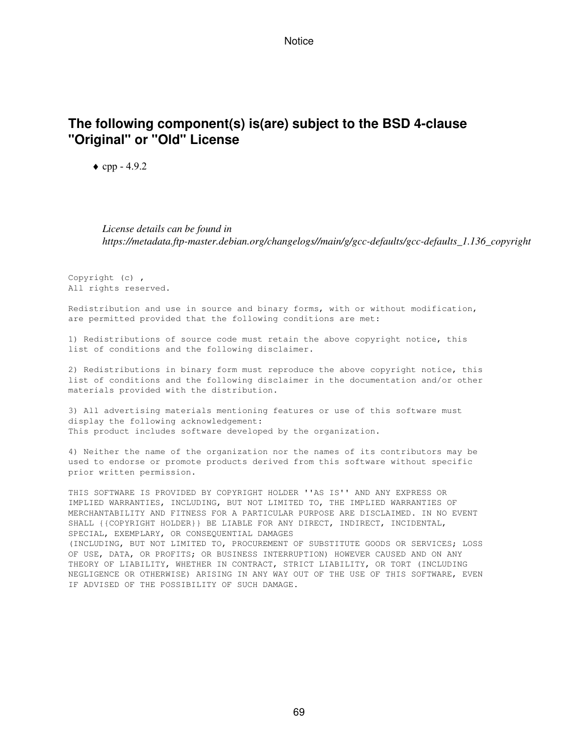## **The following component(s) is(are) subject to the BSD 4-clause "Original" or "Old" License**

 $\bullet$  cpp - 4.9.2

*License details can be found in https://metadata.ftp-master.debian.org/changelogs//main/g/gcc-defaults/gcc-defaults\_1.136\_copyright*

Copyright (c) , All rights reserved.

Redistribution and use in source and binary forms, with or without modification, are permitted provided that the following conditions are met:

1) Redistributions of source code must retain the above copyright notice, this list of conditions and the following disclaimer.

2) Redistributions in binary form must reproduce the above copyright notice, this list of conditions and the following disclaimer in the documentation and/or other materials provided with the distribution.

3) All advertising materials mentioning features or use of this software must display the following acknowledgement: This product includes software developed by the organization.

4) Neither the name of the organization nor the names of its contributors may be used to endorse or promote products derived from this software without specific prior written permission.

THIS SOFTWARE IS PROVIDED BY COPYRIGHT HOLDER ''AS IS'' AND ANY EXPRESS OR IMPLIED WARRANTIES, INCLUDING, BUT NOT LIMITED TO, THE IMPLIED WARRANTIES OF MERCHANTABILITY AND FITNESS FOR A PARTICULAR PURPOSE ARE DISCLAIMED. IN NO EVENT SHALL {{COPYRIGHT HOLDER}} BE LIABLE FOR ANY DIRECT, INDIRECT, INCIDENTAL, SPECIAL, EXEMPLARY, OR CONSEQUENTIAL DAMAGES (INCLUDING, BUT NOT LIMITED TO, PROCUREMENT OF SUBSTITUTE GOODS OR SERVICES; LOSS OF USE, DATA, OR PROFITS; OR BUSINESS INTERRUPTION) HOWEVER CAUSED AND ON ANY THEORY OF LIABILITY, WHETHER IN CONTRACT, STRICT LIABILITY, OR TORT (INCLUDING NEGLIGENCE OR OTHERWISE) ARISING IN ANY WAY OUT OF THE USE OF THIS SOFTWARE, EVEN IF ADVISED OF THE POSSIBILITY OF SUCH DAMAGE.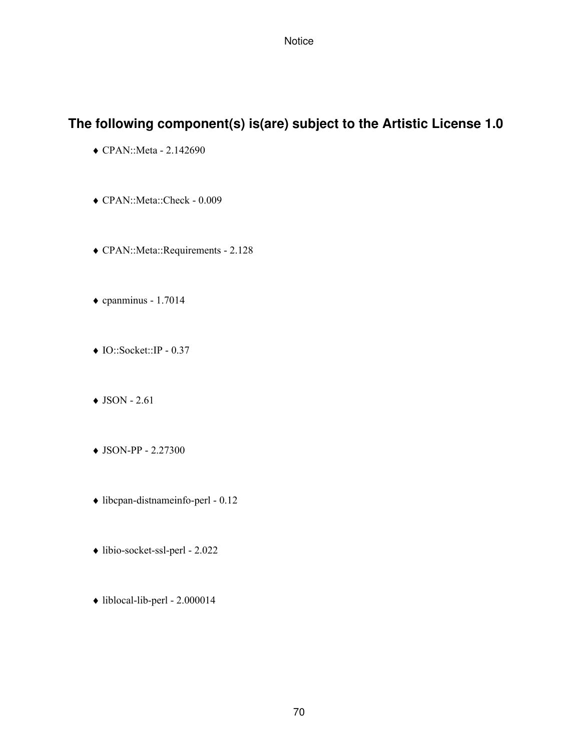## **The following component(s) is(are) subject to the Artistic License 1.0**

- ♦ CPAN::Meta 2.142690
- ♦ CPAN::Meta::Check 0.009
- ♦ CPAN::Meta::Requirements 2.128
- $\bullet$  cpanminus 1.7014
- ♦ IO::Socket::IP 0.37
- $\triangleleft$  JSON 2.61
- ♦ JSON-PP 2.27300
- ♦ libcpan-distnameinfo-perl 0.12
- ♦ libio-socket-ssl-perl 2.022
- ♦ liblocal-lib-perl 2.000014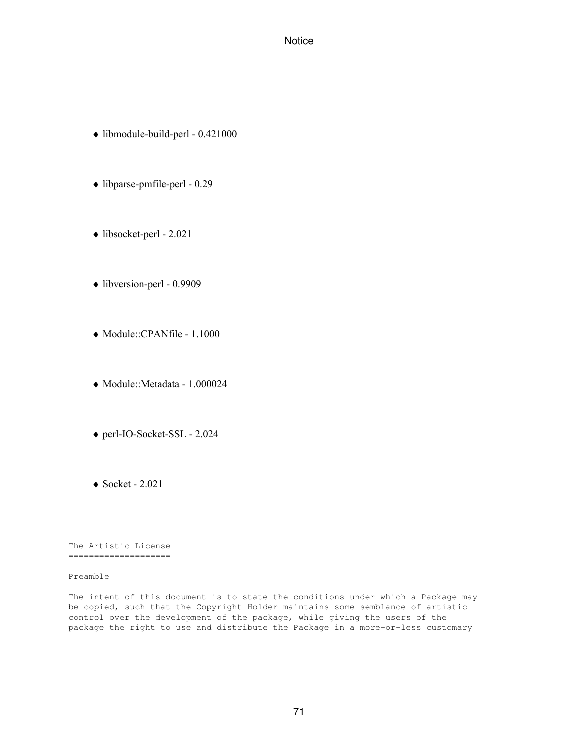- ♦ libmodule-build-perl 0.421000
- ♦ libparse-pmfile-perl 0.29
- ♦ libsocket-perl 2.021
- ♦ libversion-perl 0.9909
- ♦ Module::CPANfile 1.1000
- ♦ Module::Metadata 1.000024
- ♦ perl-IO-Socket-SSL 2.024
- $\triangleleft$  Socket 2.021

The Artistic License ====================

Preamble

The intent of this document is to state the conditions under which a Package may be copied, such that the Copyright Holder maintains some semblance of artistic control over the development of the package, while giving the users of the package the right to use and distribute the Package in a more-or-less customary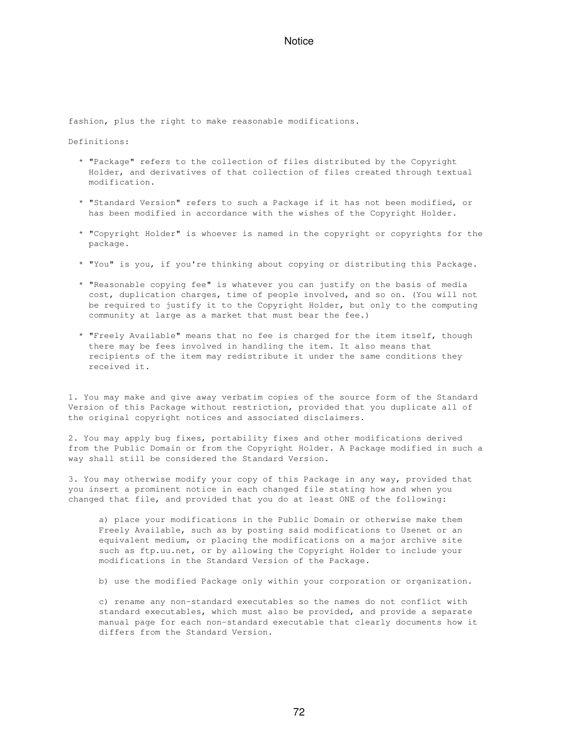fashion, plus the right to make reasonable modifications.

Definitions:

- \* "Package" refers to the collection of files distributed by the Copyright Holder, and derivatives of that collection of files created through textual modification.
- \* "Standard Version" refers to such a Package if it has not been modified, or has been modified in accordance with the wishes of the Copyright Holder.
- \* "Copyright Holder" is whoever is named in the copyright or copyrights for the package.
- \* "You" is you, if you're thinking about copying or distributing this Package.
- \* "Reasonable copying fee" is whatever you can justify on the basis of media cost, duplication charges, time of people involved, and so on. (You will not be required to justify it to the Copyright Holder, but only to the computing community at large as a market that must bear the fee.)
- \* "Freely Available" means that no fee is charged for the item itself, though there may be fees involved in handling the item. It also means that recipients of the item may redistribute it under the same conditions they received it.

1. You may make and give away verbatim copies of the source form of the Standard Version of this Package without restriction, provided that you duplicate all of the original copyright notices and associated disclaimers.

2. You may apply bug fixes, portability fixes and other modifications derived from the Public Domain or from the Copyright Holder. A Package modified in such a way shall still be considered the Standard Version.

3. You may otherwise modify your copy of this Package in any way, provided that you insert a prominent notice in each changed file stating how and when you changed that file, and provided that you do at least ONE of the following:

 a) place your modifications in the Public Domain or otherwise make them Freely Available, such as by posting said modifications to Usenet or an equivalent medium, or placing the modifications on a major archive site such as ftp.uu.net, or by allowing the Copyright Holder to include your modifications in the Standard Version of the Package.

b) use the modified Package only within your corporation or organization.

 c) rename any non-standard executables so the names do not conflict with standard executables, which must also be provided, and provide a separate manual page for each non-standard executable that clearly documents how it differs from the Standard Version.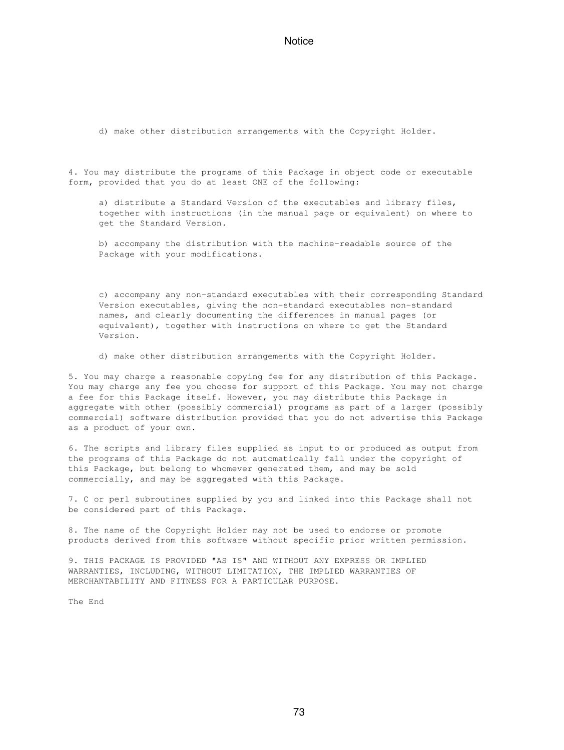d) make other distribution arrangements with the Copyright Holder.

4. You may distribute the programs of this Package in object code or executable form, provided that you do at least ONE of the following:

 a) distribute a Standard Version of the executables and library files, together with instructions (in the manual page or equivalent) on where to get the Standard Version.

 b) accompany the distribution with the machine-readable source of the Package with your modifications.

 c) accompany any non-standard executables with their corresponding Standard Version executables, giving the non-standard executables non-standard names, and clearly documenting the differences in manual pages (or equivalent), together with instructions on where to get the Standard Version.

d) make other distribution arrangements with the Copyright Holder.

5. You may charge a reasonable copying fee for any distribution of this Package. You may charge any fee you choose for support of this Package. You may not charge a fee for this Package itself. However, you may distribute this Package in aggregate with other (possibly commercial) programs as part of a larger (possibly commercial) software distribution provided that you do not advertise this Package as a product of your own.

6. The scripts and library files supplied as input to or produced as output from the programs of this Package do not automatically fall under the copyright of this Package, but belong to whomever generated them, and may be sold commercially, and may be aggregated with this Package.

7. C or perl subroutines supplied by you and linked into this Package shall not be considered part of this Package.

8. The name of the Copyright Holder may not be used to endorse or promote products derived from this software without specific prior written permission.

9. THIS PACKAGE IS PROVIDED "AS IS" AND WITHOUT ANY EXPRESS OR IMPLIED WARRANTIES, INCLUDING, WITHOUT LIMITATION, THE IMPLIED WARRANTIES OF MERCHANTABILITY AND FITNESS FOR A PARTICULAR PURPOSE.

The End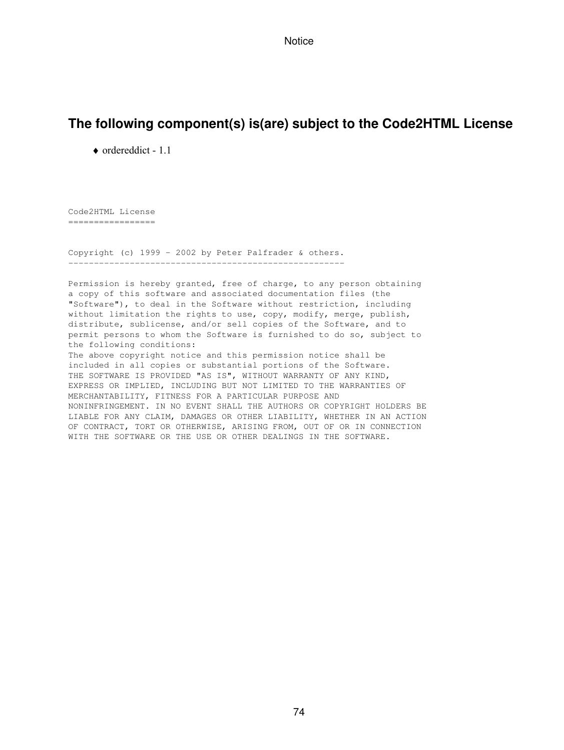# **The following component(s) is(are) subject to the Code2HTML License**

♦ ordereddict - 1.1

Code2HTML License =================

Copyright (c) 1999 - 2002 by Peter Palfrader & others. ------------------------------------------------------

Permission is hereby granted, free of charge, to any person obtaining a copy of this software and associated documentation files (the "Software"), to deal in the Software without restriction, including without limitation the rights to use, copy, modify, merge, publish, distribute, sublicense, and/or sell copies of the Software, and to permit persons to whom the Software is furnished to do so, subject to the following conditions:

The above copyright notice and this permission notice shall be included in all copies or substantial portions of the Software. THE SOFTWARE IS PROVIDED "AS IS", WITHOUT WARRANTY OF ANY KIND, EXPRESS OR IMPLIED, INCLUDING BUT NOT LIMITED TO THE WARRANTIES OF MERCHANTABILITY, FITNESS FOR A PARTICULAR PURPOSE AND NONINFRINGEMENT. IN NO EVENT SHALL THE AUTHORS OR COPYRIGHT HOLDERS BE LIABLE FOR ANY CLAIM, DAMAGES OR OTHER LIABILITY, WHETHER IN AN ACTION OF CONTRACT, TORT OR OTHERWISE, ARISING FROM, OUT OF OR IN CONNECTION WITH THE SOFTWARE OR THE USE OR OTHER DEALINGS IN THE SOFTWARE.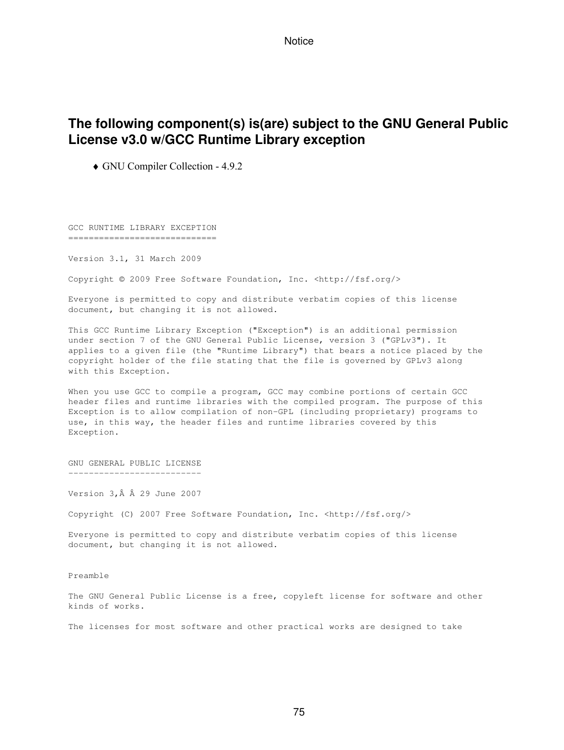# **The following component(s) is(are) subject to the GNU General Public License v3.0 w/GCC Runtime Library exception**

♦ GNU Compiler Collection - 4.9.2

GCC RUNTIME LIBRARY EXCEPTION =============================

Version 3.1, 31 March 2009

Copyright © 2009 Free Software Foundation, Inc. <http://fsf.org/>

Everyone is permitted to copy and distribute verbatim copies of this license document, but changing it is not allowed.

This GCC Runtime Library Exception ("Exception") is an additional permission under section 7 of the GNU General Public License, version 3 ("GPLv3"). It applies to a given file (the "Runtime Library") that bears a notice placed by the copyright holder of the file stating that the file is governed by GPLv3 along with this Exception.

When you use GCC to compile a program, GCC may combine portions of certain GCC header files and runtime libraries with the compiled program. The purpose of this Exception is to allow compilation of non-GPL (including proprietary) programs to use, in this way, the header files and runtime libraries covered by this Exception.

GNU GENERAL PUBLIC LICENSE --------------------------

Version 3, Â Â 29 June 2007

Copyright (C) 2007 Free Software Foundation, Inc. <http://fsf.org/>

Everyone is permitted to copy and distribute verbatim copies of this license document, but changing it is not allowed.

Preamble

The GNU General Public License is a free, copyleft license for software and other kinds of works.

The licenses for most software and other practical works are designed to take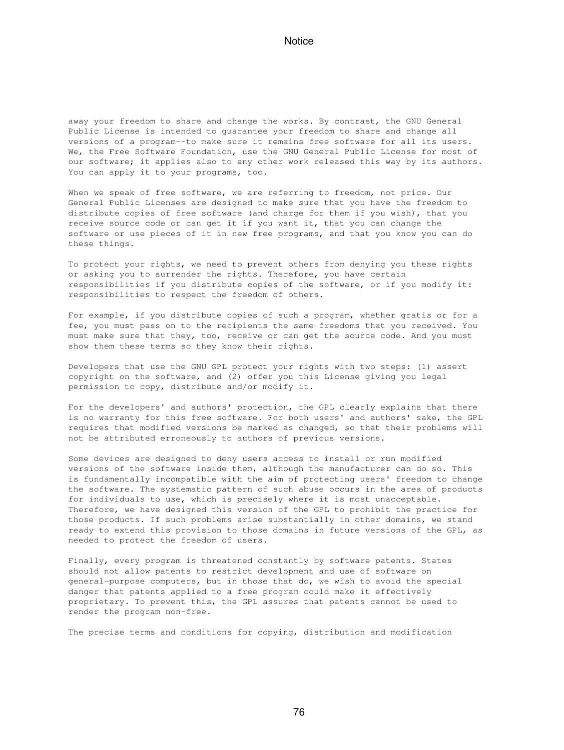away your freedom to share and change the works. By contrast, the GNU General Public License is intended to guarantee your freedom to share and change all versions of a program--to make sure it remains free software for all its users. We, the Free Software Foundation, use the GNU General Public License for most of our software; it applies also to any other work released this way by its authors. You can apply it to your programs, too.

When we speak of free software, we are referring to freedom, not price. Our General Public Licenses are designed to make sure that you have the freedom to distribute copies of free software (and charge for them if you wish), that you receive source code or can get it if you want it, that you can change the software or use pieces of it in new free programs, and that you know you can do these things.

To protect your rights, we need to prevent others from denying you these rights or asking you to surrender the rights. Therefore, you have certain responsibilities if you distribute copies of the software, or if you modify it: responsibilities to respect the freedom of others.

For example, if you distribute copies of such a program, whether gratis or for a fee, you must pass on to the recipients the same freedoms that you received. You must make sure that they, too, receive or can get the source code. And you must show them these terms so they know their rights.

Developers that use the GNU GPL protect your rights with two steps: (1) assert copyright on the software, and (2) offer you this License giving you legal permission to copy, distribute and/or modify it.

For the developers' and authors' protection, the GPL clearly explains that there is no warranty for this free software. For both users' and authors' sake, the GPL requires that modified versions be marked as changed, so that their problems will not be attributed erroneously to authors of previous versions.

Some devices are designed to deny users access to install or run modified versions of the software inside them, although the manufacturer can do so. This is fundamentally incompatible with the aim of protecting users' freedom to change the software. The systematic pattern of such abuse occurs in the area of products for individuals to use, which is precisely where it is most unacceptable. Therefore, we have designed this version of the GPL to prohibit the practice for those products. If such problems arise substantially in other domains, we stand ready to extend this provision to those domains in future versions of the GPL, as needed to protect the freedom of users.

Finally, every program is threatened constantly by software patents. States should not allow patents to restrict development and use of software on general-purpose computers, but in those that do, we wish to avoid the special danger that patents applied to a free program could make it effectively proprietary. To prevent this, the GPL assures that patents cannot be used to render the program non-free.

The precise terms and conditions for copying, distribution and modification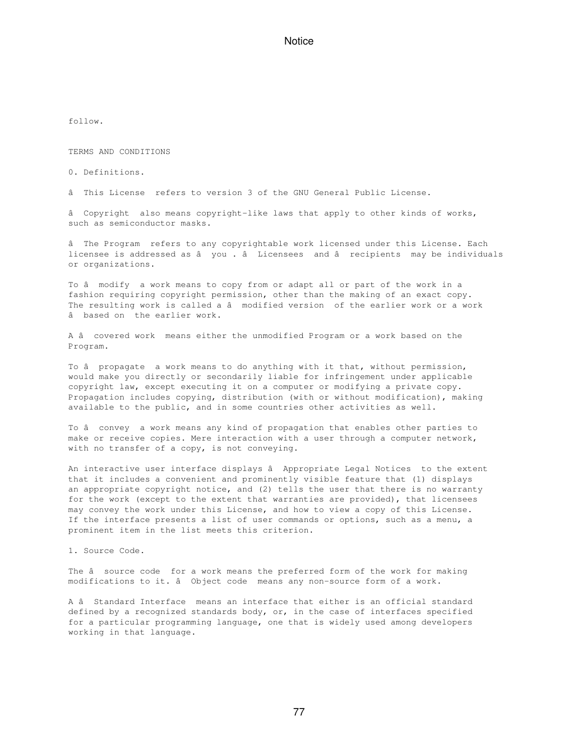follow.

TERMS AND CONDITIONS

0. Definitions.

âThis License refers to version 3 of the GNU General Public License.

â Copyright also means copyright-like laws that apply to other kinds of works, such as semiconductor masks.

âThe Program refers to any copyrightable work licensed under this License. Each licensee is addressed as â you . â Licensees and â recipients may be individuals or organizations.

To â modify a work means to copy from or adapt all or part of the work in a fashion requiring copyright permission, other than the making of an exact copy. The resulting work is called a â modified version of the earlier work or a work âbased on the earlier work.

A âcovered work means either the unmodified Program or a work based on the Program.

To â propagate a work means to do anything with it that, without permission, would make you directly or secondarily liable for infringement under applicable copyright law, except executing it on a computer or modifying a private copy. Propagation includes copying, distribution (with or without modification), making available to the public, and in some countries other activities as well.

To â convey a work means any kind of propagation that enables other parties to make or receive copies. Mere interaction with a user through a computer network, with no transfer of a copy, is not conveying.

An interactive user interface displays â Appropriate Legal Notices to the extent that it includes a convenient and prominently visible feature that (1) displays an appropriate copyright notice, and (2) tells the user that there is no warranty for the work (except to the extent that warranties are provided), that licensees may convey the work under this License, and how to view a copy of this License. If the interface presents a list of user commands or options, such as a menu, a prominent item in the list meets this criterion.

1. Source Code.

The â source code for a work means the preferred form of the work for making modifications to it. â Object code means any non-source form of a work.

A â Standard Interface means an interface that either is an official standard defined by a recognized standards body, or, in the case of interfaces specified for a particular programming language, one that is widely used among developers working in that language.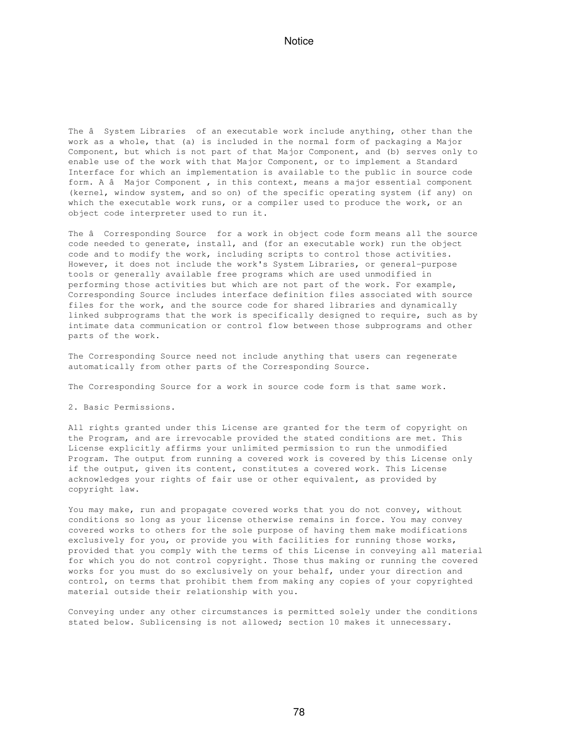The â System Libraries of an executable work include anything, other than the work as a whole, that (a) is included in the normal form of packaging a Major Component, but which is not part of that Major Component, and (b) serves only to enable use of the work with that Major Component, or to implement a Standard Interface for which an implementation is available to the public in source code form. A â Major Component, in this context, means a major essential component (kernel, window system, and so on) of the specific operating system (if any) on which the executable work runs, or a compiler used to produce the work, or an object code interpreter used to run it.

The â Corresponding Source for a work in object code form means all the source code needed to generate, install, and (for an executable work) run the object code and to modify the work, including scripts to control those activities. However, it does not include the work's System Libraries, or general-purpose tools or generally available free programs which are used unmodified in performing those activities but which are not part of the work. For example, Corresponding Source includes interface definition files associated with source files for the work, and the source code for shared libraries and dynamically linked subprograms that the work is specifically designed to require, such as by intimate data communication or control flow between those subprograms and other parts of the work.

The Corresponding Source need not include anything that users can regenerate automatically from other parts of the Corresponding Source.

The Corresponding Source for a work in source code form is that same work.

2. Basic Permissions.

All rights granted under this License are granted for the term of copyright on the Program, and are irrevocable provided the stated conditions are met. This License explicitly affirms your unlimited permission to run the unmodified Program. The output from running a covered work is covered by this License only if the output, given its content, constitutes a covered work. This License acknowledges your rights of fair use or other equivalent, as provided by copyright law.

You may make, run and propagate covered works that you do not convey, without conditions so long as your license otherwise remains in force. You may convey covered works to others for the sole purpose of having them make modifications exclusively for you, or provide you with facilities for running those works, provided that you comply with the terms of this License in conveying all material for which you do not control copyright. Those thus making or running the covered works for you must do so exclusively on your behalf, under your direction and control, on terms that prohibit them from making any copies of your copyrighted material outside their relationship with you.

Conveying under any other circumstances is permitted solely under the conditions stated below. Sublicensing is not allowed; section 10 makes it unnecessary.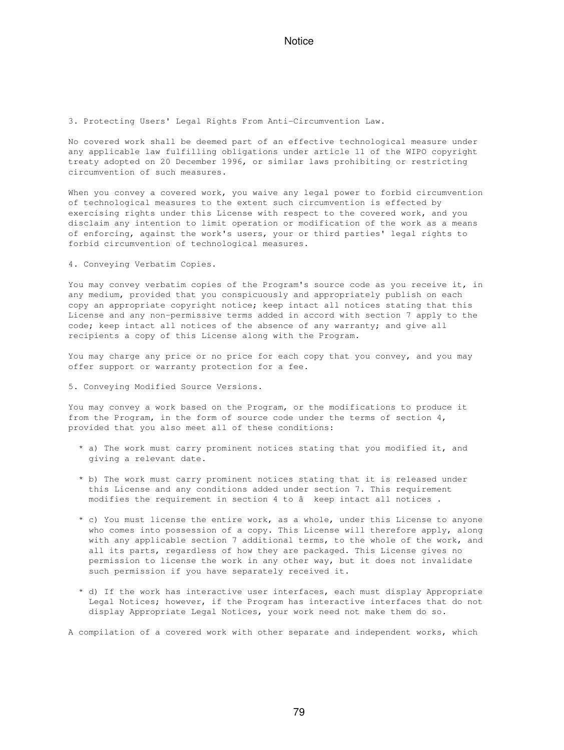3. Protecting Users' Legal Rights From Anti-Circumvention Law.

No covered work shall be deemed part of an effective technological measure under any applicable law fulfilling obligations under article 11 of the WIPO copyright treaty adopted on 20 December 1996, or similar laws prohibiting or restricting circumvention of such measures.

When you convey a covered work, you waive any legal power to forbid circumvention of technological measures to the extent such circumvention is effected by exercising rights under this License with respect to the covered work, and you disclaim any intention to limit operation or modification of the work as a means of enforcing, against the work's users, your or third parties' legal rights to forbid circumvention of technological measures.

4. Conveying Verbatim Copies.

You may convey verbatim copies of the Program's source code as you receive it, in any medium, provided that you conspicuously and appropriately publish on each copy an appropriate copyright notice; keep intact all notices stating that this License and any non-permissive terms added in accord with section 7 apply to the code; keep intact all notices of the absence of any warranty; and give all recipients a copy of this License along with the Program.

You may charge any price or no price for each copy that you convey, and you may offer support or warranty protection for a fee.

5. Conveying Modified Source Versions.

You may convey a work based on the Program, or the modifications to produce it from the Program, in the form of source code under the terms of section 4, provided that you also meet all of these conditions:

- \* a) The work must carry prominent notices stating that you modified it, and giving a relevant date.
- \* b) The work must carry prominent notices stating that it is released under this License and any conditions added under section 7. This requirement modifies the requirement in section 4 to â keep intact all notices.
- \* c) You must license the entire work, as a whole, under this License to anyone who comes into possession of a copy. This License will therefore apply, along with any applicable section 7 additional terms, to the whole of the work, and all its parts, regardless of how they are packaged. This License gives no permission to license the work in any other way, but it does not invalidate such permission if you have separately received it.
- \* d) If the work has interactive user interfaces, each must display Appropriate Legal Notices; however, if the Program has interactive interfaces that do not display Appropriate Legal Notices, your work need not make them do so.

A compilation of a covered work with other separate and independent works, which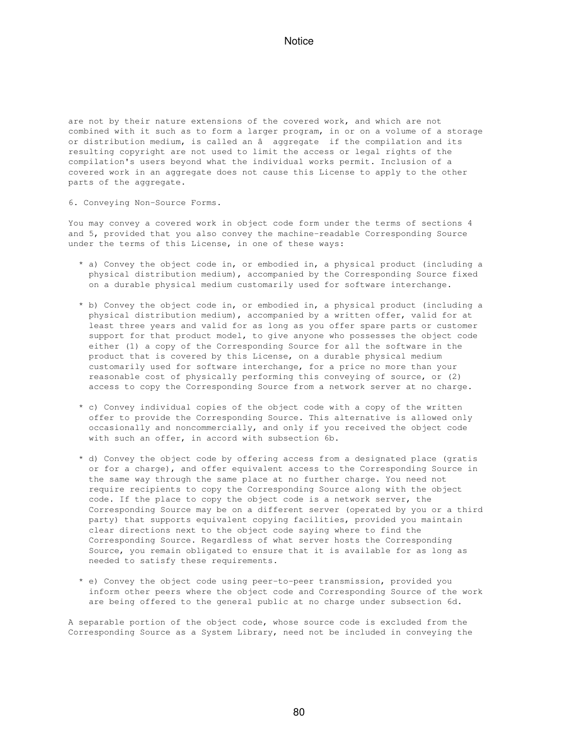are not by their nature extensions of the covered work, and which are not combined with it such as to form a larger program, in or on a volume of a storage or distribution medium, is called an â aggregate if the compilation and its resulting copyright are not used to limit the access or legal rights of the compilation's users beyond what the individual works permit. Inclusion of a covered work in an aggregate does not cause this License to apply to the other parts of the aggregate.

6. Conveying Non-Source Forms.

You may convey a covered work in object code form under the terms of sections 4 and 5, provided that you also convey the machine-readable Corresponding Source under the terms of this License, in one of these ways:

- \* a) Convey the object code in, or embodied in, a physical product (including a physical distribution medium), accompanied by the Corresponding Source fixed on a durable physical medium customarily used for software interchange.
- \* b) Convey the object code in, or embodied in, a physical product (including a physical distribution medium), accompanied by a written offer, valid for at least three years and valid for as long as you offer spare parts or customer support for that product model, to give anyone who possesses the object code either (1) a copy of the Corresponding Source for all the software in the product that is covered by this License, on a durable physical medium customarily used for software interchange, for a price no more than your reasonable cost of physically performing this conveying of source, or (2) access to copy the Corresponding Source from a network server at no charge.
- \* c) Convey individual copies of the object code with a copy of the written offer to provide the Corresponding Source. This alternative is allowed only occasionally and noncommercially, and only if you received the object code with such an offer, in accord with subsection 6b.
- \* d) Convey the object code by offering access from a designated place (gratis or for a charge), and offer equivalent access to the Corresponding Source in the same way through the same place at no further charge. You need not require recipients to copy the Corresponding Source along with the object code. If the place to copy the object code is a network server, the Corresponding Source may be on a different server (operated by you or a third party) that supports equivalent copying facilities, provided you maintain clear directions next to the object code saying where to find the Corresponding Source. Regardless of what server hosts the Corresponding Source, you remain obligated to ensure that it is available for as long as needed to satisfy these requirements.
- \* e) Convey the object code using peer-to-peer transmission, provided you inform other peers where the object code and Corresponding Source of the work are being offered to the general public at no charge under subsection 6d.

A separable portion of the object code, whose source code is excluded from the Corresponding Source as a System Library, need not be included in conveying the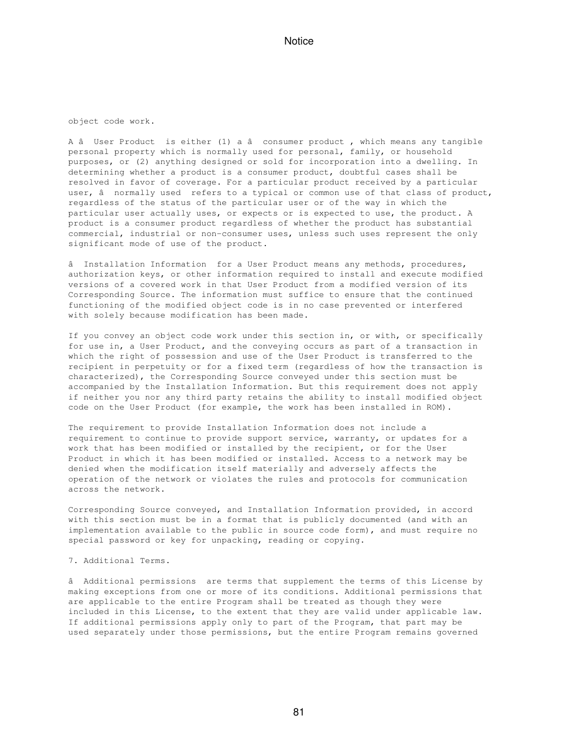object code work.

A â User Product is either (1) a â consumer product, which means any tangible personal property which is normally used for personal, family, or household purposes, or (2) anything designed or sold for incorporation into a dwelling. In determining whether a product is a consumer product, doubtful cases shall be resolved in favor of coverage. For a particular product received by a particular user, â normally used refers to a typical or common use of that class of product, regardless of the status of the particular user or of the way in which the particular user actually uses, or expects or is expected to use, the product. A product is a consumer product regardless of whether the product has substantial commercial, industrial or non-consumer uses, unless such uses represent the only significant mode of use of the product.

â Installation Information for a User Product means any methods, procedures, authorization keys, or other information required to install and execute modified versions of a covered work in that User Product from a modified version of its Corresponding Source. The information must suffice to ensure that the continued functioning of the modified object code is in no case prevented or interfered with solely because modification has been made.

If you convey an object code work under this section in, or with, or specifically for use in, a User Product, and the conveying occurs as part of a transaction in which the right of possession and use of the User Product is transferred to the recipient in perpetuity or for a fixed term (regardless of how the transaction is characterized), the Corresponding Source conveyed under this section must be accompanied by the Installation Information. But this requirement does not apply if neither you nor any third party retains the ability to install modified object code on the User Product (for example, the work has been installed in ROM).

The requirement to provide Installation Information does not include a requirement to continue to provide support service, warranty, or updates for a work that has been modified or installed by the recipient, or for the User Product in which it has been modified or installed. Access to a network may be denied when the modification itself materially and adversely affects the operation of the network or violates the rules and protocols for communication across the network.

Corresponding Source conveyed, and Installation Information provided, in accord with this section must be in a format that is publicly documented (and with an implementation available to the public in source code form), and must require no special password or key for unpacking, reading or copying.

#### 7. Additional Terms.

âAdditional permissions are terms that supplement the terms of this License by making exceptions from one or more of its conditions. Additional permissions that are applicable to the entire Program shall be treated as though they were included in this License, to the extent that they are valid under applicable law. If additional permissions apply only to part of the Program, that part may be used separately under those permissions, but the entire Program remains governed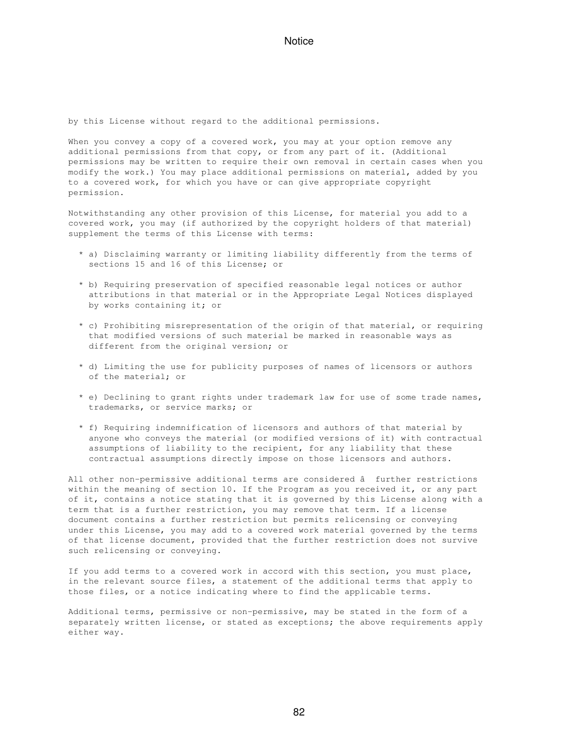by this License without regard to the additional permissions.

When you convey a copy of a covered work, you may at your option remove any additional permissions from that copy, or from any part of it. (Additional permissions may be written to require their own removal in certain cases when you modify the work.) You may place additional permissions on material, added by you to a covered work, for which you have or can give appropriate copyright permission.

Notwithstanding any other provision of this License, for material you add to a covered work, you may (if authorized by the copyright holders of that material) supplement the terms of this License with terms:

- \* a) Disclaiming warranty or limiting liability differently from the terms of sections 15 and 16 of this License; or
- \* b) Requiring preservation of specified reasonable legal notices or author attributions in that material or in the Appropriate Legal Notices displayed by works containing it; or
- \* c) Prohibiting misrepresentation of the origin of that material, or requiring that modified versions of such material be marked in reasonable ways as different from the original version; or
- \* d) Limiting the use for publicity purposes of names of licensors or authors of the material; or
- \* e) Declining to grant rights under trademark law for use of some trade names, trademarks, or service marks; or
- \* f) Requiring indemnification of licensors and authors of that material by anyone who conveys the material (or modified versions of it) with contractual assumptions of liability to the recipient, for any liability that these contractual assumptions directly impose on those licensors and authors.

All other non-permissive additional terms are considered â further restrictions within the meaning of section 10. If the Program as you received it, or any part of it, contains a notice stating that it is governed by this License along with a term that is a further restriction, you may remove that term. If a license document contains a further restriction but permits relicensing or conveying under this License, you may add to a covered work material governed by the terms of that license document, provided that the further restriction does not survive such relicensing or conveying.

If you add terms to a covered work in accord with this section, you must place, in the relevant source files, a statement of the additional terms that apply to those files, or a notice indicating where to find the applicable terms.

Additional terms, permissive or non-permissive, may be stated in the form of a separately written license, or stated as exceptions; the above requirements apply either way.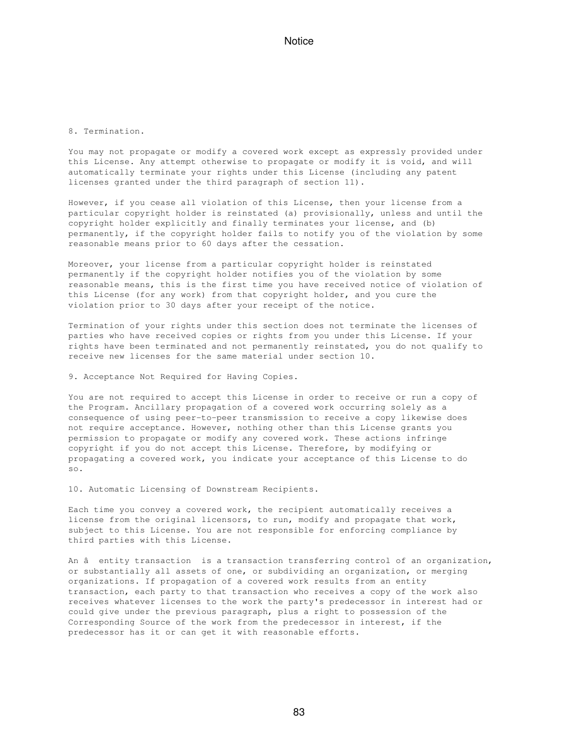#### 8. Termination.

You may not propagate or modify a covered work except as expressly provided under this License. Any attempt otherwise to propagate or modify it is void, and will automatically terminate your rights under this License (including any patent licenses granted under the third paragraph of section 11).

However, if you cease all violation of this License, then your license from a particular copyright holder is reinstated (a) provisionally, unless and until the copyright holder explicitly and finally terminates your license, and (b) permanently, if the copyright holder fails to notify you of the violation by some reasonable means prior to 60 days after the cessation.

Moreover, your license from a particular copyright holder is reinstated permanently if the copyright holder notifies you of the violation by some reasonable means, this is the first time you have received notice of violation of this License (for any work) from that copyright holder, and you cure the violation prior to 30 days after your receipt of the notice.

Termination of your rights under this section does not terminate the licenses of parties who have received copies or rights from you under this License. If your rights have been terminated and not permanently reinstated, you do not qualify to receive new licenses for the same material under section 10.

9. Acceptance Not Required for Having Copies.

You are not required to accept this License in order to receive or run a copy of the Program. Ancillary propagation of a covered work occurring solely as a consequence of using peer-to-peer transmission to receive a copy likewise does not require acceptance. However, nothing other than this License grants you permission to propagate or modify any covered work. These actions infringe copyright if you do not accept this License. Therefore, by modifying or propagating a covered work, you indicate your acceptance of this License to do so.

10. Automatic Licensing of Downstream Recipients.

Each time you convey a covered work, the recipient automatically receives a license from the original licensors, to run, modify and propagate that work, subject to this License. You are not responsible for enforcing compliance by third parties with this License.

An â entity transaction is a transaction transferring control of an organization, or substantially all assets of one, or subdividing an organization, or merging organizations. If propagation of a covered work results from an entity transaction, each party to that transaction who receives a copy of the work also receives whatever licenses to the work the party's predecessor in interest had or could give under the previous paragraph, plus a right to possession of the Corresponding Source of the work from the predecessor in interest, if the predecessor has it or can get it with reasonable efforts.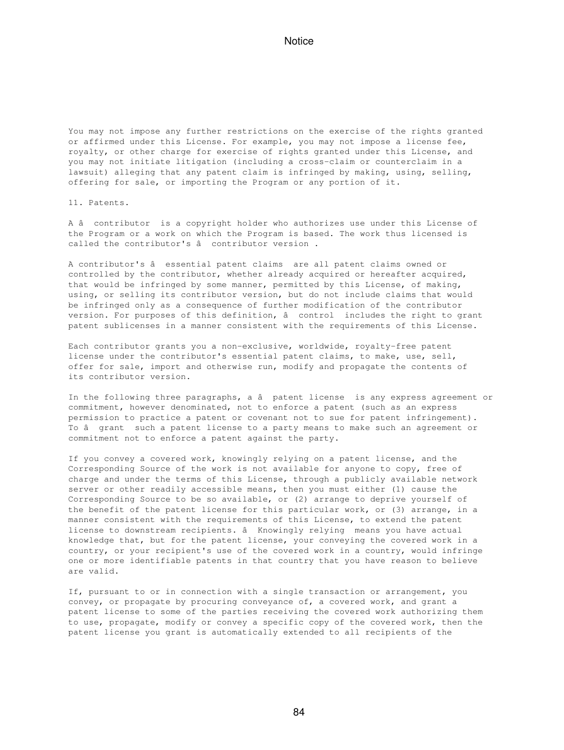You may not impose any further restrictions on the exercise of the rights granted or affirmed under this License. For example, you may not impose a license fee, royalty, or other charge for exercise of rights granted under this License, and you may not initiate litigation (including a cross-claim or counterclaim in a lawsuit) alleging that any patent claim is infringed by making, using, selling, offering for sale, or importing the Program or any portion of it.

11. Patents.

A âcontributor is a copyright holder who authorizes use under this License of the Program or a work on which the Program is based. The work thus licensed is called the contributor's â contributor version.

A contributor's â essential patent claims are all patent claims owned or controlled by the contributor, whether already acquired or hereafter acquired, that would be infringed by some manner, permitted by this License, of making, using, or selling its contributor version, but do not include claims that would be infringed only as a consequence of further modification of the contributor version. For purposes of this definition, â control includes the right to grant patent sublicenses in a manner consistent with the requirements of this License.

Each contributor grants you a non-exclusive, worldwide, royalty-free patent license under the contributor's essential patent claims, to make, use, sell, offer for sale, import and otherwise run, modify and propagate the contents of its contributor version.

In the following three paragraphs, a â patent license is any express agreement or commitment, however denominated, not to enforce a patent (such as an express permission to practice a patent or covenant not to sue for patent infringement). To â grant such a patent license to a party means to make such an agreement or commitment not to enforce a patent against the party.

If you convey a covered work, knowingly relying on a patent license, and the Corresponding Source of the work is not available for anyone to copy, free of charge and under the terms of this License, through a publicly available network server or other readily accessible means, then you must either (1) cause the Corresponding Source to be so available, or (2) arrange to deprive yourself of the benefit of the patent license for this particular work, or (3) arrange, in a manner consistent with the requirements of this License, to extend the patent license to downstream recipients. â Knowingly relying means you have actual knowledge that, but for the patent license, your conveying the covered work in a country, or your recipient's use of the covered work in a country, would infringe one or more identifiable patents in that country that you have reason to believe are valid.

If, pursuant to or in connection with a single transaction or arrangement, you convey, or propagate by procuring conveyance of, a covered work, and grant a patent license to some of the parties receiving the covered work authorizing them to use, propagate, modify or convey a specific copy of the covered work, then the patent license you grant is automatically extended to all recipients of the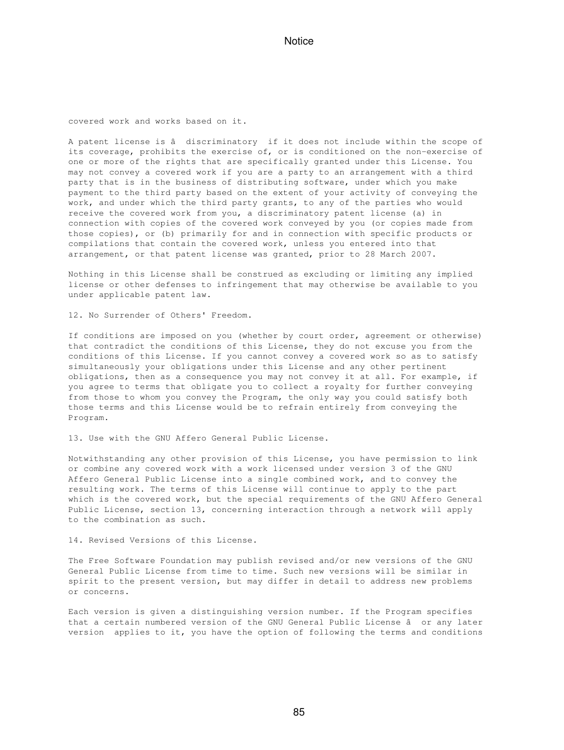covered work and works based on it.

A patent license is â discriminatory if it does not include within the scope of its coverage, prohibits the exercise of, or is conditioned on the non-exercise of one or more of the rights that are specifically granted under this License. You may not convey a covered work if you are a party to an arrangement with a third party that is in the business of distributing software, under which you make payment to the third party based on the extent of your activity of conveying the work, and under which the third party grants, to any of the parties who would receive the covered work from you, a discriminatory patent license (a) in connection with copies of the covered work conveyed by you (or copies made from those copies), or (b) primarily for and in connection with specific products or compilations that contain the covered work, unless you entered into that arrangement, or that patent license was granted, prior to 28 March 2007.

Nothing in this License shall be construed as excluding or limiting any implied license or other defenses to infringement that may otherwise be available to you under applicable patent law.

12. No Surrender of Others' Freedom.

If conditions are imposed on you (whether by court order, agreement or otherwise) that contradict the conditions of this License, they do not excuse you from the conditions of this License. If you cannot convey a covered work so as to satisfy simultaneously your obligations under this License and any other pertinent obligations, then as a consequence you may not convey it at all. For example, if you agree to terms that obligate you to collect a royalty for further conveying from those to whom you convey the Program, the only way you could satisfy both those terms and this License would be to refrain entirely from conveying the Program.

13. Use with the GNU Affero General Public License.

Notwithstanding any other provision of this License, you have permission to link or combine any covered work with a work licensed under version 3 of the GNU Affero General Public License into a single combined work, and to convey the resulting work. The terms of this License will continue to apply to the part which is the covered work, but the special requirements of the GNU Affero General Public License, section 13, concerning interaction through a network will apply to the combination as such.

14. Revised Versions of this License.

The Free Software Foundation may publish revised and/or new versions of the GNU General Public License from time to time. Such new versions will be similar in spirit to the present version, but may differ in detail to address new problems or concerns.

Each version is given a distinguishing version number. If the Program specifies that a certain numbered version of the GNU General Public License â or any later version applies to it, you have the option of following the terms and conditions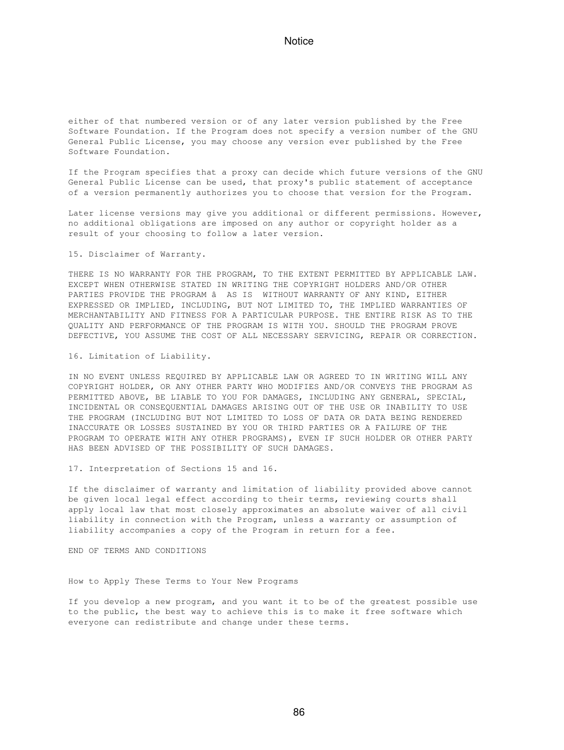either of that numbered version or of any later version published by the Free Software Foundation. If the Program does not specify a version number of the GNU General Public License, you may choose any version ever published by the Free Software Foundation.

If the Program specifies that a proxy can decide which future versions of the GNU General Public License can be used, that proxy's public statement of acceptance of a version permanently authorizes you to choose that version for the Program.

Later license versions may give you additional or different permissions. However, no additional obligations are imposed on any author or copyright holder as a result of your choosing to follow a later version.

15. Disclaimer of Warranty.

THERE IS NO WARRANTY FOR THE PROGRAM, TO THE EXTENT PERMITTED BY APPLICABLE LAW. EXCEPT WHEN OTHERWISE STATED IN WRITING THE COPYRIGHT HOLDERS AND/OR OTHER PARTIES PROVIDE THE PROGRAM â AS IS WITHOUT WARRANTY OF ANY KIND, EITHER EXPRESSED OR IMPLIED, INCLUDING, BUT NOT LIMITED TO, THE IMPLIED WARRANTIES OF MERCHANTABILITY AND FITNESS FOR A PARTICULAR PURPOSE. THE ENTIRE RISK AS TO THE QUALITY AND PERFORMANCE OF THE PROGRAM IS WITH YOU. SHOULD THE PROGRAM PROVE DEFECTIVE, YOU ASSUME THE COST OF ALL NECESSARY SERVICING, REPAIR OR CORRECTION.

16. Limitation of Liability.

IN NO EVENT UNLESS REQUIRED BY APPLICABLE LAW OR AGREED TO IN WRITING WILL ANY COPYRIGHT HOLDER, OR ANY OTHER PARTY WHO MODIFIES AND/OR CONVEYS THE PROGRAM AS PERMITTED ABOVE, BE LIABLE TO YOU FOR DAMAGES, INCLUDING ANY GENERAL, SPECIAL, INCIDENTAL OR CONSEQUENTIAL DAMAGES ARISING OUT OF THE USE OR INABILITY TO USE THE PROGRAM (INCLUDING BUT NOT LIMITED TO LOSS OF DATA OR DATA BEING RENDERED INACCURATE OR LOSSES SUSTAINED BY YOU OR THIRD PARTIES OR A FAILURE OF THE PROGRAM TO OPERATE WITH ANY OTHER PROGRAMS), EVEN IF SUCH HOLDER OR OTHER PARTY HAS BEEN ADVISED OF THE POSSIBILITY OF SUCH DAMAGES.

17. Interpretation of Sections 15 and 16.

If the disclaimer of warranty and limitation of liability provided above cannot be given local legal effect according to their terms, reviewing courts shall apply local law that most closely approximates an absolute waiver of all civil liability in connection with the Program, unless a warranty or assumption of liability accompanies a copy of the Program in return for a fee.

END OF TERMS AND CONDITIONS

How to Apply These Terms to Your New Programs

If you develop a new program, and you want it to be of the greatest possible use to the public, the best way to achieve this is to make it free software which everyone can redistribute and change under these terms.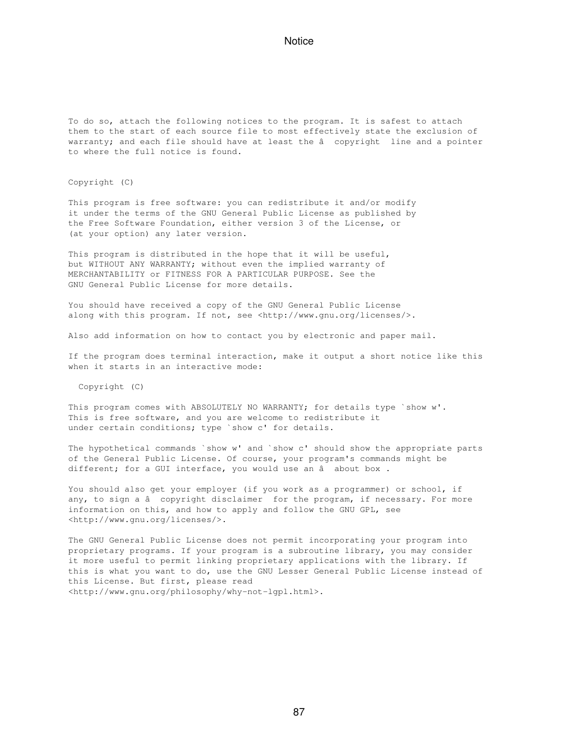To do so, attach the following notices to the program. It is safest to attach them to the start of each source file to most effectively state the exclusion of warranty; and each file should have at least the â copyright line and a pointer to where the full notice is found.

Copyright (C)

This program is free software: you can redistribute it and/or modify it under the terms of the GNU General Public License as published by the Free Software Foundation, either version 3 of the License, or (at your option) any later version.

This program is distributed in the hope that it will be useful, but WITHOUT ANY WARRANTY; without even the implied warranty of MERCHANTABILITY or FITNESS FOR A PARTICULAR PURPOSE. See the GNU General Public License for more details.

You should have received a copy of the GNU General Public License along with this program. If not, see <http://www.gnu.org/licenses/>.

Also add information on how to contact you by electronic and paper mail.

If the program does terminal interaction, make it output a short notice like this when it starts in an interactive mode:

Copyright (C)

This program comes with ABSOLUTELY NO WARRANTY; for details type `show w'. This is free software, and you are welcome to redistribute it under certain conditions; type `show c' for details.

The hypothetical commands `show w' and `show c' should show the appropriate parts of the General Public License. Of course, your program's commands might be different; for a GUI interface, you would use an  $â$  about box.

You should also get your employer (if you work as a programmer) or school, if any, to sign a â copyright disclaimer for the program, if necessary. For more information on this, and how to apply and follow the GNU GPL, see <http://www.gnu.org/licenses/>.

The GNU General Public License does not permit incorporating your program into proprietary programs. If your program is a subroutine library, you may consider it more useful to permit linking proprietary applications with the library. If this is what you want to do, use the GNU Lesser General Public License instead of this License. But first, please read <http://www.gnu.org/philosophy/why-not-lgpl.html>.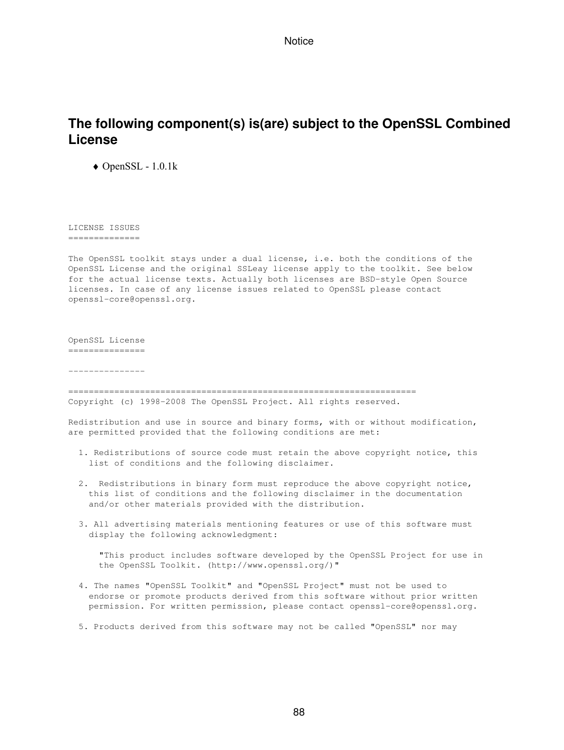# **The following component(s) is(are) subject to the OpenSSL Combined License**

♦ OpenSSL - 1.0.1k

LICENSE ISSUES ==============

The OpenSSL toolkit stays under a dual license, i.e. both the conditions of the OpenSSL License and the original SSLeay license apply to the toolkit. See below for the actual license texts. Actually both licenses are BSD-style Open Source licenses. In case of any license issues related to OpenSSL please contact openssl-core@openssl.org.

OpenSSL License ===============

---------------

==================================================================== Copyright (c) 1998-2008 The OpenSSL Project. All rights reserved.

Redistribution and use in source and binary forms, with or without modification, are permitted provided that the following conditions are met:

- 1. Redistributions of source code must retain the above copyright notice, this list of conditions and the following disclaimer.
- 2. Redistributions in binary form must reproduce the above copyright notice, this list of conditions and the following disclaimer in the documentation and/or other materials provided with the distribution.
- 3. All advertising materials mentioning features or use of this software must display the following acknowledgment:

 "This product includes software developed by the OpenSSL Project for use in the OpenSSL Toolkit. (http://www.openssl.org/)"

- 4. The names "OpenSSL Toolkit" and "OpenSSL Project" must not be used to endorse or promote products derived from this software without prior written permission. For written permission, please contact openssl-core@openssl.org.
- 5. Products derived from this software may not be called "OpenSSL" nor may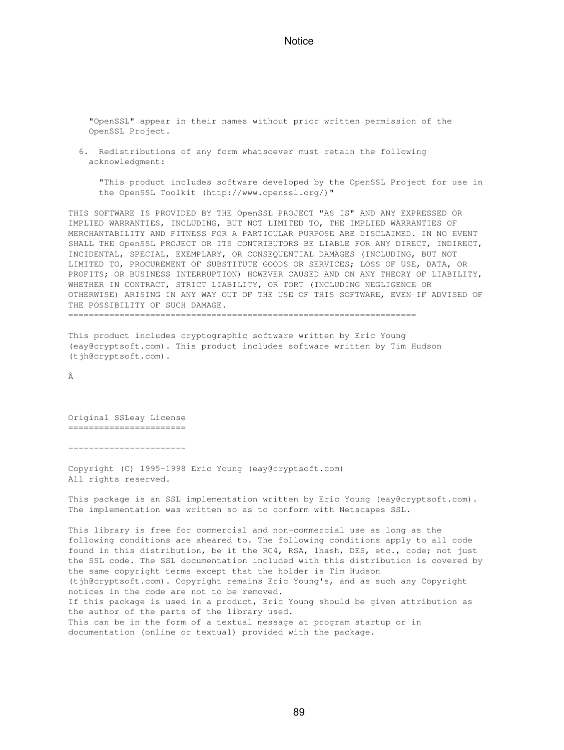"OpenSSL" appear in their names without prior written permission of the OpenSSL Project.

 6. Redistributions of any form whatsoever must retain the following acknowledgment:

 "This product includes software developed by the OpenSSL Project for use in the OpenSSL Toolkit (http://www.openssl.org/)"

THIS SOFTWARE IS PROVIDED BY THE OpenSSL PROJECT "AS IS" AND ANY EXPRESSED OR IMPLIED WARRANTIES, INCLUDING, BUT NOT LIMITED TO, THE IMPLIED WARRANTIES OF MERCHANTABILITY AND FITNESS FOR A PARTICULAR PURPOSE ARE DISCLAIMED. IN NO EVENT SHALL THE OpenSSL PROJECT OR ITS CONTRIBUTORS BE LIABLE FOR ANY DIRECT, INDIRECT, INCIDENTAL, SPECIAL, EXEMPLARY, OR CONSEQUENTIAL DAMAGES (INCLUDING, BUT NOT LIMITED TO, PROCUREMENT OF SUBSTITUTE GOODS OR SERVICES; LOSS OF USE, DATA, OR PROFITS; OR BUSINESS INTERRUPTION) HOWEVER CAUSED AND ON ANY THEORY OF LIABILITY, WHETHER IN CONTRACT, STRICT LIABILITY, OR TORT (INCLUDING NEGLIGENCE OR OTHERWISE) ARISING IN ANY WAY OUT OF THE USE OF THIS SOFTWARE, EVEN IF ADVISED OF THE POSSIBILITY OF SUCH DAMAGE.

====================================================================

This product includes cryptographic software written by Eric Young (eay@cryptsoft.com). This product includes software written by Tim Hudson (tjh@cryptsoft.com).

Â

Original SSLeay License =======================

-----------------------

Copyright (C) 1995-1998 Eric Young (eay@cryptsoft.com) All rights reserved.

This package is an SSL implementation written by Eric Young (eay@cryptsoft.com). The implementation was written so as to conform with Netscapes SSL.

This library is free for commercial and non-commercial use as long as the following conditions are aheared to. The following conditions apply to all code found in this distribution, be it the RC4, RSA, lhash, DES, etc., code; not just the SSL code. The SSL documentation included with this distribution is covered by the same copyright terms except that the holder is Tim Hudson (tjh@cryptsoft.com). Copyright remains Eric Young's, and as such any Copyright notices in the code are not to be removed. If this package is used in a product, Eric Young should be given attribution as the author of the parts of the library used. This can be in the form of a textual message at program startup or in documentation (online or textual) provided with the package.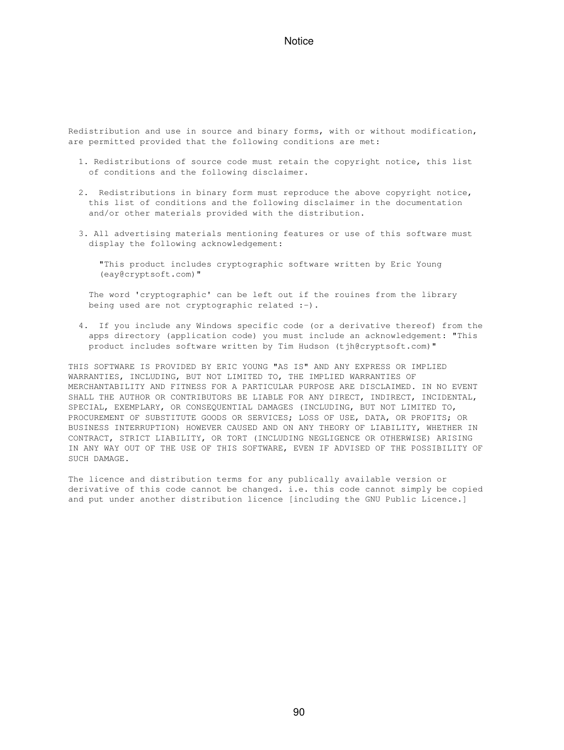Redistribution and use in source and binary forms, with or without modification, are permitted provided that the following conditions are met:

- 1. Redistributions of source code must retain the copyright notice, this list of conditions and the following disclaimer.
- 2. Redistributions in binary form must reproduce the above copyright notice, this list of conditions and the following disclaimer in the documentation and/or other materials provided with the distribution.
- 3. All advertising materials mentioning features or use of this software must display the following acknowledgement:
	- "This product includes cryptographic software written by Eric Young (eay@cryptsoft.com)"

 The word 'cryptographic' can be left out if the rouines from the library being used are not cryptographic related :-).

 4. If you include any Windows specific code (or a derivative thereof) from the apps directory (application code) you must include an acknowledgement: "This product includes software written by Tim Hudson (tjh@cryptsoft.com)"

THIS SOFTWARE IS PROVIDED BY ERIC YOUNG "AS IS" AND ANY EXPRESS OR IMPLIED WARRANTIES, INCLUDING, BUT NOT LIMITED TO, THE IMPLIED WARRANTIES OF MERCHANTABILITY AND FITNESS FOR A PARTICULAR PURPOSE ARE DISCLAIMED. IN NO EVENT SHALL THE AUTHOR OR CONTRIBUTORS BE LIABLE FOR ANY DIRECT, INDIRECT, INCIDENTAL, SPECIAL, EXEMPLARY, OR CONSEQUENTIAL DAMAGES (INCLUDING, BUT NOT LIMITED TO, PROCUREMENT OF SUBSTITUTE GOODS OR SERVICES; LOSS OF USE, DATA, OR PROFITS; OR BUSINESS INTERRUPTION) HOWEVER CAUSED AND ON ANY THEORY OF LIABILITY, WHETHER IN CONTRACT, STRICT LIABILITY, OR TORT (INCLUDING NEGLIGENCE OR OTHERWISE) ARISING IN ANY WAY OUT OF THE USE OF THIS SOFTWARE, EVEN IF ADVISED OF THE POSSIBILITY OF SUCH DAMAGE.

The licence and distribution terms for any publically available version or derivative of this code cannot be changed. i.e. this code cannot simply be copied and put under another distribution licence [including the GNU Public Licence.]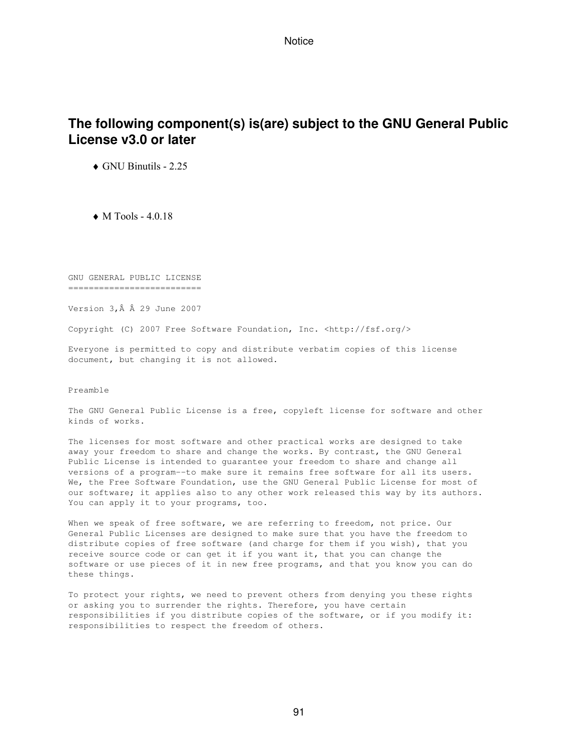## **The following component(s) is(are) subject to the GNU General Public License v3.0 or later**

♦ GNU Binutils - 2.25

 $\bullet$  M Tools - 4.0.18

GNU GENERAL PUBLIC LICENSE ==========================

Version 3, Â Â 29 June 2007

Copyright (C) 2007 Free Software Foundation, Inc. <http://fsf.org/>

Everyone is permitted to copy and distribute verbatim copies of this license document, but changing it is not allowed.

Preamble

The GNU General Public License is a free, copyleft license for software and other kinds of works.

The licenses for most software and other practical works are designed to take away your freedom to share and change the works. By contrast, the GNU General Public License is intended to guarantee your freedom to share and change all versions of a program--to make sure it remains free software for all its users. We, the Free Software Foundation, use the GNU General Public License for most of our software; it applies also to any other work released this way by its authors. You can apply it to your programs, too.

When we speak of free software, we are referring to freedom, not price. Our General Public Licenses are designed to make sure that you have the freedom to distribute copies of free software (and charge for them if you wish), that you receive source code or can get it if you want it, that you can change the software or use pieces of it in new free programs, and that you know you can do these things.

To protect your rights, we need to prevent others from denying you these rights or asking you to surrender the rights. Therefore, you have certain responsibilities if you distribute copies of the software, or if you modify it: responsibilities to respect the freedom of others.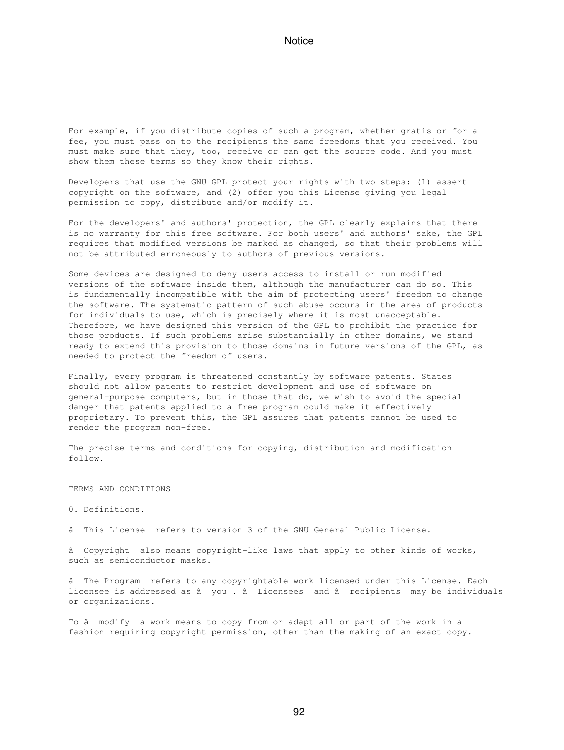For example, if you distribute copies of such a program, whether gratis or for a fee, you must pass on to the recipients the same freedoms that you received. You must make sure that they, too, receive or can get the source code. And you must show them these terms so they know their rights.

Developers that use the GNU GPL protect your rights with two steps: (1) assert copyright on the software, and (2) offer you this License giving you legal permission to copy, distribute and/or modify it.

For the developers' and authors' protection, the GPL clearly explains that there is no warranty for this free software. For both users' and authors' sake, the GPL requires that modified versions be marked as changed, so that their problems will not be attributed erroneously to authors of previous versions.

Some devices are designed to deny users access to install or run modified versions of the software inside them, although the manufacturer can do so. This is fundamentally incompatible with the aim of protecting users' freedom to change the software. The systematic pattern of such abuse occurs in the area of products for individuals to use, which is precisely where it is most unacceptable. Therefore, we have designed this version of the GPL to prohibit the practice for those products. If such problems arise substantially in other domains, we stand ready to extend this provision to those domains in future versions of the GPL, as needed to protect the freedom of users.

Finally, every program is threatened constantly by software patents. States should not allow patents to restrict development and use of software on general-purpose computers, but in those that do, we wish to avoid the special danger that patents applied to a free program could make it effectively proprietary. To prevent this, the GPL assures that patents cannot be used to render the program non-free.

The precise terms and conditions for copying, distribution and modification follow.

TERMS AND CONDITIONS

0. Definitions.

âThis License refers to version 3 of the GNU General Public License.

â Copyright also means copyright-like laws that apply to other kinds of works, such as semiconductor masks.

âThe Program refers to any copyrightable work licensed under this License. Each licensee is addressed as â you . â Licensees and â recipients may be individuals or organizations.

To â modify a work means to copy from or adapt all or part of the work in a fashion requiring copyright permission, other than the making of an exact copy.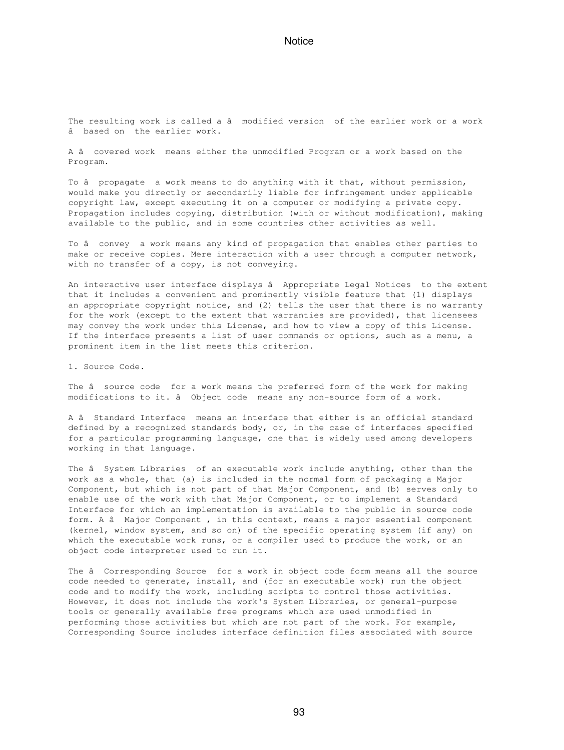The resulting work is called a â modified version of the earlier work or a work âbased on the earlier work.

A âcovered work means either the unmodified Program or a work based on the Program.

To â propagate a work means to do anything with it that, without permission, would make you directly or secondarily liable for infringement under applicable copyright law, except executing it on a computer or modifying a private copy. Propagation includes copying, distribution (with or without modification), making available to the public, and in some countries other activities as well.

To â convey a work means any kind of propagation that enables other parties to make or receive copies. Mere interaction with a user through a computer network, with no transfer of a copy, is not conveying.

An interactive user interface displays â Appropriate Legal Notices to the extent that it includes a convenient and prominently visible feature that (1) displays an appropriate copyright notice, and (2) tells the user that there is no warranty for the work (except to the extent that warranties are provided), that licensees may convey the work under this License, and how to view a copy of this License. If the interface presents a list of user commands or options, such as a menu, a prominent item in the list meets this criterion.

1. Source Code.

The â source code for a work means the preferred form of the work for making modifications to it. â Object code means any non-source form of a work.

A â Standard Interface means an interface that either is an official standard defined by a recognized standards body, or, in the case of interfaces specified for a particular programming language, one that is widely used among developers working in that language.

The â System Libraries of an executable work include anything, other than the work as a whole, that (a) is included in the normal form of packaging a Major Component, but which is not part of that Major Component, and (b) serves only to enable use of the work with that Major Component, or to implement a Standard Interface for which an implementation is available to the public in source code form. A â Major Component, in this context, means a major essential component (kernel, window system, and so on) of the specific operating system (if any) on which the executable work runs, or a compiler used to produce the work, or an object code interpreter used to run it.

The â Corresponding Source for a work in object code form means all the source code needed to generate, install, and (for an executable work) run the object code and to modify the work, including scripts to control those activities. However, it does not include the work's System Libraries, or general-purpose tools or generally available free programs which are used unmodified in performing those activities but which are not part of the work. For example, Corresponding Source includes interface definition files associated with source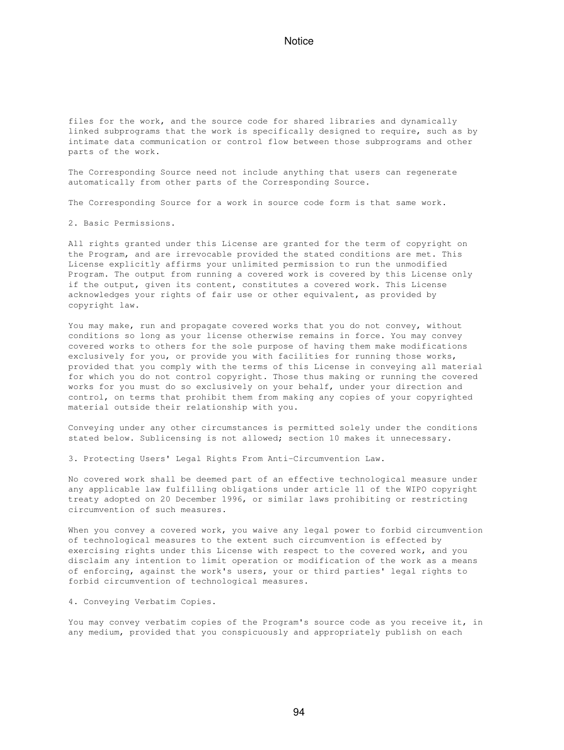files for the work, and the source code for shared libraries and dynamically linked subprograms that the work is specifically designed to require, such as by intimate data communication or control flow between those subprograms and other parts of the work.

The Corresponding Source need not include anything that users can regenerate automatically from other parts of the Corresponding Source.

The Corresponding Source for a work in source code form is that same work.

2. Basic Permissions.

All rights granted under this License are granted for the term of copyright on the Program, and are irrevocable provided the stated conditions are met. This License explicitly affirms your unlimited permission to run the unmodified Program. The output from running a covered work is covered by this License only if the output, given its content, constitutes a covered work. This License acknowledges your rights of fair use or other equivalent, as provided by copyright law.

You may make, run and propagate covered works that you do not convey, without conditions so long as your license otherwise remains in force. You may convey covered works to others for the sole purpose of having them make modifications exclusively for you, or provide you with facilities for running those works, provided that you comply with the terms of this License in conveying all material for which you do not control copyright. Those thus making or running the covered works for you must do so exclusively on your behalf, under your direction and control, on terms that prohibit them from making any copies of your copyrighted material outside their relationship with you.

Conveying under any other circumstances is permitted solely under the conditions stated below. Sublicensing is not allowed; section 10 makes it unnecessary.

3. Protecting Users' Legal Rights From Anti-Circumvention Law.

No covered work shall be deemed part of an effective technological measure under any applicable law fulfilling obligations under article 11 of the WIPO copyright treaty adopted on 20 December 1996, or similar laws prohibiting or restricting circumvention of such measures.

When you convey a covered work, you waive any legal power to forbid circumvention of technological measures to the extent such circumvention is effected by exercising rights under this License with respect to the covered work, and you disclaim any intention to limit operation or modification of the work as a means of enforcing, against the work's users, your or third parties' legal rights to forbid circumvention of technological measures.

4. Conveying Verbatim Copies.

You may convey verbatim copies of the Program's source code as you receive it, in any medium, provided that you conspicuously and appropriately publish on each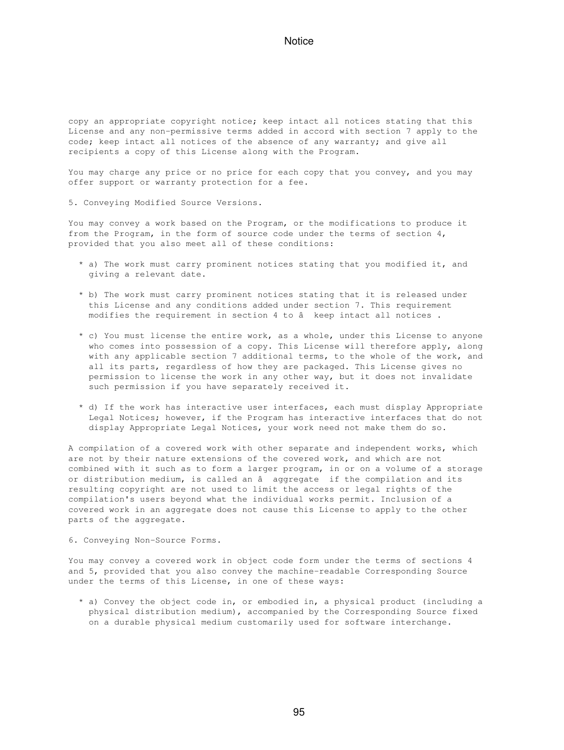copy an appropriate copyright notice; keep intact all notices stating that this License and any non-permissive terms added in accord with section 7 apply to the code; keep intact all notices of the absence of any warranty; and give all recipients a copy of this License along with the Program.

You may charge any price or no price for each copy that you convey, and you may offer support or warranty protection for a fee.

5. Conveying Modified Source Versions.

You may convey a work based on the Program, or the modifications to produce it from the Program, in the form of source code under the terms of section 4, provided that you also meet all of these conditions:

- \* a) The work must carry prominent notices stating that you modified it, and giving a relevant date.
- \* b) The work must carry prominent notices stating that it is released under this License and any conditions added under section 7. This requirement modifies the requirement in section 4 to  $\hat{a}$  keep intact all notices.
- \* c) You must license the entire work, as a whole, under this License to anyone who comes into possession of a copy. This License will therefore apply, along with any applicable section 7 additional terms, to the whole of the work, and all its parts, regardless of how they are packaged. This License gives no permission to license the work in any other way, but it does not invalidate such permission if you have separately received it.
- \* d) If the work has interactive user interfaces, each must display Appropriate Legal Notices; however, if the Program has interactive interfaces that do not display Appropriate Legal Notices, your work need not make them do so.

A compilation of a covered work with other separate and independent works, which are not by their nature extensions of the covered work, and which are not combined with it such as to form a larger program, in or on a volume of a storage or distribution medium, is called an â aggregate if the compilation and its resulting copyright are not used to limit the access or legal rights of the compilation's users beyond what the individual works permit. Inclusion of a covered work in an aggregate does not cause this License to apply to the other parts of the aggregate.

6. Conveying Non-Source Forms.

You may convey a covered work in object code form under the terms of sections 4 and 5, provided that you also convey the machine-readable Corresponding Source under the terms of this License, in one of these ways:

 \* a) Convey the object code in, or embodied in, a physical product (including a physical distribution medium), accompanied by the Corresponding Source fixed on a durable physical medium customarily used for software interchange.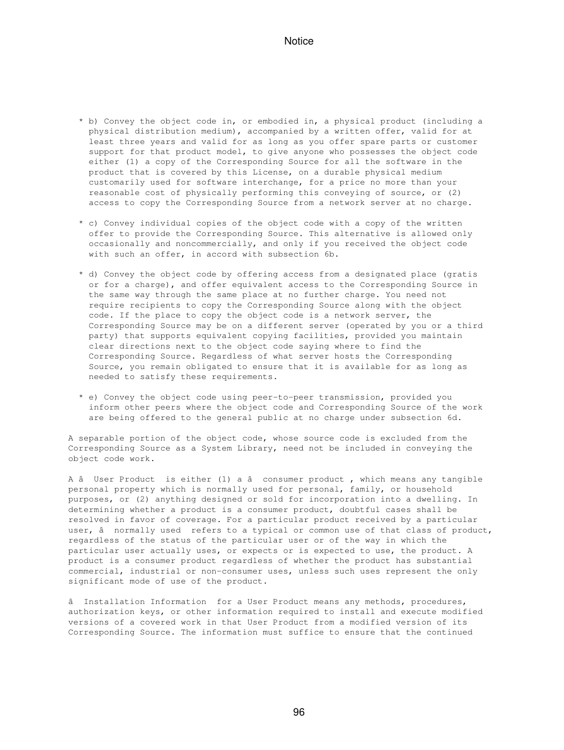- \* b) Convey the object code in, or embodied in, a physical product (including a physical distribution medium), accompanied by a written offer, valid for at least three years and valid for as long as you offer spare parts or customer support for that product model, to give anyone who possesses the object code either (1) a copy of the Corresponding Source for all the software in the product that is covered by this License, on a durable physical medium customarily used for software interchange, for a price no more than your reasonable cost of physically performing this conveying of source, or (2) access to copy the Corresponding Source from a network server at no charge.
- \* c) Convey individual copies of the object code with a copy of the written offer to provide the Corresponding Source. This alternative is allowed only occasionally and noncommercially, and only if you received the object code with such an offer, in accord with subsection 6b.
- \* d) Convey the object code by offering access from a designated place (gratis or for a charge), and offer equivalent access to the Corresponding Source in the same way through the same place at no further charge. You need not require recipients to copy the Corresponding Source along with the object code. If the place to copy the object code is a network server, the Corresponding Source may be on a different server (operated by you or a third party) that supports equivalent copying facilities, provided you maintain clear directions next to the object code saying where to find the Corresponding Source. Regardless of what server hosts the Corresponding Source, you remain obligated to ensure that it is available for as long as needed to satisfy these requirements.
- \* e) Convey the object code using peer-to-peer transmission, provided you inform other peers where the object code and Corresponding Source of the work are being offered to the general public at no charge under subsection 6d.

A separable portion of the object code, whose source code is excluded from the Corresponding Source as a System Library, need not be included in conveying the object code work.

A â User Product is either (1) a â consumer product, which means any tangible personal property which is normally used for personal, family, or household purposes, or (2) anything designed or sold for incorporation into a dwelling. In determining whether a product is a consumer product, doubtful cases shall be resolved in favor of coverage. For a particular product received by a particular user, â normally used refers to a typical or common use of that class of product, regardless of the status of the particular user or of the way in which the particular user actually uses, or expects or is expected to use, the product. A product is a consumer product regardless of whether the product has substantial commercial, industrial or non-consumer uses, unless such uses represent the only significant mode of use of the product.

â Installation Information for a User Product means any methods, procedures, authorization keys, or other information required to install and execute modified versions of a covered work in that User Product from a modified version of its Corresponding Source. The information must suffice to ensure that the continued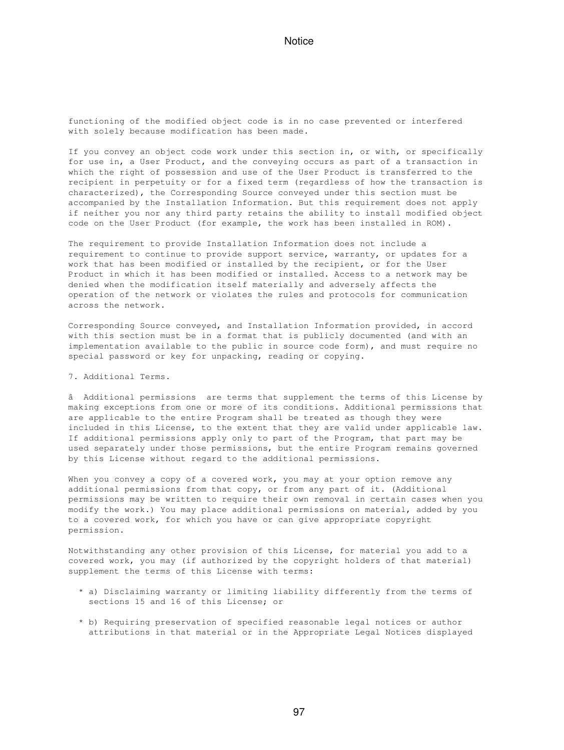functioning of the modified object code is in no case prevented or interfered with solely because modification has been made.

If you convey an object code work under this section in, or with, or specifically for use in, a User Product, and the conveying occurs as part of a transaction in which the right of possession and use of the User Product is transferred to the recipient in perpetuity or for a fixed term (regardless of how the transaction is characterized), the Corresponding Source conveyed under this section must be accompanied by the Installation Information. But this requirement does not apply if neither you nor any third party retains the ability to install modified object code on the User Product (for example, the work has been installed in ROM).

The requirement to provide Installation Information does not include a requirement to continue to provide support service, warranty, or updates for a work that has been modified or installed by the recipient, or for the User Product in which it has been modified or installed. Access to a network may be denied when the modification itself materially and adversely affects the operation of the network or violates the rules and protocols for communication across the network.

Corresponding Source conveyed, and Installation Information provided, in accord with this section must be in a format that is publicly documented (and with an implementation available to the public in source code form), and must require no special password or key for unpacking, reading or copying.

7. Additional Terms.

âAdditional permissions are terms that supplement the terms of this License by making exceptions from one or more of its conditions. Additional permissions that are applicable to the entire Program shall be treated as though they were included in this License, to the extent that they are valid under applicable law. If additional permissions apply only to part of the Program, that part may be used separately under those permissions, but the entire Program remains governed by this License without regard to the additional permissions.

When you convey a copy of a covered work, you may at your option remove any additional permissions from that copy, or from any part of it. (Additional permissions may be written to require their own removal in certain cases when you modify the work.) You may place additional permissions on material, added by you to a covered work, for which you have or can give appropriate copyright permission.

Notwithstanding any other provision of this License, for material you add to a covered work, you may (if authorized by the copyright holders of that material) supplement the terms of this License with terms:

- \* a) Disclaiming warranty or limiting liability differently from the terms of sections 15 and 16 of this License; or
- \* b) Requiring preservation of specified reasonable legal notices or author attributions in that material or in the Appropriate Legal Notices displayed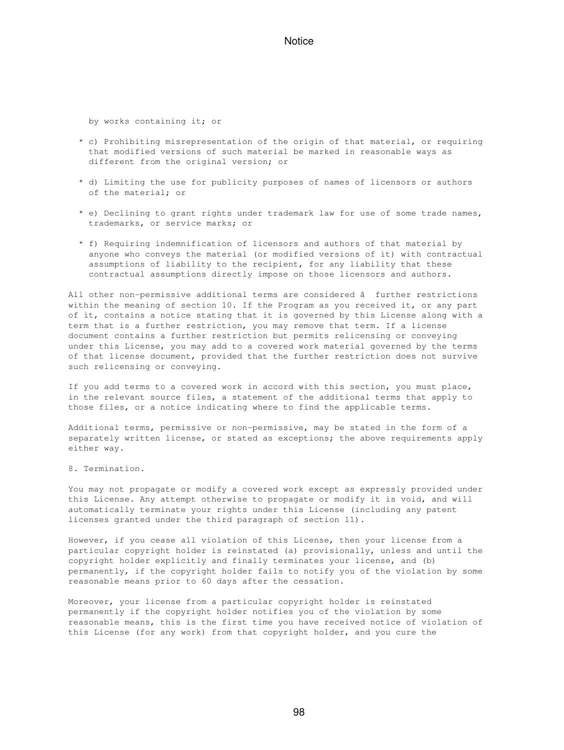by works containing it; or

- \* c) Prohibiting misrepresentation of the origin of that material, or requiring that modified versions of such material be marked in reasonable ways as different from the original version; or
- \* d) Limiting the use for publicity purposes of names of licensors or authors of the material; or
- \* e) Declining to grant rights under trademark law for use of some trade names, trademarks, or service marks; or
- \* f) Requiring indemnification of licensors and authors of that material by anyone who conveys the material (or modified versions of it) with contractual assumptions of liability to the recipient, for any liability that these contractual assumptions directly impose on those licensors and authors.

All other non-permissive additional terms are considered â further restrictions within the meaning of section 10. If the Program as you received it, or any part of it, contains a notice stating that it is governed by this License along with a term that is a further restriction, you may remove that term. If a license document contains a further restriction but permits relicensing or conveying under this License, you may add to a covered work material governed by the terms of that license document, provided that the further restriction does not survive such relicensing or conveying.

If you add terms to a covered work in accord with this section, you must place, in the relevant source files, a statement of the additional terms that apply to those files, or a notice indicating where to find the applicable terms.

Additional terms, permissive or non-permissive, may be stated in the form of a separately written license, or stated as exceptions; the above requirements apply either way.

8. Termination.

You may not propagate or modify a covered work except as expressly provided under this License. Any attempt otherwise to propagate or modify it is void, and will automatically terminate your rights under this License (including any patent licenses granted under the third paragraph of section 11).

However, if you cease all violation of this License, then your license from a particular copyright holder is reinstated (a) provisionally, unless and until the copyright holder explicitly and finally terminates your license, and (b) permanently, if the copyright holder fails to notify you of the violation by some reasonable means prior to 60 days after the cessation.

Moreover, your license from a particular copyright holder is reinstated permanently if the copyright holder notifies you of the violation by some reasonable means, this is the first time you have received notice of violation of this License (for any work) from that copyright holder, and you cure the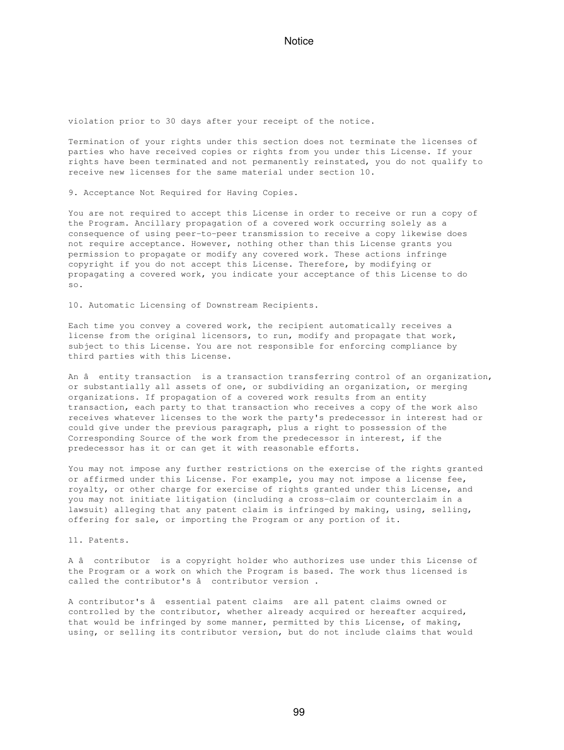violation prior to 30 days after your receipt of the notice.

Termination of your rights under this section does not terminate the licenses of parties who have received copies or rights from you under this License. If your rights have been terminated and not permanently reinstated, you do not qualify to receive new licenses for the same material under section 10.

9. Acceptance Not Required for Having Copies.

You are not required to accept this License in order to receive or run a copy of the Program. Ancillary propagation of a covered work occurring solely as a consequence of using peer-to-peer transmission to receive a copy likewise does not require acceptance. However, nothing other than this License grants you permission to propagate or modify any covered work. These actions infringe copyright if you do not accept this License. Therefore, by modifying or propagating a covered work, you indicate your acceptance of this License to do so.

10. Automatic Licensing of Downstream Recipients.

Each time you convey a covered work, the recipient automatically receives a license from the original licensors, to run, modify and propagate that work, subject to this License. You are not responsible for enforcing compliance by third parties with this License.

An â entity transaction is a transaction transferring control of an organization, or substantially all assets of one, or subdividing an organization, or merging organizations. If propagation of a covered work results from an entity transaction, each party to that transaction who receives a copy of the work also receives whatever licenses to the work the party's predecessor in interest had or could give under the previous paragraph, plus a right to possession of the Corresponding Source of the work from the predecessor in interest, if the predecessor has it or can get it with reasonable efforts.

You may not impose any further restrictions on the exercise of the rights granted or affirmed under this License. For example, you may not impose a license fee, royalty, or other charge for exercise of rights granted under this License, and you may not initiate litigation (including a cross-claim or counterclaim in a lawsuit) alleging that any patent claim is infringed by making, using, selling, offering for sale, or importing the Program or any portion of it.

11. Patents.

A âcontributor is a copyright holder who authorizes use under this License of the Program or a work on which the Program is based. The work thus licensed is called the contributor's  $\hat{a}$  contributor version.

A contributor's â essential patent claims are all patent claims owned or controlled by the contributor, whether already acquired or hereafter acquired, that would be infringed by some manner, permitted by this License, of making, using, or selling its contributor version, but do not include claims that would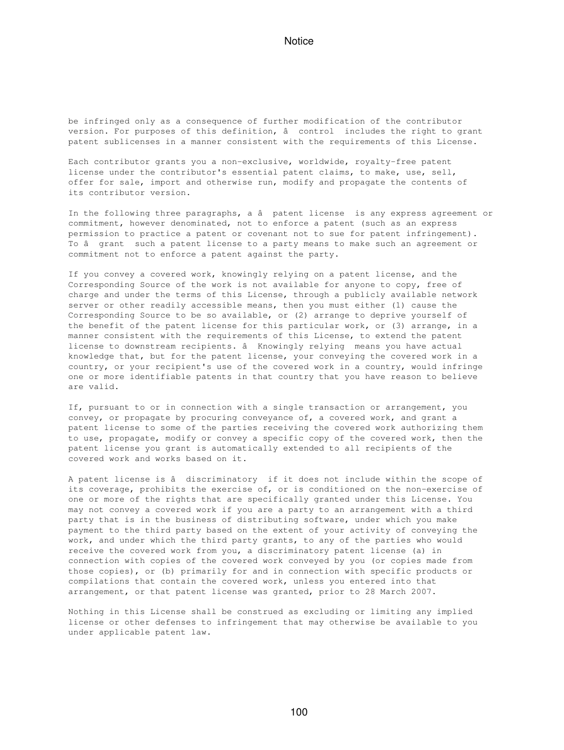be infringed only as a consequence of further modification of the contributor version. For purposes of this definition, â control includes the right to grant patent sublicenses in a manner consistent with the requirements of this License.

Each contributor grants you a non-exclusive, worldwide, royalty-free patent license under the contributor's essential patent claims, to make, use, sell, offer for sale, import and otherwise run, modify and propagate the contents of its contributor version.

In the following three paragraphs, a â patent license is any express agreement or commitment, however denominated, not to enforce a patent (such as an express permission to practice a patent or covenant not to sue for patent infringement). To â grant such a patent license to a party means to make such an agreement or commitment not to enforce a patent against the party.

If you convey a covered work, knowingly relying on a patent license, and the Corresponding Source of the work is not available for anyone to copy, free of charge and under the terms of this License, through a publicly available network server or other readily accessible means, then you must either (1) cause the Corresponding Source to be so available, or (2) arrange to deprive yourself of the benefit of the patent license for this particular work, or (3) arrange, in a manner consistent with the requirements of this License, to extend the patent license to downstream recipients. â Knowingly relying means you have actual knowledge that, but for the patent license, your conveying the covered work in a country, or your recipient's use of the covered work in a country, would infringe one or more identifiable patents in that country that you have reason to believe are valid.

If, pursuant to or in connection with a single transaction or arrangement, you convey, or propagate by procuring conveyance of, a covered work, and grant a patent license to some of the parties receiving the covered work authorizing them to use, propagate, modify or convey a specific copy of the covered work, then the patent license you grant is automatically extended to all recipients of the covered work and works based on it.

A patent license is â discriminatory if it does not include within the scope of its coverage, prohibits the exercise of, or is conditioned on the non-exercise of one or more of the rights that are specifically granted under this License. You may not convey a covered work if you are a party to an arrangement with a third party that is in the business of distributing software, under which you make payment to the third party based on the extent of your activity of conveying the work, and under which the third party grants, to any of the parties who would receive the covered work from you, a discriminatory patent license (a) in connection with copies of the covered work conveyed by you (or copies made from those copies), or (b) primarily for and in connection with specific products or compilations that contain the covered work, unless you entered into that arrangement, or that patent license was granted, prior to 28 March 2007.

Nothing in this License shall be construed as excluding or limiting any implied license or other defenses to infringement that may otherwise be available to you under applicable patent law.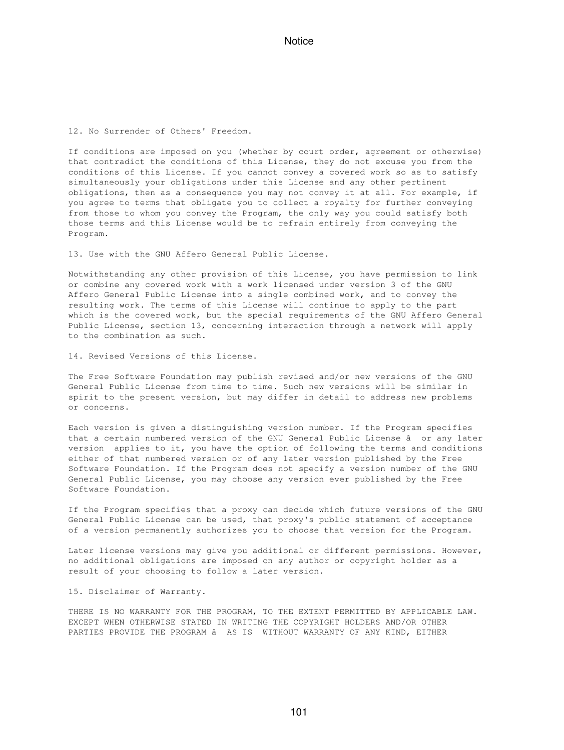12. No Surrender of Others' Freedom.

If conditions are imposed on you (whether by court order, agreement or otherwise) that contradict the conditions of this License, they do not excuse you from the conditions of this License. If you cannot convey a covered work so as to satisfy simultaneously your obligations under this License and any other pertinent obligations, then as a consequence you may not convey it at all. For example, if you agree to terms that obligate you to collect a royalty for further conveying from those to whom you convey the Program, the only way you could satisfy both those terms and this License would be to refrain entirely from conveying the Program.

13. Use with the GNU Affero General Public License.

Notwithstanding any other provision of this License, you have permission to link or combine any covered work with a work licensed under version 3 of the GNU Affero General Public License into a single combined work, and to convey the resulting work. The terms of this License will continue to apply to the part which is the covered work, but the special requirements of the GNU Affero General Public License, section 13, concerning interaction through a network will apply to the combination as such.

14. Revised Versions of this License.

The Free Software Foundation may publish revised and/or new versions of the GNU General Public License from time to time. Such new versions will be similar in spirit to the present version, but may differ in detail to address new problems or concerns.

Each version is given a distinguishing version number. If the Program specifies that a certain numbered version of the GNU General Public License â or any later version applies to it, you have the option of following the terms and conditions either of that numbered version or of any later version published by the Free Software Foundation. If the Program does not specify a version number of the GNU General Public License, you may choose any version ever published by the Free Software Foundation.

If the Program specifies that a proxy can decide which future versions of the GNU General Public License can be used, that proxy's public statement of acceptance of a version permanently authorizes you to choose that version for the Program.

Later license versions may give you additional or different permissions. However, no additional obligations are imposed on any author or copyright holder as a result of your choosing to follow a later version.

15. Disclaimer of Warranty.

THERE IS NO WARRANTY FOR THE PROGRAM, TO THE EXTENT PERMITTED BY APPLICABLE LAW. EXCEPT WHEN OTHERWISE STATED IN WRITING THE COPYRIGHT HOLDERS AND/OR OTHER PARTIES PROVIDE THE PROGRAM â AS IS WITHOUT WARRANTY OF ANY KIND, EITHER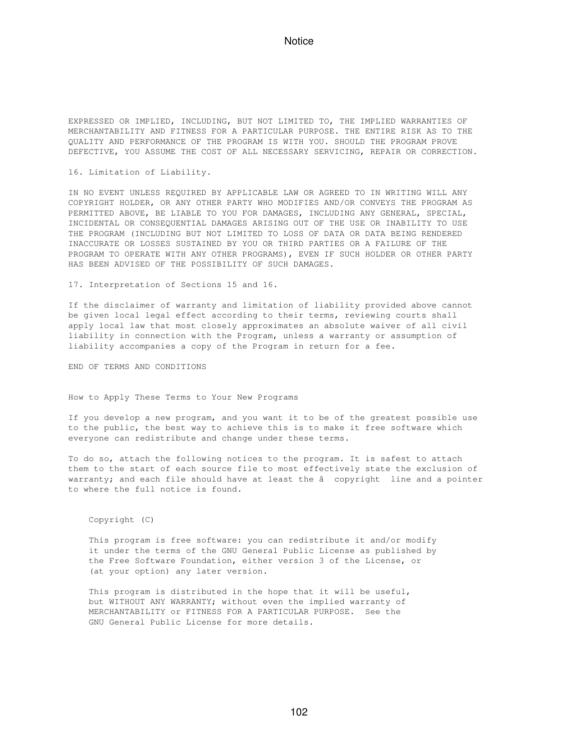EXPRESSED OR IMPLIED, INCLUDING, BUT NOT LIMITED TO, THE IMPLIED WARRANTIES OF MERCHANTABILITY AND FITNESS FOR A PARTICULAR PURPOSE. THE ENTIRE RISK AS TO THE QUALITY AND PERFORMANCE OF THE PROGRAM IS WITH YOU. SHOULD THE PROGRAM PROVE DEFECTIVE, YOU ASSUME THE COST OF ALL NECESSARY SERVICING, REPAIR OR CORRECTION.

16. Limitation of Liability.

IN NO EVENT UNLESS REQUIRED BY APPLICABLE LAW OR AGREED TO IN WRITING WILL ANY COPYRIGHT HOLDER, OR ANY OTHER PARTY WHO MODIFIES AND/OR CONVEYS THE PROGRAM AS PERMITTED ABOVE, BE LIABLE TO YOU FOR DAMAGES, INCLUDING ANY GENERAL, SPECIAL, INCIDENTAL OR CONSEQUENTIAL DAMAGES ARISING OUT OF THE USE OR INABILITY TO USE THE PROGRAM (INCLUDING BUT NOT LIMITED TO LOSS OF DATA OR DATA BEING RENDERED INACCURATE OR LOSSES SUSTAINED BY YOU OR THIRD PARTIES OR A FAILURE OF THE PROGRAM TO OPERATE WITH ANY OTHER PROGRAMS), EVEN IF SUCH HOLDER OR OTHER PARTY HAS BEEN ADVISED OF THE POSSIBILITY OF SUCH DAMAGES.

17. Interpretation of Sections 15 and 16.

If the disclaimer of warranty and limitation of liability provided above cannot be given local legal effect according to their terms, reviewing courts shall apply local law that most closely approximates an absolute waiver of all civil liability in connection with the Program, unless a warranty or assumption of liability accompanies a copy of the Program in return for a fee.

END OF TERMS AND CONDITIONS

How to Apply These Terms to Your New Programs

If you develop a new program, and you want it to be of the greatest possible use to the public, the best way to achieve this is to make it free software which everyone can redistribute and change under these terms.

To do so, attach the following notices to the program. It is safest to attach them to the start of each source file to most effectively state the exclusion of warranty; and each file should have at least the â copyright line and a pointer to where the full notice is found.

Copyright (C)

 This program is free software: you can redistribute it and/or modify it under the terms of the GNU General Public License as published by the Free Software Foundation, either version 3 of the License, or (at your option) any later version.

 This program is distributed in the hope that it will be useful, but WITHOUT ANY WARRANTY; without even the implied warranty of MERCHANTABILITY or FITNESS FOR A PARTICULAR PURPOSE. See the GNU General Public License for more details.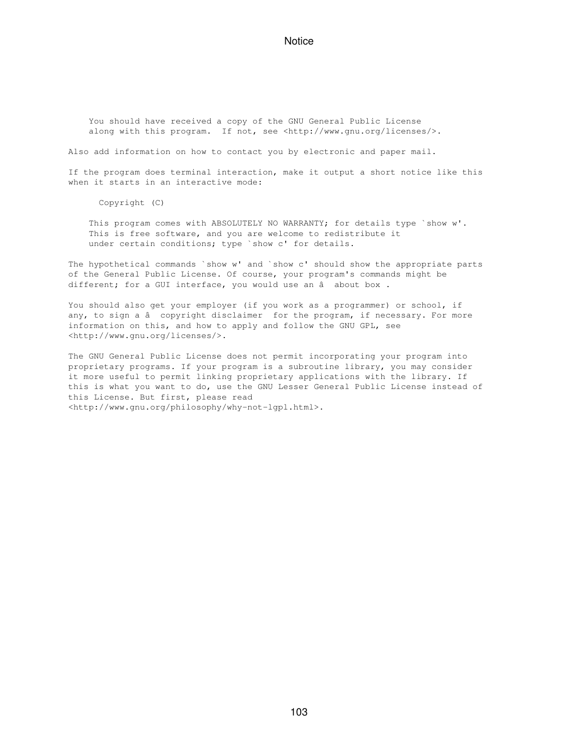You should have received a copy of the GNU General Public License along with this program. If not, see <http://www.gnu.org/licenses/>.

Also add information on how to contact you by electronic and paper mail.

If the program does terminal interaction, make it output a short notice like this when it starts in an interactive mode:

Copyright (C)

This program comes with ABSOLUTELY NO WARRANTY; for details type `show w'. This is free software, and you are welcome to redistribute it under certain conditions; type `show c' for details.

The hypothetical commands `show w' and `show c' should show the appropriate parts of the General Public License. Of course, your program's commands might be different; for a GUI interface, you would use an â about box.

You should also get your employer (if you work as a programmer) or school, if any, to sign a â copyright disclaimer for the program, if necessary. For more information on this, and how to apply and follow the GNU GPL, see <http://www.gnu.org/licenses/>.

The GNU General Public License does not permit incorporating your program into proprietary programs. If your program is a subroutine library, you may consider it more useful to permit linking proprietary applications with the library. If this is what you want to do, use the GNU Lesser General Public License instead of this License. But first, please read <http://www.gnu.org/philosophy/why-not-lgpl.html>.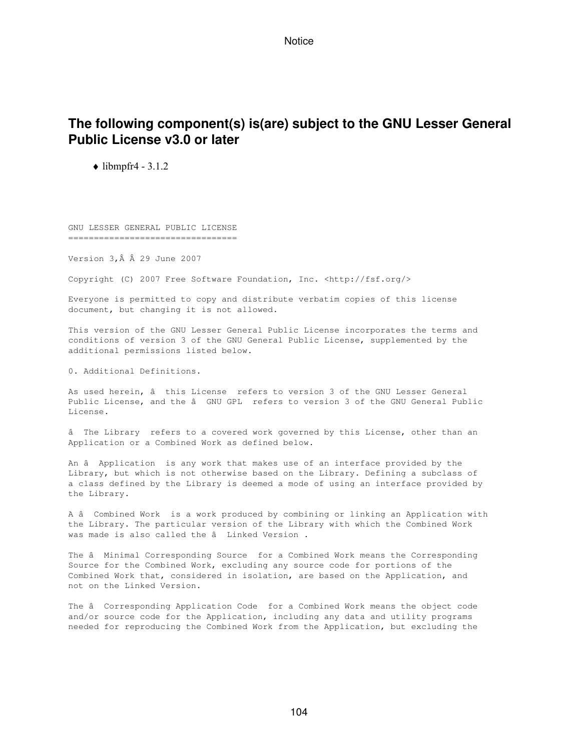## **The following component(s) is(are) subject to the GNU Lesser General Public License v3.0 or later**

 $\blacklozenge$  libmpfr4 - 3.1.2

GNU LESSER GENERAL PUBLIC LICENSE =================================

Version  $3, \hat{A}$   $\hat{A}$  29 June 2007

Copyright (C) 2007 Free Software Foundation, Inc. <http://fsf.org/>

Everyone is permitted to copy and distribute verbatim copies of this license document, but changing it is not allowed.

This version of the GNU Lesser General Public License incorporates the terms and conditions of version 3 of the GNU General Public License, supplemented by the additional permissions listed below.

0. Additional Definitions.

As used herein, â this License refers to version 3 of the GNU Lesser General Public License, and the â GNU GPL refers to version 3 of the GNU General Public License.

âThe Library refers to a covered work governed by this License, other than an Application or a Combined Work as defined below.

An â Application is any work that makes use of an interface provided by the Library, but which is not otherwise based on the Library. Defining a subclass of a class defined by the Library is deemed a mode of using an interface provided by the Library.

A â Combined Work is a work produced by combining or linking an Application with the Library. The particular version of the Library with which the Combined Work was made is also called the â Linked Version.

The â Minimal Corresponding Source for a Combined Work means the Corresponding Source for the Combined Work, excluding any source code for portions of the Combined Work that, considered in isolation, are based on the Application, and not on the Linked Version.

The â Corresponding Application Code for a Combined Work means the object code and/or source code for the Application, including any data and utility programs needed for reproducing the Combined Work from the Application, but excluding the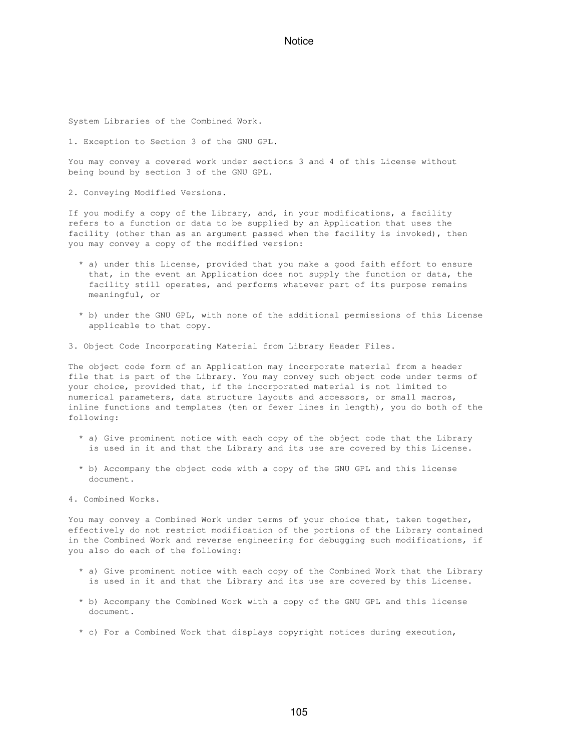System Libraries of the Combined Work.

1. Exception to Section 3 of the GNU GPL.

You may convey a covered work under sections 3 and 4 of this License without being bound by section 3 of the GNU GPL.

2. Conveying Modified Versions.

If you modify a copy of the Library, and, in your modifications, a facility refers to a function or data to be supplied by an Application that uses the facility (other than as an argument passed when the facility is invoked), then you may convey a copy of the modified version:

- \* a) under this License, provided that you make a good faith effort to ensure that, in the event an Application does not supply the function or data, the facility still operates, and performs whatever part of its purpose remains meaningful, or
- \* b) under the GNU GPL, with none of the additional permissions of this License applicable to that copy.

3. Object Code Incorporating Material from Library Header Files.

The object code form of an Application may incorporate material from a header file that is part of the Library. You may convey such object code under terms of your choice, provided that, if the incorporated material is not limited to numerical parameters, data structure layouts and accessors, or small macros, inline functions and templates (ten or fewer lines in length), you do both of the following:

- \* a) Give prominent notice with each copy of the object code that the Library is used in it and that the Library and its use are covered by this License.
- \* b) Accompany the object code with a copy of the GNU GPL and this license document.
- 4. Combined Works.

You may convey a Combined Work under terms of your choice that, taken together, effectively do not restrict modification of the portions of the Library contained in the Combined Work and reverse engineering for debugging such modifications, if you also do each of the following:

- \* a) Give prominent notice with each copy of the Combined Work that the Library is used in it and that the Library and its use are covered by this License.
- \* b) Accompany the Combined Work with a copy of the GNU GPL and this license document.
- \* c) For a Combined Work that displays copyright notices during execution,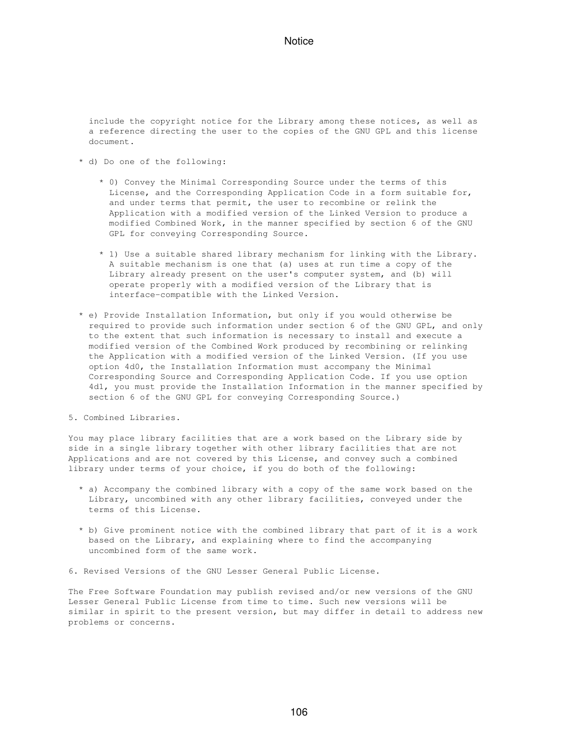include the copyright notice for the Library among these notices, as well as a reference directing the user to the copies of the GNU GPL and this license document.

- \* d) Do one of the following:
	- \* 0) Convey the Minimal Corresponding Source under the terms of this License, and the Corresponding Application Code in a form suitable for, and under terms that permit, the user to recombine or relink the Application with a modified version of the Linked Version to produce a modified Combined Work, in the manner specified by section 6 of the GNU GPL for conveying Corresponding Source.
	- \* 1) Use a suitable shared library mechanism for linking with the Library. A suitable mechanism is one that (a) uses at run time a copy of the Library already present on the user's computer system, and (b) will operate properly with a modified version of the Library that is interface-compatible with the Linked Version.
- \* e) Provide Installation Information, but only if you would otherwise be required to provide such information under section 6 of the GNU GPL, and only to the extent that such information is necessary to install and execute a modified version of the Combined Work produced by recombining or relinking the Application with a modified version of the Linked Version. (If you use option 4d0, the Installation Information must accompany the Minimal Corresponding Source and Corresponding Application Code. If you use option 4d1, you must provide the Installation Information in the manner specified by section 6 of the GNU GPL for conveying Corresponding Source.)
- 5. Combined Libraries.

You may place library facilities that are a work based on the Library side by side in a single library together with other library facilities that are not Applications and are not covered by this License, and convey such a combined library under terms of your choice, if you do both of the following:

- \* a) Accompany the combined library with a copy of the same work based on the Library, uncombined with any other library facilities, conveyed under the terms of this License.
- \* b) Give prominent notice with the combined library that part of it is a work based on the Library, and explaining where to find the accompanying uncombined form of the same work.
- 6. Revised Versions of the GNU Lesser General Public License.

The Free Software Foundation may publish revised and/or new versions of the GNU Lesser General Public License from time to time. Such new versions will be similar in spirit to the present version, but may differ in detail to address new problems or concerns.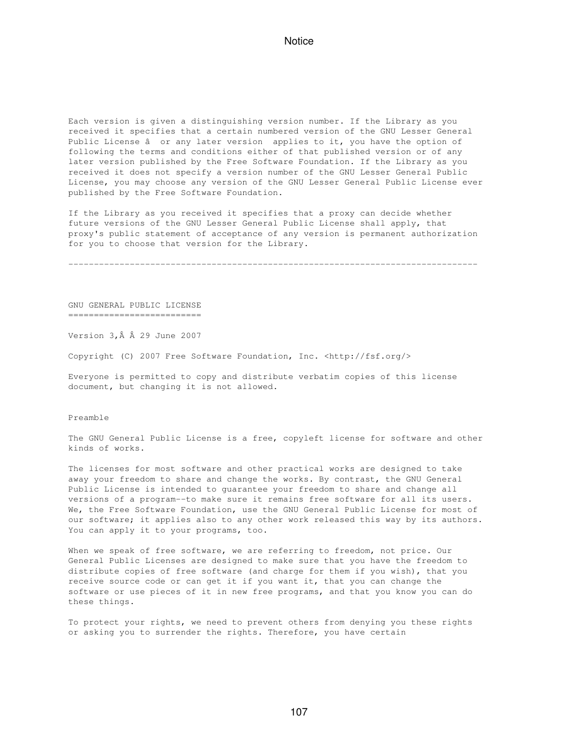Each version is given a distinguishing version number. If the Library as you received it specifies that a certain numbered version of the GNU Lesser General Public License â or any later version applies to it, you have the option of following the terms and conditions either of that published version or of any later version published by the Free Software Foundation. If the Library as you received it does not specify a version number of the GNU Lesser General Public License, you may choose any version of the GNU Lesser General Public License ever published by the Free Software Foundation.

If the Library as you received it specifies that a proxy can decide whether future versions of the GNU Lesser General Public License shall apply, that proxy's public statement of acceptance of any version is permanent authorization for you to choose that version for the Library.

--------------------------------------------------------------------------------

GNU GENERAL PUBLIC LICENSE ==========================

Version  $3, \hat{A}$   $\hat{A}$  29 June 2007

Copyright (C) 2007 Free Software Foundation, Inc. <http://fsf.org/>

Everyone is permitted to copy and distribute verbatim copies of this license document, but changing it is not allowed.

Preamble

The GNU General Public License is a free, copyleft license for software and other kinds of works.

The licenses for most software and other practical works are designed to take away your freedom to share and change the works. By contrast, the GNU General Public License is intended to guarantee your freedom to share and change all versions of a program--to make sure it remains free software for all its users. We, the Free Software Foundation, use the GNU General Public License for most of our software; it applies also to any other work released this way by its authors. You can apply it to your programs, too.

When we speak of free software, we are referring to freedom, not price. Our General Public Licenses are designed to make sure that you have the freedom to distribute copies of free software (and charge for them if you wish), that you receive source code or can get it if you want it, that you can change the software or use pieces of it in new free programs, and that you know you can do these things.

To protect your rights, we need to prevent others from denying you these rights or asking you to surrender the rights. Therefore, you have certain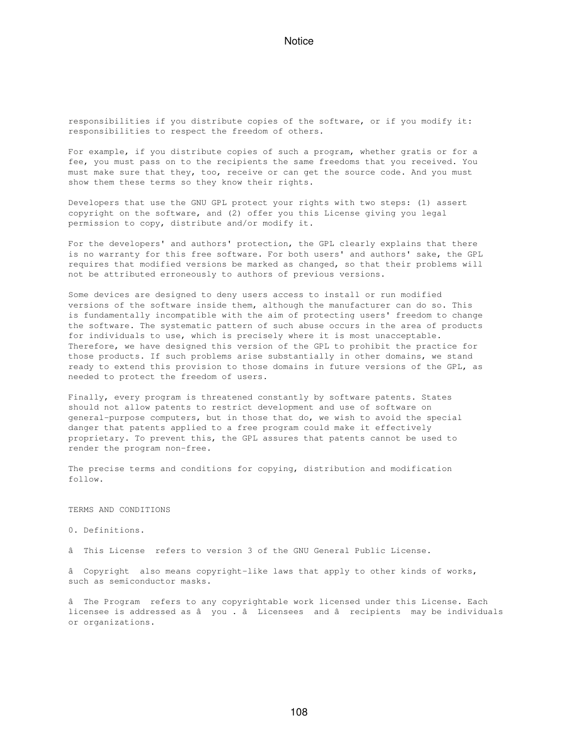responsibilities if you distribute copies of the software, or if you modify it: responsibilities to respect the freedom of others.

For example, if you distribute copies of such a program, whether gratis or for a fee, you must pass on to the recipients the same freedoms that you received. You must make sure that they, too, receive or can get the source code. And you must show them these terms so they know their rights.

Developers that use the GNU GPL protect your rights with two steps: (1) assert copyright on the software, and (2) offer you this License giving you legal permission to copy, distribute and/or modify it.

For the developers' and authors' protection, the GPL clearly explains that there is no warranty for this free software. For both users' and authors' sake, the GPL requires that modified versions be marked as changed, so that their problems will not be attributed erroneously to authors of previous versions.

Some devices are designed to deny users access to install or run modified versions of the software inside them, although the manufacturer can do so. This is fundamentally incompatible with the aim of protecting users' freedom to change the software. The systematic pattern of such abuse occurs in the area of products for individuals to use, which is precisely where it is most unacceptable. Therefore, we have designed this version of the GPL to prohibit the practice for those products. If such problems arise substantially in other domains, we stand ready to extend this provision to those domains in future versions of the GPL, as needed to protect the freedom of users.

Finally, every program is threatened constantly by software patents. States should not allow patents to restrict development and use of software on general-purpose computers, but in those that do, we wish to avoid the special danger that patents applied to a free program could make it effectively proprietary. To prevent this, the GPL assures that patents cannot be used to render the program non-free.

The precise terms and conditions for copying, distribution and modification follow.

TERMS AND CONDITIONS

0. Definitions.

âThis License refers to version 3 of the GNU General Public License.

â Copyright also means copyright-like laws that apply to other kinds of works, such as semiconductor masks.

âThe Program refers to any copyrightable work licensed under this License. Each licensee is addressed as â you . â Licensees and â recipients may be individuals or organizations.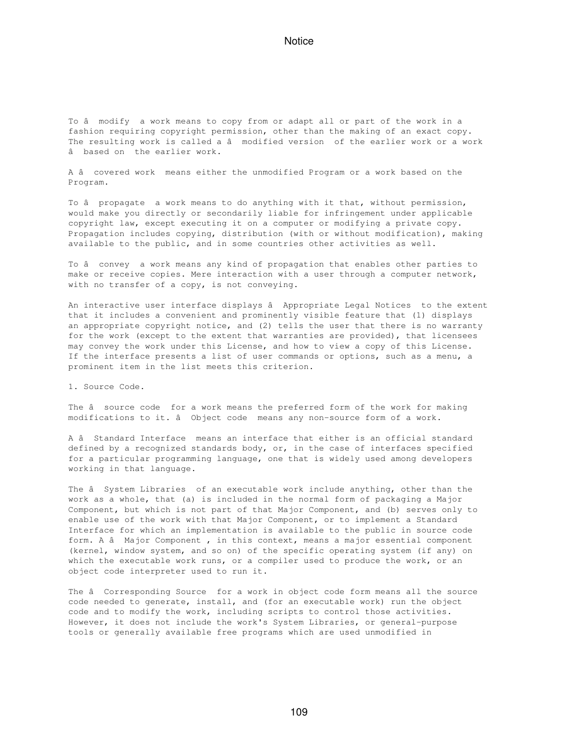To âmodify a work means to copy from or adapt all or part of the work in a fashion requiring copyright permission, other than the making of an exact copy. The resulting work is called a â modified version of the earlier work or a work âbased on the earlier work.

A âcovered work means either the unmodified Program or a work based on the Program.

To â propagate a work means to do anything with it that, without permission, would make you directly or secondarily liable for infringement under applicable copyright law, except executing it on a computer or modifying a private copy. Propagation includes copying, distribution (with or without modification), making available to the public, and in some countries other activities as well.

To â convey a work means any kind of propagation that enables other parties to make or receive copies. Mere interaction with a user through a computer network, with no transfer of a copy, is not conveying.

An interactive user interface displays â Appropriate Legal Notices to the extent that it includes a convenient and prominently visible feature that (1) displays an appropriate copyright notice, and (2) tells the user that there is no warranty for the work (except to the extent that warranties are provided), that licensees may convey the work under this License, and how to view a copy of this License. If the interface presents a list of user commands or options, such as a menu, a prominent item in the list meets this criterion.

1. Source Code.

The â source code for a work means the preferred form of the work for making modifications to it. â Object code means any non-source form of a work.

A â Standard Interface means an interface that either is an official standard defined by a recognized standards body, or, in the case of interfaces specified for a particular programming language, one that is widely used among developers working in that language.

The â System Libraries of an executable work include anything, other than the work as a whole, that (a) is included in the normal form of packaging a Major Component, but which is not part of that Major Component, and (b) serves only to enable use of the work with that Major Component, or to implement a Standard Interface for which an implementation is available to the public in source code form. A â Major Component, in this context, means a major essential component (kernel, window system, and so on) of the specific operating system (if any) on which the executable work runs, or a compiler used to produce the work, or an object code interpreter used to run it.

The â Corresponding Source for a work in object code form means all the source code needed to generate, install, and (for an executable work) run the object code and to modify the work, including scripts to control those activities. However, it does not include the work's System Libraries, or general-purpose tools or generally available free programs which are used unmodified in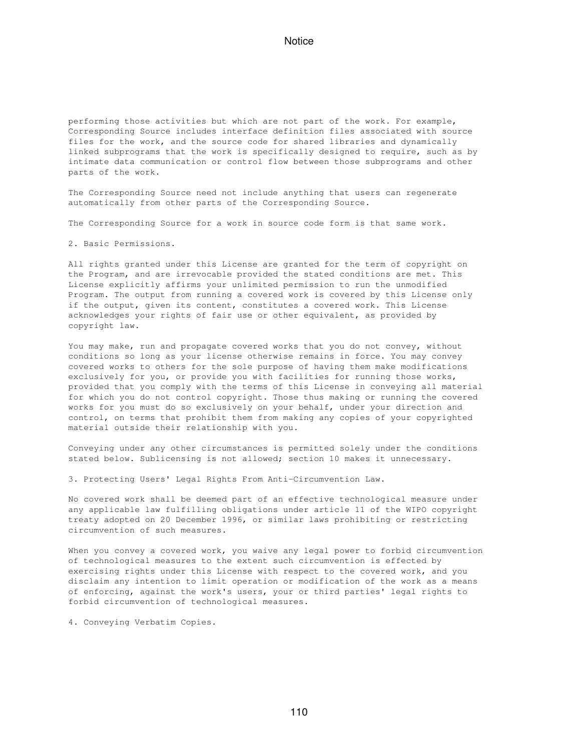performing those activities but which are not part of the work. For example, Corresponding Source includes interface definition files associated with source files for the work, and the source code for shared libraries and dynamically linked subprograms that the work is specifically designed to require, such as by intimate data communication or control flow between those subprograms and other parts of the work.

The Corresponding Source need not include anything that users can regenerate automatically from other parts of the Corresponding Source.

The Corresponding Source for a work in source code form is that same work.

2. Basic Permissions.

All rights granted under this License are granted for the term of copyright on the Program, and are irrevocable provided the stated conditions are met. This License explicitly affirms your unlimited permission to run the unmodified Program. The output from running a covered work is covered by this License only if the output, given its content, constitutes a covered work. This License acknowledges your rights of fair use or other equivalent, as provided by copyright law.

You may make, run and propagate covered works that you do not convey, without conditions so long as your license otherwise remains in force. You may convey covered works to others for the sole purpose of having them make modifications exclusively for you, or provide you with facilities for running those works, provided that you comply with the terms of this License in conveying all material for which you do not control copyright. Those thus making or running the covered works for you must do so exclusively on your behalf, under your direction and control, on terms that prohibit them from making any copies of your copyrighted material outside their relationship with you.

Conveying under any other circumstances is permitted solely under the conditions stated below. Sublicensing is not allowed; section 10 makes it unnecessary.

3. Protecting Users' Legal Rights From Anti-Circumvention Law.

No covered work shall be deemed part of an effective technological measure under any applicable law fulfilling obligations under article 11 of the WIPO copyright treaty adopted on 20 December 1996, or similar laws prohibiting or restricting circumvention of such measures.

When you convey a covered work, you waive any legal power to forbid circumvention of technological measures to the extent such circumvention is effected by exercising rights under this License with respect to the covered work, and you disclaim any intention to limit operation or modification of the work as a means of enforcing, against the work's users, your or third parties' legal rights to forbid circumvention of technological measures.

4. Conveying Verbatim Copies.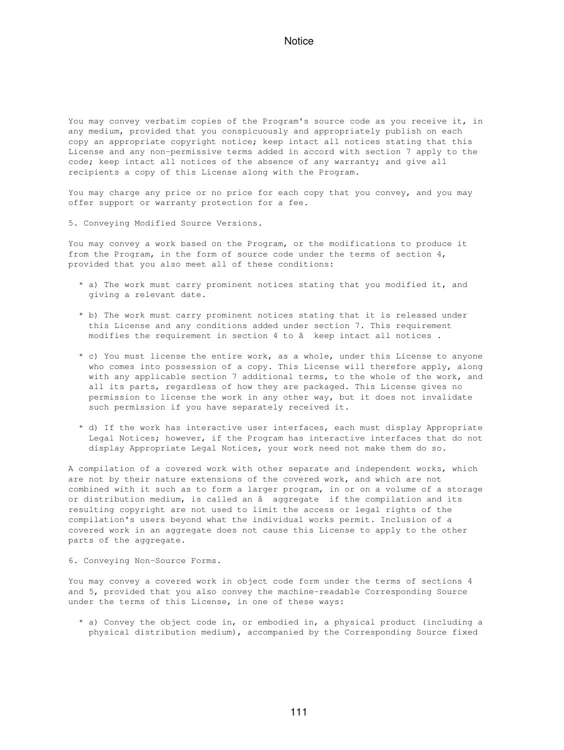You may convey verbatim copies of the Program's source code as you receive it, in any medium, provided that you conspicuously and appropriately publish on each copy an appropriate copyright notice; keep intact all notices stating that this License and any non-permissive terms added in accord with section 7 apply to the code; keep intact all notices of the absence of any warranty; and give all recipients a copy of this License along with the Program.

You may charge any price or no price for each copy that you convey, and you may offer support or warranty protection for a fee.

5. Conveying Modified Source Versions.

You may convey a work based on the Program, or the modifications to produce it from the Program, in the form of source code under the terms of section 4, provided that you also meet all of these conditions:

- \* a) The work must carry prominent notices stating that you modified it, and giving a relevant date.
- \* b) The work must carry prominent notices stating that it is released under this License and any conditions added under section 7. This requirement modifies the requirement in section  $4$  to  $\hat{a}$  keep intact all notices.
- \* c) You must license the entire work, as a whole, under this License to anyone who comes into possession of a copy. This License will therefore apply, along with any applicable section 7 additional terms, to the whole of the work, and all its parts, regardless of how they are packaged. This License gives no permission to license the work in any other way, but it does not invalidate such permission if you have separately received it.
- \* d) If the work has interactive user interfaces, each must display Appropriate Legal Notices; however, if the Program has interactive interfaces that do not display Appropriate Legal Notices, your work need not make them do so.

A compilation of a covered work with other separate and independent works, which are not by their nature extensions of the covered work, and which are not combined with it such as to form a larger program, in or on a volume of a storage or distribution medium, is called an â aggregate if the compilation and its resulting copyright are not used to limit the access or legal rights of the compilation's users beyond what the individual works permit. Inclusion of a covered work in an aggregate does not cause this License to apply to the other parts of the aggregate.

6. Conveying Non-Source Forms.

You may convey a covered work in object code form under the terms of sections 4 and 5, provided that you also convey the machine-readable Corresponding Source under the terms of this License, in one of these ways:

 \* a) Convey the object code in, or embodied in, a physical product (including a physical distribution medium), accompanied by the Corresponding Source fixed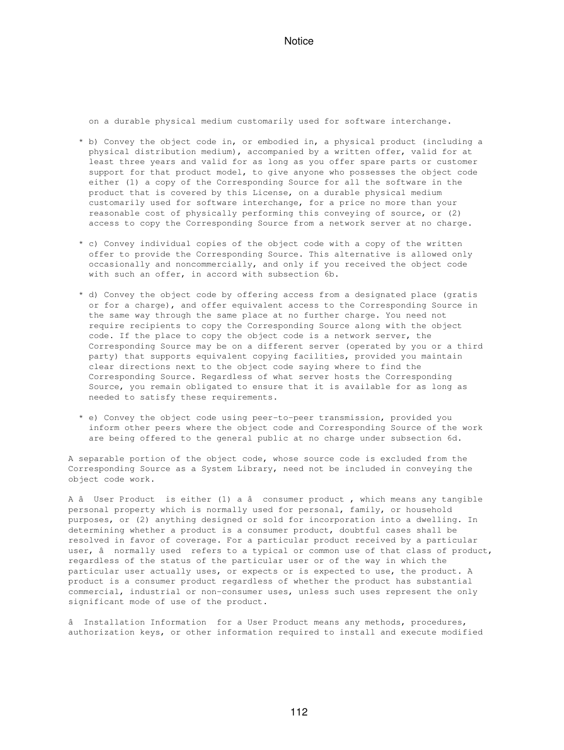on a durable physical medium customarily used for software interchange.

- \* b) Convey the object code in, or embodied in, a physical product (including a physical distribution medium), accompanied by a written offer, valid for at least three years and valid for as long as you offer spare parts or customer support for that product model, to give anyone who possesses the object code either (1) a copy of the Corresponding Source for all the software in the product that is covered by this License, on a durable physical medium customarily used for software interchange, for a price no more than your reasonable cost of physically performing this conveying of source, or (2) access to copy the Corresponding Source from a network server at no charge.
- \* c) Convey individual copies of the object code with a copy of the written offer to provide the Corresponding Source. This alternative is allowed only occasionally and noncommercially, and only if you received the object code with such an offer, in accord with subsection 6b.
- \* d) Convey the object code by offering access from a designated place (gratis or for a charge), and offer equivalent access to the Corresponding Source in the same way through the same place at no further charge. You need not require recipients to copy the Corresponding Source along with the object code. If the place to copy the object code is a network server, the Corresponding Source may be on a different server (operated by you or a third party) that supports equivalent copying facilities, provided you maintain clear directions next to the object code saying where to find the Corresponding Source. Regardless of what server hosts the Corresponding Source, you remain obligated to ensure that it is available for as long as needed to satisfy these requirements.
- \* e) Convey the object code using peer-to-peer transmission, provided you inform other peers where the object code and Corresponding Source of the work are being offered to the general public at no charge under subsection 6d.

A separable portion of the object code, whose source code is excluded from the Corresponding Source as a System Library, need not be included in conveying the object code work.

A â User Product is either (1) a â consumer product, which means any tangible personal property which is normally used for personal, family, or household purposes, or (2) anything designed or sold for incorporation into a dwelling. In determining whether a product is a consumer product, doubtful cases shall be resolved in favor of coverage. For a particular product received by a particular user, â normally used refers to a typical or common use of that class of product, regardless of the status of the particular user or of the way in which the particular user actually uses, or expects or is expected to use, the product. A product is a consumer product regardless of whether the product has substantial commercial, industrial or non-consumer uses, unless such uses represent the only significant mode of use of the product.

â Installation Information for a User Product means any methods, procedures, authorization keys, or other information required to install and execute modified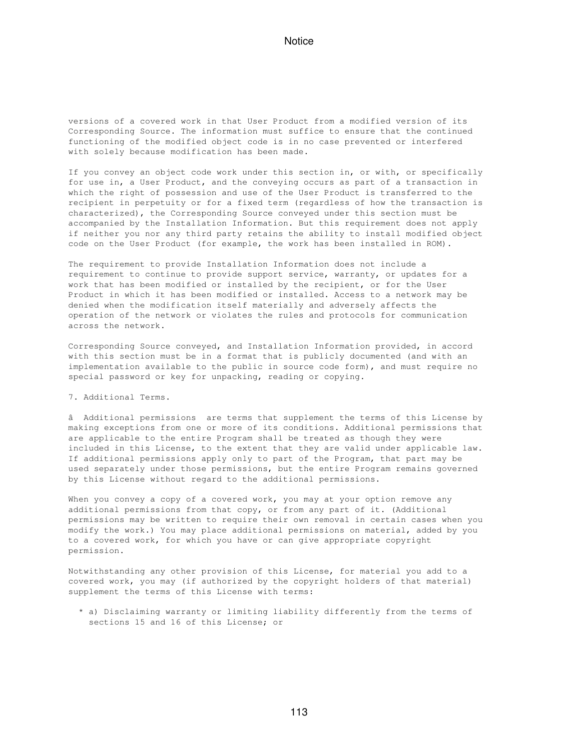versions of a covered work in that User Product from a modified version of its Corresponding Source. The information must suffice to ensure that the continued functioning of the modified object code is in no case prevented or interfered with solely because modification has been made.

If you convey an object code work under this section in, or with, or specifically for use in, a User Product, and the conveying occurs as part of a transaction in which the right of possession and use of the User Product is transferred to the recipient in perpetuity or for a fixed term (regardless of how the transaction is characterized), the Corresponding Source conveyed under this section must be accompanied by the Installation Information. But this requirement does not apply if neither you nor any third party retains the ability to install modified object code on the User Product (for example, the work has been installed in ROM).

The requirement to provide Installation Information does not include a requirement to continue to provide support service, warranty, or updates for a work that has been modified or installed by the recipient, or for the User Product in which it has been modified or installed. Access to a network may be denied when the modification itself materially and adversely affects the operation of the network or violates the rules and protocols for communication across the network.

Corresponding Source conveyed, and Installation Information provided, in accord with this section must be in a format that is publicly documented (and with an implementation available to the public in source code form), and must require no special password or key for unpacking, reading or copying.

7. Additional Terms.

âAdditional permissions are terms that supplement the terms of this License by making exceptions from one or more of its conditions. Additional permissions that are applicable to the entire Program shall be treated as though they were included in this License, to the extent that they are valid under applicable law. If additional permissions apply only to part of the Program, that part may be used separately under those permissions, but the entire Program remains governed by this License without regard to the additional permissions.

When you convey a copy of a covered work, you may at your option remove any additional permissions from that copy, or from any part of it. (Additional permissions may be written to require their own removal in certain cases when you modify the work.) You may place additional permissions on material, added by you to a covered work, for which you have or can give appropriate copyright permission.

Notwithstanding any other provision of this License, for material you add to a covered work, you may (if authorized by the copyright holders of that material) supplement the terms of this License with terms:

 \* a) Disclaiming warranty or limiting liability differently from the terms of sections 15 and 16 of this License; or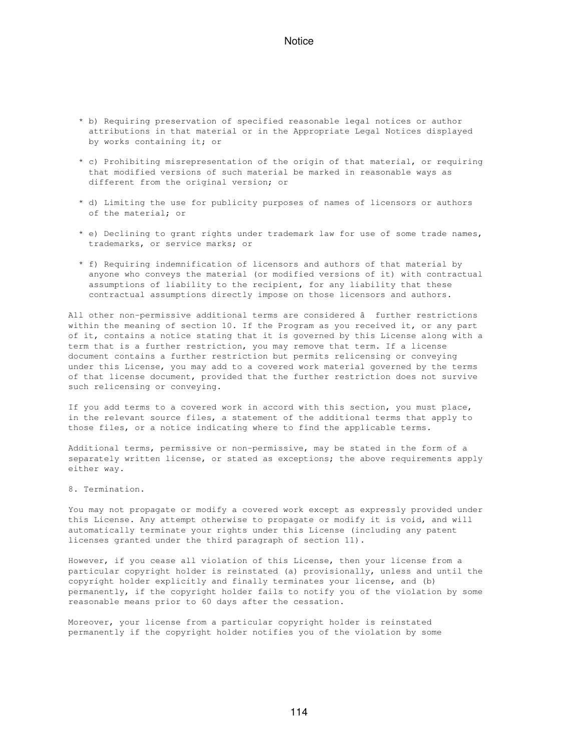- \* b) Requiring preservation of specified reasonable legal notices or author attributions in that material or in the Appropriate Legal Notices displayed by works containing it; or
- \* c) Prohibiting misrepresentation of the origin of that material, or requiring that modified versions of such material be marked in reasonable ways as different from the original version; or
- \* d) Limiting the use for publicity purposes of names of licensors or authors of the material; or
- \* e) Declining to grant rights under trademark law for use of some trade names, trademarks, or service marks; or
- \* f) Requiring indemnification of licensors and authors of that material by anyone who conveys the material (or modified versions of it) with contractual assumptions of liability to the recipient, for any liability that these contractual assumptions directly impose on those licensors and authors.

All other non-permissive additional terms are considered â further restrictions within the meaning of section 10. If the Program as you received it, or any part of it, contains a notice stating that it is governed by this License along with a term that is a further restriction, you may remove that term. If a license document contains a further restriction but permits relicensing or conveying under this License, you may add to a covered work material governed by the terms of that license document, provided that the further restriction does not survive such relicensing or conveying.

If you add terms to a covered work in accord with this section, you must place, in the relevant source files, a statement of the additional terms that apply to those files, or a notice indicating where to find the applicable terms.

Additional terms, permissive or non-permissive, may be stated in the form of a separately written license, or stated as exceptions; the above requirements apply either way.

8. Termination.

You may not propagate or modify a covered work except as expressly provided under this License. Any attempt otherwise to propagate or modify it is void, and will automatically terminate your rights under this License (including any patent licenses granted under the third paragraph of section 11).

However, if you cease all violation of this License, then your license from a particular copyright holder is reinstated (a) provisionally, unless and until the copyright holder explicitly and finally terminates your license, and (b) permanently, if the copyright holder fails to notify you of the violation by some reasonable means prior to 60 days after the cessation.

Moreover, your license from a particular copyright holder is reinstated permanently if the copyright holder notifies you of the violation by some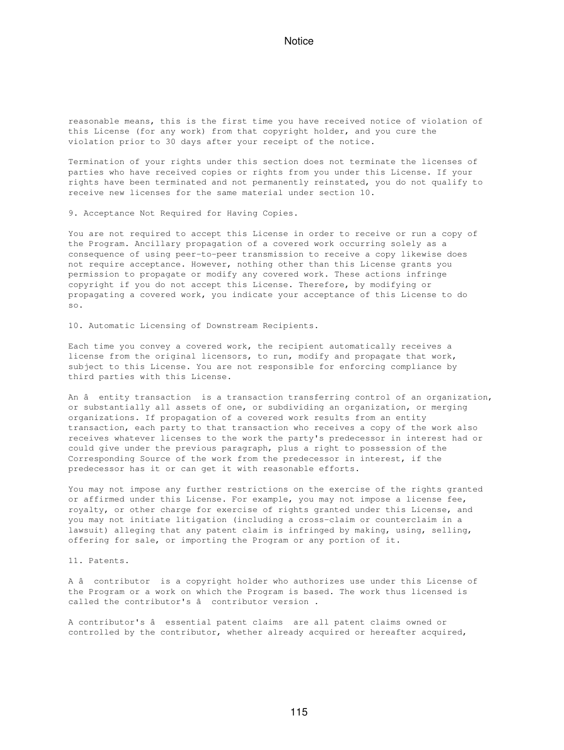reasonable means, this is the first time you have received notice of violation of this License (for any work) from that copyright holder, and you cure the violation prior to 30 days after your receipt of the notice.

Termination of your rights under this section does not terminate the licenses of parties who have received copies or rights from you under this License. If your rights have been terminated and not permanently reinstated, you do not qualify to receive new licenses for the same material under section 10.

9. Acceptance Not Required for Having Copies.

You are not required to accept this License in order to receive or run a copy of the Program. Ancillary propagation of a covered work occurring solely as a consequence of using peer-to-peer transmission to receive a copy likewise does not require acceptance. However, nothing other than this License grants you permission to propagate or modify any covered work. These actions infringe copyright if you do not accept this License. Therefore, by modifying or propagating a covered work, you indicate your acceptance of this License to do so.

10. Automatic Licensing of Downstream Recipients.

Each time you convey a covered work, the recipient automatically receives a license from the original licensors, to run, modify and propagate that work, subject to this License. You are not responsible for enforcing compliance by third parties with this License.

An â entity transaction is a transaction transferring control of an organization, or substantially all assets of one, or subdividing an organization, or merging organizations. If propagation of a covered work results from an entity transaction, each party to that transaction who receives a copy of the work also receives whatever licenses to the work the party's predecessor in interest had or could give under the previous paragraph, plus a right to possession of the Corresponding Source of the work from the predecessor in interest, if the predecessor has it or can get it with reasonable efforts.

You may not impose any further restrictions on the exercise of the rights granted or affirmed under this License. For example, you may not impose a license fee, royalty, or other charge for exercise of rights granted under this License, and you may not initiate litigation (including a cross-claim or counterclaim in a lawsuit) alleging that any patent claim is infringed by making, using, selling, offering for sale, or importing the Program or any portion of it.

11. Patents.

A âcontributor is a copyright holder who authorizes use under this License of the Program or a work on which the Program is based. The work thus licensed is called the contributor's â contributor version.

A contributor's â essential patent claims are all patent claims owned or controlled by the contributor, whether already acquired or hereafter acquired,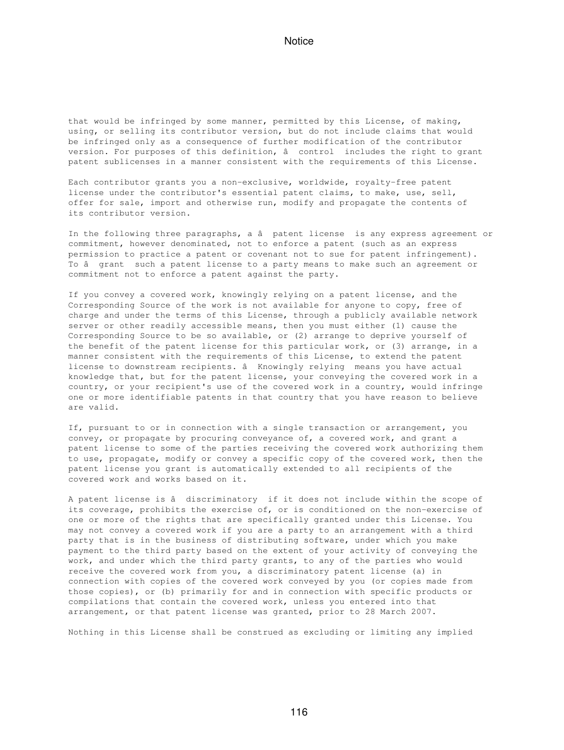that would be infringed by some manner, permitted by this License, of making, using, or selling its contributor version, but do not include claims that would be infringed only as a consequence of further modification of the contributor version. For purposes of this definition, â control includes the right to grant patent sublicenses in a manner consistent with the requirements of this License.

Each contributor grants you a non-exclusive, worldwide, royalty-free patent license under the contributor's essential patent claims, to make, use, sell, offer for sale, import and otherwise run, modify and propagate the contents of its contributor version.

In the following three paragraphs, a â patent license is any express agreement or commitment, however denominated, not to enforce a patent (such as an express permission to practice a patent or covenant not to sue for patent infringement). To â grant such a patent license to a party means to make such an agreement or commitment not to enforce a patent against the party.

If you convey a covered work, knowingly relying on a patent license, and the Corresponding Source of the work is not available for anyone to copy, free of charge and under the terms of this License, through a publicly available network server or other readily accessible means, then you must either (1) cause the Corresponding Source to be so available, or (2) arrange to deprive yourself of the benefit of the patent license for this particular work, or (3) arrange, in a manner consistent with the requirements of this License, to extend the patent license to downstream recipients. â Knowingly relying means you have actual knowledge that, but for the patent license, your conveying the covered work in a country, or your recipient's use of the covered work in a country, would infringe one or more identifiable patents in that country that you have reason to believe are valid.

If, pursuant to or in connection with a single transaction or arrangement, you convey, or propagate by procuring conveyance of, a covered work, and grant a patent license to some of the parties receiving the covered work authorizing them to use, propagate, modify or convey a specific copy of the covered work, then the patent license you grant is automatically extended to all recipients of the covered work and works based on it.

A patent license is â discriminatory if it does not include within the scope of its coverage, prohibits the exercise of, or is conditioned on the non-exercise of one or more of the rights that are specifically granted under this License. You may not convey a covered work if you are a party to an arrangement with a third party that is in the business of distributing software, under which you make payment to the third party based on the extent of your activity of conveying the work, and under which the third party grants, to any of the parties who would receive the covered work from you, a discriminatory patent license (a) in connection with copies of the covered work conveyed by you (or copies made from those copies), or (b) primarily for and in connection with specific products or compilations that contain the covered work, unless you entered into that arrangement, or that patent license was granted, prior to 28 March 2007.

Nothing in this License shall be construed as excluding or limiting any implied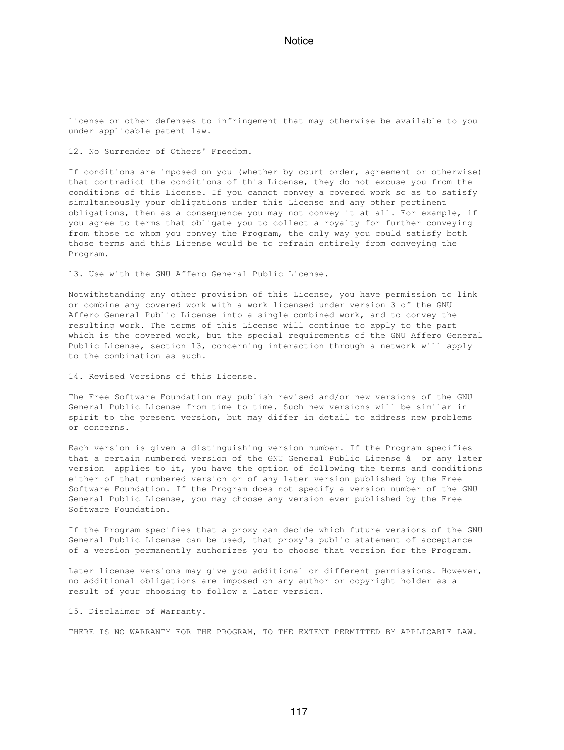license or other defenses to infringement that may otherwise be available to you under applicable patent law.

12. No Surrender of Others' Freedom.

If conditions are imposed on you (whether by court order, agreement or otherwise) that contradict the conditions of this License, they do not excuse you from the conditions of this License. If you cannot convey a covered work so as to satisfy simultaneously your obligations under this License and any other pertinent obligations, then as a consequence you may not convey it at all. For example, if you agree to terms that obligate you to collect a royalty for further conveying from those to whom you convey the Program, the only way you could satisfy both those terms and this License would be to refrain entirely from conveying the Program.

13. Use with the GNU Affero General Public License.

Notwithstanding any other provision of this License, you have permission to link or combine any covered work with a work licensed under version 3 of the GNU Affero General Public License into a single combined work, and to convey the resulting work. The terms of this License will continue to apply to the part which is the covered work, but the special requirements of the GNU Affero General Public License, section 13, concerning interaction through a network will apply to the combination as such.

14. Revised Versions of this License.

The Free Software Foundation may publish revised and/or new versions of the GNU General Public License from time to time. Such new versions will be similar in spirit to the present version, but may differ in detail to address new problems or concerns.

Each version is given a distinguishing version number. If the Program specifies that a certain numbered version of the GNU General Public License â or any later version applies to it, you have the option of following the terms and conditions either of that numbered version or of any later version published by the Free Software Foundation. If the Program does not specify a version number of the GNU General Public License, you may choose any version ever published by the Free Software Foundation.

If the Program specifies that a proxy can decide which future versions of the GNU General Public License can be used, that proxy's public statement of acceptance of a version permanently authorizes you to choose that version for the Program.

Later license versions may give you additional or different permissions. However, no additional obligations are imposed on any author or copyright holder as a result of your choosing to follow a later version.

15. Disclaimer of Warranty.

THERE IS NO WARRANTY FOR THE PROGRAM, TO THE EXTENT PERMITTED BY APPLICABLE LAW.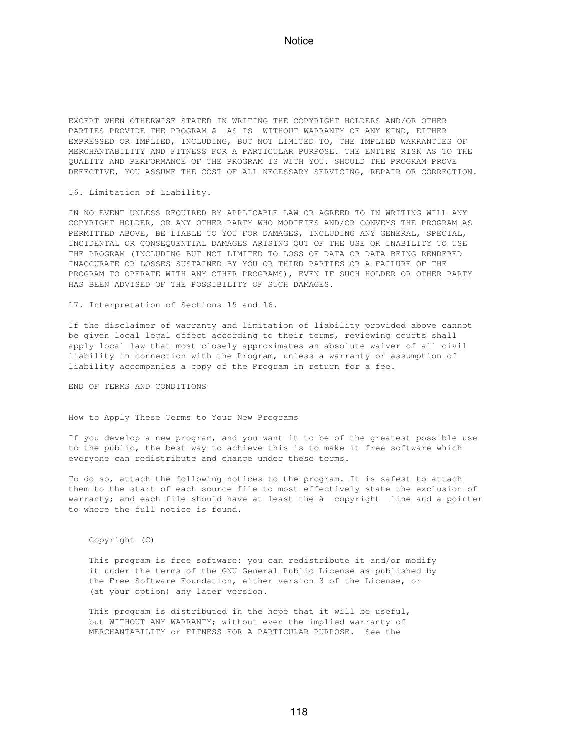EXCEPT WHEN OTHERWISE STATED IN WRITING THE COPYRIGHT HOLDERS AND/OR OTHER PARTIES PROVIDE THE PROGRAM â AS IS WITHOUT WARRANTY OF ANY KIND, EITHER EXPRESSED OR IMPLIED, INCLUDING, BUT NOT LIMITED TO, THE IMPLIED WARRANTIES OF MERCHANTABILITY AND FITNESS FOR A PARTICULAR PURPOSE. THE ENTIRE RISK AS TO THE QUALITY AND PERFORMANCE OF THE PROGRAM IS WITH YOU. SHOULD THE PROGRAM PROVE DEFECTIVE, YOU ASSUME THE COST OF ALL NECESSARY SERVICING, REPAIR OR CORRECTION.

16. Limitation of Liability.

IN NO EVENT UNLESS REQUIRED BY APPLICABLE LAW OR AGREED TO IN WRITING WILL ANY COPYRIGHT HOLDER, OR ANY OTHER PARTY WHO MODIFIES AND/OR CONVEYS THE PROGRAM AS PERMITTED ABOVE, BE LIABLE TO YOU FOR DAMAGES, INCLUDING ANY GENERAL, SPECIAL, INCIDENTAL OR CONSEQUENTIAL DAMAGES ARISING OUT OF THE USE OR INABILITY TO USE THE PROGRAM (INCLUDING BUT NOT LIMITED TO LOSS OF DATA OR DATA BEING RENDERED INACCURATE OR LOSSES SUSTAINED BY YOU OR THIRD PARTIES OR A FAILURE OF THE PROGRAM TO OPERATE WITH ANY OTHER PROGRAMS), EVEN IF SUCH HOLDER OR OTHER PARTY HAS BEEN ADVISED OF THE POSSIBILITY OF SUCH DAMAGES.

17. Interpretation of Sections 15 and 16.

If the disclaimer of warranty and limitation of liability provided above cannot be given local legal effect according to their terms, reviewing courts shall apply local law that most closely approximates an absolute waiver of all civil liability in connection with the Program, unless a warranty or assumption of liability accompanies a copy of the Program in return for a fee.

END OF TERMS AND CONDITIONS

How to Apply These Terms to Your New Programs

If you develop a new program, and you want it to be of the greatest possible use to the public, the best way to achieve this is to make it free software which everyone can redistribute and change under these terms.

To do so, attach the following notices to the program. It is safest to attach them to the start of each source file to most effectively state the exclusion of warranty; and each file should have at least the â copyright line and a pointer to where the full notice is found.

Copyright (C)

 This program is free software: you can redistribute it and/or modify it under the terms of the GNU General Public License as published by the Free Software Foundation, either version 3 of the License, or (at your option) any later version.

 This program is distributed in the hope that it will be useful, but WITHOUT ANY WARRANTY; without even the implied warranty of MERCHANTABILITY or FITNESS FOR A PARTICULAR PURPOSE. See the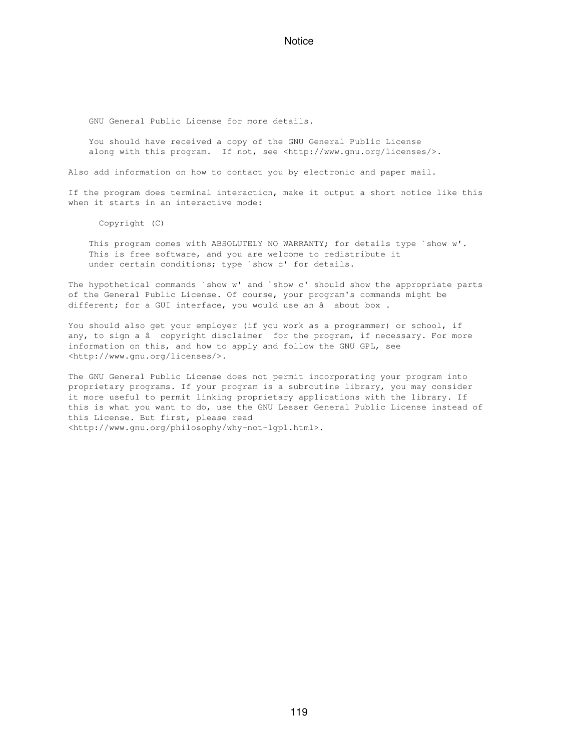GNU General Public License for more details.

 You should have received a copy of the GNU General Public License along with this program. If not, see <http://www.gnu.org/licenses/>.

Also add information on how to contact you by electronic and paper mail.

If the program does terminal interaction, make it output a short notice like this when it starts in an interactive mode:

Copyright (C)

This program comes with ABSOLUTELY NO WARRANTY; for details type `show w'. This is free software, and you are welcome to redistribute it under certain conditions; type `show c' for details.

The hypothetical commands `show w' and `show c' should show the appropriate parts of the General Public License. Of course, your program's commands might be different; for a GUI interface, you would use an â about box.

You should also get your employer (if you work as a programmer) or school, if any, to sign a â copyright disclaimer for the program, if necessary. For more information on this, and how to apply and follow the GNU GPL, see <http://www.gnu.org/licenses/>.

The GNU General Public License does not permit incorporating your program into proprietary programs. If your program is a subroutine library, you may consider it more useful to permit linking proprietary applications with the library. If this is what you want to do, use the GNU Lesser General Public License instead of this License. But first, please read <http://www.gnu.org/philosophy/why-not-lgpl.html>.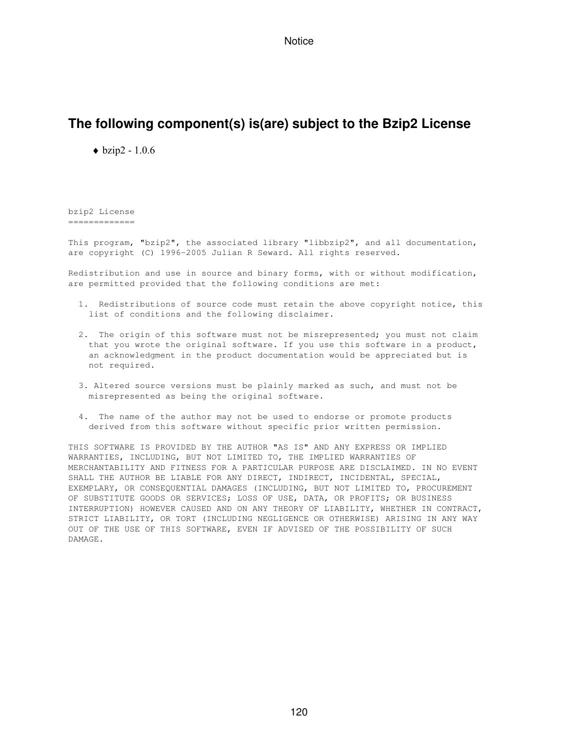# **The following component(s) is(are) subject to the Bzip2 License**

 $\blacklozenge$  bzip2 - 1.0.6

bzip2 License =============

This program, "bzip2", the associated library "libbzip2", and all documentation, are copyright (C) 1996-2005 Julian R Seward. All rights reserved.

Redistribution and use in source and binary forms, with or without modification, are permitted provided that the following conditions are met:

- 1. Redistributions of source code must retain the above copyright notice, this list of conditions and the following disclaimer.
- 2. The origin of this software must not be misrepresented; you must not claim that you wrote the original software. If you use this software in a product, an acknowledgment in the product documentation would be appreciated but is not required.
- 3. Altered source versions must be plainly marked as such, and must not be misrepresented as being the original software.
- 4. The name of the author may not be used to endorse or promote products derived from this software without specific prior written permission.

THIS SOFTWARE IS PROVIDED BY THE AUTHOR "AS IS" AND ANY EXPRESS OR IMPLIED WARRANTIES, INCLUDING, BUT NOT LIMITED TO, THE IMPLIED WARRANTIES OF MERCHANTABILITY AND FITNESS FOR A PARTICULAR PURPOSE ARE DISCLAIMED. IN NO EVENT SHALL THE AUTHOR BE LIABLE FOR ANY DIRECT, INDIRECT, INCIDENTAL, SPECIAL, EXEMPLARY, OR CONSEQUENTIAL DAMAGES (INCLUDING, BUT NOT LIMITED TO, PROCUREMENT OF SUBSTITUTE GOODS OR SERVICES; LOSS OF USE, DATA, OR PROFITS; OR BUSINESS INTERRUPTION) HOWEVER CAUSED AND ON ANY THEORY OF LIABILITY, WHETHER IN CONTRACT, STRICT LIABILITY, OR TORT (INCLUDING NEGLIGENCE OR OTHERWISE) ARISING IN ANY WAY OUT OF THE USE OF THIS SOFTWARE, EVEN IF ADVISED OF THE POSSIBILITY OF SUCH DAMAGE.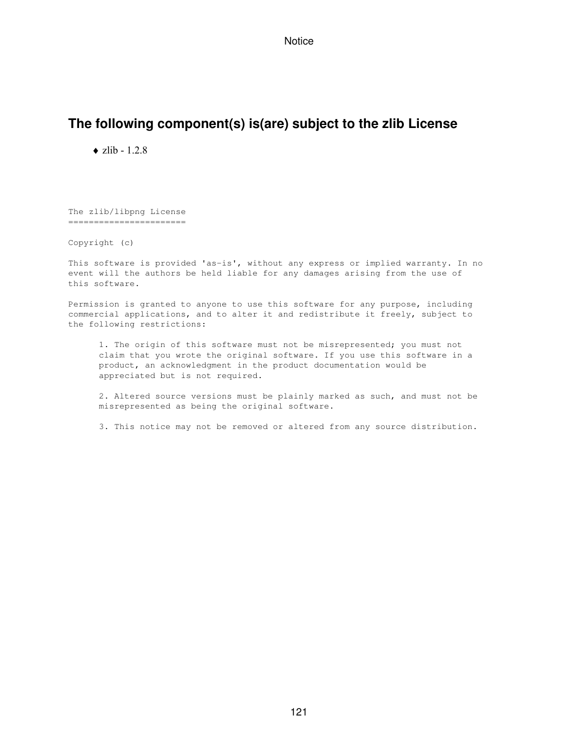# **The following component(s) is(are) subject to the zlib License**

 $\triangle$  zlib - 1.2.8

The zlib/libpng License =======================

Copyright (c)

This software is provided 'as-is', without any express or implied warranty. In no event will the authors be held liable for any damages arising from the use of this software.

Permission is granted to anyone to use this software for any purpose, including commercial applications, and to alter it and redistribute it freely, subject to the following restrictions:

 1. The origin of this software must not be misrepresented; you must not claim that you wrote the original software. If you use this software in a product, an acknowledgment in the product documentation would be appreciated but is not required.

 2. Altered source versions must be plainly marked as such, and must not be misrepresented as being the original software.

3. This notice may not be removed or altered from any source distribution.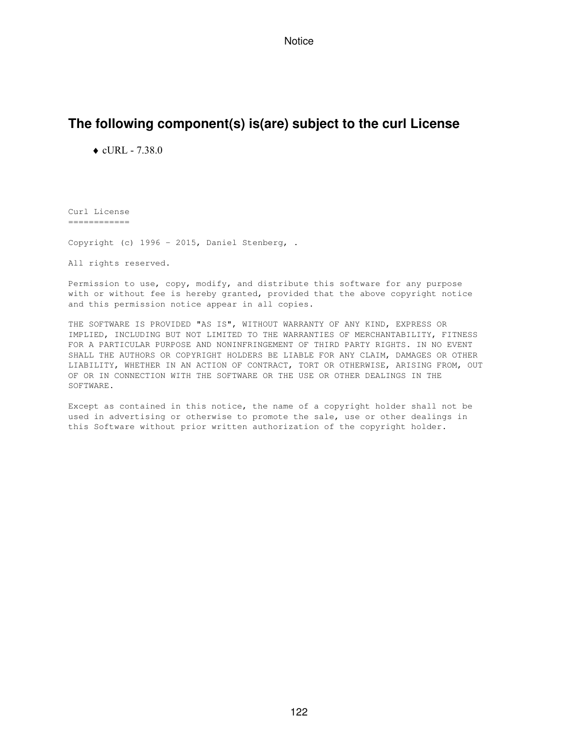# **The following component(s) is(are) subject to the curl License**

 $\triangle$  cURL - 7.38.0

Curl License ============

Copyright (c) 1996 - 2015, Daniel Stenberg, .

All rights reserved.

Permission to use, copy, modify, and distribute this software for any purpose with or without fee is hereby granted, provided that the above copyright notice and this permission notice appear in all copies.

THE SOFTWARE IS PROVIDED "AS IS", WITHOUT WARRANTY OF ANY KIND, EXPRESS OR IMPLIED, INCLUDING BUT NOT LIMITED TO THE WARRANTIES OF MERCHANTABILITY, FITNESS FOR A PARTICULAR PURPOSE AND NONINFRINGEMENT OF THIRD PARTY RIGHTS. IN NO EVENT SHALL THE AUTHORS OR COPYRIGHT HOLDERS BE LIABLE FOR ANY CLAIM, DAMAGES OR OTHER LIABILITY, WHETHER IN AN ACTION OF CONTRACT, TORT OR OTHERWISE, ARISING FROM, OUT OF OR IN CONNECTION WITH THE SOFTWARE OR THE USE OR OTHER DEALINGS IN THE SOFTWARE.

Except as contained in this notice, the name of a copyright holder shall not be used in advertising or otherwise to promote the sale, use or other dealings in this Software without prior written authorization of the copyright holder.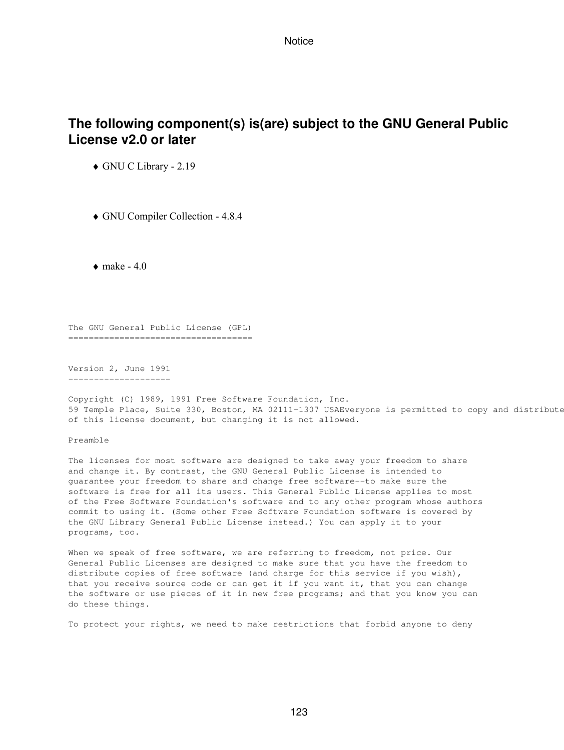# **The following component(s) is(are) subject to the GNU General Public License v2.0 or later**

♦ GNU C Library - 2.19

♦ GNU Compiler Collection - 4.8.4

 $\bullet$  make - 4.0

The GNU General Public License (GPL) ====================================

Version 2, June 1991 --------------------

Copyright (C) 1989, 1991 Free Software Foundation, Inc. 59 Temple Place, Suite 330, Boston, MA 02111-1307 USAEveryone is permitted to copy and distribute of this license document, but changing it is not allowed.

Preamble

The licenses for most software are designed to take away your freedom to share and change it. By contrast, the GNU General Public License is intended to guarantee your freedom to share and change free software--to make sure the software is free for all its users. This General Public License applies to most of the Free Software Foundation's software and to any other program whose authors commit to using it. (Some other Free Software Foundation software is covered by the GNU Library General Public License instead.) You can apply it to your programs, too.

When we speak of free software, we are referring to freedom, not price. Our General Public Licenses are designed to make sure that you have the freedom to distribute copies of free software (and charge for this service if you wish), that you receive source code or can get it if you want it, that you can change the software or use pieces of it in new free programs; and that you know you can do these things.

To protect your rights, we need to make restrictions that forbid anyone to deny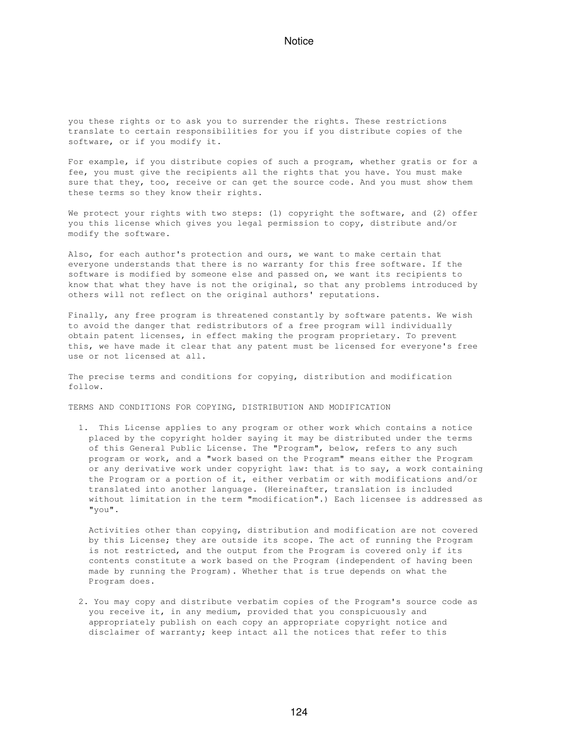you these rights or to ask you to surrender the rights. These restrictions translate to certain responsibilities for you if you distribute copies of the software, or if you modify it.

For example, if you distribute copies of such a program, whether gratis or for a fee, you must give the recipients all the rights that you have. You must make sure that they, too, receive or can get the source code. And you must show them these terms so they know their rights.

We protect your rights with two steps: (1) copyright the software, and (2) offer you this license which gives you legal permission to copy, distribute and/or modify the software.

Also, for each author's protection and ours, we want to make certain that everyone understands that there is no warranty for this free software. If the software is modified by someone else and passed on, we want its recipients to know that what they have is not the original, so that any problems introduced by others will not reflect on the original authors' reputations.

Finally, any free program is threatened constantly by software patents. We wish to avoid the danger that redistributors of a free program will individually obtain patent licenses, in effect making the program proprietary. To prevent this, we have made it clear that any patent must be licensed for everyone's free use or not licensed at all.

The precise terms and conditions for copying, distribution and modification follow.

TERMS AND CONDITIONS FOR COPYING, DISTRIBUTION AND MODIFICATION

 1. This License applies to any program or other work which contains a notice placed by the copyright holder saying it may be distributed under the terms of this General Public License. The "Program", below, refers to any such program or work, and a "work based on the Program" means either the Program or any derivative work under copyright law: that is to say, a work containing the Program or a portion of it, either verbatim or with modifications and/or translated into another language. (Hereinafter, translation is included without limitation in the term "modification".) Each licensee is addressed as "you".

 Activities other than copying, distribution and modification are not covered by this License; they are outside its scope. The act of running the Program is not restricted, and the output from the Program is covered only if its contents constitute a work based on the Program (independent of having been made by running the Program). Whether that is true depends on what the Program does.

 2. You may copy and distribute verbatim copies of the Program's source code as you receive it, in any medium, provided that you conspicuously and appropriately publish on each copy an appropriate copyright notice and disclaimer of warranty; keep intact all the notices that refer to this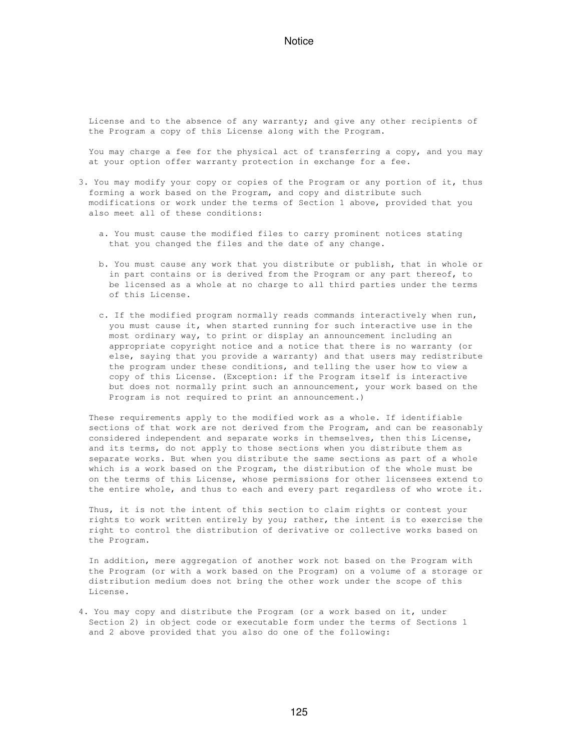License and to the absence of any warranty; and give any other recipients of the Program a copy of this License along with the Program.

You may charge a fee for the physical act of transferring a copy, and you may at your option offer warranty protection in exchange for a fee.

- 3. You may modify your copy or copies of the Program or any portion of it, thus forming a work based on the Program, and copy and distribute such modifications or work under the terms of Section 1 above, provided that you also meet all of these conditions:
	- a. You must cause the modified files to carry prominent notices stating that you changed the files and the date of any change.
	- b. You must cause any work that you distribute or publish, that in whole or in part contains or is derived from the Program or any part thereof, to be licensed as a whole at no charge to all third parties under the terms of this License.
	- c. If the modified program normally reads commands interactively when run, you must cause it, when started running for such interactive use in the most ordinary way, to print or display an announcement including an appropriate copyright notice and a notice that there is no warranty (or else, saying that you provide a warranty) and that users may redistribute the program under these conditions, and telling the user how to view a copy of this License. (Exception: if the Program itself is interactive but does not normally print such an announcement, your work based on the Program is not required to print an announcement.)

 These requirements apply to the modified work as a whole. If identifiable sections of that work are not derived from the Program, and can be reasonably considered independent and separate works in themselves, then this License, and its terms, do not apply to those sections when you distribute them as separate works. But when you distribute the same sections as part of a whole which is a work based on the Program, the distribution of the whole must be on the terms of this License, whose permissions for other licensees extend to the entire whole, and thus to each and every part regardless of who wrote it.

 Thus, it is not the intent of this section to claim rights or contest your rights to work written entirely by you; rather, the intent is to exercise the right to control the distribution of derivative or collective works based on the Program.

 In addition, mere aggregation of another work not based on the Program with the Program (or with a work based on the Program) on a volume of a storage or distribution medium does not bring the other work under the scope of this License.

 4. You may copy and distribute the Program (or a work based on it, under Section 2) in object code or executable form under the terms of Sections 1 and 2 above provided that you also do one of the following: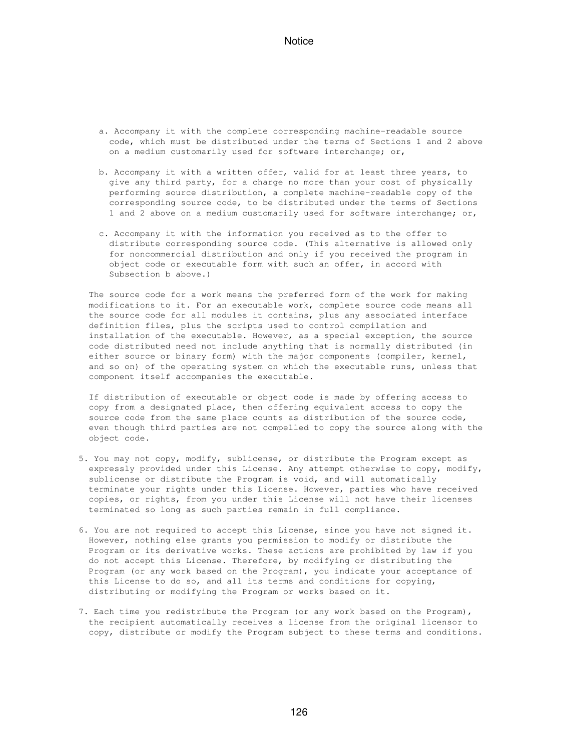- a. Accompany it with the complete corresponding machine-readable source code, which must be distributed under the terms of Sections 1 and 2 above on a medium customarily used for software interchange; or,
- b. Accompany it with a written offer, valid for at least three years, to give any third party, for a charge no more than your cost of physically performing source distribution, a complete machine-readable copy of the corresponding source code, to be distributed under the terms of Sections 1 and 2 above on a medium customarily used for software interchange; or,
- c. Accompany it with the information you received as to the offer to distribute corresponding source code. (This alternative is allowed only for noncommercial distribution and only if you received the program in object code or executable form with such an offer, in accord with Subsection b above.)

 The source code for a work means the preferred form of the work for making modifications to it. For an executable work, complete source code means all the source code for all modules it contains, plus any associated interface definition files, plus the scripts used to control compilation and installation of the executable. However, as a special exception, the source code distributed need not include anything that is normally distributed (in either source or binary form) with the major components (compiler, kernel, and so on) of the operating system on which the executable runs, unless that component itself accompanies the executable.

 If distribution of executable or object code is made by offering access to copy from a designated place, then offering equivalent access to copy the source code from the same place counts as distribution of the source code, even though third parties are not compelled to copy the source along with the object code.

- 5. You may not copy, modify, sublicense, or distribute the Program except as expressly provided under this License. Any attempt otherwise to copy, modify, sublicense or distribute the Program is void, and will automatically terminate your rights under this License. However, parties who have received copies, or rights, from you under this License will not have their licenses terminated so long as such parties remain in full compliance.
- 6. You are not required to accept this License, since you have not signed it. However, nothing else grants you permission to modify or distribute the Program or its derivative works. These actions are prohibited by law if you do not accept this License. Therefore, by modifying or distributing the Program (or any work based on the Program), you indicate your acceptance of this License to do so, and all its terms and conditions for copying, distributing or modifying the Program or works based on it.
- 7. Each time you redistribute the Program (or any work based on the Program), the recipient automatically receives a license from the original licensor to copy, distribute or modify the Program subject to these terms and conditions.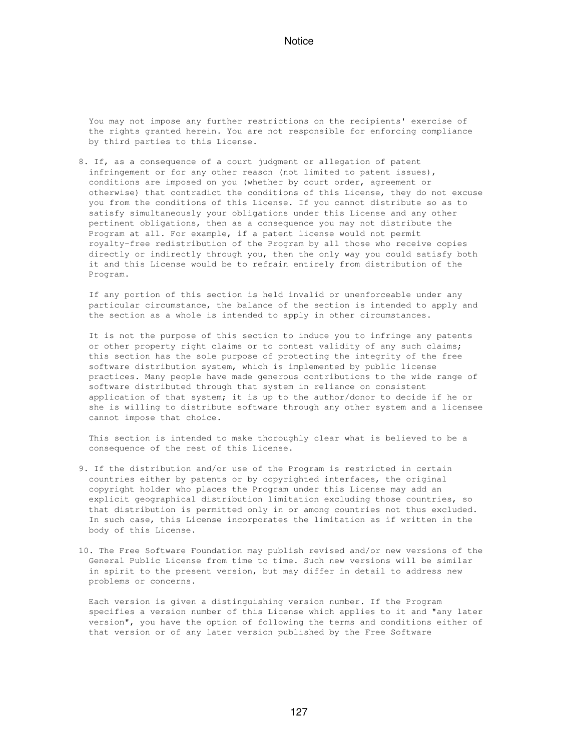You may not impose any further restrictions on the recipients' exercise of the rights granted herein. You are not responsible for enforcing compliance by third parties to this License.

 8. If, as a consequence of a court judgment or allegation of patent infringement or for any other reason (not limited to patent issues), conditions are imposed on you (whether by court order, agreement or otherwise) that contradict the conditions of this License, they do not excuse you from the conditions of this License. If you cannot distribute so as to satisfy simultaneously your obligations under this License and any other pertinent obligations, then as a consequence you may not distribute the Program at all. For example, if a patent license would not permit royalty-free redistribution of the Program by all those who receive copies directly or indirectly through you, then the only way you could satisfy both it and this License would be to refrain entirely from distribution of the Program.

 If any portion of this section is held invalid or unenforceable under any particular circumstance, the balance of the section is intended to apply and the section as a whole is intended to apply in other circumstances.

 It is not the purpose of this section to induce you to infringe any patents or other property right claims or to contest validity of any such claims; this section has the sole purpose of protecting the integrity of the free software distribution system, which is implemented by public license practices. Many people have made generous contributions to the wide range of software distributed through that system in reliance on consistent application of that system; it is up to the author/donor to decide if he or she is willing to distribute software through any other system and a licensee cannot impose that choice.

 This section is intended to make thoroughly clear what is believed to be a consequence of the rest of this License.

- 9. If the distribution and/or use of the Program is restricted in certain countries either by patents or by copyrighted interfaces, the original copyright holder who places the Program under this License may add an explicit geographical distribution limitation excluding those countries, so that distribution is permitted only in or among countries not thus excluded. In such case, this License incorporates the limitation as if written in the body of this License.
- 10. The Free Software Foundation may publish revised and/or new versions of the General Public License from time to time. Such new versions will be similar in spirit to the present version, but may differ in detail to address new problems or concerns.

 Each version is given a distinguishing version number. If the Program specifies a version number of this License which applies to it and "any later version", you have the option of following the terms and conditions either of that version or of any later version published by the Free Software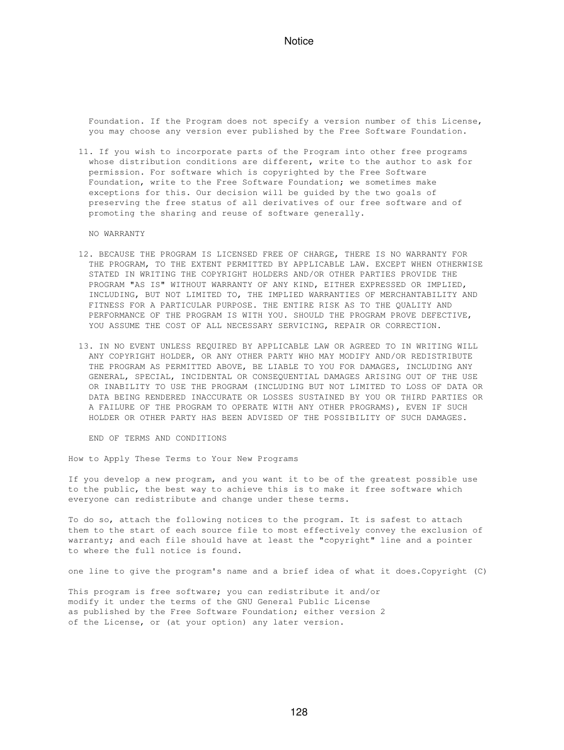Foundation. If the Program does not specify a version number of this License, you may choose any version ever published by the Free Software Foundation.

 11. If you wish to incorporate parts of the Program into other free programs whose distribution conditions are different, write to the author to ask for permission. For software which is copyrighted by the Free Software Foundation, write to the Free Software Foundation; we sometimes make exceptions for this. Our decision will be guided by the two goals of preserving the free status of all derivatives of our free software and of promoting the sharing and reuse of software generally.

NO WARRANTY

- 12. BECAUSE THE PROGRAM IS LICENSED FREE OF CHARGE, THERE IS NO WARRANTY FOR THE PROGRAM, TO THE EXTENT PERMITTED BY APPLICABLE LAW. EXCEPT WHEN OTHERWISE STATED IN WRITING THE COPYRIGHT HOLDERS AND/OR OTHER PARTIES PROVIDE THE PROGRAM "AS IS" WITHOUT WARRANTY OF ANY KIND, EITHER EXPRESSED OR IMPLIED, INCLUDING, BUT NOT LIMITED TO, THE IMPLIED WARRANTIES OF MERCHANTABILITY AND FITNESS FOR A PARTICULAR PURPOSE. THE ENTIRE RISK AS TO THE QUALITY AND PERFORMANCE OF THE PROGRAM IS WITH YOU. SHOULD THE PROGRAM PROVE DEFECTIVE, YOU ASSUME THE COST OF ALL NECESSARY SERVICING, REPAIR OR CORRECTION.
- 13. IN NO EVENT UNLESS REQUIRED BY APPLICABLE LAW OR AGREED TO IN WRITING WILL ANY COPYRIGHT HOLDER, OR ANY OTHER PARTY WHO MAY MODIFY AND/OR REDISTRIBUTE THE PROGRAM AS PERMITTED ABOVE, BE LIABLE TO YOU FOR DAMAGES, INCLUDING ANY GENERAL, SPECIAL, INCIDENTAL OR CONSEQUENTIAL DAMAGES ARISING OUT OF THE USE OR INABILITY TO USE THE PROGRAM (INCLUDING BUT NOT LIMITED TO LOSS OF DATA OR DATA BEING RENDERED INACCURATE OR LOSSES SUSTAINED BY YOU OR THIRD PARTIES OR A FAILURE OF THE PROGRAM TO OPERATE WITH ANY OTHER PROGRAMS), EVEN IF SUCH HOLDER OR OTHER PARTY HAS BEEN ADVISED OF THE POSSIBILITY OF SUCH DAMAGES.

END OF TERMS AND CONDITIONS

How to Apply These Terms to Your New Programs

If you develop a new program, and you want it to be of the greatest possible use to the public, the best way to achieve this is to make it free software which everyone can redistribute and change under these terms.

To do so, attach the following notices to the program. It is safest to attach them to the start of each source file to most effectively convey the exclusion of warranty; and each file should have at least the "copyright" line and a pointer to where the full notice is found.

one line to give the program's name and a brief idea of what it does.Copyright (C)

This program is free software; you can redistribute it and/or modify it under the terms of the GNU General Public License as published by the Free Software Foundation; either version 2 of the License, or (at your option) any later version.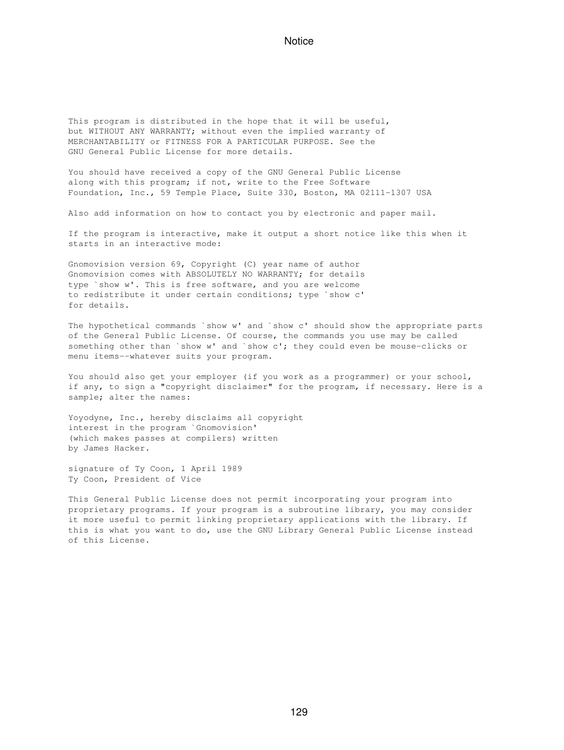This program is distributed in the hope that it will be useful, but WITHOUT ANY WARRANTY; without even the implied warranty of MERCHANTABILITY or FITNESS FOR A PARTICULAR PURPOSE. See the GNU General Public License for more details.

You should have received a copy of the GNU General Public License along with this program; if not, write to the Free Software Foundation, Inc., 59 Temple Place, Suite 330, Boston, MA 02111-1307 USA

Also add information on how to contact you by electronic and paper mail.

If the program is interactive, make it output a short notice like this when it starts in an interactive mode:

Gnomovision version 69, Copyright (C) year name of author Gnomovision comes with ABSOLUTELY NO WARRANTY; for details type `show w'. This is free software, and you are welcome to redistribute it under certain conditions; type `show c' for details.

The hypothetical commands `show w' and `show c' should show the appropriate parts of the General Public License. Of course, the commands you use may be called something other than `show w' and `show c'; they could even be mouse-clicks or menu items--whatever suits your program.

You should also get your employer (if you work as a programmer) or your school, if any, to sign a "copyright disclaimer" for the program, if necessary. Here is a sample; alter the names:

Yoyodyne, Inc., hereby disclaims all copyright interest in the program `Gnomovision' (which makes passes at compilers) written by James Hacker.

signature of Ty Coon, 1 April 1989 Ty Coon, President of Vice

This General Public License does not permit incorporating your program into proprietary programs. If your program is a subroutine library, you may consider it more useful to permit linking proprietary applications with the library. If this is what you want to do, use the GNU Library General Public License instead of this License.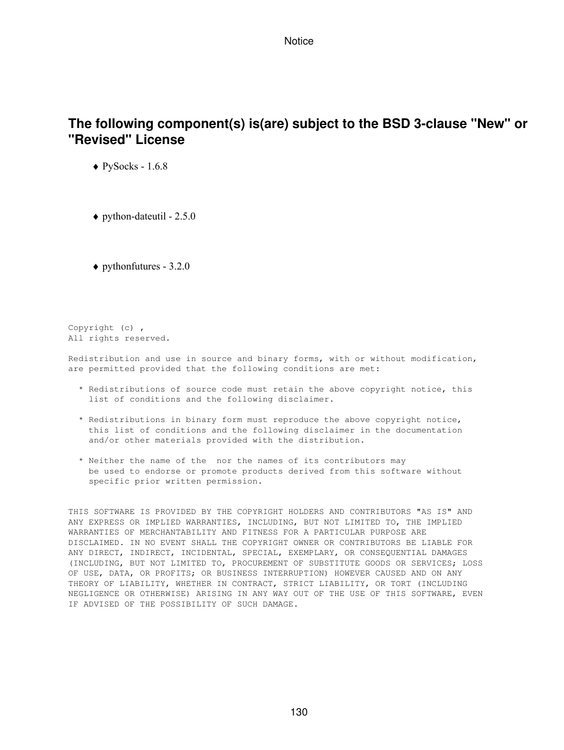# **The following component(s) is(are) subject to the BSD 3-clause "New" or "Revised" License**

 $\blacklozenge$  PySocks - 1.6.8

 $\blacklozenge$  python-dateutil - 2.5.0

 $\blacklozenge$  pythonfutures - 3.2.0

Copyright (c) , All rights reserved.

Redistribution and use in source and binary forms, with or without modification, are permitted provided that the following conditions are met:

- \* Redistributions of source code must retain the above copyright notice, this list of conditions and the following disclaimer.
- \* Redistributions in binary form must reproduce the above copyright notice, this list of conditions and the following disclaimer in the documentation and/or other materials provided with the distribution.
- \* Neither the name of the nor the names of its contributors may be used to endorse or promote products derived from this software without specific prior written permission.

THIS SOFTWARE IS PROVIDED BY THE COPYRIGHT HOLDERS AND CONTRIBUTORS "AS IS" AND ANY EXPRESS OR IMPLIED WARRANTIES, INCLUDING, BUT NOT LIMITED TO, THE IMPLIED WARRANTIES OF MERCHANTABILITY AND FITNESS FOR A PARTICULAR PURPOSE ARE DISCLAIMED. IN NO EVENT SHALL THE COPYRIGHT OWNER OR CONTRIBUTORS BE LIABLE FOR ANY DIRECT, INDIRECT, INCIDENTAL, SPECIAL, EXEMPLARY, OR CONSEQUENTIAL DAMAGES (INCLUDING, BUT NOT LIMITED TO, PROCUREMENT OF SUBSTITUTE GOODS OR SERVICES; LOSS OF USE, DATA, OR PROFITS; OR BUSINESS INTERRUPTION) HOWEVER CAUSED AND ON ANY THEORY OF LIABILITY, WHETHER IN CONTRACT, STRICT LIABILITY, OR TORT (INCLUDING NEGLIGENCE OR OTHERWISE) ARISING IN ANY WAY OUT OF THE USE OF THIS SOFTWARE, EVEN IF ADVISED OF THE POSSIBILITY OF SUCH DAMAGE.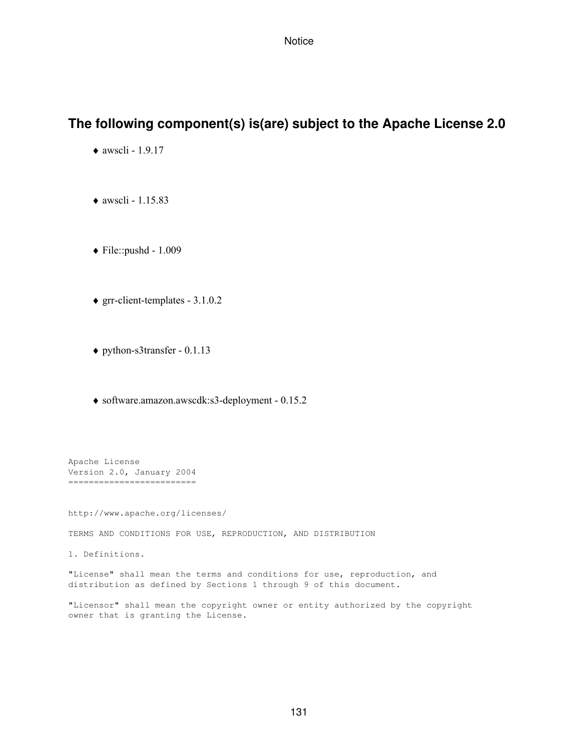# **The following component(s) is(are) subject to the Apache License 2.0**

- $\triangleleft$  awscli 1.9.17
- $\triangleleft$  awscli 1.15.83
- ♦ File::pushd 1.009
- ♦ grr-client-templates 3.1.0.2
- ♦ python-s3transfer 0.1.13
- ♦ software.amazon.awscdk:s3-deployment 0.15.2

Apache License Version 2.0, January 2004 =========================

http://www.apache.org/licenses/

TERMS AND CONDITIONS FOR USE, REPRODUCTION, AND DISTRIBUTION

1. Definitions.

"License" shall mean the terms and conditions for use, reproduction, and distribution as defined by Sections 1 through 9 of this document.

"Licensor" shall mean the copyright owner or entity authorized by the copyright owner that is granting the License.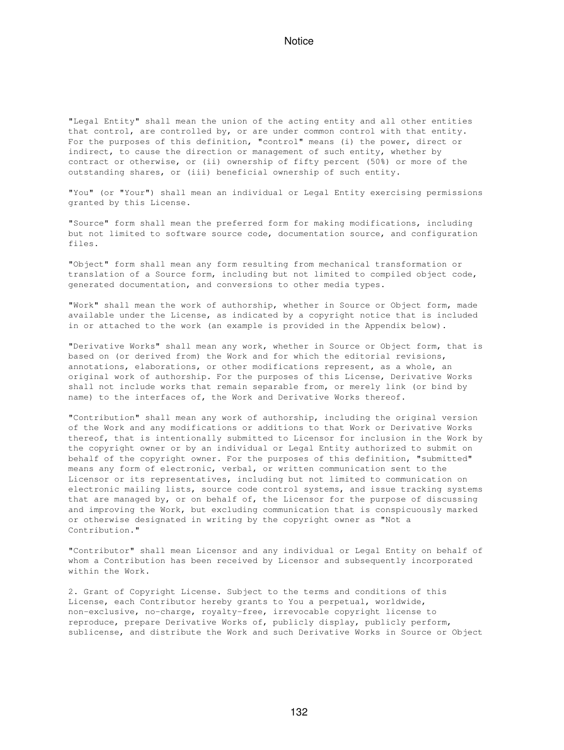"Legal Entity" shall mean the union of the acting entity and all other entities that control, are controlled by, or are under common control with that entity. For the purposes of this definition, "control" means (i) the power, direct or indirect, to cause the direction or management of such entity, whether by contract or otherwise, or (ii) ownership of fifty percent (50%) or more of the outstanding shares, or (iii) beneficial ownership of such entity.

"You" (or "Your") shall mean an individual or Legal Entity exercising permissions granted by this License.

"Source" form shall mean the preferred form for making modifications, including but not limited to software source code, documentation source, and configuration files.

"Object" form shall mean any form resulting from mechanical transformation or translation of a Source form, including but not limited to compiled object code, generated documentation, and conversions to other media types.

"Work" shall mean the work of authorship, whether in Source or Object form, made available under the License, as indicated by a copyright notice that is included in or attached to the work (an example is provided in the Appendix below).

"Derivative Works" shall mean any work, whether in Source or Object form, that is based on (or derived from) the Work and for which the editorial revisions, annotations, elaborations, or other modifications represent, as a whole, an original work of authorship. For the purposes of this License, Derivative Works shall not include works that remain separable from, or merely link (or bind by name) to the interfaces of, the Work and Derivative Works thereof.

"Contribution" shall mean any work of authorship, including the original version of the Work and any modifications or additions to that Work or Derivative Works thereof, that is intentionally submitted to Licensor for inclusion in the Work by the copyright owner or by an individual or Legal Entity authorized to submit on behalf of the copyright owner. For the purposes of this definition, "submitted" means any form of electronic, verbal, or written communication sent to the Licensor or its representatives, including but not limited to communication on electronic mailing lists, source code control systems, and issue tracking systems that are managed by, or on behalf of, the Licensor for the purpose of discussing and improving the Work, but excluding communication that is conspicuously marked or otherwise designated in writing by the copyright owner as "Not a Contribution."

"Contributor" shall mean Licensor and any individual or Legal Entity on behalf of whom a Contribution has been received by Licensor and subsequently incorporated within the Work.

2. Grant of Copyright License. Subject to the terms and conditions of this License, each Contributor hereby grants to You a perpetual, worldwide, non-exclusive, no-charge, royalty-free, irrevocable copyright license to reproduce, prepare Derivative Works of, publicly display, publicly perform, sublicense, and distribute the Work and such Derivative Works in Source or Object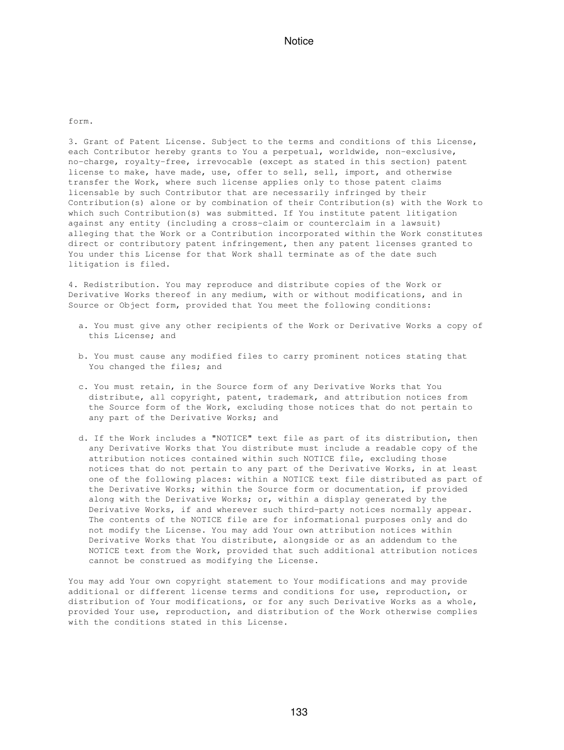form.

3. Grant of Patent License. Subject to the terms and conditions of this License, each Contributor hereby grants to You a perpetual, worldwide, non-exclusive, no-charge, royalty-free, irrevocable (except as stated in this section) patent license to make, have made, use, offer to sell, sell, import, and otherwise transfer the Work, where such license applies only to those patent claims licensable by such Contributor that are necessarily infringed by their Contribution(s) alone or by combination of their Contribution(s) with the Work to which such Contribution(s) was submitted. If You institute patent litigation against any entity (including a cross-claim or counterclaim in a lawsuit) alleging that the Work or a Contribution incorporated within the Work constitutes direct or contributory patent infringement, then any patent licenses granted to You under this License for that Work shall terminate as of the date such litigation is filed.

4. Redistribution. You may reproduce and distribute copies of the Work or Derivative Works thereof in any medium, with or without modifications, and in Source or Object form, provided that You meet the following conditions:

- a. You must give any other recipients of the Work or Derivative Works a copy of this License; and
- b. You must cause any modified files to carry prominent notices stating that You changed the files; and
- c. You must retain, in the Source form of any Derivative Works that You distribute, all copyright, patent, trademark, and attribution notices from the Source form of the Work, excluding those notices that do not pertain to any part of the Derivative Works; and
- d. If the Work includes a "NOTICE" text file as part of its distribution, then any Derivative Works that You distribute must include a readable copy of the attribution notices contained within such NOTICE file, excluding those notices that do not pertain to any part of the Derivative Works, in at least one of the following places: within a NOTICE text file distributed as part of the Derivative Works; within the Source form or documentation, if provided along with the Derivative Works; or, within a display generated by the Derivative Works, if and wherever such third-party notices normally appear. The contents of the NOTICE file are for informational purposes only and do not modify the License. You may add Your own attribution notices within Derivative Works that You distribute, alongside or as an addendum to the NOTICE text from the Work, provided that such additional attribution notices cannot be construed as modifying the License.

You may add Your own copyright statement to Your modifications and may provide additional or different license terms and conditions for use, reproduction, or distribution of Your modifications, or for any such Derivative Works as a whole, provided Your use, reproduction, and distribution of the Work otherwise complies with the conditions stated in this License.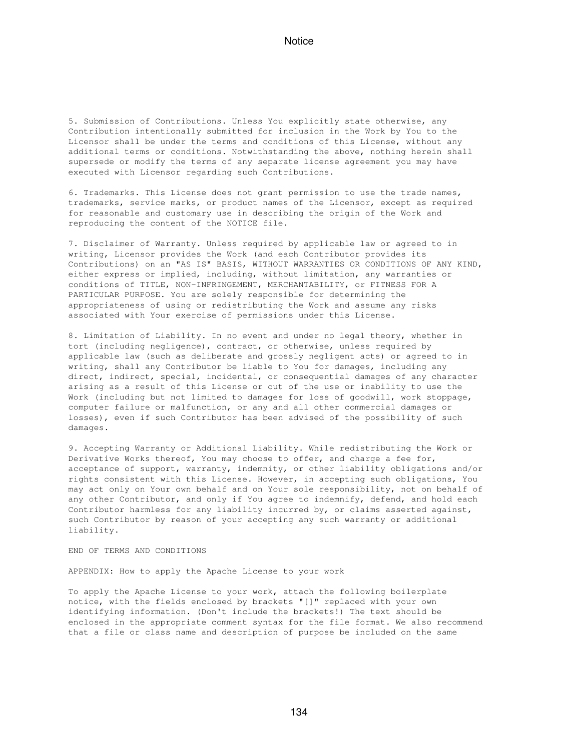5. Submission of Contributions. Unless You explicitly state otherwise, any Contribution intentionally submitted for inclusion in the Work by You to the Licensor shall be under the terms and conditions of this License, without any additional terms or conditions. Notwithstanding the above, nothing herein shall supersede or modify the terms of any separate license agreement you may have executed with Licensor regarding such Contributions.

6. Trademarks. This License does not grant permission to use the trade names, trademarks, service marks, or product names of the Licensor, except as required for reasonable and customary use in describing the origin of the Work and reproducing the content of the NOTICE file.

7. Disclaimer of Warranty. Unless required by applicable law or agreed to in writing, Licensor provides the Work (and each Contributor provides its Contributions) on an "AS IS" BASIS, WITHOUT WARRANTIES OR CONDITIONS OF ANY KIND, either express or implied, including, without limitation, any warranties or conditions of TITLE, NON-INFRINGEMENT, MERCHANTABILITY, or FITNESS FOR A PARTICULAR PURPOSE. You are solely responsible for determining the appropriateness of using or redistributing the Work and assume any risks associated with Your exercise of permissions under this License.

8. Limitation of Liability. In no event and under no legal theory, whether in tort (including negligence), contract, or otherwise, unless required by applicable law (such as deliberate and grossly negligent acts) or agreed to in writing, shall any Contributor be liable to You for damages, including any direct, indirect, special, incidental, or consequential damages of any character arising as a result of this License or out of the use or inability to use the Work (including but not limited to damages for loss of goodwill, work stoppage, computer failure or malfunction, or any and all other commercial damages or losses), even if such Contributor has been advised of the possibility of such damages.

9. Accepting Warranty or Additional Liability. While redistributing the Work or Derivative Works thereof, You may choose to offer, and charge a fee for, acceptance of support, warranty, indemnity, or other liability obligations and/or rights consistent with this License. However, in accepting such obligations, You may act only on Your own behalf and on Your sole responsibility, not on behalf of any other Contributor, and only if You agree to indemnify, defend, and hold each Contributor harmless for any liability incurred by, or claims asserted against, such Contributor by reason of your accepting any such warranty or additional liability.

END OF TERMS AND CONDITIONS

APPENDIX: How to apply the Apache License to your work

To apply the Apache License to your work, attach the following boilerplate notice, with the fields enclosed by brackets "[]" replaced with your own identifying information. (Don't include the brackets!) The text should be enclosed in the appropriate comment syntax for the file format. We also recommend that a file or class name and description of purpose be included on the same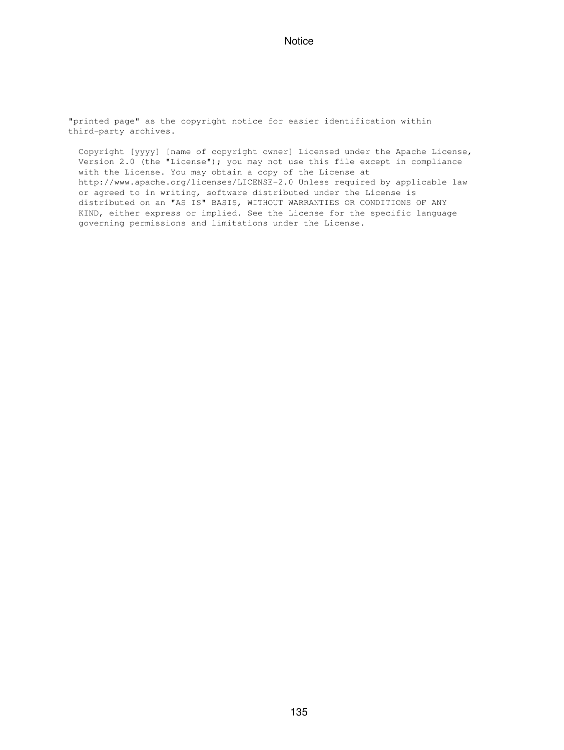"printed page" as the copyright notice for easier identification within third-party archives.

 Copyright [yyyy] [name of copyright owner] Licensed under the Apache License, Version 2.0 (the "License"); you may not use this file except in compliance with the License. You may obtain a copy of the License at http://www.apache.org/licenses/LICENSE-2.0 Unless required by applicable law or agreed to in writing, software distributed under the License is distributed on an "AS IS" BASIS, WITHOUT WARRANTIES OR CONDITIONS OF ANY KIND, either express or implied. See the License for the specific language governing permissions and limitations under the License.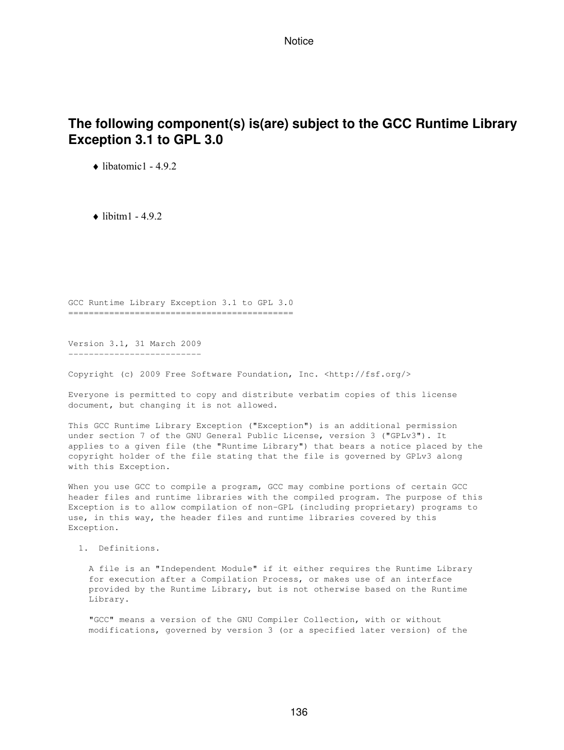# **The following component(s) is(are) subject to the GCC Runtime Library Exception 3.1 to GPL 3.0**

 $\triangle$  libatomic1 - 4.9.2

 $\bullet$  libitm1 - 4.9.2

GCC Runtime Library Exception 3.1 to GPL 3.0 ============================================

Version 3.1, 31 March 2009 --------------------------

Copyright (c) 2009 Free Software Foundation, Inc. <http://fsf.org/>

Everyone is permitted to copy and distribute verbatim copies of this license document, but changing it is not allowed.

This GCC Runtime Library Exception ("Exception") is an additional permission under section 7 of the GNU General Public License, version 3 ("GPLv3"). It applies to a given file (the "Runtime Library") that bears a notice placed by the copyright holder of the file stating that the file is governed by GPLv3 along with this Exception.

When you use GCC to compile a program, GCC may combine portions of certain GCC header files and runtime libraries with the compiled program. The purpose of this Exception is to allow compilation of non-GPL (including proprietary) programs to use, in this way, the header files and runtime libraries covered by this Exception.

1. Definitions.

 A file is an "Independent Module" if it either requires the Runtime Library for execution after a Compilation Process, or makes use of an interface provided by the Runtime Library, but is not otherwise based on the Runtime Library.

 "GCC" means a version of the GNU Compiler Collection, with or without modifications, governed by version 3 (or a specified later version) of the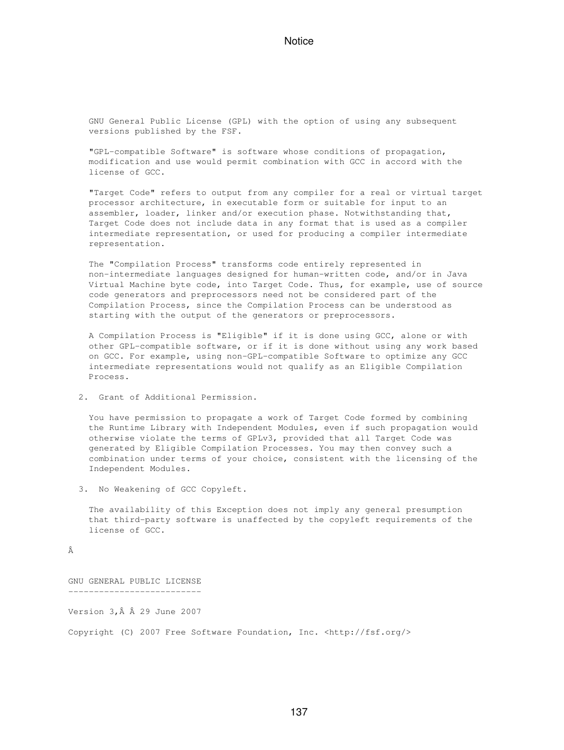GNU General Public License (GPL) with the option of using any subsequent versions published by the FSF.

 "GPL-compatible Software" is software whose conditions of propagation, modification and use would permit combination with GCC in accord with the license of GCC.

 "Target Code" refers to output from any compiler for a real or virtual target processor architecture, in executable form or suitable for input to an assembler, loader, linker and/or execution phase. Notwithstanding that, Target Code does not include data in any format that is used as a compiler intermediate representation, or used for producing a compiler intermediate representation.

 The "Compilation Process" transforms code entirely represented in non-intermediate languages designed for human-written code, and/or in Java Virtual Machine byte code, into Target Code. Thus, for example, use of source code generators and preprocessors need not be considered part of the Compilation Process, since the Compilation Process can be understood as starting with the output of the generators or preprocessors.

 A Compilation Process is "Eligible" if it is done using GCC, alone or with other GPL-compatible software, or if it is done without using any work based on GCC. For example, using non-GPL-compatible Software to optimize any GCC intermediate representations would not qualify as an Eligible Compilation Process.

2. Grant of Additional Permission.

 You have permission to propagate a work of Target Code formed by combining the Runtime Library with Independent Modules, even if such propagation would otherwise violate the terms of GPLv3, provided that all Target Code was generated by Eligible Compilation Processes. You may then convey such a combination under terms of your choice, consistent with the licensing of the Independent Modules.

3. No Weakening of GCC Copyleft.

 The availability of this Exception does not imply any general presumption that third-party software is unaffected by the copyleft requirements of the license of GCC.

â

GNU GENERAL PUBLIC LICENSE --------------------------

Version  $3, \hat{A}$   $\hat{A}$  29 June 2007

Copyright (C) 2007 Free Software Foundation, Inc. <http://fsf.org/>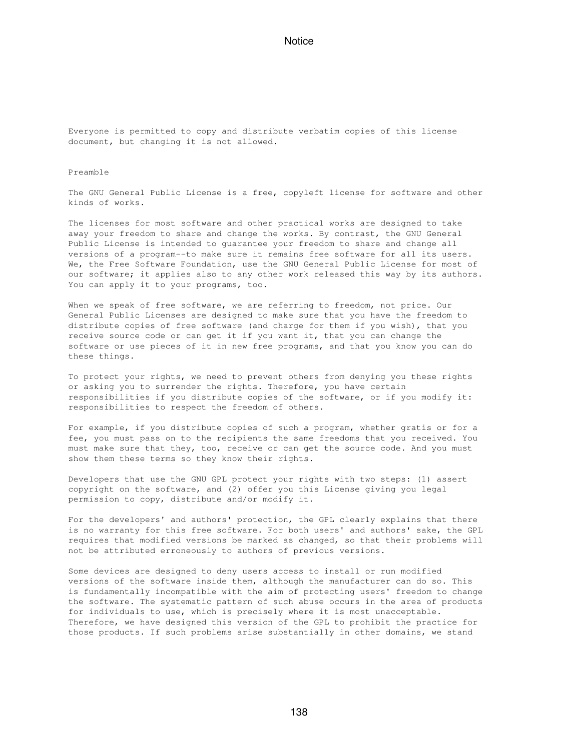Everyone is permitted to copy and distribute verbatim copies of this license document, but changing it is not allowed.

#### Preamble

The GNU General Public License is a free, copyleft license for software and other kinds of works.

The licenses for most software and other practical works are designed to take away your freedom to share and change the works. By contrast, the GNU General Public License is intended to guarantee your freedom to share and change all versions of a program--to make sure it remains free software for all its users. We, the Free Software Foundation, use the GNU General Public License for most of our software; it applies also to any other work released this way by its authors. You can apply it to your programs, too.

When we speak of free software, we are referring to freedom, not price. Our General Public Licenses are designed to make sure that you have the freedom to distribute copies of free software (and charge for them if you wish), that you receive source code or can get it if you want it, that you can change the software or use pieces of it in new free programs, and that you know you can do these things.

To protect your rights, we need to prevent others from denying you these rights or asking you to surrender the rights. Therefore, you have certain responsibilities if you distribute copies of the software, or if you modify it: responsibilities to respect the freedom of others.

For example, if you distribute copies of such a program, whether gratis or for a fee, you must pass on to the recipients the same freedoms that you received. You must make sure that they, too, receive or can get the source code. And you must show them these terms so they know their rights.

Developers that use the GNU GPL protect your rights with two steps: (1) assert copyright on the software, and (2) offer you this License giving you legal permission to copy, distribute and/or modify it.

For the developers' and authors' protection, the GPL clearly explains that there is no warranty for this free software. For both users' and authors' sake, the GPL requires that modified versions be marked as changed, so that their problems will not be attributed erroneously to authors of previous versions.

Some devices are designed to deny users access to install or run modified versions of the software inside them, although the manufacturer can do so. This is fundamentally incompatible with the aim of protecting users' freedom to change the software. The systematic pattern of such abuse occurs in the area of products for individuals to use, which is precisely where it is most unacceptable. Therefore, we have designed this version of the GPL to prohibit the practice for those products. If such problems arise substantially in other domains, we stand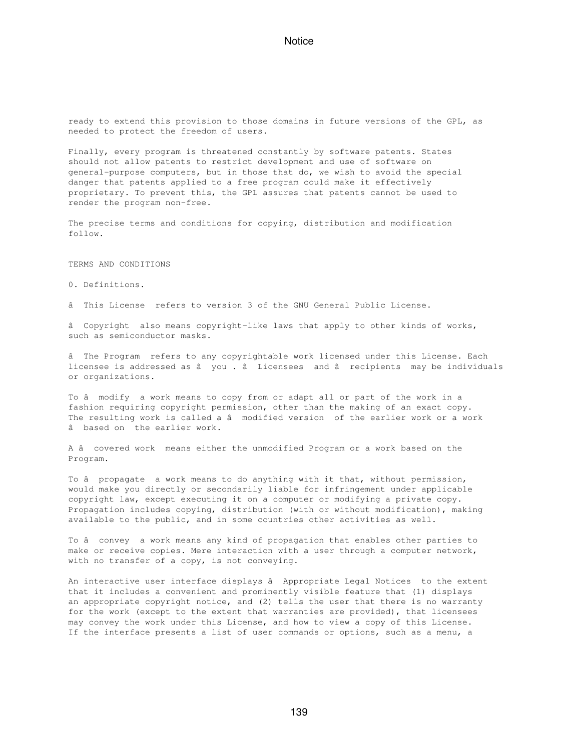ready to extend this provision to those domains in future versions of the GPL, as needed to protect the freedom of users.

Finally, every program is threatened constantly by software patents. States should not allow patents to restrict development and use of software on general-purpose computers, but in those that do, we wish to avoid the special danger that patents applied to a free program could make it effectively proprietary. To prevent this, the GPL assures that patents cannot be used to render the program non-free.

The precise terms and conditions for copying, distribution and modification follow.

#### TERMS AND CONDITIONS

0. Definitions.

âThis License refers to version 3 of the GNU General Public License.

â Copyright also means copyright-like laws that apply to other kinds of works, such as semiconductor masks.

âThe Program refers to any copyrightable work licensed under this License. Each licensee is addressed as â you . â Licensees and â recipients may be individuals or organizations.

To â modify a work means to copy from or adapt all or part of the work in a fashion requiring copyright permission, other than the making of an exact copy. The resulting work is called a â modified version of the earlier work or a work âbased on the earlier work.

A â covered work means either the unmodified Program or a work based on the Program.

To â propagate a work means to do anything with it that, without permission, would make you directly or secondarily liable for infringement under applicable copyright law, except executing it on a computer or modifying a private copy. Propagation includes copying, distribution (with or without modification), making available to the public, and in some countries other activities as well.

To â convey a work means any kind of propagation that enables other parties to make or receive copies. Mere interaction with a user through a computer network, with no transfer of a copy, is not conveying.

An interactive user interface displays â Appropriate Legal Notices to the extent that it includes a convenient and prominently visible feature that (1) displays an appropriate copyright notice, and (2) tells the user that there is no warranty for the work (except to the extent that warranties are provided), that licensees may convey the work under this License, and how to view a copy of this License. If the interface presents a list of user commands or options, such as a menu, a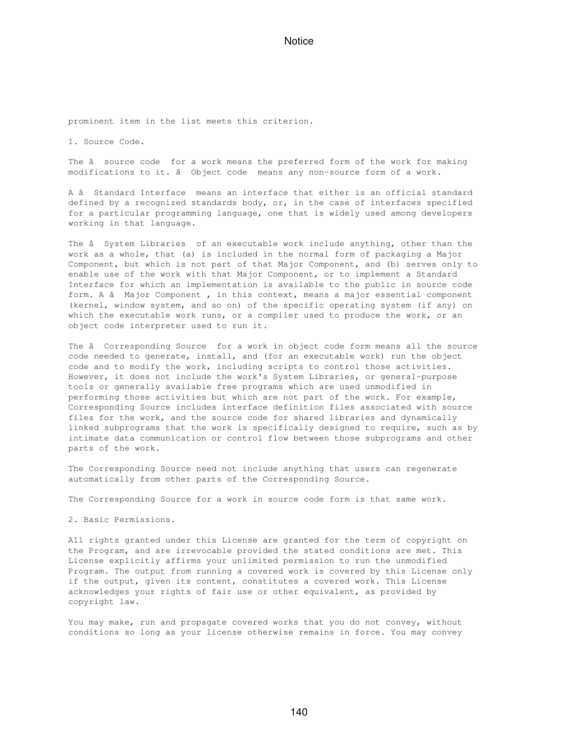prominent item in the list meets this criterion.

1. Source Code.

The â source code for a work means the preferred form of the work for making modifications to it. â Object code means any non-source form of a work.

A â Standard Interface means an interface that either is an official standard defined by a recognized standards body, or, in the case of interfaces specified for a particular programming language, one that is widely used among developers working in that language.

The â System Libraries of an executable work include anything, other than the work as a whole, that (a) is included in the normal form of packaging a Major Component, but which is not part of that Major Component, and (b) serves only to enable use of the work with that Major Component, or to implement a Standard Interface for which an implementation is available to the public in source code form. A â Major Component, in this context, means a major essential component (kernel, window system, and so on) of the specific operating system (if any) on which the executable work runs, or a compiler used to produce the work, or an object code interpreter used to run it.

The â Corresponding Source for a work in object code form means all the source code needed to generate, install, and (for an executable work) run the object code and to modify the work, including scripts to control those activities. However, it does not include the work's System Libraries, or general-purpose tools or generally available free programs which are used unmodified in performing those activities but which are not part of the work. For example, Corresponding Source includes interface definition files associated with source files for the work, and the source code for shared libraries and dynamically linked subprograms that the work is specifically designed to require, such as by intimate data communication or control flow between those subprograms and other parts of the work.

The Corresponding Source need not include anything that users can regenerate automatically from other parts of the Corresponding Source.

The Corresponding Source for a work in source code form is that same work.

2. Basic Permissions.

All rights granted under this License are granted for the term of copyright on the Program, and are irrevocable provided the stated conditions are met. This License explicitly affirms your unlimited permission to run the unmodified Program. The output from running a covered work is covered by this License only if the output, given its content, constitutes a covered work. This License acknowledges your rights of fair use or other equivalent, as provided by copyright law.

You may make, run and propagate covered works that you do not convey, without conditions so long as your license otherwise remains in force. You may convey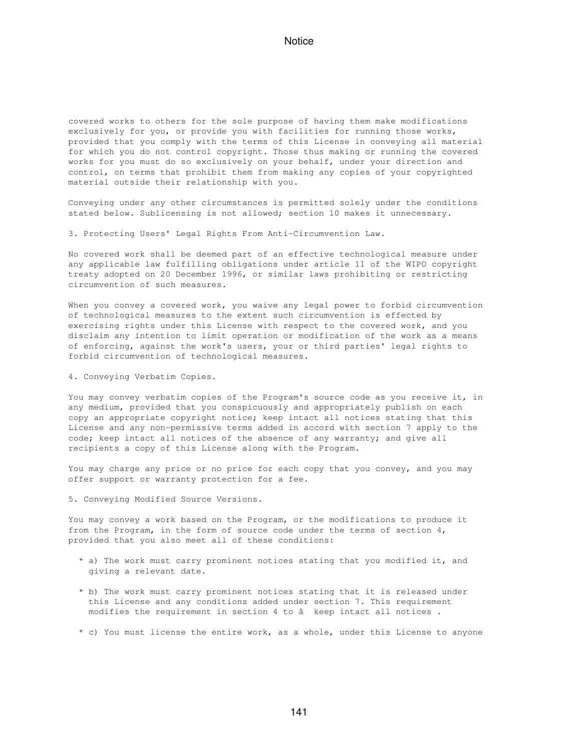covered works to others for the sole purpose of having them make modifications exclusively for you, or provide you with facilities for running those works, provided that you comply with the terms of this License in conveying all material for which you do not control copyright. Those thus making or running the covered works for you must do so exclusively on your behalf, under your direction and control, on terms that prohibit them from making any copies of your copyrighted material outside their relationship with you.

Conveying under any other circumstances is permitted solely under the conditions stated below. Sublicensing is not allowed; section 10 makes it unnecessary.

3. Protecting Users' Legal Rights From Anti-Circumvention Law.

No covered work shall be deemed part of an effective technological measure under any applicable law fulfilling obligations under article 11 of the WIPO copyright treaty adopted on 20 December 1996, or similar laws prohibiting or restricting circumvention of such measures.

When you convey a covered work, you waive any legal power to forbid circumvention of technological measures to the extent such circumvention is effected by exercising rights under this License with respect to the covered work, and you disclaim any intention to limit operation or modification of the work as a means of enforcing, against the work's users, your or third parties' legal rights to forbid circumvention of technological measures.

4. Conveying Verbatim Copies.

You may convey verbatim copies of the Program's source code as you receive it, in any medium, provided that you conspicuously and appropriately publish on each copy an appropriate copyright notice; keep intact all notices stating that this License and any non-permissive terms added in accord with section 7 apply to the code; keep intact all notices of the absence of any warranty; and give all recipients a copy of this License along with the Program.

You may charge any price or no price for each copy that you convey, and you may offer support or warranty protection for a fee.

5. Conveying Modified Source Versions.

You may convey a work based on the Program, or the modifications to produce it from the Program, in the form of source code under the terms of section 4, provided that you also meet all of these conditions:

- \* a) The work must carry prominent notices stating that you modified it, and giving a relevant date.
- \* b) The work must carry prominent notices stating that it is released under this License and any conditions added under section 7. This requirement modifies the requirement in section 4 to â keep intact all notices.
- \* c) You must license the entire work, as a whole, under this License to anyone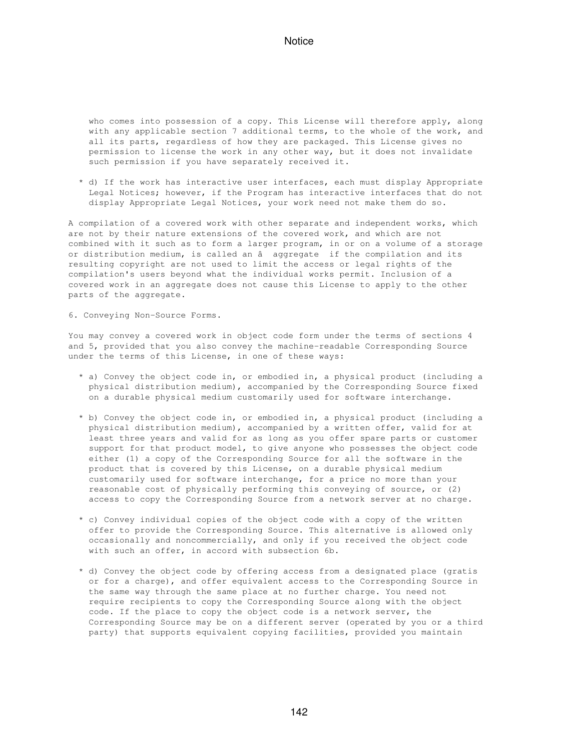who comes into possession of a copy. This License will therefore apply, along with any applicable section 7 additional terms, to the whole of the work, and all its parts, regardless of how they are packaged. This License gives no permission to license the work in any other way, but it does not invalidate such permission if you have separately received it.

 \* d) If the work has interactive user interfaces, each must display Appropriate Legal Notices; however, if the Program has interactive interfaces that do not display Appropriate Legal Notices, your work need not make them do so.

A compilation of a covered work with other separate and independent works, which are not by their nature extensions of the covered work, and which are not combined with it such as to form a larger program, in or on a volume of a storage or distribution medium, is called an â aggregate if the compilation and its resulting copyright are not used to limit the access or legal rights of the compilation's users beyond what the individual works permit. Inclusion of a covered work in an aggregate does not cause this License to apply to the other parts of the aggregate.

6. Conveying Non-Source Forms.

You may convey a covered work in object code form under the terms of sections 4 and 5, provided that you also convey the machine-readable Corresponding Source under the terms of this License, in one of these ways:

- \* a) Convey the object code in, or embodied in, a physical product (including a physical distribution medium), accompanied by the Corresponding Source fixed on a durable physical medium customarily used for software interchange.
- \* b) Convey the object code in, or embodied in, a physical product (including a physical distribution medium), accompanied by a written offer, valid for at least three years and valid for as long as you offer spare parts or customer support for that product model, to give anyone who possesses the object code either (1) a copy of the Corresponding Source for all the software in the product that is covered by this License, on a durable physical medium customarily used for software interchange, for a price no more than your reasonable cost of physically performing this conveying of source, or (2) access to copy the Corresponding Source from a network server at no charge.
- \* c) Convey individual copies of the object code with a copy of the written offer to provide the Corresponding Source. This alternative is allowed only occasionally and noncommercially, and only if you received the object code with such an offer, in accord with subsection 6b.
- \* d) Convey the object code by offering access from a designated place (gratis or for a charge), and offer equivalent access to the Corresponding Source in the same way through the same place at no further charge. You need not require recipients to copy the Corresponding Source along with the object code. If the place to copy the object code is a network server, the Corresponding Source may be on a different server (operated by you or a third party) that supports equivalent copying facilities, provided you maintain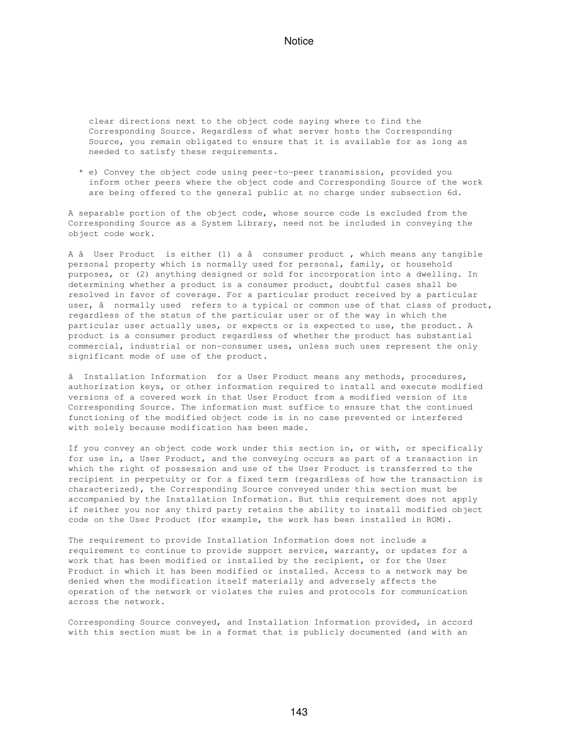clear directions next to the object code saying where to find the Corresponding Source. Regardless of what server hosts the Corresponding Source, you remain obligated to ensure that it is available for as long as needed to satisfy these requirements.

 \* e) Convey the object code using peer-to-peer transmission, provided you inform other peers where the object code and Corresponding Source of the work are being offered to the general public at no charge under subsection 6d.

A separable portion of the object code, whose source code is excluded from the Corresponding Source as a System Library, need not be included in conveying the object code work.

A â User Product is either (1) a â consumer product, which means any tangible personal property which is normally used for personal, family, or household purposes, or (2) anything designed or sold for incorporation into a dwelling. In determining whether a product is a consumer product, doubtful cases shall be resolved in favor of coverage. For a particular product received by a particular user, â normally used refers to a typical or common use of that class of product, regardless of the status of the particular user or of the way in which the particular user actually uses, or expects or is expected to use, the product. A product is a consumer product regardless of whether the product has substantial commercial, industrial or non-consumer uses, unless such uses represent the only significant mode of use of the product.

â Installation Information for a User Product means any methods, procedures, authorization keys, or other information required to install and execute modified versions of a covered work in that User Product from a modified version of its Corresponding Source. The information must suffice to ensure that the continued functioning of the modified object code is in no case prevented or interfered with solely because modification has been made.

If you convey an object code work under this section in, or with, or specifically for use in, a User Product, and the conveying occurs as part of a transaction in which the right of possession and use of the User Product is transferred to the recipient in perpetuity or for a fixed term (regardless of how the transaction is characterized), the Corresponding Source conveyed under this section must be accompanied by the Installation Information. But this requirement does not apply if neither you nor any third party retains the ability to install modified object code on the User Product (for example, the work has been installed in ROM).

The requirement to provide Installation Information does not include a requirement to continue to provide support service, warranty, or updates for a work that has been modified or installed by the recipient, or for the User Product in which it has been modified or installed. Access to a network may be denied when the modification itself materially and adversely affects the operation of the network or violates the rules and protocols for communication across the network.

Corresponding Source conveyed, and Installation Information provided, in accord with this section must be in a format that is publicly documented (and with an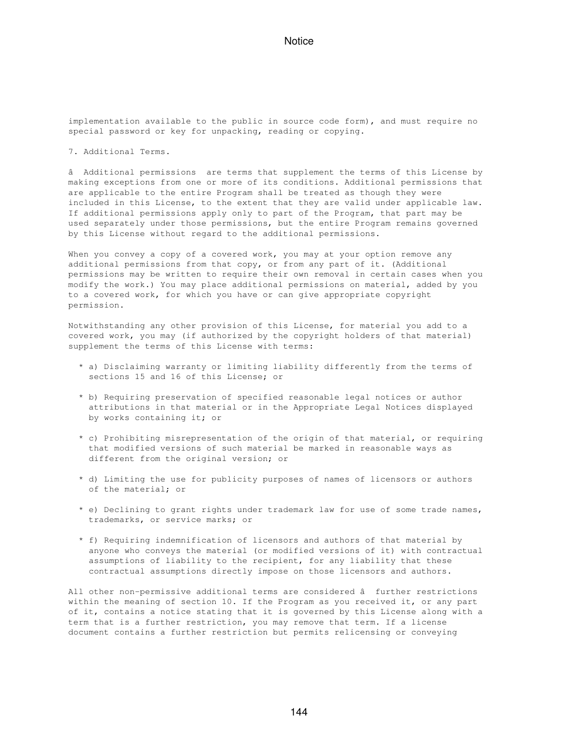implementation available to the public in source code form), and must require no special password or key for unpacking, reading or copying.

7. Additional Terms.

âAdditional permissions are terms that supplement the terms of this License by making exceptions from one or more of its conditions. Additional permissions that are applicable to the entire Program shall be treated as though they were included in this License, to the extent that they are valid under applicable law. If additional permissions apply only to part of the Program, that part may be used separately under those permissions, but the entire Program remains governed by this License without regard to the additional permissions.

When you convey a copy of a covered work, you may at your option remove any additional permissions from that copy, or from any part of it. (Additional permissions may be written to require their own removal in certain cases when you modify the work.) You may place additional permissions on material, added by you to a covered work, for which you have or can give appropriate copyright permission.

Notwithstanding any other provision of this License, for material you add to a covered work, you may (if authorized by the copyright holders of that material) supplement the terms of this License with terms:

- \* a) Disclaiming warranty or limiting liability differently from the terms of sections 15 and 16 of this License; or
- \* b) Requiring preservation of specified reasonable legal notices or author attributions in that material or in the Appropriate Legal Notices displayed by works containing it; or
- \* c) Prohibiting misrepresentation of the origin of that material, or requiring that modified versions of such material be marked in reasonable ways as different from the original version; or
- \* d) Limiting the use for publicity purposes of names of licensors or authors of the material; or
- \* e) Declining to grant rights under trademark law for use of some trade names, trademarks, or service marks; or
- \* f) Requiring indemnification of licensors and authors of that material by anyone who conveys the material (or modified versions of it) with contractual assumptions of liability to the recipient, for any liability that these contractual assumptions directly impose on those licensors and authors.

All other non-permissive additional terms are considered â further restrictions within the meaning of section 10. If the Program as you received it, or any part of it, contains a notice stating that it is governed by this License along with a term that is a further restriction, you may remove that term. If a license document contains a further restriction but permits relicensing or conveying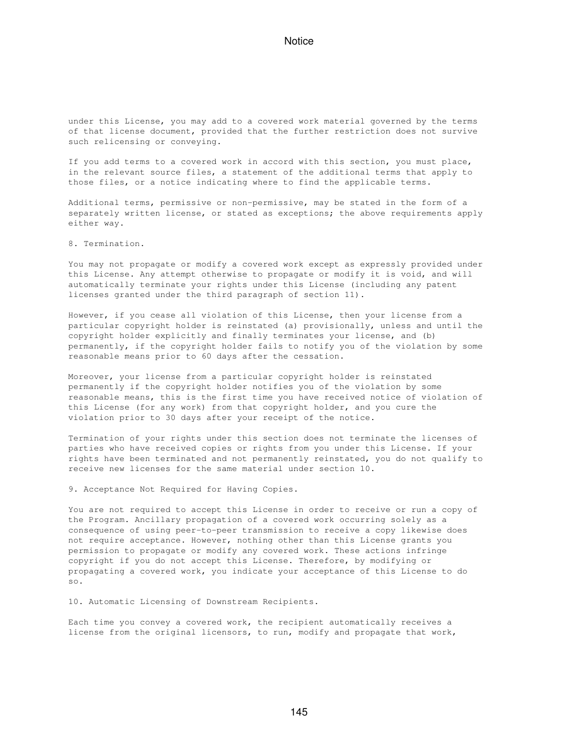under this License, you may add to a covered work material governed by the terms of that license document, provided that the further restriction does not survive such relicensing or conveying.

If you add terms to a covered work in accord with this section, you must place, in the relevant source files, a statement of the additional terms that apply to those files, or a notice indicating where to find the applicable terms.

Additional terms, permissive or non-permissive, may be stated in the form of a separately written license, or stated as exceptions; the above requirements apply either way.

8. Termination.

You may not propagate or modify a covered work except as expressly provided under this License. Any attempt otherwise to propagate or modify it is void, and will automatically terminate your rights under this License (including any patent licenses granted under the third paragraph of section 11).

However, if you cease all violation of this License, then your license from a particular copyright holder is reinstated (a) provisionally, unless and until the copyright holder explicitly and finally terminates your license, and (b) permanently, if the copyright holder fails to notify you of the violation by some reasonable means prior to 60 days after the cessation.

Moreover, your license from a particular copyright holder is reinstated permanently if the copyright holder notifies you of the violation by some reasonable means, this is the first time you have received notice of violation of this License (for any work) from that copyright holder, and you cure the violation prior to 30 days after your receipt of the notice.

Termination of your rights under this section does not terminate the licenses of parties who have received copies or rights from you under this License. If your rights have been terminated and not permanently reinstated, you do not qualify to receive new licenses for the same material under section 10.

9. Acceptance Not Required for Having Copies.

You are not required to accept this License in order to receive or run a copy of the Program. Ancillary propagation of a covered work occurring solely as a consequence of using peer-to-peer transmission to receive a copy likewise does not require acceptance. However, nothing other than this License grants you permission to propagate or modify any covered work. These actions infringe copyright if you do not accept this License. Therefore, by modifying or propagating a covered work, you indicate your acceptance of this License to do so.

10. Automatic Licensing of Downstream Recipients.

Each time you convey a covered work, the recipient automatically receives a license from the original licensors, to run, modify and propagate that work,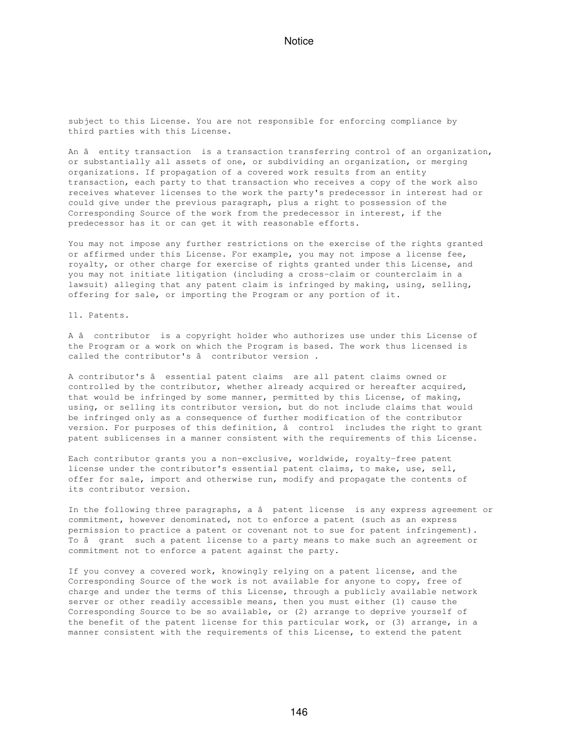subject to this License. You are not responsible for enforcing compliance by third parties with this License.

An â entity transaction is a transaction transferring control of an organization, or substantially all assets of one, or subdividing an organization, or merging organizations. If propagation of a covered work results from an entity transaction, each party to that transaction who receives a copy of the work also receives whatever licenses to the work the party's predecessor in interest had or could give under the previous paragraph, plus a right to possession of the Corresponding Source of the work from the predecessor in interest, if the predecessor has it or can get it with reasonable efforts.

You may not impose any further restrictions on the exercise of the rights granted or affirmed under this License. For example, you may not impose a license fee, royalty, or other charge for exercise of rights granted under this License, and you may not initiate litigation (including a cross-claim or counterclaim in a lawsuit) alleging that any patent claim is infringed by making, using, selling, offering for sale, or importing the Program or any portion of it.

11. Patents.

A âcontributor is a copyright holder who authorizes use under this License of the Program or a work on which the Program is based. The work thus licensed is called the contributor's â contributor version.

A contributor's â essential patent claims are all patent claims owned or controlled by the contributor, whether already acquired or hereafter acquired, that would be infringed by some manner, permitted by this License, of making, using, or selling its contributor version, but do not include claims that would be infringed only as a consequence of further modification of the contributor version. For purposes of this definition, â control includes the right to grant patent sublicenses in a manner consistent with the requirements of this License.

Each contributor grants you a non-exclusive, worldwide, royalty-free patent license under the contributor's essential patent claims, to make, use, sell, offer for sale, import and otherwise run, modify and propagate the contents of its contributor version.

In the following three paragraphs, a â patent license is any express agreement or commitment, however denominated, not to enforce a patent (such as an express permission to practice a patent or covenant not to sue for patent infringement). To â grant such a patent license to a party means to make such an agreement or commitment not to enforce a patent against the party.

If you convey a covered work, knowingly relying on a patent license, and the Corresponding Source of the work is not available for anyone to copy, free of charge and under the terms of this License, through a publicly available network server or other readily accessible means, then you must either (1) cause the Corresponding Source to be so available, or (2) arrange to deprive yourself of the benefit of the patent license for this particular work, or (3) arrange, in a manner consistent with the requirements of this License, to extend the patent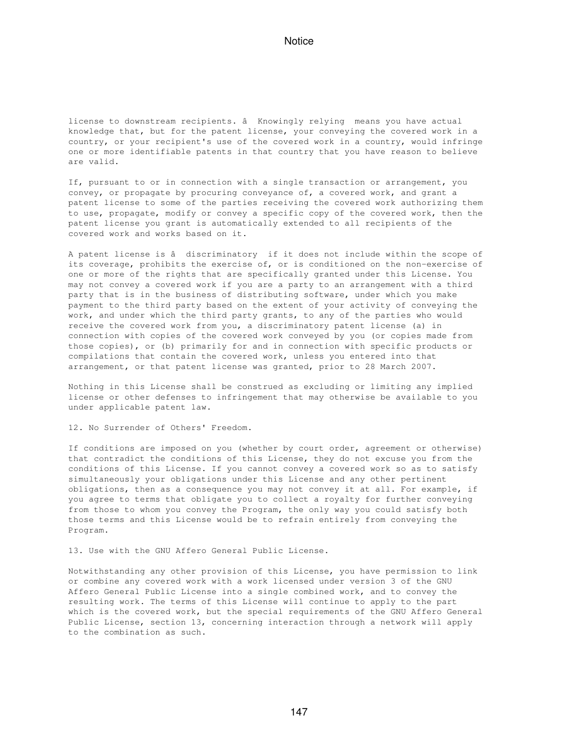license to downstream recipients. â Knowingly relying means you have actual knowledge that, but for the patent license, your conveying the covered work in a country, or your recipient's use of the covered work in a country, would infringe one or more identifiable patents in that country that you have reason to believe are valid.

If, pursuant to or in connection with a single transaction or arrangement, you convey, or propagate by procuring conveyance of, a covered work, and grant a patent license to some of the parties receiving the covered work authorizing them to use, propagate, modify or convey a specific copy of the covered work, then the patent license you grant is automatically extended to all recipients of the covered work and works based on it.

A patent license is â discriminatory if it does not include within the scope of its coverage, prohibits the exercise of, or is conditioned on the non-exercise of one or more of the rights that are specifically granted under this License. You may not convey a covered work if you are a party to an arrangement with a third party that is in the business of distributing software, under which you make payment to the third party based on the extent of your activity of conveying the work, and under which the third party grants, to any of the parties who would receive the covered work from you, a discriminatory patent license (a) in connection with copies of the covered work conveyed by you (or copies made from those copies), or (b) primarily for and in connection with specific products or compilations that contain the covered work, unless you entered into that arrangement, or that patent license was granted, prior to 28 March 2007.

Nothing in this License shall be construed as excluding or limiting any implied license or other defenses to infringement that may otherwise be available to you under applicable patent law.

12. No Surrender of Others' Freedom.

If conditions are imposed on you (whether by court order, agreement or otherwise) that contradict the conditions of this License, they do not excuse you from the conditions of this License. If you cannot convey a covered work so as to satisfy simultaneously your obligations under this License and any other pertinent obligations, then as a consequence you may not convey it at all. For example, if you agree to terms that obligate you to collect a royalty for further conveying from those to whom you convey the Program, the only way you could satisfy both those terms and this License would be to refrain entirely from conveying the Program.

13. Use with the GNU Affero General Public License.

Notwithstanding any other provision of this License, you have permission to link or combine any covered work with a work licensed under version 3 of the GNU Affero General Public License into a single combined work, and to convey the resulting work. The terms of this License will continue to apply to the part which is the covered work, but the special requirements of the GNU Affero General Public License, section 13, concerning interaction through a network will apply to the combination as such.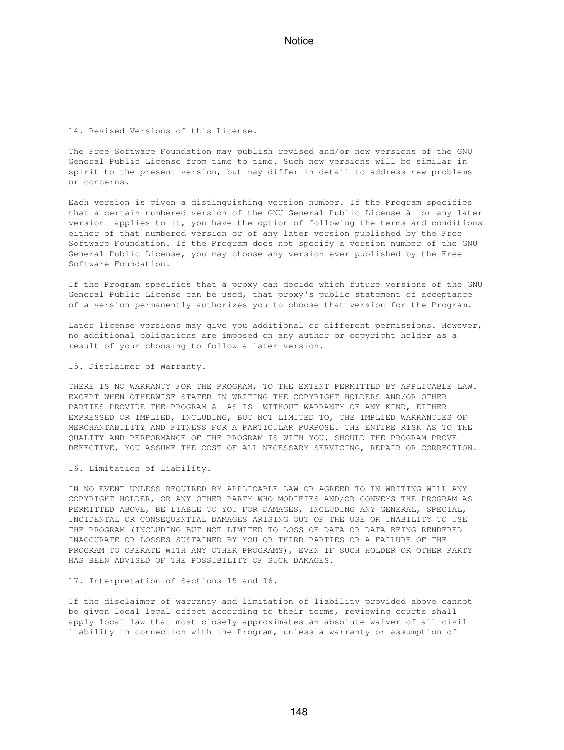14. Revised Versions of this License.

The Free Software Foundation may publish revised and/or new versions of the GNU General Public License from time to time. Such new versions will be similar in spirit to the present version, but may differ in detail to address new problems or concerns.

Each version is given a distinguishing version number. If the Program specifies that a certain numbered version of the GNU General Public License â or any later version applies to it, you have the option of following the terms and conditions either of that numbered version or of any later version published by the Free Software Foundation. If the Program does not specify a version number of the GNU General Public License, you may choose any version ever published by the Free Software Foundation.

If the Program specifies that a proxy can decide which future versions of the GNU General Public License can be used, that proxy's public statement of acceptance of a version permanently authorizes you to choose that version for the Program.

Later license versions may give you additional or different permissions. However, no additional obligations are imposed on any author or copyright holder as a result of your choosing to follow a later version.

15. Disclaimer of Warranty.

THERE IS NO WARRANTY FOR THE PROGRAM, TO THE EXTENT PERMITTED BY APPLICABLE LAW. EXCEPT WHEN OTHERWISE STATED IN WRITING THE COPYRIGHT HOLDERS AND/OR OTHER PARTIES PROVIDE THE PROGRAM â AS IS WITHOUT WARRANTY OF ANY KIND, EITHER EXPRESSED OR IMPLIED, INCLUDING, BUT NOT LIMITED TO, THE IMPLIED WARRANTIES OF MERCHANTABILITY AND FITNESS FOR A PARTICULAR PURPOSE. THE ENTIRE RISK AS TO THE QUALITY AND PERFORMANCE OF THE PROGRAM IS WITH YOU. SHOULD THE PROGRAM PROVE DEFECTIVE, YOU ASSUME THE COST OF ALL NECESSARY SERVICING, REPAIR OR CORRECTION.

16. Limitation of Liability.

IN NO EVENT UNLESS REQUIRED BY APPLICABLE LAW OR AGREED TO IN WRITING WILL ANY COPYRIGHT HOLDER, OR ANY OTHER PARTY WHO MODIFIES AND/OR CONVEYS THE PROGRAM AS PERMITTED ABOVE, BE LIABLE TO YOU FOR DAMAGES, INCLUDING ANY GENERAL, SPECIAL, INCIDENTAL OR CONSEQUENTIAL DAMAGES ARISING OUT OF THE USE OR INABILITY TO USE THE PROGRAM (INCLUDING BUT NOT LIMITED TO LOSS OF DATA OR DATA BEING RENDERED INACCURATE OR LOSSES SUSTAINED BY YOU OR THIRD PARTIES OR A FAILURE OF THE PROGRAM TO OPERATE WITH ANY OTHER PROGRAMS), EVEN IF SUCH HOLDER OR OTHER PARTY HAS BEEN ADVISED OF THE POSSIBILITY OF SUCH DAMAGES.

17. Interpretation of Sections 15 and 16.

If the disclaimer of warranty and limitation of liability provided above cannot be given local legal effect according to their terms, reviewing courts shall apply local law that most closely approximates an absolute waiver of all civil liability in connection with the Program, unless a warranty or assumption of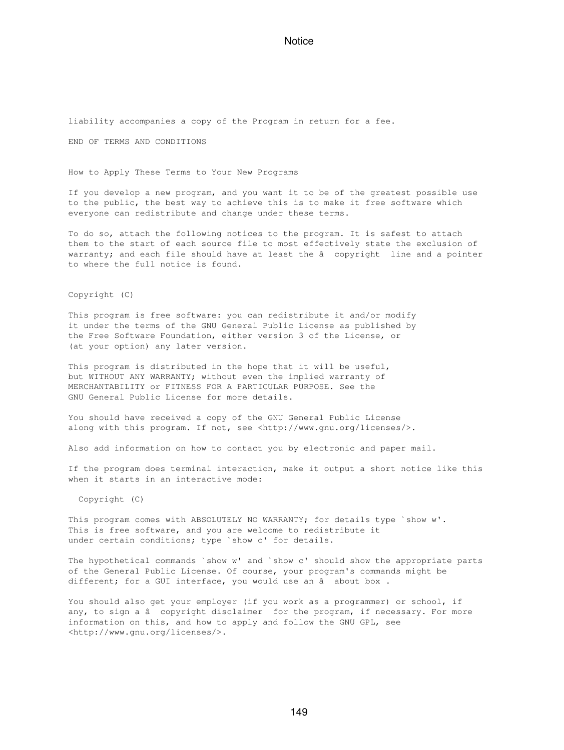liability accompanies a copy of the Program in return for a fee.

END OF TERMS AND CONDITIONS

How to Apply These Terms to Your New Programs

If you develop a new program, and you want it to be of the greatest possible use to the public, the best way to achieve this is to make it free software which everyone can redistribute and change under these terms.

To do so, attach the following notices to the program. It is safest to attach them to the start of each source file to most effectively state the exclusion of warranty; and each file should have at least the â copyright line and a pointer to where the full notice is found.

Copyright (C)

This program is free software: you can redistribute it and/or modify it under the terms of the GNU General Public License as published by the Free Software Foundation, either version 3 of the License, or (at your option) any later version.

This program is distributed in the hope that it will be useful, but WITHOUT ANY WARRANTY; without even the implied warranty of MERCHANTABILITY or FITNESS FOR A PARTICULAR PURPOSE. See the GNU General Public License for more details.

You should have received a copy of the GNU General Public License along with this program. If not, see <http://www.gnu.org/licenses/>.

Also add information on how to contact you by electronic and paper mail.

If the program does terminal interaction, make it output a short notice like this when it starts in an interactive mode:

Copyright (C)

This program comes with ABSOLUTELY NO WARRANTY; for details type `show w'. This is free software, and you are welcome to redistribute it under certain conditions; type `show c' for details.

The hypothetical commands `show w' and `show c' should show the appropriate parts of the General Public License. Of course, your program's commands might be different; for a GUI interface, you would use an â about box.

You should also get your employer (if you work as a programmer) or school, if any, to sign a â copyright disclaimer for the program, if necessary. For more information on this, and how to apply and follow the GNU GPL, see <http://www.gnu.org/licenses/>.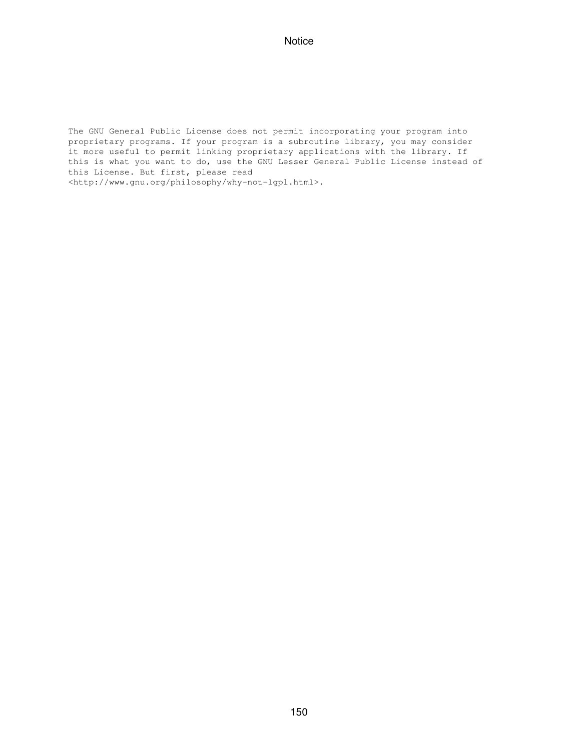The GNU General Public License does not permit incorporating your program into proprietary programs. If your program is a subroutine library, you may consider it more useful to permit linking proprietary applications with the library. If this is what you want to do, use the GNU Lesser General Public License instead of this License. But first, please read <http://www.gnu.org/philosophy/why-not-lgpl.html>.

150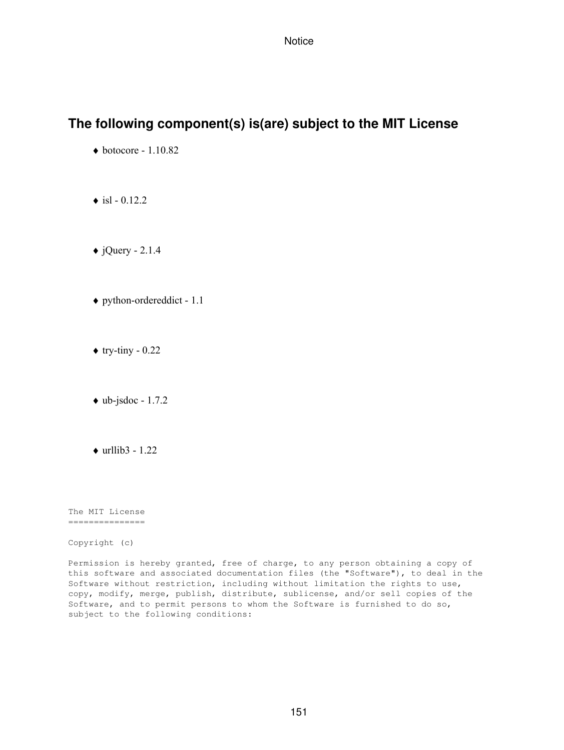## **The following component(s) is(are) subject to the MIT License**

- $\blacklozenge$  botocore 1.10.82
- $\triangle$  isl 0.12.2
- $\triangle$  jQuery 2.1.4
- ♦ python-ordereddict 1.1
- $\triangle$  try-tiny 0.22
- $\bullet$  ub-jsdoc 1.7.2
- $\triangleleft$  urllib3 1.22

The MIT License ===============

Copyright (c)

Permission is hereby granted, free of charge, to any person obtaining a copy of this software and associated documentation files (the "Software"), to deal in the Software without restriction, including without limitation the rights to use, copy, modify, merge, publish, distribute, sublicense, and/or sell copies of the Software, and to permit persons to whom the Software is furnished to do so, subject to the following conditions: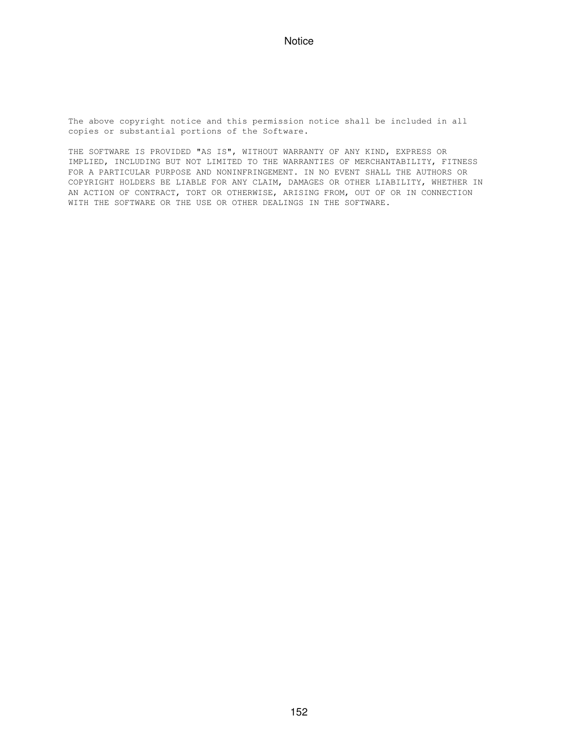The above copyright notice and this permission notice shall be included in all copies or substantial portions of the Software.

THE SOFTWARE IS PROVIDED "AS IS", WITHOUT WARRANTY OF ANY KIND, EXPRESS OR IMPLIED, INCLUDING BUT NOT LIMITED TO THE WARRANTIES OF MERCHANTABILITY, FITNESS FOR A PARTICULAR PURPOSE AND NONINFRINGEMENT. IN NO EVENT SHALL THE AUTHORS OR COPYRIGHT HOLDERS BE LIABLE FOR ANY CLAIM, DAMAGES OR OTHER LIABILITY, WHETHER IN AN ACTION OF CONTRACT, TORT OR OTHERWISE, ARISING FROM, OUT OF OR IN CONNECTION WITH THE SOFTWARE OR THE USE OR OTHER DEALINGS IN THE SOFTWARE.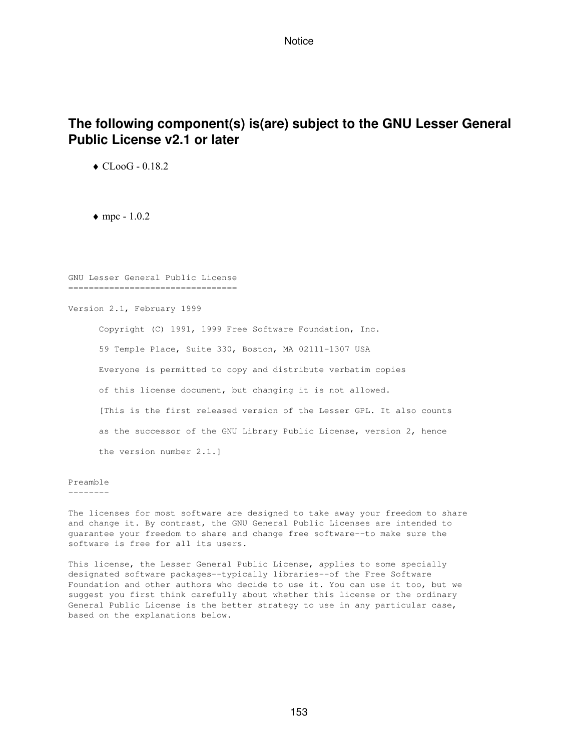# **The following component(s) is(are) subject to the GNU Lesser General Public License v2.1 or later**

♦ CLooG - 0.18.2

 $\bullet$  mpc - 1.0.2

GNU Lesser General Public License =================================

Version 2.1, February 1999

 Copyright (C) 1991, 1999 Free Software Foundation, Inc. 59 Temple Place, Suite 330, Boston, MA 02111-1307 USA Everyone is permitted to copy and distribute verbatim copies of this license document, but changing it is not allowed. [This is the first released version of the Lesser GPL. It also counts as the successor of the GNU Library Public License, version 2, hence the version number 2.1.]

#### Preamble

--------

The licenses for most software are designed to take away your freedom to share and change it. By contrast, the GNU General Public Licenses are intended to guarantee your freedom to share and change free software--to make sure the software is free for all its users.

This license, the Lesser General Public License, applies to some specially designated software packages--typically libraries--of the Free Software Foundation and other authors who decide to use it. You can use it too, but we suggest you first think carefully about whether this license or the ordinary General Public License is the better strategy to use in any particular case, based on the explanations below.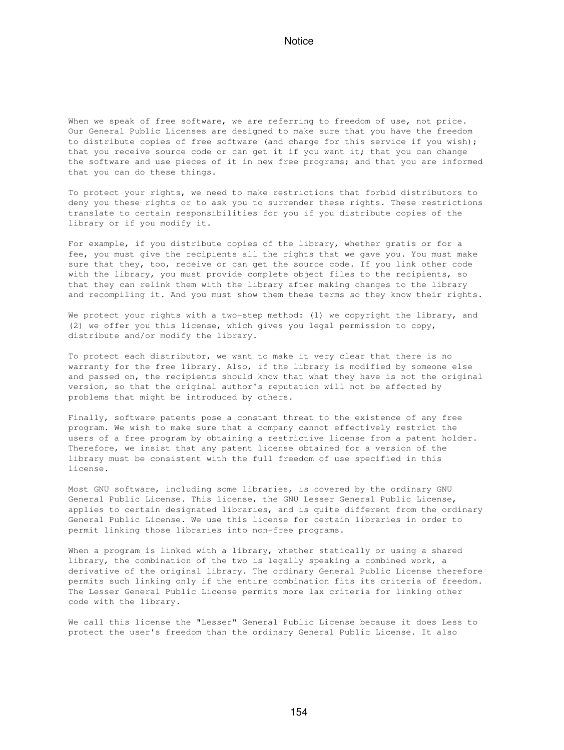When we speak of free software, we are referring to freedom of use, not price. Our General Public Licenses are designed to make sure that you have the freedom to distribute copies of free software (and charge for this service if you wish); that you receive source code or can get it if you want it; that you can change the software and use pieces of it in new free programs; and that you are informed that you can do these things.

To protect your rights, we need to make restrictions that forbid distributors to deny you these rights or to ask you to surrender these rights. These restrictions translate to certain responsibilities for you if you distribute copies of the library or if you modify it.

For example, if you distribute copies of the library, whether gratis or for a fee, you must give the recipients all the rights that we gave you. You must make sure that they, too, receive or can get the source code. If you link other code with the library, you must provide complete object files to the recipients, so that they can relink them with the library after making changes to the library and recompiling it. And you must show them these terms so they know their rights.

We protect your rights with a two-step method: (1) we copyright the library, and (2) we offer you this license, which gives you legal permission to copy, distribute and/or modify the library.

To protect each distributor, we want to make it very clear that there is no warranty for the free library. Also, if the library is modified by someone else and passed on, the recipients should know that what they have is not the original version, so that the original author's reputation will not be affected by problems that might be introduced by others.

Finally, software patents pose a constant threat to the existence of any free program. We wish to make sure that a company cannot effectively restrict the users of a free program by obtaining a restrictive license from a patent holder. Therefore, we insist that any patent license obtained for a version of the library must be consistent with the full freedom of use specified in this license.

Most GNU software, including some libraries, is covered by the ordinary GNU General Public License. This license, the GNU Lesser General Public License, applies to certain designated libraries, and is quite different from the ordinary General Public License. We use this license for certain libraries in order to permit linking those libraries into non-free programs.

When a program is linked with a library, whether statically or using a shared library, the combination of the two is legally speaking a combined work, a derivative of the original library. The ordinary General Public License therefore permits such linking only if the entire combination fits its criteria of freedom. The Lesser General Public License permits more lax criteria for linking other code with the library.

We call this license the "Lesser" General Public License because it does Less to protect the user's freedom than the ordinary General Public License. It also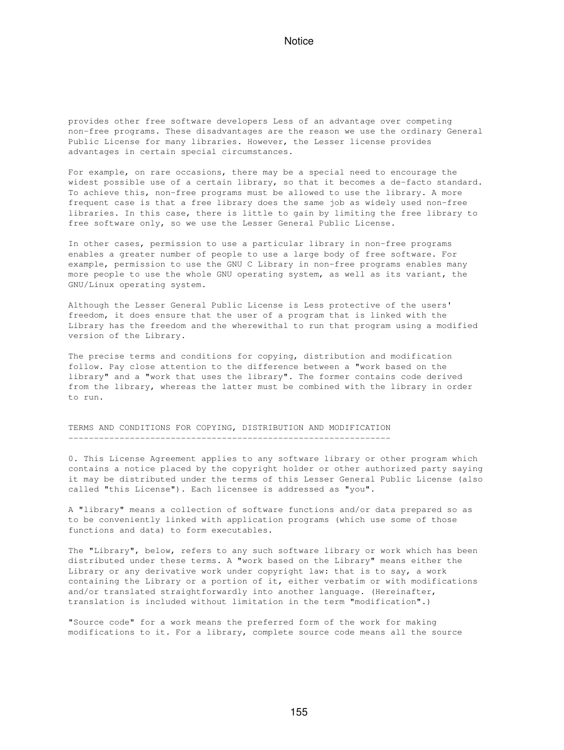provides other free software developers Less of an advantage over competing non-free programs. These disadvantages are the reason we use the ordinary General Public License for many libraries. However, the Lesser license provides advantages in certain special circumstances.

For example, on rare occasions, there may be a special need to encourage the widest possible use of a certain library, so that it becomes a de-facto standard. To achieve this, non-free programs must be allowed to use the library. A more frequent case is that a free library does the same job as widely used non-free libraries. In this case, there is little to gain by limiting the free library to free software only, so we use the Lesser General Public License.

In other cases, permission to use a particular library in non-free programs enables a greater number of people to use a large body of free software. For example, permission to use the GNU C Library in non-free programs enables many more people to use the whole GNU operating system, as well as its variant, the GNU/Linux operating system.

Although the Lesser General Public License is Less protective of the users' freedom, it does ensure that the user of a program that is linked with the Library has the freedom and the wherewithal to run that program using a modified version of the Library.

The precise terms and conditions for copying, distribution and modification follow. Pay close attention to the difference between a "work based on the library" and a "work that uses the library". The former contains code derived from the library, whereas the latter must be combined with the library in order to run.

TERMS AND CONDITIONS FOR COPYING, DISTRIBUTION AND MODIFICATION ---------------------------------------------------------------

0. This License Agreement applies to any software library or other program which contains a notice placed by the copyright holder or other authorized party saying it may be distributed under the terms of this Lesser General Public License (also called "this License"). Each licensee is addressed as "you".

A "library" means a collection of software functions and/or data prepared so as to be conveniently linked with application programs (which use some of those functions and data) to form executables.

The "Library", below, refers to any such software library or work which has been distributed under these terms. A "work based on the Library" means either the Library or any derivative work under copyright law: that is to say, a work containing the Library or a portion of it, either verbatim or with modifications and/or translated straightforwardly into another language. (Hereinafter, translation is included without limitation in the term "modification".)

"Source code" for a work means the preferred form of the work for making modifications to it. For a library, complete source code means all the source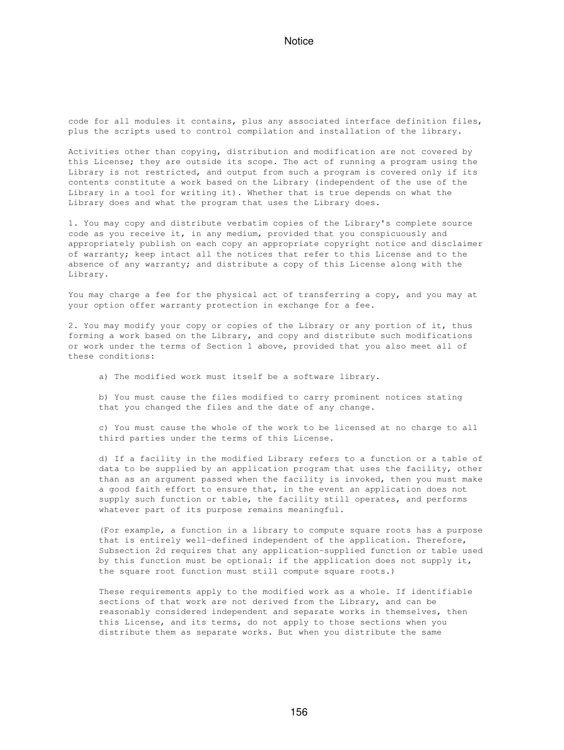code for all modules it contains, plus any associated interface definition files, plus the scripts used to control compilation and installation of the library.

Activities other than copying, distribution and modification are not covered by this License; they are outside its scope. The act of running a program using the Library is not restricted, and output from such a program is covered only if its contents constitute a work based on the Library (independent of the use of the Library in a tool for writing it). Whether that is true depends on what the Library does and what the program that uses the Library does.

1. You may copy and distribute verbatim copies of the Library's complete source code as you receive it, in any medium, provided that you conspicuously and appropriately publish on each copy an appropriate copyright notice and disclaimer of warranty; keep intact all the notices that refer to this License and to the absence of any warranty; and distribute a copy of this License along with the Library.

You may charge a fee for the physical act of transferring a copy, and you may at your option offer warranty protection in exchange for a fee.

2. You may modify your copy or copies of the Library or any portion of it, thus forming a work based on the Library, and copy and distribute such modifications or work under the terms of Section 1 above, provided that you also meet all of these conditions:

a) The modified work must itself be a software library.

 b) You must cause the files modified to carry prominent notices stating that you changed the files and the date of any change.

 c) You must cause the whole of the work to be licensed at no charge to all third parties under the terms of this License.

 d) If a facility in the modified Library refers to a function or a table of data to be supplied by an application program that uses the facility, other than as an argument passed when the facility is invoked, then you must make a good faith effort to ensure that, in the event an application does not supply such function or table, the facility still operates, and performs whatever part of its purpose remains meaningful.

 (For example, a function in a library to compute square roots has a purpose that is entirely well-defined independent of the application. Therefore, Subsection 2d requires that any application-supplied function or table used by this function must be optional: if the application does not supply it, the square root function must still compute square roots.)

 These requirements apply to the modified work as a whole. If identifiable sections of that work are not derived from the Library, and can be reasonably considered independent and separate works in themselves, then this License, and its terms, do not apply to those sections when you distribute them as separate works. But when you distribute the same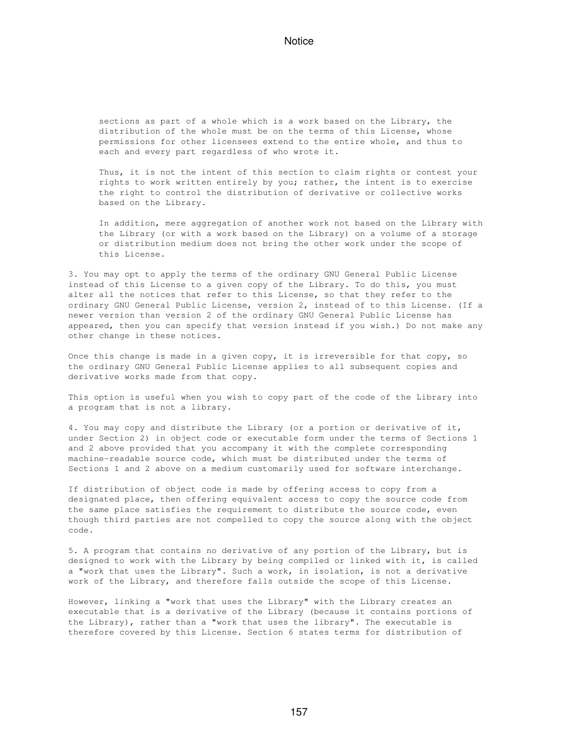sections as part of a whole which is a work based on the Library, the distribution of the whole must be on the terms of this License, whose permissions for other licensees extend to the entire whole, and thus to each and every part regardless of who wrote it.

 Thus, it is not the intent of this section to claim rights or contest your rights to work written entirely by you; rather, the intent is to exercise the right to control the distribution of derivative or collective works based on the Library.

 In addition, mere aggregation of another work not based on the Library with the Library (or with a work based on the Library) on a volume of a storage or distribution medium does not bring the other work under the scope of this License.

3. You may opt to apply the terms of the ordinary GNU General Public License instead of this License to a given copy of the Library. To do this, you must alter all the notices that refer to this License, so that they refer to the ordinary GNU General Public License, version 2, instead of to this License. (If a newer version than version 2 of the ordinary GNU General Public License has appeared, then you can specify that version instead if you wish.) Do not make any other change in these notices.

Once this change is made in a given copy, it is irreversible for that copy, so the ordinary GNU General Public License applies to all subsequent copies and derivative works made from that copy.

This option is useful when you wish to copy part of the code of the Library into a program that is not a library.

4. You may copy and distribute the Library (or a portion or derivative of it, under Section 2) in object code or executable form under the terms of Sections 1 and 2 above provided that you accompany it with the complete corresponding machine-readable source code, which must be distributed under the terms of Sections 1 and 2 above on a medium customarily used for software interchange.

If distribution of object code is made by offering access to copy from a designated place, then offering equivalent access to copy the source code from the same place satisfies the requirement to distribute the source code, even though third parties are not compelled to copy the source along with the object code.

5. A program that contains no derivative of any portion of the Library, but is designed to work with the Library by being compiled or linked with it, is called a "work that uses the Library". Such a work, in isolation, is not a derivative work of the Library, and therefore falls outside the scope of this License.

However, linking a "work that uses the Library" with the Library creates an executable that is a derivative of the Library (because it contains portions of the Library), rather than a "work that uses the library". The executable is therefore covered by this License. Section 6 states terms for distribution of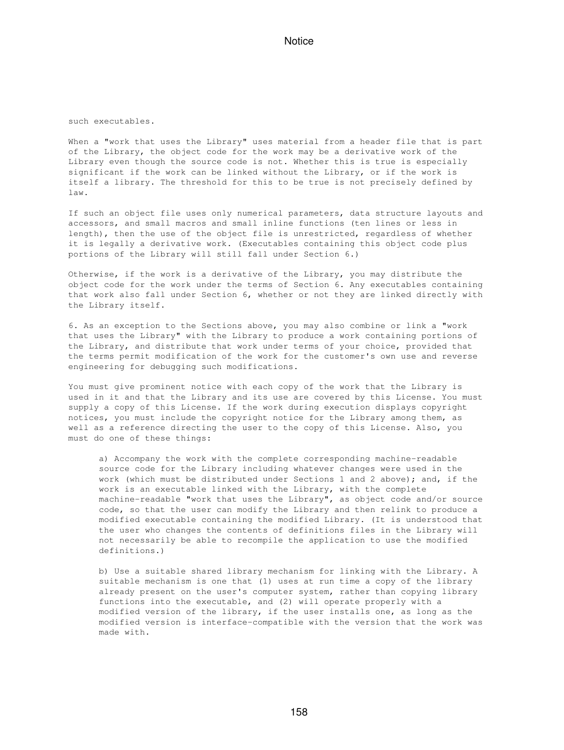such executables.

When a "work that uses the Library" uses material from a header file that is part of the Library, the object code for the work may be a derivative work of the Library even though the source code is not. Whether this is true is especially significant if the work can be linked without the Library, or if the work is itself a library. The threshold for this to be true is not precisely defined by law.

If such an object file uses only numerical parameters, data structure layouts and accessors, and small macros and small inline functions (ten lines or less in length), then the use of the object file is unrestricted, regardless of whether it is legally a derivative work. (Executables containing this object code plus portions of the Library will still fall under Section 6.)

Otherwise, if the work is a derivative of the Library, you may distribute the object code for the work under the terms of Section 6. Any executables containing that work also fall under Section 6, whether or not they are linked directly with the Library itself.

6. As an exception to the Sections above, you may also combine or link a "work that uses the Library" with the Library to produce a work containing portions of the Library, and distribute that work under terms of your choice, provided that the terms permit modification of the work for the customer's own use and reverse engineering for debugging such modifications.

You must give prominent notice with each copy of the work that the Library is used in it and that the Library and its use are covered by this License. You must supply a copy of this License. If the work during execution displays copyright notices, you must include the copyright notice for the Library among them, as well as a reference directing the user to the copy of this License. Also, you must do one of these things:

 a) Accompany the work with the complete corresponding machine-readable source code for the Library including whatever changes were used in the work (which must be distributed under Sections 1 and 2 above); and, if the work is an executable linked with the Library, with the complete machine-readable "work that uses the Library", as object code and/or source code, so that the user can modify the Library and then relink to produce a modified executable containing the modified Library. (It is understood that the user who changes the contents of definitions files in the Library will not necessarily be able to recompile the application to use the modified definitions.)

 b) Use a suitable shared library mechanism for linking with the Library. A suitable mechanism is one that (1) uses at run time a copy of the library already present on the user's computer system, rather than copying library functions into the executable, and (2) will operate properly with a modified version of the library, if the user installs one, as long as the modified version is interface-compatible with the version that the work was made with.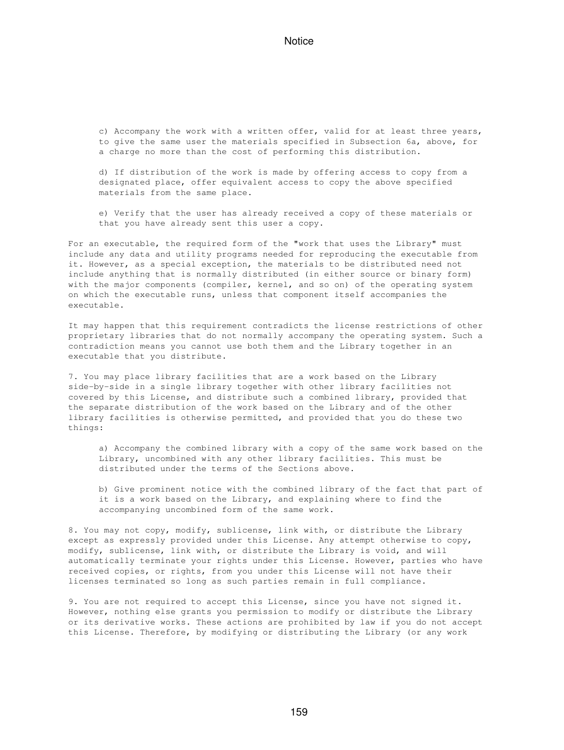c) Accompany the work with a written offer, valid for at least three years, to give the same user the materials specified in Subsection 6a, above, for a charge no more than the cost of performing this distribution.

 d) If distribution of the work is made by offering access to copy from a designated place, offer equivalent access to copy the above specified materials from the same place.

 e) Verify that the user has already received a copy of these materials or that you have already sent this user a copy.

For an executable, the required form of the "work that uses the Library" must include any data and utility programs needed for reproducing the executable from it. However, as a special exception, the materials to be distributed need not include anything that is normally distributed (in either source or binary form) with the major components (compiler, kernel, and so on) of the operating system on which the executable runs, unless that component itself accompanies the executable.

It may happen that this requirement contradicts the license restrictions of other proprietary libraries that do not normally accompany the operating system. Such a contradiction means you cannot use both them and the Library together in an executable that you distribute.

7. You may place library facilities that are a work based on the Library side-by-side in a single library together with other library facilities not covered by this License, and distribute such a combined library, provided that the separate distribution of the work based on the Library and of the other library facilities is otherwise permitted, and provided that you do these two things:

 a) Accompany the combined library with a copy of the same work based on the Library, uncombined with any other library facilities. This must be distributed under the terms of the Sections above.

 b) Give prominent notice with the combined library of the fact that part of it is a work based on the Library, and explaining where to find the accompanying uncombined form of the same work.

8. You may not copy, modify, sublicense, link with, or distribute the Library except as expressly provided under this License. Any attempt otherwise to copy, modify, sublicense, link with, or distribute the Library is void, and will automatically terminate your rights under this License. However, parties who have received copies, or rights, from you under this License will not have their licenses terminated so long as such parties remain in full compliance.

9. You are not required to accept this License, since you have not signed it. However, nothing else grants you permission to modify or distribute the Library or its derivative works. These actions are prohibited by law if you do not accept this License. Therefore, by modifying or distributing the Library (or any work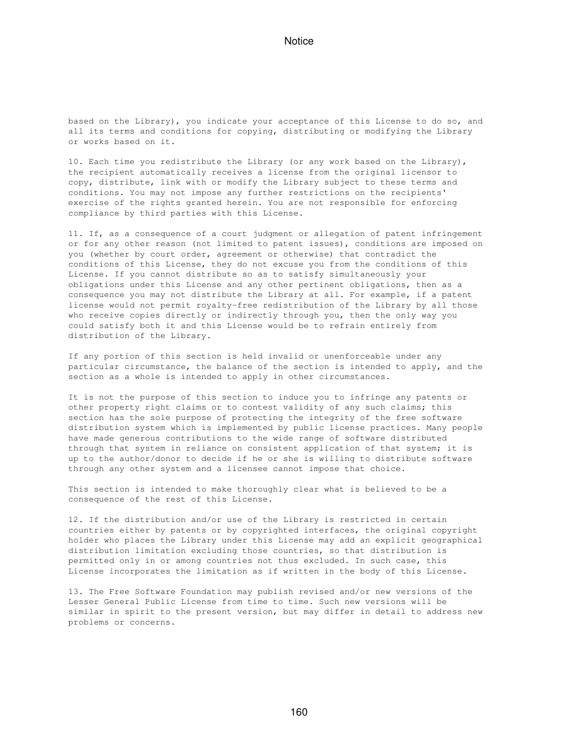based on the Library), you indicate your acceptance of this License to do so, and all its terms and conditions for copying, distributing or modifying the Library or works based on it.

10. Each time you redistribute the Library (or any work based on the Library), the recipient automatically receives a license from the original licensor to copy, distribute, link with or modify the Library subject to these terms and conditions. You may not impose any further restrictions on the recipients' exercise of the rights granted herein. You are not responsible for enforcing compliance by third parties with this License.

11. If, as a consequence of a court judgment or allegation of patent infringement or for any other reason (not limited to patent issues), conditions are imposed on you (whether by court order, agreement or otherwise) that contradict the conditions of this License, they do not excuse you from the conditions of this License. If you cannot distribute so as to satisfy simultaneously your obligations under this License and any other pertinent obligations, then as a consequence you may not distribute the Library at all. For example, if a patent license would not permit royalty-free redistribution of the Library by all those who receive copies directly or indirectly through you, then the only way you could satisfy both it and this License would be to refrain entirely from distribution of the Library.

If any portion of this section is held invalid or unenforceable under any particular circumstance, the balance of the section is intended to apply, and the section as a whole is intended to apply in other circumstances.

It is not the purpose of this section to induce you to infringe any patents or other property right claims or to contest validity of any such claims; this section has the sole purpose of protecting the integrity of the free software distribution system which is implemented by public license practices. Many people have made generous contributions to the wide range of software distributed through that system in reliance on consistent application of that system; it is up to the author/donor to decide if he or she is willing to distribute software through any other system and a licensee cannot impose that choice.

This section is intended to make thoroughly clear what is believed to be a consequence of the rest of this License.

12. If the distribution and/or use of the Library is restricted in certain countries either by patents or by copyrighted interfaces, the original copyright holder who places the Library under this License may add an explicit geographical distribution limitation excluding those countries, so that distribution is permitted only in or among countries not thus excluded. In such case, this License incorporates the limitation as if written in the body of this License.

13. The Free Software Foundation may publish revised and/or new versions of the Lesser General Public License from time to time. Such new versions will be similar in spirit to the present version, but may differ in detail to address new problems or concerns.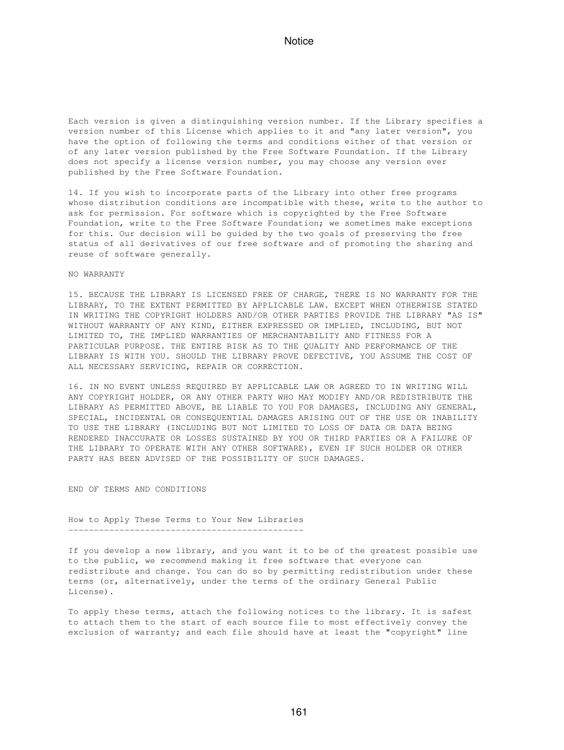Each version is given a distinguishing version number. If the Library specifies a version number of this License which applies to it and "any later version", you have the option of following the terms and conditions either of that version or of any later version published by the Free Software Foundation. If the Library does not specify a license version number, you may choose any version ever published by the Free Software Foundation.

14. If you wish to incorporate parts of the Library into other free programs whose distribution conditions are incompatible with these, write to the author to ask for permission. For software which is copyrighted by the Free Software Foundation, write to the Free Software Foundation; we sometimes make exceptions for this. Our decision will be guided by the two goals of preserving the free status of all derivatives of our free software and of promoting the sharing and reuse of software generally.

#### NO WARRANTY

15. BECAUSE THE LIBRARY IS LICENSED FREE OF CHARGE, THERE IS NO WARRANTY FOR THE LIBRARY, TO THE EXTENT PERMITTED BY APPLICABLE LAW. EXCEPT WHEN OTHERWISE STATED IN WRITING THE COPYRIGHT HOLDERS AND/OR OTHER PARTIES PROVIDE THE LIBRARY "AS IS" WITHOUT WARRANTY OF ANY KIND, EITHER EXPRESSED OR IMPLIED, INCLUDING, BUT NOT LIMITED TO, THE IMPLIED WARRANTIES OF MERCHANTABILITY AND FITNESS FOR A PARTICULAR PURPOSE. THE ENTIRE RISK AS TO THE QUALITY AND PERFORMANCE OF THE LIBRARY IS WITH YOU. SHOULD THE LIBRARY PROVE DEFECTIVE, YOU ASSUME THE COST OF ALL NECESSARY SERVICING, REPAIR OR CORRECTION.

16. IN NO EVENT UNLESS REQUIRED BY APPLICABLE LAW OR AGREED TO IN WRITING WILL ANY COPYRIGHT HOLDER, OR ANY OTHER PARTY WHO MAY MODIFY AND/OR REDISTRIBUTE THE LIBRARY AS PERMITTED ABOVE, BE LIABLE TO YOU FOR DAMAGES, INCLUDING ANY GENERAL, SPECIAL, INCIDENTAL OR CONSEQUENTIAL DAMAGES ARISING OUT OF THE USE OR INABILITY TO USE THE LIBRARY (INCLUDING BUT NOT LIMITED TO LOSS OF DATA OR DATA BEING RENDERED INACCURATE OR LOSSES SUSTAINED BY YOU OR THIRD PARTIES OR A FAILURE OF THE LIBRARY TO OPERATE WITH ANY OTHER SOFTWARE), EVEN IF SUCH HOLDER OR OTHER PARTY HAS BEEN ADVISED OF THE POSSIBILITY OF SUCH DAMAGES.

END OF TERMS AND CONDITIONS

How to Apply These Terms to Your New Libraries ----------------------------------------------

If you develop a new library, and you want it to be of the greatest possible use to the public, we recommend making it free software that everyone can redistribute and change. You can do so by permitting redistribution under these terms (or, alternatively, under the terms of the ordinary General Public License).

To apply these terms, attach the following notices to the library. It is safest to attach them to the start of each source file to most effectively convey the exclusion of warranty; and each file should have at least the "copyright" line